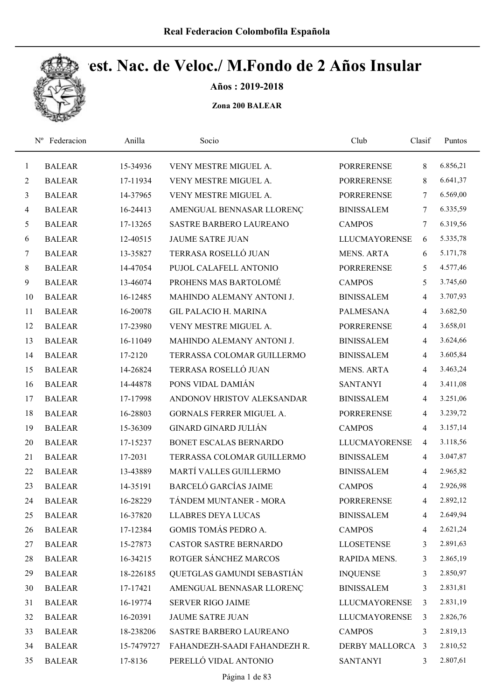

Años : 2019-2018

|                | Federacion<br>$N^{\rm o}$ | Anilla     | Socio                        | Club                 | Clasif         | Puntos   |
|----------------|---------------------------|------------|------------------------------|----------------------|----------------|----------|
| $\mathbf{1}$   | <b>BALEAR</b>             | 15-34936   | VENY MESTRE MIGUEL A.        | <b>PORRERENSE</b>    | 8              | 6.856,21 |
| $\overline{c}$ | <b>BALEAR</b>             | 17-11934   | VENY MESTRE MIGUEL A.        | <b>PORRERENSE</b>    | 8              | 6.641,37 |
| 3              | <b>BALEAR</b>             | 14-37965   | VENY MESTRE MIGUEL A.        | <b>PORRERENSE</b>    | 7              | 6.569,00 |
| $\overline{4}$ | <b>BALEAR</b>             | 16-24413   | AMENGUAL BENNASAR LLORENÇ    | <b>BINISSALEM</b>    | $\tau$         | 6.335,59 |
| 5              | <b>BALEAR</b>             | 17-13265   | SASTRE BARBERO LAUREANO      | <b>CAMPOS</b>        | 7              | 6.319,56 |
| 6              | <b>BALEAR</b>             | 12-40515   | <b>JAUME SATRE JUAN</b>      | <b>LLUCMAYORENSE</b> | 6              | 5.335,78 |
| 7              | <b>BALEAR</b>             | 13-35827   | TERRASA ROSELLÓ JUAN         | <b>MENS. ARTA</b>    | 6              | 5.171,78 |
| 8              | <b>BALEAR</b>             | 14-47054   | PUJOL CALAFELL ANTONIO       | <b>PORRERENSE</b>    | 5              | 4.577,46 |
| 9              | <b>BALEAR</b>             | 13-46074   | PROHENS MAS BARTOLOMÉ        | <b>CAMPOS</b>        | 5              | 3.745,60 |
| 10             | <b>BALEAR</b>             | 16-12485   | MAHINDO ALEMANY ANTONI J.    | <b>BINISSALEM</b>    | $\overline{4}$ | 3.707,93 |
| 11             | <b>BALEAR</b>             | 16-20078   | <b>GIL PALACIO H. MARINA</b> | <b>PALMESANA</b>     | 4              | 3.682,50 |
| 12             | <b>BALEAR</b>             | 17-23980   | VENY MESTRE MIGUEL A.        | <b>PORRERENSE</b>    | 4              | 3.658,01 |
| 13             | <b>BALEAR</b>             | 16-11049   | MAHINDO ALEMANY ANTONI J.    | <b>BINISSALEM</b>    | $\overline{4}$ | 3.624,66 |
| 14             | <b>BALEAR</b>             | 17-2120    | TERRASSA COLOMAR GUILLERMO   | <b>BINISSALEM</b>    | $\overline{4}$ | 3.605,84 |
| 15             | <b>BALEAR</b>             | 14-26824   | TERRASA ROSELLÓ JUAN         | <b>MENS. ARTA</b>    | $\overline{4}$ | 3.463,24 |
| 16             | <b>BALEAR</b>             | 14-44878   | PONS VIDAL DAMIÁN            | <b>SANTANYI</b>      | $\overline{4}$ | 3.411,08 |
| 17             | <b>BALEAR</b>             | 17-17998   | ANDONOV HRISTOV ALEKSANDAR   | <b>BINISSALEM</b>    | $\overline{4}$ | 3.251,06 |
| 18             | <b>BALEAR</b>             | 16-28803   | GORNALS FERRER MIGUEL A.     | <b>PORRERENSE</b>    | 4              | 3.239,72 |
| 19             | <b>BALEAR</b>             | 15-36309   | <b>GINARD GINARD JULIÁN</b>  | <b>CAMPOS</b>        | $\overline{4}$ | 3.157,14 |
| 20             | <b>BALEAR</b>             | 17-15237   | BONET ESCALAS BERNARDO       | <b>LLUCMAYORENSE</b> | $\overline{4}$ | 3.118,56 |
| 21             | <b>BALEAR</b>             | 17-2031    | TERRASSA COLOMAR GUILLERMO   | <b>BINISSALEM</b>    | $\overline{4}$ | 3.047,87 |
| 22             | <b>BALEAR</b>             | 13-43889   | MARTÍ VALLES GUILLERMO       | <b>BINISSALEM</b>    | $\overline{4}$ | 2.965,82 |
| 23             | <b>BALEAR</b>             | 14-35191   | <b>BARCELÓ GARCÍAS JAIME</b> | <b>CAMPOS</b>        | $\overline{4}$ | 2.926,98 |
| 24             | <b>BALEAR</b>             | 16-28229   | TÁNDEM MUNTANER - MORA       | <b>PORRERENSE</b>    | 4              | 2.892,12 |
| 25             | <b>BALEAR</b>             | 16-37820   | <b>LLABRES DEYA LUCAS</b>    | <b>BINISSALEM</b>    | 4              | 2.649,94 |
| 26             | <b>BALEAR</b>             | 17-12384   | GOMIS TOMÁS PEDRO A.         | <b>CAMPOS</b>        | 4              | 2.621,24 |
| 27             | <b>BALEAR</b>             | 15-27873   | CASTOR SASTRE BERNARDO       | <b>LLOSETENSE</b>    | 3              | 2.891,63 |
| 28             | <b>BALEAR</b>             | 16-34215   | ROTGER SÁNCHEZ MARCOS        | RAPIDA MENS.         | 3              | 2.865,19 |
| 29             | <b>BALEAR</b>             | 18-226185  | QUETGLAS GAMUNDI SEBASTIÁN   | <b>INQUENSE</b>      | 3              | 2.850,97 |
| 30             | <b>BALEAR</b>             | 17-17421   | AMENGUAL BENNASAR LLORENÇ    | <b>BINISSALEM</b>    | 3              | 2.831,81 |
| 31             | <b>BALEAR</b>             | 16-19774   | <b>SERVER RIGO JAIME</b>     | <b>LLUCMAYORENSE</b> | 3              | 2.831,19 |
| 32             | <b>BALEAR</b>             | 16-20391   | JAUME SATRE JUAN             | <b>LLUCMAYORENSE</b> | 3              | 2.826,76 |
| 33             | <b>BALEAR</b>             | 18-238206  | SASTRE BARBERO LAUREANO      | <b>CAMPOS</b>        | 3              | 2.819,13 |
| 34             | <b>BALEAR</b>             | 15-7479727 | FAHANDEZH-SAADI FAHANDEZH R. | DERBY MALLORCA 3     |                | 2.810,52 |
| 35             | <b>BALEAR</b>             | 17-8136    | PERELLÓ VIDAL ANTONIO        | <b>SANTANYI</b>      | 3              | 2.807,61 |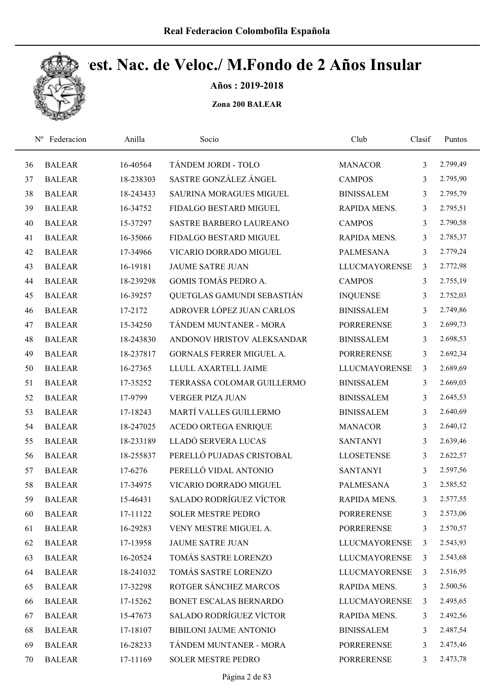

Años : 2019-2018

| $N^{\rm o}$ | Federacion    | Anilla    | Socio                          | Club                 | Clasif         | Puntos   |
|-------------|---------------|-----------|--------------------------------|----------------------|----------------|----------|
| 36          | <b>BALEAR</b> | 16-40564  | TÁNDEM JORDI - TOLO            | <b>MANACOR</b>       | 3              | 2.799,49 |
| 37          | <b>BALEAR</b> | 18-238303 | SASTRE GONZÁLEZ ÁNGEL          | <b>CAMPOS</b>        | 3              | 2.795,90 |
| 38          | <b>BALEAR</b> | 18-243433 | <b>SAURINA MORAGUES MIGUEL</b> | <b>BINISSALEM</b>    | 3              | 2.795,79 |
| 39          | <b>BALEAR</b> | 16-34752  | FIDALGO BESTARD MIGUEL         | RAPIDA MENS.         | 3              | 2.795,51 |
| 40          | <b>BALEAR</b> | 15-37297  | SASTRE BARBERO LAUREANO        | <b>CAMPOS</b>        | 3              | 2.790,58 |
| 41          | <b>BALEAR</b> | 16-35066  | FIDALGO BESTARD MIGUEL         | RAPIDA MENS.         | 3              | 2.785,37 |
| 42          | <b>BALEAR</b> | 17-34966  | VICARIO DORRADO MIGUEL         | <b>PALMESANA</b>     | 3              | 2.779,24 |
| 43          | <b>BALEAR</b> | 16-19181  | <b>JAUME SATRE JUAN</b>        | <b>LLUCMAYORENSE</b> | 3              | 2.772,98 |
| 44          | <b>BALEAR</b> | 18-239298 | GOMIS TOMÁS PEDRO A.           | <b>CAMPOS</b>        | 3              | 2.755,19 |
| 45          | <b>BALEAR</b> | 16-39257  | QUETGLAS GAMUNDI SEBASTIÁN     | <b>INQUENSE</b>      | 3              | 2.752,03 |
| 46          | <b>BALEAR</b> | 17-2172   | ADROVER LÓPEZ JUAN CARLOS      | <b>BINISSALEM</b>    | 3              | 2.749,86 |
| 47          | <b>BALEAR</b> | 15-34250  | TÁNDEM MUNTANER - MORA         | <b>PORRERENSE</b>    | 3              | 2.699,73 |
| 48          | <b>BALEAR</b> | 18-243830 | ANDONOV HRISTOV ALEKSANDAR     | <b>BINISSALEM</b>    | 3              | 2.698,53 |
| 49          | <b>BALEAR</b> | 18-237817 | GORNALS FERRER MIGUEL A.       | <b>PORRERENSE</b>    | 3              | 2.692,34 |
| 50          | <b>BALEAR</b> | 16-27365  | LLULL AXARTELL JAIME           | <b>LLUCMAYORENSE</b> | $\overline{3}$ | 2.689,69 |
| 51          | <b>BALEAR</b> | 17-35252  | TERRASSA COLOMAR GUILLERMO     | <b>BINISSALEM</b>    | 3              | 2.669,03 |
| 52          | <b>BALEAR</b> | 17-9799   | <b>VERGER PIZA JUAN</b>        | <b>BINISSALEM</b>    | 3              | 2.645,53 |
| 53          | <b>BALEAR</b> | 17-18243  | MARTÍ VALLES GUILLERMO         | <b>BINISSALEM</b>    | 3              | 2.640,69 |
| 54          | <b>BALEAR</b> | 18-247025 | ACEDO ORTEGA ENRIQUE           | <b>MANACOR</b>       | 3              | 2.640,12 |
| 55          | <b>BALEAR</b> | 18-233189 | LLADÓ SERVERA LUCAS            | <b>SANTANYI</b>      | 3              | 2.639,46 |
| 56          | <b>BALEAR</b> | 18-255837 | PERELLÓ PUJADAS CRISTOBAL      | <b>LLOSETENSE</b>    | 3              | 2.622,57 |
| 57          | <b>BALEAR</b> | 17-6276   | PERELLÓ VIDAL ANTONIO          | <b>SANTANYI</b>      | 3              | 2.597,56 |
| 58          | <b>BALEAR</b> | 17-34975  | VICARIO DORRADO MIGUEL         | <b>PALMESANA</b>     | 3              | 2.585,52 |
| 59          | <b>BALEAR</b> | 15-46431  | <b>SALADO RODRÍGUEZ VÍCTOR</b> | RAPIDA MENS.         | 3              | 2.577,55 |
| 60          | <b>BALEAR</b> | 17-11122  | <b>SOLER MESTRE PEDRO</b>      | <b>PORRERENSE</b>    | 3              | 2.573,06 |
| 61          | <b>BALEAR</b> | 16-29283  | VENY MESTRE MIGUEL A.          | <b>PORRERENSE</b>    | 3              | 2.570,57 |
| 62          | <b>BALEAR</b> | 17-13958  | <b>JAUME SATRE JUAN</b>        | <b>LLUCMAYORENSE</b> | 3              | 2.543,93 |
| 63          | <b>BALEAR</b> | 16-20524  | TOMÁS SASTRE LORENZO           | <b>LLUCMAYORENSE</b> | 3              | 2.543,68 |
| 64          | <b>BALEAR</b> | 18-241032 | TOMÁS SASTRE LORENZO           | <b>LLUCMAYORENSE</b> | 3              | 2.516,95 |
| 65          | <b>BALEAR</b> | 17-32298  | ROTGER SÁNCHEZ MARCOS          | RAPIDA MENS.         | 3              | 2.500,56 |
| 66          | <b>BALEAR</b> | 17-15262  | BONET ESCALAS BERNARDO         | <b>LLUCMAYORENSE</b> | 3              | 2.495,65 |
| 67          | <b>BALEAR</b> | 15-47673  | <b>SALADO RODRÍGUEZ VÍCTOR</b> | RAPIDA MENS.         | 3              | 2.492,56 |
| 68          | <b>BALEAR</b> | 17-18107  | <b>BIBILONI JAUME ANTONIO</b>  | <b>BINISSALEM</b>    | 3              | 2.487,54 |
| 69          | <b>BALEAR</b> | 16-28233  | TÁNDEM MUNTANER - MORA         | <b>PORRERENSE</b>    | 3              | 2.475,46 |
| 70          | <b>BALEAR</b> | 17-11169  | SOLER MESTRE PEDRO             | <b>PORRERENSE</b>    | 3              | 2.473,78 |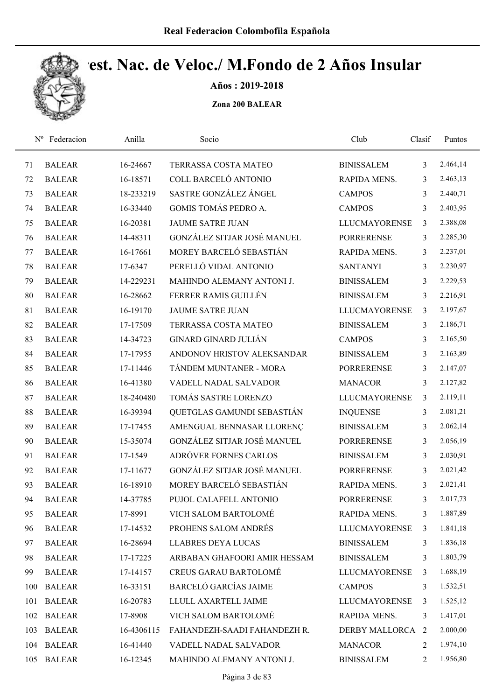

Años : 2019-2018

| $N^{\rm o}$ | Federacion    | Anilla     | Socio                        | Club                 | Clasif         | Puntos   |
|-------------|---------------|------------|------------------------------|----------------------|----------------|----------|
| 71          | <b>BALEAR</b> | 16-24667   | TERRASSA COSTA MATEO         | <b>BINISSALEM</b>    | 3              | 2.464,14 |
| 72          | <b>BALEAR</b> | 16-18571   | COLL BARCELÓ ANTONIO         | RAPIDA MENS.         | 3              | 2.463,13 |
| 73          | <b>BALEAR</b> | 18-233219  | SASTRE GONZÁLEZ ÁNGEL        | <b>CAMPOS</b>        | 3              | 2.440,71 |
| 74          | <b>BALEAR</b> | 16-33440   | <b>GOMIS TOMÁS PEDRO A.</b>  | <b>CAMPOS</b>        | 3              | 2.403,95 |
| 75          | <b>BALEAR</b> | 16-20381   | <b>JAUME SATRE JUAN</b>      | <b>LLUCMAYORENSE</b> | $\mathfrak{Z}$ | 2.388,08 |
| 76          | <b>BALEAR</b> | 14-48311   | GONZÁLEZ SITJAR JOSÉ MANUEL  | <b>PORRERENSE</b>    | 3              | 2.285,30 |
| 77          | <b>BALEAR</b> | 16-17661   | MOREY BARCELÓ SEBASTIÁN      | RAPIDA MENS.         | 3              | 2.237,01 |
| 78          | <b>BALEAR</b> | 17-6347    | PERELLÓ VIDAL ANTONIO        | <b>SANTANYI</b>      | 3              | 2.230,97 |
| 79          | <b>BALEAR</b> | 14-229231  | MAHINDO ALEMANY ANTONI J.    | <b>BINISSALEM</b>    | 3              | 2.229,53 |
| 80          | <b>BALEAR</b> | 16-28662   | FERRER RAMIS GUILLÉN         | <b>BINISSALEM</b>    | 3              | 2.216,91 |
| 81          | <b>BALEAR</b> | 16-19170   | <b>JAUME SATRE JUAN</b>      | <b>LLUCMAYORENSE</b> | 3              | 2.197,67 |
| 82          | <b>BALEAR</b> | 17-17509   | TERRASSA COSTA MATEO         | <b>BINISSALEM</b>    | 3              | 2.186,71 |
| 83          | <b>BALEAR</b> | 14-34723   | <b>GINARD GINARD JULIÁN</b>  | <b>CAMPOS</b>        | 3              | 2.165,50 |
| 84          | <b>BALEAR</b> | 17-17955   | ANDONOV HRISTOV ALEKSANDAR   | <b>BINISSALEM</b>    | 3              | 2.163,89 |
| 85          | <b>BALEAR</b> | 17-11446   | TÁNDEM MUNTANER - MORA       | <b>PORRERENSE</b>    | 3              | 2.147,07 |
| 86          | <b>BALEAR</b> | 16-41380   | VADELL NADAL SALVADOR        | <b>MANACOR</b>       | 3              | 2.127,82 |
| 87          | <b>BALEAR</b> | 18-240480  | TOMÁS SASTRE LORENZO         | <b>LLUCMAYORENSE</b> | $\overline{3}$ | 2.119,11 |
| 88          | <b>BALEAR</b> | 16-39394   | QUETGLAS GAMUNDI SEBASTIÁN   | <b>INQUENSE</b>      | 3              | 2.081,21 |
| 89          | <b>BALEAR</b> | 17-17455   | AMENGUAL BENNASAR LLORENÇ    | <b>BINISSALEM</b>    | 3              | 2.062,14 |
| 90          | <b>BALEAR</b> | 15-35074   | GONZÁLEZ SITJAR JOSÉ MANUEL  | <b>PORRERENSE</b>    | 3              | 2.056,19 |
| 91          | <b>BALEAR</b> | 17-1549    | ADRÓVER FORNES CARLOS        | <b>BINISSALEM</b>    | 3              | 2.030,91 |
| 92          | <b>BALEAR</b> | 17-11677   | GONZÁLEZ SITJAR JOSÉ MANUEL  | <b>PORRERENSE</b>    | 3              | 2.021,42 |
| 93          | <b>BALEAR</b> | 16-18910   | MOREY BARCELÓ SEBASTIÁN      | RAPIDA MENS.         | 3              | 2.021,41 |
| 94          | <b>BALEAR</b> | 14-37785   | PUJOL CALAFELL ANTONIO       | <b>PORRERENSE</b>    | 3              | 2.017,73 |
| 95          | <b>BALEAR</b> | 17-8991    | VICH SALOM BARTOLOMÉ         | RAPIDA MENS.         | 3              | 1.887,89 |
| 96          | <b>BALEAR</b> | 17-14532   | PROHENS SALOM ANDRÉS         | <b>LLUCMAYORENSE</b> | 3              | 1.841,18 |
| 97          | <b>BALEAR</b> | 16-28694   | <b>LLABRES DEYA LUCAS</b>    | <b>BINISSALEM</b>    | 3              | 1.836,18 |
| 98          | <b>BALEAR</b> | 17-17225   | ARBABAN GHAFOORI AMIR HESSAM | <b>BINISSALEM</b>    | 3              | 1.803,79 |
| 99          | <b>BALEAR</b> | 17-14157   | <b>CREUS GARAU BARTOLOMÉ</b> | LLUCMAYORENSE        | 3              | 1.688,19 |
| 100         | <b>BALEAR</b> | 16-33151   | <b>BARCELÓ GARCÍAS JAIME</b> | <b>CAMPOS</b>        | 3              | 1.532,51 |
| 101         | <b>BALEAR</b> | 16-20783   | LLULL AXARTELL JAIME         | <b>LLUCMAYORENSE</b> | 3              | 1.525,12 |
| 102         | <b>BALEAR</b> | 17-8908    | VICH SALOM BARTOLOMÉ         | RAPIDA MENS.         | 3              | 1.417,01 |
| 103         | <b>BALEAR</b> | 16-4306115 | FAHANDEZH-SAADI FAHANDEZH R. | DERBY MALLORCA 2     |                | 2.000,00 |
| 104         | <b>BALEAR</b> | 16-41440   | VADELL NADAL SALVADOR        | <b>MANACOR</b>       | 2              | 1.974,10 |
| 105         | <b>BALEAR</b> | 16-12345   | MAHINDO ALEMANY ANTONI J.    | <b>BINISSALEM</b>    | 2              | 1.956,80 |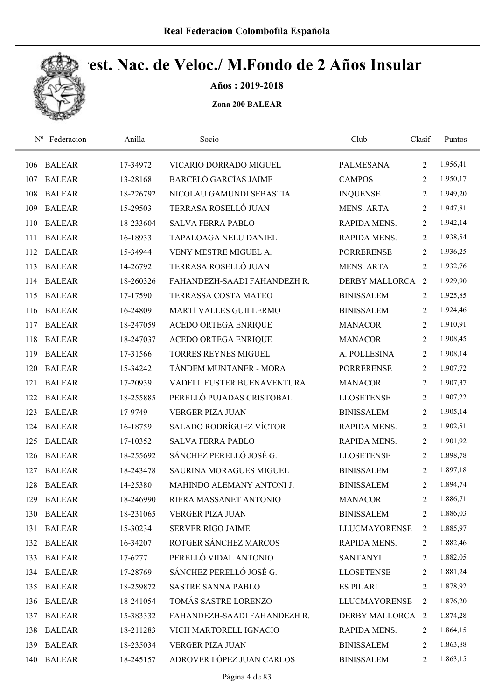

Años : 2019-2018

| $N^{\rm o}$ | Federacion    | Anilla    | Socio                          | Club                 | Clasif         | Puntos   |
|-------------|---------------|-----------|--------------------------------|----------------------|----------------|----------|
| 106         | <b>BALEAR</b> | 17-34972  | VICARIO DORRADO MIGUEL         | <b>PALMESANA</b>     | $\overline{2}$ | 1.956,41 |
| 107         | <b>BALEAR</b> | 13-28168  | <b>BARCELÓ GARCÍAS JAIME</b>   | <b>CAMPOS</b>        | 2              | 1.950,17 |
| 108         | <b>BALEAR</b> | 18-226792 | NICOLAU GAMUNDI SEBASTIA       | <b>INQUENSE</b>      | $\overline{2}$ | 1.949,20 |
| 109         | <b>BALEAR</b> | 15-29503  | TERRASA ROSELLÓ JUAN           | <b>MENS. ARTA</b>    | $\overline{2}$ | 1.947,81 |
| 110         | <b>BALEAR</b> | 18-233604 | <b>SALVA FERRA PABLO</b>       | RAPIDA MENS.         | 2              | 1.942,14 |
| 111         | <b>BALEAR</b> | 16-18933  | TAPALOAGA NELU DANIEL          | RAPIDA MENS.         | $\overline{2}$ | 1.938,54 |
| 112         | <b>BALEAR</b> | 15-34944  | VENY MESTRE MIGUEL A.          | <b>PORRERENSE</b>    | 2              | 1.936,25 |
| 113         | <b>BALEAR</b> | 14-26792  | TERRASA ROSELLÓ JUAN           | <b>MENS. ARTA</b>    | $\overline{2}$ | 1.932,76 |
| 114         | <b>BALEAR</b> | 18-260326 | FAHANDEZH-SAADI FAHANDEZH R.   | DERBY MALLORCA       | 2              | 1.929,90 |
| 115         | <b>BALEAR</b> | 17-17590  | TERRASSA COSTA MATEO           | <b>BINISSALEM</b>    | $\overline{2}$ | 1.925,85 |
| 116         | <b>BALEAR</b> | 16-24809  | MARTÍ VALLES GUILLERMO         | <b>BINISSALEM</b>    | 2              | 1.924,46 |
| 117         | <b>BALEAR</b> | 18-247059 | ACEDO ORTEGA ENRIQUE           | <b>MANACOR</b>       | 2              | 1.910,91 |
| 118         | <b>BALEAR</b> | 18-247037 | ACEDO ORTEGA ENRIQUE           | <b>MANACOR</b>       | $\overline{2}$ | 1.908,45 |
| 119         | <b>BALEAR</b> | 17-31566  | <b>TORRES REYNES MIGUEL</b>    | A. POLLESINA         | $\overline{2}$ | 1.908,14 |
| 120         | <b>BALEAR</b> | 15-34242  | TÁNDEM MUNTANER - MORA         | <b>PORRERENSE</b>    | $\overline{2}$ | 1.907,72 |
| 121         | <b>BALEAR</b> | 17-20939  | VADELL FUSTER BUENAVENTURA     | <b>MANACOR</b>       | $\overline{2}$ | 1.907,37 |
| 122         | <b>BALEAR</b> | 18-255885 | PERELLÓ PUJADAS CRISTOBAL      | <b>LLOSETENSE</b>    | $\overline{2}$ | 1.907,22 |
| 123         | <b>BALEAR</b> | 17-9749   | <b>VERGER PIZA JUAN</b>        | <b>BINISSALEM</b>    | $\overline{2}$ | 1.905,14 |
| 124         | <b>BALEAR</b> | 16-18759  | <b>SALADO RODRÍGUEZ VÍCTOR</b> | RAPIDA MENS.         | $\overline{2}$ | 1.902,51 |
| 125         | <b>BALEAR</b> | 17-10352  | <b>SALVA FERRA PABLO</b>       | RAPIDA MENS.         | $\overline{2}$ | 1.901,92 |
| 126         | <b>BALEAR</b> | 18-255692 | SÁNCHEZ PERELLÓ JOSÉ G.        | <b>LLOSETENSE</b>    | $\overline{2}$ | 1.898,78 |
| 127         | <b>BALEAR</b> | 18-243478 | SAURINA MORAGUES MIGUEL        | <b>BINISSALEM</b>    | 2              | 1.897,18 |
| 128         | <b>BALEAR</b> | 14-25380  | MAHINDO ALEMANY ANTONI J.      | <b>BINISSALEM</b>    | $\overline{2}$ | 1.894,74 |
| 129         | <b>BALEAR</b> | 18-246990 | RIERA MASSANET ANTONIO         | <b>MANACOR</b>       | $\overline{2}$ | 1.886,71 |
| 130         | <b>BALEAR</b> | 18-231065 | <b>VERGER PIZA JUAN</b>        | <b>BINISSALEM</b>    | 2              | 1.886,03 |
| 131         | <b>BALEAR</b> | 15-30234  | <b>SERVER RIGO JAIME</b>       | <b>LLUCMAYORENSE</b> | $\overline{2}$ | 1.885,97 |
| 132         | <b>BALEAR</b> | 16-34207  | ROTGER SÁNCHEZ MARCOS          | RAPIDA MENS.         | 2              | 1.882,46 |
| 133         | <b>BALEAR</b> | 17-6277   | PERELLÓ VIDAL ANTONIO          | <b>SANTANYI</b>      | 2              | 1.882,05 |
| 134         | <b>BALEAR</b> | 17-28769  | SÁNCHEZ PERELLÓ JOSÉ G.        | <b>LLOSETENSE</b>    | 2              | 1.881,24 |
| 135         | <b>BALEAR</b> | 18-259872 | <b>SASTRE SANNA PABLO</b>      | <b>ES PILARI</b>     | 2              | 1.878,92 |
| 136         | <b>BALEAR</b> | 18-241054 | TOMÁS SASTRE LORENZO           | <b>LLUCMAYORENSE</b> | 2              | 1.876,20 |
| 137         | <b>BALEAR</b> | 15-383332 | FAHANDEZH-SAADI FAHANDEZH R.   | DERBY MALLORCA 2     |                | 1.874,28 |
| 138         | <b>BALEAR</b> | 18-211283 | VICH MARTORELL IGNACIO         | RAPIDA MENS.         | $\overline{2}$ | 1.864,15 |
| 139         | <b>BALEAR</b> | 18-235034 | <b>VERGER PIZA JUAN</b>        | <b>BINISSALEM</b>    | 2              | 1.863,88 |
| 140         | <b>BALEAR</b> | 18-245157 | ADROVER LÓPEZ JUAN CARLOS      | <b>BINISSALEM</b>    | 2              | 1.863,15 |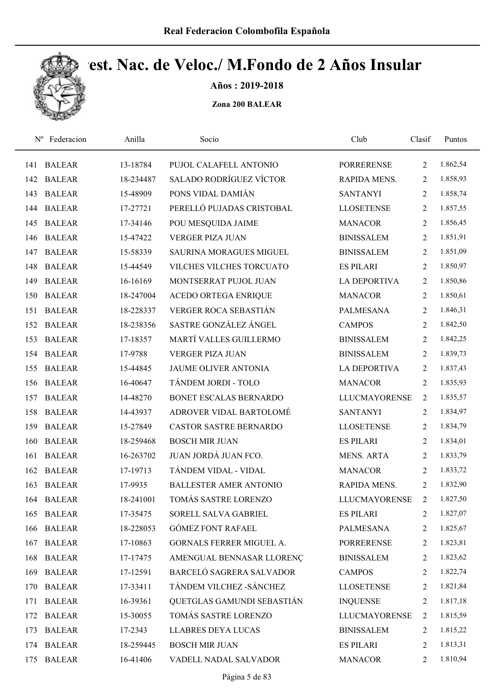

Años : 2019-2018

| $N^{\rm o}$ | Federacion    | Anilla    | Socio                          | Club                 | Clasif         | Puntos   |
|-------------|---------------|-----------|--------------------------------|----------------------|----------------|----------|
| 141         | <b>BALEAR</b> | 13-18784  | PUJOL CALAFELL ANTONIO         | <b>PORRERENSE</b>    | 2              | 1.862,54 |
| 142         | <b>BALEAR</b> | 18-234487 | <b>SALADO RODRÍGUEZ VÍCTOR</b> | RAPIDA MENS.         | 2              | 1.858,93 |
| 143         | <b>BALEAR</b> | 15-48909  | PONS VIDAL DAMIÁN              | <b>SANTANYI</b>      | 2              | 1.858,74 |
| 144         | <b>BALEAR</b> | 17-27721  | PERELLÓ PUJADAS CRISTOBAL      | <b>LLOSETENSE</b>    | $\overline{2}$ | 1.857,55 |
| 145         | <b>BALEAR</b> | 17-34146  | POU MESQUIDA JAIME             | <b>MANACOR</b>       | $\overline{2}$ | 1.856,45 |
| 146         | <b>BALEAR</b> | 15-47422  | <b>VERGER PIZA JUAN</b>        | <b>BINISSALEM</b>    | $\overline{2}$ | 1.851,91 |
| 147         | <b>BALEAR</b> | 15-58339  | SAURINA MORAGUES MIGUEL        | <b>BINISSALEM</b>    | $\overline{2}$ | 1.851,09 |
| 148         | <b>BALEAR</b> | 15-44549  | VILCHES VILCHES TORCUATO       | <b>ES PILARI</b>     | 2              | 1.850,97 |
| 149         | <b>BALEAR</b> | 16-16169  | MONTSERRAT PUJOL JUAN          | <b>LA DEPORTIVA</b>  | 2              | 1.850,86 |
| 150         | <b>BALEAR</b> | 18-247004 | ACEDO ORTEGA ENRIQUE           | <b>MANACOR</b>       | 2              | 1.850,61 |
| 151         | <b>BALEAR</b> | 18-228337 | VERGER ROCA SEBASTIÁN          | <b>PALMESANA</b>     | $\overline{2}$ | 1.846,31 |
| 152         | <b>BALEAR</b> | 18-238356 | SASTRE GONZÁLEZ ÁNGEL          | <b>CAMPOS</b>        | 2              | 1.842,50 |
| 153         | <b>BALEAR</b> | 17-18357  | MARTÍ VALLES GUILLERMO         | <b>BINISSALEM</b>    | 2              | 1.842,25 |
| 154         | <b>BALEAR</b> | 17-9788   | <b>VERGER PIZA JUAN</b>        | <b>BINISSALEM</b>    | 2              | 1.839,73 |
| 155         | <b>BALEAR</b> | 15-44845  | JAUME OLIVER ANTONIA           | <b>LA DEPORTIVA</b>  | 2              | 1.837,43 |
| 156         | <b>BALEAR</b> | 16-40647  | TÁNDEM JORDI - TOLO            | <b>MANACOR</b>       | 2              | 1.835,93 |
| 157         | <b>BALEAR</b> | 14-48270  | BONET ESCALAS BERNARDO         | <b>LLUCMAYORENSE</b> | 2              | 1.835,57 |
| 158         | <b>BALEAR</b> | 14-43937  | ADROVER VIDAL BARTOLOMÉ        | <b>SANTANYI</b>      | $\overline{2}$ | 1.834,97 |
| 159         | <b>BALEAR</b> | 15-27849  | <b>CASTOR SASTRE BERNARDO</b>  | <b>LLOSETENSE</b>    | $\overline{2}$ | 1.834,79 |
| 160         | <b>BALEAR</b> | 18-259468 | <b>BOSCH MIR JUAN</b>          | <b>ES PILARI</b>     | 2              | 1.834,01 |
| 161         | <b>BALEAR</b> | 16-263702 | JUAN JORDÁ JUAN FCO.           | <b>MENS. ARTA</b>    | 2              | 1.833,79 |
| 162         | <b>BALEAR</b> | 17-19713  | TÁNDEM VIDAL - VIDAL           | <b>MANACOR</b>       | 2              | 1.833,72 |
| 163         | <b>BALEAR</b> | 17-9935   | <b>BALLESTER AMER ANTONIO</b>  | RAPIDA MENS.         | 2              | 1.832,90 |
|             | 164 BALEAR    | 18-241001 | TOMÁS SASTRE LORENZO           | <b>LLUCMAYORENSE</b> | $\overline{2}$ | 1.827,50 |
| 165         | <b>BALEAR</b> | 17-35475  | SORELL SALVA GABRIEL           | <b>ES PILARI</b>     | 2              | 1.827,07 |
| 166         | <b>BALEAR</b> | 18-228053 | <b>GÓMEZ FONT RAFAEL</b>       | <b>PALMESANA</b>     | 2              | 1.825,67 |
| 167         | <b>BALEAR</b> | 17-10863  | GORNALS FERRER MIGUEL A.       | <b>PORRERENSE</b>    | 2              | 1.823,81 |
| 168         | <b>BALEAR</b> | 17-17475  | AMENGUAL BENNASAR LLORENÇ      | <b>BINISSALEM</b>    | 2              | 1.823,62 |
| 169         | <b>BALEAR</b> | 17-12591  | BARCELÓ SAGRERA SALVADOR       | <b>CAMPOS</b>        | 2              | 1.822,74 |
| 170         | <b>BALEAR</b> | 17-33411  | TÁNDEM VILCHEZ - SÁNCHEZ       | <b>LLOSETENSE</b>    | 2              | 1.821,84 |
| 171         | <b>BALEAR</b> | 16-39361  | QUETGLAS GAMUNDI SEBASTIÁN     | <b>INQUENSE</b>      | 2              | 1.817,18 |
| 172         | <b>BALEAR</b> | 15-30055  | TOMÁS SASTRE LORENZO           | <b>LLUCMAYORENSE</b> | 2              | 1.815,59 |
| 173         | <b>BALEAR</b> | 17-2343   | <b>LLABRES DEYA LUCAS</b>      | <b>BINISSALEM</b>    | 2              | 1.815,22 |
| 174         | <b>BALEAR</b> | 18-259445 | <b>BOSCH MIR JUAN</b>          | <b>ES PILARI</b>     | 2              | 1.813,31 |
| 175         | <b>BALEAR</b> | 16-41406  | VADELL NADAL SALVADOR          | <b>MANACOR</b>       | 2              | 1.810,94 |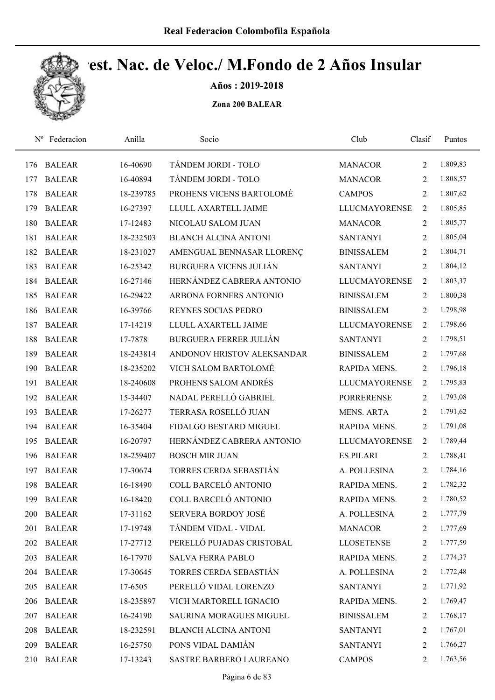

Años : 2019-2018

| $N^{\rm o}$ | Federacion    | Anilla    | Socio                         | Club                 | Clasif         | Puntos   |
|-------------|---------------|-----------|-------------------------------|----------------------|----------------|----------|
| 176         | <b>BALEAR</b> | 16-40690  | TÁNDEM JORDI - TOLO           | <b>MANACOR</b>       | $\overline{2}$ | 1.809,83 |
| 177         | <b>BALEAR</b> | 16-40894  | TÁNDEM JORDI - TOLO           | <b>MANACOR</b>       | 2              | 1.808,57 |
| 178         | <b>BALEAR</b> | 18-239785 | PROHENS VICENS BARTOLOMÉ      | <b>CAMPOS</b>        | $\overline{2}$ | 1.807,62 |
| 179         | <b>BALEAR</b> | 16-27397  | LLULL AXARTELL JAIME          | <b>LLUCMAYORENSE</b> | 2              | 1.805,85 |
| 180         | <b>BALEAR</b> | 17-12483  | NICOLAU SALOM JUAN            | <b>MANACOR</b>       | $\overline{2}$ | 1.805,77 |
| 181         | <b>BALEAR</b> | 18-232503 | <b>BLANCH ALCINA ANTONI</b>   | <b>SANTANYI</b>      | $\overline{2}$ | 1.805,04 |
| 182         | <b>BALEAR</b> | 18-231027 | AMENGUAL BENNASAR LLORENÇ     | <b>BINISSALEM</b>    | $\overline{2}$ | 1.804,71 |
| 183         | <b>BALEAR</b> | 16-25342  | BURGUERA VICENS JULIÁN        | <b>SANTANYI</b>      | 2              | 1.804,12 |
| 184         | <b>BALEAR</b> | 16-27146  | HERNÁNDEZ CABRERA ANTONIO     | <b>LLUCMAYORENSE</b> | 2              | 1.803,37 |
| 185         | <b>BALEAR</b> | 16-29422  | ARBONA FORNERS ANTONIO        | <b>BINISSALEM</b>    | $\overline{2}$ | 1.800,38 |
| 186         | <b>BALEAR</b> | 16-39766  | REYNES SOCIAS PEDRO           | <b>BINISSALEM</b>    | $\overline{2}$ | 1.798,98 |
| 187         | <b>BALEAR</b> | 17-14219  | LLULL AXARTELL JAIME          | <b>LLUCMAYORENSE</b> | $\overline{2}$ | 1.798,66 |
| 188         | <b>BALEAR</b> | 17-7878   | <b>BURGUERA FERRER JULIÁN</b> | <b>SANTANYI</b>      | $\overline{2}$ | 1.798,51 |
| 189         | <b>BALEAR</b> | 18-243814 | ANDONOV HRISTOV ALEKSANDAR    | <b>BINISSALEM</b>    | $\overline{2}$ | 1.797,68 |
| 190         | <b>BALEAR</b> | 18-235202 | VICH SALOM BARTOLOMÉ          | RAPIDA MENS.         | $\overline{2}$ | 1.796,18 |
| 191         | <b>BALEAR</b> | 18-240608 | PROHENS SALOM ANDRÉS          | <b>LLUCMAYORENSE</b> | 2              | 1.795,83 |
| 192         | <b>BALEAR</b> | 15-34407  | NADAL PERELLÓ GABRIEL         | <b>PORRERENSE</b>    | $\overline{2}$ | 1.793,08 |
| 193         | <b>BALEAR</b> | 17-26277  | TERRASA ROSELLÓ JUAN          | <b>MENS. ARTA</b>    | $\overline{2}$ | 1.791,62 |
| 194         | <b>BALEAR</b> | 16-35404  | FIDALGO BESTARD MIGUEL        | RAPIDA MENS.         | $\overline{2}$ | 1.791,08 |
| 195         | <b>BALEAR</b> | 16-20797  | HERNÁNDEZ CABRERA ANTONIO     | <b>LLUCMAYORENSE</b> | $\overline{2}$ | 1.789,44 |
| 196         | <b>BALEAR</b> | 18-259407 | <b>BOSCH MIR JUAN</b>         | <b>ES PILARI</b>     | $\overline{2}$ | 1.788,41 |
| 197         | <b>BALEAR</b> | 17-30674  | TORRES CERDA SEBASTIÁN        | A. POLLESINA         | 2              | 1.784,16 |
| 198         | <b>BALEAR</b> | 16-18490  | COLL BARCELÓ ANTONIO          | RAPIDA MENS.         | 2              | 1.782,32 |
| 199         | <b>BALEAR</b> | 16-18420  | COLL BARCELÓ ANTONIO          | RAPIDA MENS.         | 2              | 1.780,52 |
| <b>200</b>  | <b>BALEAR</b> | 17-31162  | SERVERA BORDOY JOSÉ           | A. POLLESINA         | 2              | 1.777,79 |
| 201         | <b>BALEAR</b> | 17-19748  | TÁNDEM VIDAL - VIDAL          | <b>MANACOR</b>       | 2              | 1.777,69 |
| 202         | <b>BALEAR</b> | 17-27712  | PERELLÓ PUJADAS CRISTOBAL     | <b>LLOSETENSE</b>    | 2              | 1.777,59 |
| 203         | <b>BALEAR</b> | 16-17970  | <b>SALVA FERRA PABLO</b>      | RAPIDA MENS.         | 2              | 1.774,37 |
| 204         | <b>BALEAR</b> | 17-30645  | TORRES CERDA SEBASTIÁN        | A. POLLESINA         | 2              | 1.772,48 |
| 205         | <b>BALEAR</b> | 17-6505   | PERELLÓ VIDAL LORENZO         | <b>SANTANYI</b>      | 2              | 1.771,92 |
| 206         | <b>BALEAR</b> | 18-235897 | VICH MARTORELL IGNACIO        | RAPIDA MENS.         | 2              | 1.769,47 |
| 207         | <b>BALEAR</b> | 16-24190  | SAURINA MORAGUES MIGUEL       | <b>BINISSALEM</b>    | 2              | 1.768,17 |
| 208         | <b>BALEAR</b> | 18-232591 | <b>BLANCH ALCINA ANTONI</b>   | <b>SANTANYI</b>      | 2              | 1.767,01 |
| 209         | <b>BALEAR</b> | 16-25750  | PONS VIDAL DAMIÁN             | <b>SANTANYI</b>      | 2              | 1.766,27 |
| 210         | <b>BALEAR</b> | 17-13243  | SASTRE BARBERO LAUREANO       | <b>CAMPOS</b>        | $\overline{2}$ | 1.763,56 |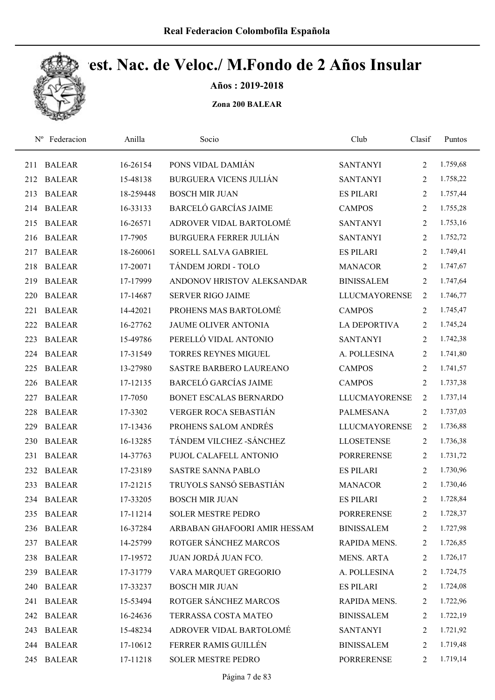

Años : 2019-2018

| $N^{\rm o}$ | Federacion    | Anilla    | Socio                          | Club                 | Clasif         | Puntos   |
|-------------|---------------|-----------|--------------------------------|----------------------|----------------|----------|
| 211         | <b>BALEAR</b> | 16-26154  | PONS VIDAL DAMIÁN              | <b>SANTANYI</b>      | $\overline{2}$ | 1.759,68 |
| 212         | <b>BALEAR</b> | 15-48138  | <b>BURGUERA VICENS JULIÁN</b>  | <b>SANTANYI</b>      | $\overline{2}$ | 1.758,22 |
| 213         | <b>BALEAR</b> | 18-259448 | <b>BOSCH MIR JUAN</b>          | <b>ES PILARI</b>     | $\overline{2}$ | 1.757,44 |
| 214         | <b>BALEAR</b> | 16-33133  | <b>BARCELÓ GARCÍAS JAIME</b>   | <b>CAMPOS</b>        | $\overline{2}$ | 1.755,28 |
| 215         | <b>BALEAR</b> | 16-26571  | ADROVER VIDAL BARTOLOMÉ        | <b>SANTANYI</b>      | $\overline{2}$ | 1.753,16 |
| 216         | <b>BALEAR</b> | 17-7905   | <b>BURGUERA FERRER JULIÁN</b>  | <b>SANTANYI</b>      | $\overline{2}$ | 1.752,72 |
| 217         | <b>BALEAR</b> | 18-260061 | SORELL SALVA GABRIEL           | <b>ES PILARI</b>     | $\overline{2}$ | 1.749,41 |
| 218         | <b>BALEAR</b> | 17-20071  | TÁNDEM JORDI - TOLO            | <b>MANACOR</b>       | $\overline{2}$ | 1.747,67 |
| 219         | <b>BALEAR</b> | 17-17999  | ANDONOV HRISTOV ALEKSANDAR     | <b>BINISSALEM</b>    | $\overline{2}$ | 1.747,64 |
| 220         | <b>BALEAR</b> | 17-14687  | <b>SERVER RIGO JAIME</b>       | <b>LLUCMAYORENSE</b> | 2              | 1.746,77 |
| 221         | <b>BALEAR</b> | 14-42021  | PROHENS MAS BARTOLOMÉ          | <b>CAMPOS</b>        | $\overline{2}$ | 1.745,47 |
| 222         | <b>BALEAR</b> | 16-27762  | <b>JAUME OLIVER ANTONIA</b>    | <b>LA DEPORTIVA</b>  | $\overline{2}$ | 1.745,24 |
| 223         | <b>BALEAR</b> | 15-49786  | PERELLÓ VIDAL ANTONIO          | <b>SANTANYI</b>      | 2              | 1.742,38 |
| 224         | <b>BALEAR</b> | 17-31549  | <b>TORRES REYNES MIGUEL</b>    | A. POLLESINA         | $\overline{2}$ | 1.741,80 |
| 225         | <b>BALEAR</b> | 13-27980  | <b>SASTRE BARBERO LAUREANO</b> | <b>CAMPOS</b>        | 2              | 1.741,57 |
| 226         | <b>BALEAR</b> | 17-12135  | <b>BARCELÓ GARCÍAS JAIME</b>   | <b>CAMPOS</b>        | 2              | 1.737,38 |
| 227         | <b>BALEAR</b> | 17-7050   | BONET ESCALAS BERNARDO         | <b>LLUCMAYORENSE</b> | $\overline{2}$ | 1.737,14 |
| 228         | <b>BALEAR</b> | 17-3302   | VERGER ROCA SEBASTIÁN          | PALMESANA            | $\overline{2}$ | 1.737,03 |
| 229         | <b>BALEAR</b> | 17-13436  | PROHENS SALOM ANDRÉS           | <b>LLUCMAYORENSE</b> | 2              | 1.736,88 |
| 230         | <b>BALEAR</b> | 16-13285  | TÁNDEM VILCHEZ - SÁNCHEZ       | <b>LLOSETENSE</b>    | $\overline{2}$ | 1.736,38 |
| 231         | <b>BALEAR</b> | 14-37763  | PUJOL CALAFELL ANTONIO         | <b>PORRERENSE</b>    | 2              | 1.731,72 |
| 232         | <b>BALEAR</b> | 17-23189  | <b>SASTRE SANNA PABLO</b>      | <b>ES PILARI</b>     | 2              | 1.730,96 |
| 233         | <b>BALEAR</b> | 17-21215  | TRUYOLS SANSÓ SEBASTIÁN        | <b>MANACOR</b>       | $\overline{2}$ | 1.730,46 |
|             | 234 BALEAR    | 17-33205  | <b>BOSCH MIR JUAN</b>          | <b>ES PILARI</b>     | 2              | 1.728,84 |
|             | 235 BALEAR    | 17-11214  | <b>SOLER MESTRE PEDRO</b>      | <b>PORRERENSE</b>    | 2              | 1.728,37 |
| 236         | <b>BALEAR</b> | 16-37284  | ARBABAN GHAFOORI AMIR HESSAM   | <b>BINISSALEM</b>    | 2              | 1.727,98 |
|             | 237 BALEAR    | 14-25799  | ROTGER SÁNCHEZ MARCOS          | RAPIDA MENS.         | 2              | 1.726,85 |
| 238         | <b>BALEAR</b> | 17-19572  | JUAN JORDÁ JUAN FCO.           | MENS. ARTA           | 2              | 1.726,17 |
| 239         | <b>BALEAR</b> | 17-31779  | VARA MARQUET GREGORIO          | A. POLLESINA         | 2              | 1.724,75 |
| 240         | <b>BALEAR</b> | 17-33237  | <b>BOSCH MIR JUAN</b>          | <b>ES PILARI</b>     | 2              | 1.724,08 |
| 241         | <b>BALEAR</b> | 15-53494  | ROTGER SÁNCHEZ MARCOS          | RAPIDA MENS.         | 2              | 1.722,96 |
| 242         | BALEAR        | 16-24636  | TERRASSA COSTA MATEO           | <b>BINISSALEM</b>    | 2              | 1.722,19 |
| 243         | <b>BALEAR</b> | 15-48234  | ADROVER VIDAL BARTOLOMÉ        | <b>SANTANYI</b>      | 2              | 1.721,92 |
|             | 244 BALEAR    | 17-10612  | FERRER RAMIS GUILLÉN           | <b>BINISSALEM</b>    | 2              | 1.719,48 |
| 245         | <b>BALEAR</b> | 17-11218  | SOLER MESTRE PEDRO             | PORRERENSE           | $\overline{2}$ | 1.719,14 |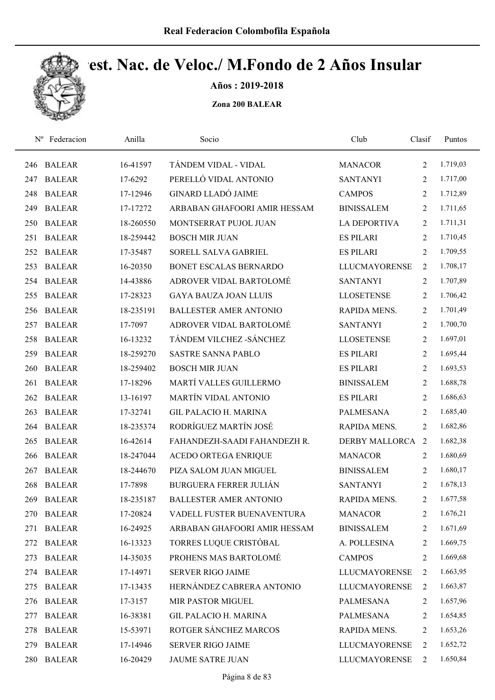

Años : 2019-2018

| $N^{\rm o}$ | Federacion    | Anilla    | Socio                         | Club                 | Clasif         | Puntos   |
|-------------|---------------|-----------|-------------------------------|----------------------|----------------|----------|
| 246         | <b>BALEAR</b> | 16-41597  | TÁNDEM VIDAL - VIDAL          | <b>MANACOR</b>       | 2              | 1.719,03 |
| 247         | <b>BALEAR</b> | 17-6292   | PERELLÓ VIDAL ANTONIO         | <b>SANTANYI</b>      | 2              | 1.717,00 |
| 248         | <b>BALEAR</b> | 17-12946  | <b>GINARD LLADÓ JAIME</b>     | <b>CAMPOS</b>        | 2              | 1.712,89 |
| 249         | <b>BALEAR</b> | 17-17272  | ARBABAN GHAFOORI AMIR HESSAM  | <b>BINISSALEM</b>    | 2              | 1.711,65 |
| 250         | <b>BALEAR</b> | 18-260550 | MONTSERRAT PUJOL JUAN         | <b>LA DEPORTIVA</b>  | 2              | 1.711,31 |
| 251         | <b>BALEAR</b> | 18-259442 | <b>BOSCH MIR JUAN</b>         | <b>ES PILARI</b>     | 2              | 1.710,45 |
| 252         | <b>BALEAR</b> | 17-35487  | SORELL SALVA GABRIEL          | <b>ES PILARI</b>     | 2              | 1.709,55 |
| 253         | <b>BALEAR</b> | 16-20350  | BONET ESCALAS BERNARDO        | <b>LLUCMAYORENSE</b> | 2              | 1.708,17 |
| 254         | <b>BALEAR</b> | 14-43886  | ADROVER VIDAL BARTOLOMÉ       | <b>SANTANYI</b>      | 2              | 1.707,89 |
| 255         | <b>BALEAR</b> | 17-28323  | <b>GAYA BAUZA JOAN LLUIS</b>  | <b>LLOSETENSE</b>    | 2              | 1.706,42 |
| 256         | <b>BALEAR</b> | 18-235191 | <b>BALLESTER AMER ANTONIO</b> | RAPIDA MENS.         | 2              | 1.701,49 |
| 257         | <b>BALEAR</b> | 17-7097   | ADROVER VIDAL BARTOLOMÉ       | <b>SANTANYI</b>      | 2              | 1.700,70 |
| 258         | <b>BALEAR</b> | 16-13232  | TÁNDEM VILCHEZ - SÁNCHEZ      | <b>LLOSETENSE</b>    | 2              | 1.697,01 |
| 259         | <b>BALEAR</b> | 18-259270 | <b>SASTRE SANNA PABLO</b>     | <b>ES PILARI</b>     | 2              | 1.695,44 |
| 260         | <b>BALEAR</b> | 18-259402 | <b>BOSCH MIR JUAN</b>         | <b>ES PILARI</b>     | $\overline{2}$ | 1.693,53 |
| 261         | <b>BALEAR</b> | 17-18296  | MARTÍ VALLES GUILLERMO        | <b>BINISSALEM</b>    | $\overline{2}$ | 1.688,78 |
| 262         | <b>BALEAR</b> | 13-16197  | MARTÍN VIDAL ANTONIO          | <b>ES PILARI</b>     | 2              | 1.686,63 |
| 263         | <b>BALEAR</b> | 17-32741  | <b>GIL PALACIO H. MARINA</b>  | <b>PALMESANA</b>     | 2              | 1.685,40 |
| 264         | <b>BALEAR</b> | 18-235374 | RODRÍGUEZ MARTÍN JOSÉ         | RAPIDA MENS.         | 2              | 1.682,86 |
| 265         | <b>BALEAR</b> | 16-42614  | FAHANDEZH-SAADI FAHANDEZH R.  | DERBY MALLORCA 2     |                | 1.682,38 |
| 266         | <b>BALEAR</b> | 18-247044 | <b>ACEDO ORTEGA ENRIQUE</b>   | <b>MANACOR</b>       | 2              | 1.680,69 |
| 267         | <b>BALEAR</b> | 18-244670 | PIZA SALOM JUAN MIGUEL        | <b>BINISSALEM</b>    | 2              | 1.680,17 |
| 268         | <b>BALEAR</b> | 17-7898   | <b>BURGUERA FERRER JULIÁN</b> | <b>SANTANYI</b>      | 2              | 1.678,13 |
| 269         | <b>BALEAR</b> | 18-235187 | <b>BALLESTER AMER ANTONIO</b> | RAPIDA MENS.         | 2              | 1.677,58 |
| 270         | <b>BALEAR</b> | 17-20824  | VADELL FUSTER BUENAVENTURA    | <b>MANACOR</b>       | 2              | 1.676,21 |
| 271         | <b>BALEAR</b> | 16-24925  | ARBABAN GHAFOORI AMIR HESSAM  | <b>BINISSALEM</b>    | 2              | 1.671,69 |
| 272         | <b>BALEAR</b> | 16-13323  | TORRES LUQUE CRISTÓBAL        | A. POLLESINA         | 2              | 1.669,75 |
| 273         | <b>BALEAR</b> | 14-35035  | PROHENS MAS BARTOLOMÉ         | <b>CAMPOS</b>        | 2              | 1.669,68 |
| 274         | <b>BALEAR</b> | 17-14971  | <b>SERVER RIGO JAIME</b>      | <b>LLUCMAYORENSE</b> | 2              | 1.663,95 |
| 275         | <b>BALEAR</b> | 17-13435  | HERNÁNDEZ CABRERA ANTONIO     | LLUCMAYORENSE        | 2              | 1.663,87 |
| 276         | <b>BALEAR</b> | 17-3157   | MIR PASTOR MIGUEL             | <b>PALMESANA</b>     | 2              | 1.657,96 |
| 277         | <b>BALEAR</b> | 16-38381  | <b>GIL PALACIO H. MARINA</b>  | <b>PALMESANA</b>     | 2              | 1.654,85 |
| 278         | <b>BALEAR</b> | 15-53971  | ROTGER SÁNCHEZ MARCOS         | RAPIDA MENS.         | 2              | 1.653,26 |
| 279         | <b>BALEAR</b> | 17-14946  | SERVER RIGO JAIME             | <b>LLUCMAYORENSE</b> | 2              | 1.652,72 |
| 280         | <b>BALEAR</b> | 16-20429  | JAUME SATRE JUAN              | <b>LLUCMAYORENSE</b> | 2              | 1.650,84 |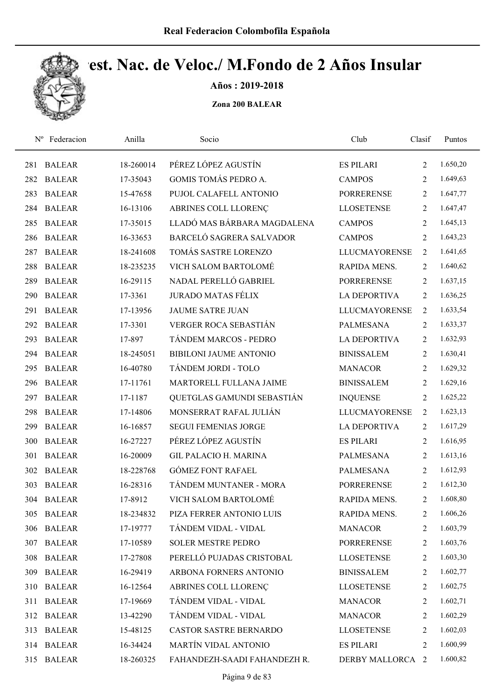

Años : 2019-2018

| $N^{\rm o}$ | Federacion    | Anilla    | Socio                         | Club                 | Clasif         | Puntos   |
|-------------|---------------|-----------|-------------------------------|----------------------|----------------|----------|
| 281         | <b>BALEAR</b> | 18-260014 | PÉREZ LÓPEZ AGUSTÍN           | <b>ES PILARI</b>     | 2              | 1.650,20 |
| 282         | <b>BALEAR</b> | 17-35043  | GOMIS TOMÁS PEDRO A.          | <b>CAMPOS</b>        | 2              | 1.649,63 |
| 283         | <b>BALEAR</b> | 15-47658  | PUJOL CALAFELL ANTONIO        | <b>PORRERENSE</b>    | $\overline{2}$ | 1.647,77 |
| 284         | <b>BALEAR</b> | 16-13106  | ABRINES COLL LLORENÇ          | <b>LLOSETENSE</b>    | 2              | 1.647,47 |
| 285         | <b>BALEAR</b> | 17-35015  | LLADÓ MAS BÁRBARA MAGDALENA   | <b>CAMPOS</b>        | $\overline{2}$ | 1.645,13 |
| 286         | <b>BALEAR</b> | 16-33653  | BARCELÓ SAGRERA SALVADOR      | <b>CAMPOS</b>        | 2              | 1.643,23 |
| 287         | <b>BALEAR</b> | 18-241608 | TOMÁS SASTRE LORENZO          | <b>LLUCMAYORENSE</b> | 2              | 1.641,65 |
| 288         | <b>BALEAR</b> | 18-235235 | VICH SALOM BARTOLOMÉ          | RAPIDA MENS.         | 2              | 1.640,62 |
| 289         | <b>BALEAR</b> | 16-29115  | NADAL PERELLÓ GABRIEL         | <b>PORRERENSE</b>    | 2              | 1.637,15 |
| 290         | <b>BALEAR</b> | 17-3361   | <b>JURADO MATAS FÉLIX</b>     | <b>LA DEPORTIVA</b>  | 2              | 1.636,25 |
| 291         | <b>BALEAR</b> | 17-13956  | <b>JAUME SATRE JUAN</b>       | <b>LLUCMAYORENSE</b> | 2              | 1.633,54 |
| 292         | <b>BALEAR</b> | 17-3301   | <b>VERGER ROCA SEBASTIÁN</b>  | <b>PALMESANA</b>     | $\overline{2}$ | 1.633,37 |
| 293         | <b>BALEAR</b> | 17-897    | TÁNDEM MARCOS - PEDRO         | <b>LA DEPORTIVA</b>  | 2              | 1.632,93 |
| 294         | <b>BALEAR</b> | 18-245051 | <b>BIBILONI JAUME ANTONIO</b> | <b>BINISSALEM</b>    | 2              | 1.630,41 |
| 295         | <b>BALEAR</b> | 16-40780  | TÁNDEM JORDI - TOLO           | <b>MANACOR</b>       | $\overline{2}$ | 1.629,32 |
| 296         | <b>BALEAR</b> | 17-11761  | MARTORELL FULLANA JAIME       | <b>BINISSALEM</b>    | $\overline{2}$ | 1.629,16 |
| 297         | <b>BALEAR</b> | 17-1187   | QUETGLAS GAMUNDI SEBASTIÁN    | <b>INQUENSE</b>      | 2              | 1.625,22 |
| 298         | <b>BALEAR</b> | 17-14806  | MONSERRAT RAFAL JULIÁN        | <b>LLUCMAYORENSE</b> | $\overline{2}$ | 1.623,13 |
| 299         | <b>BALEAR</b> | 16-16857  | <b>SEGUI FEMENIAS JORGE</b>   | <b>LA DEPORTIVA</b>  | 2              | 1.617,29 |
| 300         | <b>BALEAR</b> | 16-27227  | PÉREZ LÓPEZ AGUSTÍN           | <b>ES PILARI</b>     | 2              | 1.616,95 |
| 301         | <b>BALEAR</b> | 16-20009  | <b>GIL PALACIO H. MARINA</b>  | <b>PALMESANA</b>     | 2              | 1.613,16 |
| 302         | <b>BALEAR</b> | 18-228768 | <b>GÓMEZ FONT RAFAEL</b>      | <b>PALMESANA</b>     | $\overline{2}$ | 1.612,93 |
| 303         | <b>BALEAR</b> | 16-28316  | TÁNDEM MUNTANER - MORA        | <b>PORRERENSE</b>    | 2              | 1.612,30 |
| 304         | <b>BALEAR</b> | 17-8912   | VICH SALOM BARTOLOMÉ          | RAPIDA MENS.         | 2              | 1.608,80 |
| 305         | <b>BALEAR</b> | 18-234832 | PIZA FERRER ANTONIO LUIS      | RAPIDA MENS.         | 2              | 1.606,26 |
| 306         | <b>BALEAR</b> | 17-19777  | TÁNDEM VIDAL - VIDAL          | <b>MANACOR</b>       | 2              | 1.603,79 |
| 307         | <b>BALEAR</b> | 17-10589  | SOLER MESTRE PEDRO            | <b>PORRERENSE</b>    | 2              | 1.603,76 |
| 308         | <b>BALEAR</b> | 17-27808  | PERELLÓ PUJADAS CRISTOBAL     | <b>LLOSETENSE</b>    | 2              | 1.603,30 |
| 309         | <b>BALEAR</b> | 16-29419  | ARBONA FORNERS ANTONIO        | <b>BINISSALEM</b>    | 2              | 1.602,77 |
| 310         | <b>BALEAR</b> | 16-12564  | ABRINES COLL LLORENC          | <b>LLOSETENSE</b>    | 2              | 1.602,75 |
| 311         | <b>BALEAR</b> | 17-19669  | TÁNDEM VIDAL - VIDAL          | <b>MANACOR</b>       | 2              | 1.602,71 |
| 312         | <b>BALEAR</b> | 13-42290  | TÁNDEM VIDAL - VIDAL          | <b>MANACOR</b>       | 2              | 1.602,29 |
| 313         | <b>BALEAR</b> | 15-48125  | <b>CASTOR SASTRE BERNARDO</b> | <b>LLOSETENSE</b>    | 2              | 1.602,03 |
|             | 314 BALEAR    | 16-34424  | MARTÍN VIDAL ANTONIO          | <b>ES PILARI</b>     | 2              | 1.600,99 |
| 315         | <b>BALEAR</b> | 18-260325 | FAHANDEZH-SAADI FAHANDEZH R.  | DERBY MALLORCA 2     |                | 1.600,82 |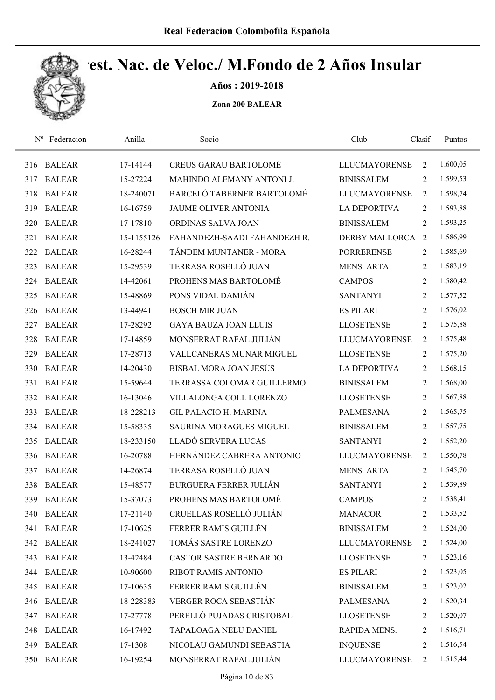

Años : 2019-2018

| $N^{\rm o}$ | Federacion    | Anilla     | Socio                          | Club                  | Clasif         | Puntos   |
|-------------|---------------|------------|--------------------------------|-----------------------|----------------|----------|
| 316         | <b>BALEAR</b> | 17-14144   | <b>CREUS GARAU BARTOLOMÉ</b>   | <b>LLUCMAYORENSE</b>  | 2              | 1.600,05 |
| 317         | <b>BALEAR</b> | 15-27224   | MAHINDO ALEMANY ANTONI J.      | <b>BINISSALEM</b>     | 2              | 1.599,53 |
| 318         | <b>BALEAR</b> | 18-240071  | BARCELÓ TABERNER BARTOLOMÉ     | <b>LLUCMAYORENSE</b>  | 2              | 1.598,74 |
| 319         | <b>BALEAR</b> | 16-16759   | <b>JAUME OLIVER ANTONIA</b>    | <b>LA DEPORTIVA</b>   | 2              | 1.593,88 |
| 320         | <b>BALEAR</b> | 17-17810   | ORDINAS SALVA JOAN             | <b>BINISSALEM</b>     | 2              | 1.593,25 |
| 321         | <b>BALEAR</b> | 15-1155126 | FAHANDEZH-SAADI FAHANDEZH R.   | <b>DERBY MALLORCA</b> | 2              | 1.586,99 |
| 322         | <b>BALEAR</b> | 16-28244   | TÁNDEM MUNTANER - MORA         | <b>PORRERENSE</b>     | $\overline{2}$ | 1.585,69 |
| 323         | <b>BALEAR</b> | 15-29539   | TERRASA ROSELLÓ JUAN           | <b>MENS. ARTA</b>     | 2              | 1.583,19 |
| 324         | <b>BALEAR</b> | 14-42061   | PROHENS MAS BARTOLOMÉ          | <b>CAMPOS</b>         | 2              | 1.580,42 |
| 325         | <b>BALEAR</b> | 15-48869   | PONS VIDAL DAMIÁN              | <b>SANTANYI</b>       | 2              | 1.577,52 |
| 326         | <b>BALEAR</b> | 13-44941   | <b>BOSCH MIR JUAN</b>          | <b>ES PILARI</b>      | 2              | 1.576,02 |
| 327         | <b>BALEAR</b> | 17-28292   | <b>GAYA BAUZA JOAN LLUIS</b>   | <b>LLOSETENSE</b>     | 2              | 1.575,88 |
| 328         | <b>BALEAR</b> | 17-14859   | MONSERRAT RAFAL JULIÁN         | <b>LLUCMAYORENSE</b>  | 2              | 1.575,48 |
| 329         | <b>BALEAR</b> | 17-28713   | VALLCANERAS MUNAR MIGUEL       | <b>LLOSETENSE</b>     | 2              | 1.575,20 |
| 330         | <b>BALEAR</b> | 14-20430   | <b>BISBAL MORA JOAN JESÚS</b>  | <b>LA DEPORTIVA</b>   | 2              | 1.568,15 |
| 331         | <b>BALEAR</b> | 15-59644   | TERRASSA COLOMAR GUILLERMO     | <b>BINISSALEM</b>     | 2              | 1.568,00 |
| 332         | <b>BALEAR</b> | 16-13046   | VILLALONGA COLL LORENZO        | <b>LLOSETENSE</b>     | 2              | 1.567,88 |
| 333         | <b>BALEAR</b> | 18-228213  | <b>GIL PALACIO H. MARINA</b>   | <b>PALMESANA</b>      | 2              | 1.565,75 |
| 334         | <b>BALEAR</b> | 15-58335   | <b>SAURINA MORAGUES MIGUEL</b> | <b>BINISSALEM</b>     | 2              | 1.557,75 |
| 335         | <b>BALEAR</b> | 18-233150  | LLADÓ SERVERA LUCAS            | <b>SANTANYI</b>       | 2              | 1.552,20 |
| 336         | <b>BALEAR</b> | 16-20788   | HERNÁNDEZ CABRERA ANTONIO      | <b>LLUCMAYORENSE</b>  | 2              | 1.550,78 |
| 337         | <b>BALEAR</b> | 14-26874   | TERRASA ROSELLÓ JUAN           | <b>MENS. ARTA</b>     | 2              | 1.545,70 |
| 338         | <b>BALEAR</b> | 15-48577   | <b>BURGUERA FERRER JULIÁN</b>  | <b>SANTANYI</b>       | 2              | 1.539,89 |
| 339         | <b>BALEAR</b> | 15-37073   | PROHENS MAS BARTOLOMÉ          | <b>CAMPOS</b>         | 2              | 1.538,41 |
| 340         | <b>BALEAR</b> | 17-21140   | CRUELLAS ROSELLÓ JULIÁN        | <b>MANACOR</b>        | 2              | 1.533,52 |
| 341         | <b>BALEAR</b> | 17-10625   | FERRER RAMIS GUILLÉN           | <b>BINISSALEM</b>     | 2              | 1.524,00 |
|             | 342 BALEAR    | 18-241027  | TOMÁS SASTRE LORENZO           | <b>LLUCMAYORENSE</b>  | 2              | 1.524,00 |
| 343         | <b>BALEAR</b> | 13-42484   | <b>CASTOR SASTRE BERNARDO</b>  | <b>LLOSETENSE</b>     | 2              | 1.523,16 |
| 344         | <b>BALEAR</b> | 10-90600   | RIBOT RAMIS ANTONIO            | <b>ES PILARI</b>      | 2              | 1.523,05 |
| 345         | <b>BALEAR</b> | 17-10635   | FERRER RAMIS GUILLÉN           | <b>BINISSALEM</b>     | 2              | 1.523,02 |
| 346         | <b>BALEAR</b> | 18-228383  | VERGER ROCA SEBASTIÁN          | <b>PALMESANA</b>      | 2              | 1.520,34 |
| 347         | <b>BALEAR</b> | 17-27778   | PERELLÓ PUJADAS CRISTOBAL      | <b>LLOSETENSE</b>     | 2              | 1.520,07 |
| 348         | <b>BALEAR</b> | 16-17492   | TAPALOAGA NELU DANIEL          | RAPIDA MENS.          | 2              | 1.516,71 |
| 349         | <b>BALEAR</b> | 17-1308    | NICOLAU GAMUNDI SEBASTIA       | <b>INQUENSE</b>       | 2              | 1.516,54 |
| 350         | <b>BALEAR</b> | 16-19254   | MONSERRAT RAFAL JULIÁN         | <b>LLUCMAYORENSE</b>  | 2              | 1.515,44 |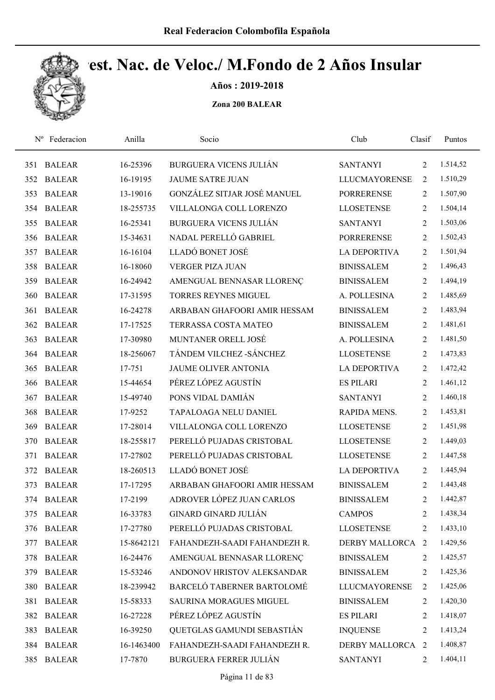

Años : 2019-2018

| $N^{\rm o}$ | Federacion    | Anilla     | Socio                          | Club                 | Clasif         | Puntos   |
|-------------|---------------|------------|--------------------------------|----------------------|----------------|----------|
| 351         | <b>BALEAR</b> | 16-25396   | <b>BURGUERA VICENS JULIÁN</b>  | <b>SANTANYI</b>      | 2              | 1.514,52 |
| 352         | <b>BALEAR</b> | 16-19195   | <b>JAUME SATRE JUAN</b>        | <b>LLUCMAYORENSE</b> | 2              | 1.510,29 |
| 353         | <b>BALEAR</b> | 13-19016   | GONZÁLEZ SITJAR JOSÉ MANUEL    | <b>PORRERENSE</b>    | $\overline{2}$ | 1.507,90 |
| 354         | <b>BALEAR</b> | 18-255735  | VILLALONGA COLL LORENZO        | <b>LLOSETENSE</b>    | 2              | 1.504,14 |
| 355         | <b>BALEAR</b> | 16-25341   | <b>BURGUERA VICENS JULIÁN</b>  | <b>SANTANYI</b>      | $\overline{2}$ | 1.503,06 |
| 356         | <b>BALEAR</b> | 15-34631   | NADAL PERELLÓ GABRIEL          | <b>PORRERENSE</b>    | 2              | 1.502,43 |
| 357         | <b>BALEAR</b> | 16-16104   | LLADÓ BONET JOSÉ               | <b>LA DEPORTIVA</b>  | 2              | 1.501,94 |
| 358         | <b>BALEAR</b> | 16-18060   | <b>VERGER PIZA JUAN</b>        | <b>BINISSALEM</b>    | 2              | 1.496,43 |
| 359         | <b>BALEAR</b> | 16-24942   | AMENGUAL BENNASAR LLORENÇ      | <b>BINISSALEM</b>    | 2              | 1.494,19 |
| 360         | <b>BALEAR</b> | 17-31595   | <b>TORRES REYNES MIGUEL</b>    | A. POLLESINA         | $\overline{2}$ | 1.485,69 |
| 361         | <b>BALEAR</b> | 16-24278   | ARBABAN GHAFOORI AMIR HESSAM   | <b>BINISSALEM</b>    | $\overline{2}$ | 1.483,94 |
| 362         | <b>BALEAR</b> | 17-17525   | TERRASSA COSTA MATEO           | <b>BINISSALEM</b>    | 2              | 1.481,61 |
| 363         | <b>BALEAR</b> | 17-30980   | MUNTANER ORELL JOSÉ            | A. POLLESINA         | 2              | 1.481,50 |
| 364         | <b>BALEAR</b> | 18-256067  | TÁNDEM VILCHEZ - SÁNCHEZ       | <b>LLOSETENSE</b>    | 2              | 1.473,83 |
| 365         | <b>BALEAR</b> | 17-751     | <b>JAUME OLIVER ANTONIA</b>    | <b>LA DEPORTIVA</b>  | 2              | 1.472,42 |
| 366         | <b>BALEAR</b> | 15-44654   | PÉREZ LÓPEZ AGUSTÍN            | <b>ES PILARI</b>     | $\overline{2}$ | 1.461,12 |
| 367         | <b>BALEAR</b> | 15-49740   | PONS VIDAL DAMIÁN              | <b>SANTANYI</b>      | $\overline{2}$ | 1.460,18 |
| 368         | <b>BALEAR</b> | 17-9252    | TAPALOAGA NELU DANIEL          | RAPIDA MENS.         | $\overline{2}$ | 1.453,81 |
| 369         | <b>BALEAR</b> | 17-28014   | VILLALONGA COLL LORENZO        | <b>LLOSETENSE</b>    | 2              | 1.451,98 |
| 370         | <b>BALEAR</b> | 18-255817  | PERELLÓ PUJADAS CRISTOBAL      | <b>LLOSETENSE</b>    | 2              | 1.449,03 |
| 371         | <b>BALEAR</b> | 17-27802   | PERELLÓ PUJADAS CRISTOBAL      | <b>LLOSETENSE</b>    | 2              | 1.447,58 |
| 372         | <b>BALEAR</b> | 18-260513  | LLADÓ BONET JOSÉ               | LA DEPORTIVA         | 2              | 1.445,94 |
| 373         | <b>BALEAR</b> | 17-17295   | ARBABAN GHAFOORI AMIR HESSAM   | <b>BINISSALEM</b>    | 2              | 1.443,48 |
|             | 374 BALEAR    | 17-2199    | ADROVER LÓPEZ JUAN CARLOS      | <b>BINISSALEM</b>    | 2              | 1.442,87 |
| 375         | <b>BALEAR</b> | 16-33783   | <b>GINARD GINARD JULIÁN</b>    | <b>CAMPOS</b>        | 2              | 1.438,34 |
| 376         | <b>BALEAR</b> | 17-27780   | PERELLÓ PUJADAS CRISTOBAL      | <b>LLOSETENSE</b>    | 2              | 1.433,10 |
| 377         | <b>BALEAR</b> | 15-8642121 | FAHANDEZH-SAADI FAHANDEZH R.   | DERBY MALLORCA 2     |                | 1.429,56 |
| 378         | <b>BALEAR</b> | 16-24476   | AMENGUAL BENNASAR LLORENÇ      | <b>BINISSALEM</b>    | 2              | 1.425,57 |
| 379         | <b>BALEAR</b> | 15-53246   | ANDONOV HRISTOV ALEKSANDAR     | <b>BINISSALEM</b>    | 2              | 1.425,36 |
| 380         | <b>BALEAR</b> | 18-239942  | BARCELÓ TABERNER BARTOLOMÉ     | <b>LLUCMAYORENSE</b> | 2              | 1.425,06 |
| 381         | <b>BALEAR</b> | 15-58333   | <b>SAURINA MORAGUES MIGUEL</b> | <b>BINISSALEM</b>    | $\overline{2}$ | 1.420,30 |
| 382         | <b>BALEAR</b> | 16-27228   | PÉREZ LÓPEZ AGUSTÍN            | <b>ES PILARI</b>     | 2              | 1.418,07 |
| 383         | <b>BALEAR</b> | 16-39250   | QUETGLAS GAMUNDI SEBASTIÁN     | <b>INQUENSE</b>      | 2              | 1.413,24 |
| 384         | <b>BALEAR</b> | 16-1463400 | FAHANDEZH-SAADI FAHANDEZH R.   | DERBY MALLORCA 2     |                | 1.408,87 |
| 385         | <b>BALEAR</b> | 17-7870    | <b>BURGUERA FERRER JULIÁN</b>  | <b>SANTANYI</b>      | 2              | 1.404,11 |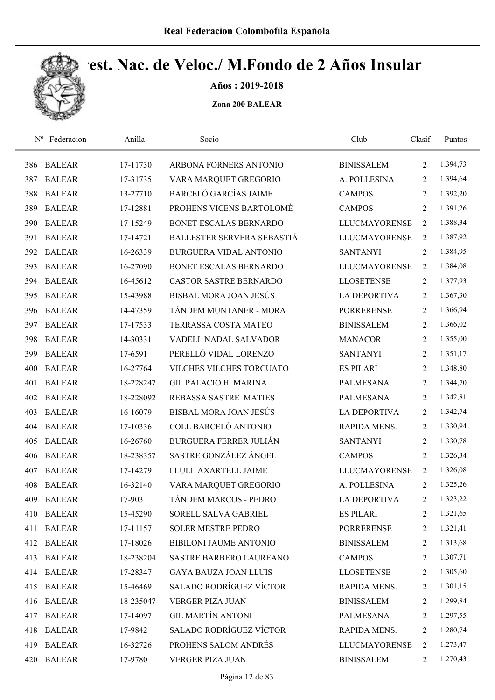

Años : 2019-2018

| $N^{\rm o}$ | Federacion    | Anilla    | Socio                          | Club                 | Clasif         | Puntos   |
|-------------|---------------|-----------|--------------------------------|----------------------|----------------|----------|
| 386         | <b>BALEAR</b> | 17-11730  | ARBONA FORNERS ANTONIO         | <b>BINISSALEM</b>    | 2              | 1.394,73 |
| 387         | <b>BALEAR</b> | 17-31735  | VARA MARQUET GREGORIO          | A. POLLESINA         | 2              | 1.394,64 |
| 388         | <b>BALEAR</b> | 13-27710  | <b>BARCELÓ GARCÍAS JAIME</b>   | <b>CAMPOS</b>        | 2              | 1.392,20 |
| 389         | <b>BALEAR</b> | 17-12881  | PROHENS VICENS BARTOLOMÉ       | <b>CAMPOS</b>        | 2              | 1.391,26 |
| 390         | <b>BALEAR</b> | 17-15249  | BONET ESCALAS BERNARDO         | <b>LLUCMAYORENSE</b> | $\overline{2}$ | 1.388,34 |
| 391         | <b>BALEAR</b> | 17-14721  | BALLESTER SERVERA SEBASTIÁ     | <b>LLUCMAYORENSE</b> | $\overline{2}$ | 1.387,92 |
| 392         | <b>BALEAR</b> | 16-26339  | BURGUERA VIDAL ANTONIO         | <b>SANTANYI</b>      | $\overline{2}$ | 1.384,95 |
| 393         | <b>BALEAR</b> | 16-27090  | BONET ESCALAS BERNARDO         | <b>LLUCMAYORENSE</b> | 2              | 1.384,08 |
| 394         | <b>BALEAR</b> | 16-45612  | <b>CASTOR SASTRE BERNARDO</b>  | <b>LLOSETENSE</b>    | 2              | 1.377,93 |
| 395         | <b>BALEAR</b> | 15-43988  | <b>BISBAL MORA JOAN JESÚS</b>  | <b>LA DEPORTIVA</b>  | 2              | 1.367,30 |
| 396         | <b>BALEAR</b> | 14-47359  | TÁNDEM MUNTANER - MORA         | <b>PORRERENSE</b>    | $\overline{2}$ | 1.366,94 |
| 397         | <b>BALEAR</b> | 17-17533  | TERRASSA COSTA MATEO           | <b>BINISSALEM</b>    | 2              | 1.366,02 |
| 398         | <b>BALEAR</b> | 14-30331  | VADELL NADAL SALVADOR          | <b>MANACOR</b>       | 2              | 1.355,00 |
| 399         | <b>BALEAR</b> | 17-6591   | PERELLÓ VIDAL LORENZO          | <b>SANTANYI</b>      | $\overline{2}$ | 1.351,17 |
| 400         | <b>BALEAR</b> | 16-27764  | VILCHES VILCHES TORCUATO       | <b>ES PILARI</b>     | $\overline{2}$ | 1.348,80 |
| 401         | <b>BALEAR</b> | 18-228247 | <b>GIL PALACIO H. MARINA</b>   | PALMESANA            | 2              | 1.344,70 |
| 402         | <b>BALEAR</b> | 18-228092 | REBASSA SASTRE MATIES          | <b>PALMESANA</b>     | 2              | 1.342,81 |
| 403         | <b>BALEAR</b> | 16-16079  | BISBAL MORA JOAN JESÚS         | <b>LA DEPORTIVA</b>  | 2              | 1.342,74 |
| 404         | <b>BALEAR</b> | 17-10336  | COLL BARCELÓ ANTONIO           | RAPIDA MENS.         | 2              | 1.330,94 |
| 405         | <b>BALEAR</b> | 16-26760  | <b>BURGUERA FERRER JULIÁN</b>  | <b>SANTANYI</b>      | 2              | 1.330,78 |
| 406         | <b>BALEAR</b> | 18-238357 | SASTRE GONZÁLEZ ÁNGEL          | <b>CAMPOS</b>        | 2              | 1.326,34 |
| 407         | <b>BALEAR</b> | 17-14279  | LLULL AXARTELL JAIME           | <b>LLUCMAYORENSE</b> | 2              | 1.326,08 |
| 408         | <b>BALEAR</b> | 16-32140  | VARA MARQUET GREGORIO          | A. POLLESINA         | 2              | 1.325,26 |
| 409         | <b>BALEAR</b> | 17-903    | <b>TÁNDEM MARCOS - PEDRO</b>   | <b>LA DEPORTIVA</b>  | 2              | 1.323,22 |
| 410         | <b>BALEAR</b> | 15-45290  | SORELL SALVA GABRIEL           | <b>ES PILARI</b>     | 2              | 1.321,65 |
| 411         | <b>BALEAR</b> | 17-11157  | <b>SOLER MESTRE PEDRO</b>      | <b>PORRERENSE</b>    | 2              | 1.321,41 |
|             | 412 BALEAR    | 17-18026  | BIBILONI JAUME ANTONIO         | <b>BINISSALEM</b>    | $\overline{2}$ | 1.313,68 |
| 413         | <b>BALEAR</b> | 18-238204 | SASTRE BARBERO LAUREANO        | <b>CAMPOS</b>        | 2              | 1.307,71 |
| 414         | <b>BALEAR</b> | 17-28347  | <b>GAYA BAUZA JOAN LLUIS</b>   | <b>LLOSETENSE</b>    | 2              | 1.305,60 |
| 415         | BALEAR        | 15-46469  | SALADO RODRÍGUEZ VÍCTOR        | RAPIDA MENS.         | 2              | 1.301,15 |
| 416         | <b>BALEAR</b> | 18-235047 | <b>VERGER PIZA JUAN</b>        | <b>BINISSALEM</b>    | 2              | 1.299,84 |
| 417         | <b>BALEAR</b> | 17-14097  | <b>GIL MARTÍN ANTONI</b>       | PALMESANA            | 2              | 1.297,55 |
| 418         | <b>BALEAR</b> | 17-9842   | <b>SALADO RODRÍGUEZ VÍCTOR</b> | RAPIDA MENS.         | 2              | 1.280,74 |
| 419         | <b>BALEAR</b> | 16-32726  | PROHENS SALOM ANDRÉS           | <b>LLUCMAYORENSE</b> | 2              | 1.273,47 |
| 420         | <b>BALEAR</b> | 17-9780   | VERGER PIZA JUAN               | <b>BINISSALEM</b>    | 2              | 1.270,43 |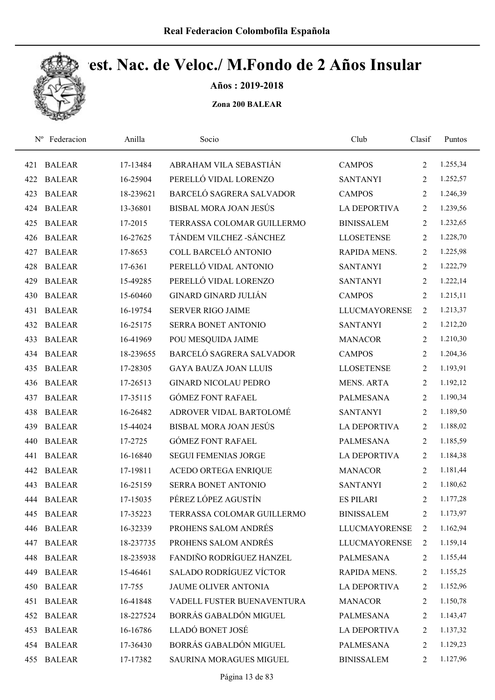

Años : 2019-2018

| $N^{\rm o}$ | Federacion    | Anilla    | Socio                          | Club                 | Clasif         | Puntos   |
|-------------|---------------|-----------|--------------------------------|----------------------|----------------|----------|
| 421         | <b>BALEAR</b> | 17-13484  | ABRAHAM VILA SEBASTIÁN         | <b>CAMPOS</b>        | $\overline{2}$ | 1.255,34 |
| 422         | <b>BALEAR</b> | 16-25904  | PERELLÓ VIDAL LORENZO          | <b>SANTANYI</b>      | 2              | 1.252,57 |
| 423         | <b>BALEAR</b> | 18-239621 | BARCELÓ SAGRERA SALVADOR       | <b>CAMPOS</b>        | $\overline{2}$ | 1.246,39 |
| 424         | <b>BALEAR</b> | 13-36801  | BISBAL MORA JOAN JESÚS         | LA DEPORTIVA         | $\overline{2}$ | 1.239,56 |
| 425         | <b>BALEAR</b> | 17-2015   | TERRASSA COLOMAR GUILLERMO     | <b>BINISSALEM</b>    | $\overline{2}$ | 1.232,65 |
| 426         | <b>BALEAR</b> | 16-27625  | TÁNDEM VILCHEZ - SÁNCHEZ       | <b>LLOSETENSE</b>    | 2              | 1.228,70 |
| 427         | <b>BALEAR</b> | 17-8653   | COLL BARCELÓ ANTONIO           | RAPIDA MENS.         | 2              | 1.225,98 |
| 428         | <b>BALEAR</b> | 17-6361   | PERELLÓ VIDAL ANTONIO          | <b>SANTANYI</b>      | $\overline{2}$ | 1.222,79 |
| 429         | <b>BALEAR</b> | 15-49285  | PERELLÓ VIDAL LORENZO          | <b>SANTANYI</b>      | 2              | 1.222,14 |
| 430         | <b>BALEAR</b> | 15-60460  | <b>GINARD GINARD JULIÁN</b>    | <b>CAMPOS</b>        | 2              | 1.215,11 |
| 431         | <b>BALEAR</b> | 16-19754  | <b>SERVER RIGO JAIME</b>       | <b>LLUCMAYORENSE</b> | 2              | 1.213,37 |
| 432         | <b>BALEAR</b> | 16-25175  | SERRA BONET ANTONIO            | <b>SANTANYI</b>      | 2              | 1.212,20 |
| 433         | <b>BALEAR</b> | 16-41969  | POU MESQUIDA JAIME             | <b>MANACOR</b>       | 2              | 1.210,30 |
| 434         | <b>BALEAR</b> | 18-239655 | BARCELÓ SAGRERA SALVADOR       | <b>CAMPOS</b>        | $\overline{2}$ | 1.204,36 |
| 435         | <b>BALEAR</b> | 17-28305  | <b>GAYA BAUZA JOAN LLUIS</b>   | <b>LLOSETENSE</b>    | $\overline{2}$ | 1.193,91 |
| 436         | <b>BALEAR</b> | 17-26513  | <b>GINARD NICOLAU PEDRO</b>    | <b>MENS. ARTA</b>    | $\overline{2}$ | 1.192,12 |
| 437         | <b>BALEAR</b> | 17-35115  | <b>GÓMEZ FONT RAFAEL</b>       | <b>PALMESANA</b>     | $\overline{2}$ | 1.190,34 |
| 438         | <b>BALEAR</b> | 16-26482  | ADROVER VIDAL BARTOLOMÉ        | <b>SANTANYI</b>      | $\overline{2}$ | 1.189,50 |
| 439         | <b>BALEAR</b> | 15-44024  | <b>BISBAL MORA JOAN JESÚS</b>  | <b>LA DEPORTIVA</b>  | $\overline{2}$ | 1.188,02 |
| 440         | <b>BALEAR</b> | 17-2725   | <b>GÓMEZ FONT RAFAEL</b>       | PALMESANA            | 2              | 1.185,59 |
| 441         | <b>BALEAR</b> | 16-16840  | <b>SEGUI FEMENIAS JORGE</b>    | <b>LA DEPORTIVA</b>  | $\overline{2}$ | 1.184,38 |
| 442         | <b>BALEAR</b> | 17-19811  | <b>ACEDO ORTEGA ENRIQUE</b>    | <b>MANACOR</b>       | 2              | 1.181,44 |
| 443         | <b>BALEAR</b> | 16-25159  | SERRA BONET ANTONIO            | <b>SANTANYI</b>      | $\overline{2}$ | 1.180,62 |
| 444         | <b>BALEAR</b> | 17-15035  | PÉREZ LÓPEZ AGUSTÍN            | <b>ES PILARI</b>     | $\overline{2}$ | 1.177,28 |
| 445         | <b>BALEAR</b> | 17-35223  | TERRASSA COLOMAR GUILLERMO     | <b>BINISSALEM</b>    | 2              | 1.173,97 |
| 446         | <b>BALEAR</b> | 16-32339  | PROHENS SALOM ANDRÉS           | <b>LLUCMAYORENSE</b> | $\overline{2}$ | 1.162,94 |
| 447         | <b>BALEAR</b> | 18-237735 | PROHENS SALOM ANDRÉS           | <b>LLUCMAYORENSE</b> | 2              | 1.159,14 |
| 448         | <b>BALEAR</b> | 18-235938 | FANDIÑO RODRÍGUEZ HANZEL       | PALMESANA            | 2              | 1.155,44 |
| 449         | <b>BALEAR</b> | 15-46461  | <b>SALADO RODRÍGUEZ VÍCTOR</b> | RAPIDA MENS.         | 2              | 1.155,25 |
| 450         | <b>BALEAR</b> | 17-755    | JAUME OLIVER ANTONIA           | <b>LA DEPORTIVA</b>  | 2              | 1.152,96 |
| 451         | <b>BALEAR</b> | 16-41848  | VADELL FUSTER BUENAVENTURA     | <b>MANACOR</b>       | 2              | 1.150,78 |
| 452         | <b>BALEAR</b> | 18-227524 | BORRÁS GABALDÓN MIGUEL         | PALMESANA            | 2              | 1.143,47 |
| 453         | <b>BALEAR</b> | 16-16786  | LLADÓ BONET JOSÉ               | <b>LA DEPORTIVA</b>  | 2              | 1.137,32 |
|             | 454 BALEAR    | 17-36430  | BORRÁS GABALDÓN MIGUEL         | PALMESANA            | 2              | 1.129,23 |
| 455         | <b>BALEAR</b> | 17-17382  | SAURINA MORAGUES MIGUEL        | <b>BINISSALEM</b>    | $\overline{2}$ | 1.127,96 |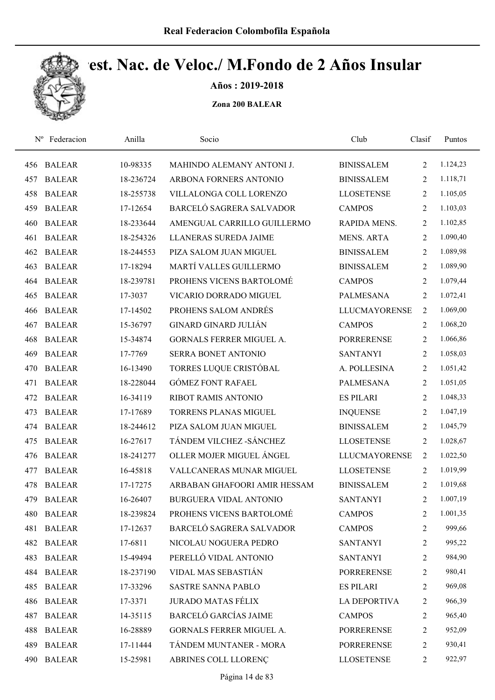

Años : 2019-2018

| $N^{\rm o}$ | Federacion    | Anilla    | Socio                           | Club                 | Clasif         | Puntos   |
|-------------|---------------|-----------|---------------------------------|----------------------|----------------|----------|
| 456         | <b>BALEAR</b> | 10-98335  | MAHINDO ALEMANY ANTONI J.       | <b>BINISSALEM</b>    | $\overline{2}$ | 1.124,23 |
| 457         | <b>BALEAR</b> | 18-236724 | ARBONA FORNERS ANTONIO          | <b>BINISSALEM</b>    | 2              | 1.118,71 |
| 458         | <b>BALEAR</b> | 18-255738 | VILLALONGA COLL LORENZO         | <b>LLOSETENSE</b>    | $\overline{2}$ | 1.105,05 |
| 459         | <b>BALEAR</b> | 17-12654  | BARCELÓ SAGRERA SALVADOR        | <b>CAMPOS</b>        | $\overline{2}$ | 1.103,03 |
| 460         | <b>BALEAR</b> | 18-233644 | AMENGUAL CARRILLO GUILLERMO     | RAPIDA MENS.         | $\overline{2}$ | 1.102,85 |
| 461         | <b>BALEAR</b> | 18-254326 | LLANERAS SUREDA JAIME           | <b>MENS. ARTA</b>    | $\overline{2}$ | 1.090,40 |
| 462         | <b>BALEAR</b> | 18-244553 | PIZA SALOM JUAN MIGUEL          | <b>BINISSALEM</b>    | 2              | 1.089,98 |
| 463         | <b>BALEAR</b> | 17-18294  | MARTÍ VALLES GUILLERMO          | <b>BINISSALEM</b>    | $\overline{2}$ | 1.089,90 |
| 464         | <b>BALEAR</b> | 18-239781 | PROHENS VICENS BARTOLOMÉ        | <b>CAMPOS</b>        | 2              | 1.079,44 |
| 465         | <b>BALEAR</b> | 17-3037   | VICARIO DORRADO MIGUEL          | <b>PALMESANA</b>     | $\overline{2}$ | 1.072,41 |
| 466         | <b>BALEAR</b> | 17-14502  | PROHENS SALOM ANDRÉS            | <b>LLUCMAYORENSE</b> | 2              | 1.069,00 |
| 467         | <b>BALEAR</b> | 15-36797  | <b>GINARD GINARD JULIÁN</b>     | <b>CAMPOS</b>        | 2              | 1.068,20 |
| 468         | <b>BALEAR</b> | 15-34874  | <b>GORNALS FERRER MIGUEL A.</b> | <b>PORRERENSE</b>    | 2              | 1.066,86 |
| 469         | <b>BALEAR</b> | 17-7769   | SERRA BONET ANTONIO             | <b>SANTANYI</b>      | $\overline{2}$ | 1.058,03 |
| 470         | <b>BALEAR</b> | 16-13490  | TORRES LUQUE CRISTÓBAL          | A. POLLESINA         | 2              | 1.051,42 |
| 471         | <b>BALEAR</b> | 18-228044 | <b>GÓMEZ FONT RAFAEL</b>        | <b>PALMESANA</b>     | $\overline{2}$ | 1.051,05 |
| 472         | <b>BALEAR</b> | 16-34119  | <b>RIBOT RAMIS ANTONIO</b>      | <b>ES PILARI</b>     | $\overline{2}$ | 1.048,33 |
| 473         | <b>BALEAR</b> | 17-17689  | TORRENS PLANAS MIGUEL           | <b>INQUENSE</b>      | 2              | 1.047,19 |
| 474         | <b>BALEAR</b> | 18-244612 | PIZA SALOM JUAN MIGUEL          | <b>BINISSALEM</b>    | $\overline{2}$ | 1.045,79 |
| 475         | <b>BALEAR</b> | 16-27617  | TÁNDEM VILCHEZ - SÁNCHEZ        | <b>LLOSETENSE</b>    | $\overline{2}$ | 1.028,67 |
| 476         | <b>BALEAR</b> | 18-241277 | OLLER MOJER MIGUEL ÁNGEL        | <b>LLUCMAYORENSE</b> | $\overline{2}$ | 1.022,50 |
| 477         | <b>BALEAR</b> | 16-45818  | <b>VALLCANERAS MUNAR MIGUEL</b> | <b>LLOSETENSE</b>    | $\overline{2}$ | 1.019,99 |
| 478         | <b>BALEAR</b> | 17-17275  | ARBABAN GHAFOORI AMIR HESSAM    | <b>BINISSALEM</b>    | $\overline{2}$ | 1.019,68 |
| 479         | <b>BALEAR</b> | 16-26407  | <b>BURGUERA VIDAL ANTONIO</b>   | <b>SANTANYI</b>      | $\overline{2}$ | 1.007,19 |
| 480         | <b>BALEAR</b> | 18-239824 | PROHENS VICENS BARTOLOMÉ        | <b>CAMPOS</b>        | 2              | 1.001,35 |
| 481         | <b>BALEAR</b> | 17-12637  | BARCELÓ SAGRERA SALVADOR        | <b>CAMPOS</b>        | $\overline{c}$ | 999,66   |
| 482         | <b>BALEAR</b> | 17-6811   | NICOLAU NOGUERA PEDRO           | <b>SANTANYI</b>      | 2              | 995,22   |
| 483         | <b>BALEAR</b> | 15-49494  | PERELLÓ VIDAL ANTONIO           | <b>SANTANYI</b>      | $\overline{c}$ | 984,90   |
| 484         | <b>BALEAR</b> | 18-237190 | VIDAL MAS SEBASTIÁN             | <b>PORRERENSE</b>    | $\overline{c}$ | 980,41   |
| 485         | <b>BALEAR</b> | 17-33296  | <b>SASTRE SANNA PABLO</b>       | <b>ES PILARI</b>     | 2              | 969,08   |
| 486         | <b>BALEAR</b> | 17-3371   | <b>JURADO MATAS FÉLIX</b>       | <b>LA DEPORTIVA</b>  | $\overline{c}$ | 966,39   |
| 487         | <b>BALEAR</b> | 14-35115  | <b>BARCELÓ GARCÍAS JAIME</b>    | <b>CAMPOS</b>        | 2              | 965,40   |
| 488         | <b>BALEAR</b> | 16-28889  | GORNALS FERRER MIGUEL A.        | <b>PORRERENSE</b>    | 2              | 952,09   |
| 489         | <b>BALEAR</b> | 17-11444  | TÁNDEM MUNTANER - MORA          | <b>PORRERENSE</b>    | $\overline{c}$ | 930,41   |
| 490         | <b>BALEAR</b> | 15-25981  | ABRINES COLL LLORENÇ            | <b>LLOSETENSE</b>    | 2              | 922,97   |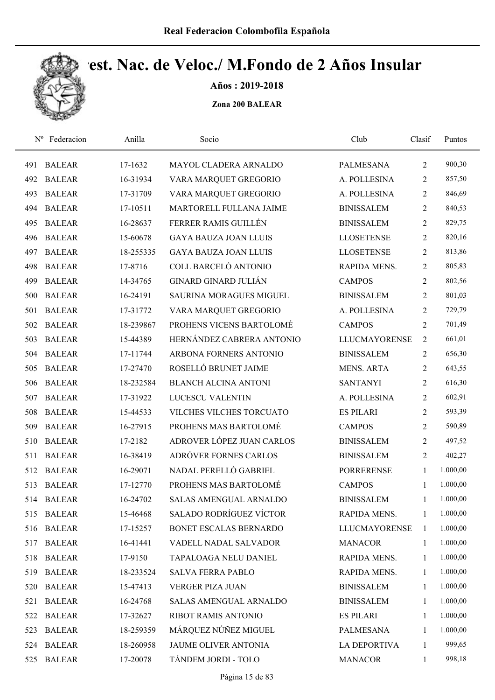

Años : 2019-2018

| $N^{\rm o}$ | Federacion    | Anilla    | Socio                          | Club                 | Clasif         | Puntos   |  |
|-------------|---------------|-----------|--------------------------------|----------------------|----------------|----------|--|
| 491         | <b>BALEAR</b> | 17-1632   | MAYOL CLADERA ARNALDO          | PALMESANA            | $\overline{2}$ | 900,30   |  |
| 492         | <b>BALEAR</b> | 16-31934  | VARA MARQUET GREGORIO          | A. POLLESINA         | 2              | 857,50   |  |
| 493         | <b>BALEAR</b> | 17-31709  | VARA MARQUET GREGORIO          | A. POLLESINA         | 2              | 846,69   |  |
| 494         | <b>BALEAR</b> | 17-10511  | MARTORELL FULLANA JAIME        | <b>BINISSALEM</b>    | $\overline{2}$ | 840,53   |  |
| 495         | <b>BALEAR</b> | 16-28637  | FERRER RAMIS GUILLÉN           | <b>BINISSALEM</b>    | $\overline{2}$ | 829,75   |  |
| 496         | <b>BALEAR</b> | 15-60678  | <b>GAYA BAUZA JOAN LLUIS</b>   | <b>LLOSETENSE</b>    | $\overline{2}$ | 820,16   |  |
| 497         | <b>BALEAR</b> | 18-255335 | <b>GAYA BAUZA JOAN LLUIS</b>   | <b>LLOSETENSE</b>    | $\overline{2}$ | 813,86   |  |
| 498         | <b>BALEAR</b> | 17-8716   | COLL BARCELÓ ANTONIO           | RAPIDA MENS.         | $\overline{2}$ | 805,83   |  |
| 499         | <b>BALEAR</b> | 14-34765  | GINARD GINARD JULIÁN           | <b>CAMPOS</b>        | 2              | 802,56   |  |
| 500         | <b>BALEAR</b> | 16-24191  | <b>SAURINA MORAGUES MIGUEL</b> | <b>BINISSALEM</b>    | $\overline{2}$ | 801,03   |  |
| 501         | <b>BALEAR</b> | 17-31772  | VARA MARQUET GREGORIO          | A. POLLESINA         | $\overline{2}$ | 729,79   |  |
| 502         | <b>BALEAR</b> | 18-239867 | PROHENS VICENS BARTOLOMÉ       | <b>CAMPOS</b>        | $\overline{2}$ | 701,49   |  |
| 503         | <b>BALEAR</b> | 15-44389  | HERNÁNDEZ CABRERA ANTONIO      | <b>LLUCMAYORENSE</b> | $\overline{2}$ | 661,01   |  |
| 504         | <b>BALEAR</b> | 17-11744  | ARBONA FORNERS ANTONIO         | <b>BINISSALEM</b>    | $\overline{2}$ | 656,30   |  |
| 505         | <b>BALEAR</b> | 17-27470  | ROSELLÓ BRUNET JAIME           | <b>MENS. ARTA</b>    | $\overline{2}$ | 643,55   |  |
| 506         | <b>BALEAR</b> | 18-232584 | <b>BLANCH ALCINA ANTONI</b>    | <b>SANTANYI</b>      | $\overline{2}$ | 616,30   |  |
| 507         | <b>BALEAR</b> | 17-31922  | LUCESCU VALENTIN               | A. POLLESINA         | $\overline{2}$ | 602,91   |  |
| 508         | <b>BALEAR</b> | 15-44533  | VILCHES VILCHES TORCUATO       | <b>ES PILARI</b>     | 2              | 593,39   |  |
| 509         | <b>BALEAR</b> | 16-27915  | PROHENS MAS BARTOLOMÉ          | <b>CAMPOS</b>        | $\overline{2}$ | 590,89   |  |
| 510         | <b>BALEAR</b> | 17-2182   | ADROVER LÓPEZ JUAN CARLOS      | <b>BINISSALEM</b>    | $\overline{2}$ | 497,52   |  |
| 511         | <b>BALEAR</b> | 16-38419  | ADRÓVER FORNES CARLOS          | <b>BINISSALEM</b>    | $\overline{2}$ | 402,27   |  |
| 512         | <b>BALEAR</b> | 16-29071  | NADAL PERELLÓ GABRIEL          | <b>PORRERENSE</b>    | 1              | 1.000,00 |  |
| 513         | <b>BALEAR</b> | 17-12770  | PROHENS MAS BARTOLOMÉ          | <b>CAMPOS</b>        | 1              | 1.000,00 |  |
|             | 514 BALEAR    | 16-24702  | SALAS AMENGUAL ARNALDO         | <b>BINISSALEM</b>    | $\mathbf{1}$   | 1.000,00 |  |
| 515         | <b>BALEAR</b> | 15-46468  | SALADO RODRÍGUEZ VÍCTOR        | RAPIDA MENS.         | 1              | 1.000,00 |  |
| 516         | <b>BALEAR</b> | 17-15257  | BONET ESCALAS BERNARDO         | <b>LLUCMAYORENSE</b> | 1              | 1.000,00 |  |
| 517         | <b>BALEAR</b> | 16-41441  | VADELL NADAL SALVADOR          | <b>MANACOR</b>       | 1              | 1.000,00 |  |
| 518         | <b>BALEAR</b> | 17-9150   | TAPALOAGA NELU DANIEL          | RAPIDA MENS.         | 1              | 1.000,00 |  |
| 519         | <b>BALEAR</b> | 18-233524 | <b>SALVA FERRA PABLO</b>       | RAPIDA MENS.         | 1              | 1.000,00 |  |
| 520         | <b>BALEAR</b> | 15-47413  | VERGER PIZA JUAN               | <b>BINISSALEM</b>    | 1              | 1.000,00 |  |
| 521         | <b>BALEAR</b> | 16-24768  | SALAS AMENGUAL ARNALDO         | <b>BINISSALEM</b>    | $\mathbf{1}$   | 1.000,00 |  |
| 522         | <b>BALEAR</b> | 17-32627  | RIBOT RAMIS ANTONIO            | <b>ES PILARI</b>     | $\mathbf{1}$   | 1.000,00 |  |
| 523         | <b>BALEAR</b> | 18-259359 | MÁRQUEZ NÚÑEZ MIGUEL           | <b>PALMESANA</b>     | 1              | 1.000,00 |  |
| 524         | <b>BALEAR</b> | 18-260958 | JAUME OLIVER ANTONIA           | <b>LA DEPORTIVA</b>  | 1              | 999,65   |  |
| 525         | <b>BALEAR</b> | 17-20078  | TÁNDEM JORDI - TOLO            | <b>MANACOR</b>       | $\mathbf{1}$   | 998,18   |  |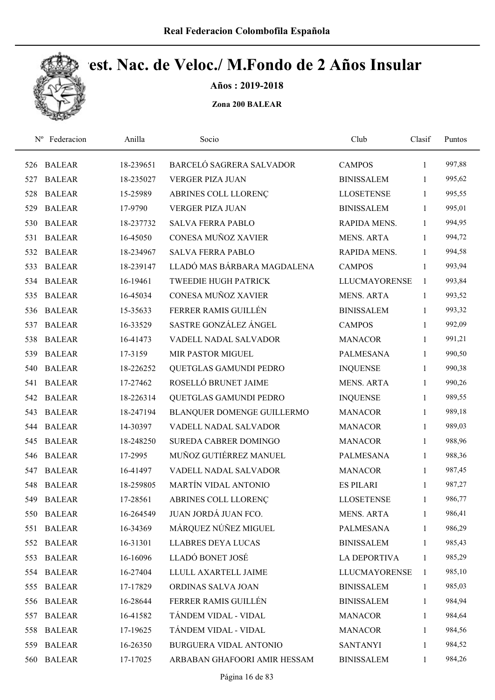

Años : 2019-2018

| $N^{\rm o}$ | Federacion    | Anilla    | Socio                        | Club                 | Clasif       | Puntos |
|-------------|---------------|-----------|------------------------------|----------------------|--------------|--------|
| 526         | <b>BALEAR</b> | 18-239651 | BARCELÓ SAGRERA SALVADOR     | <b>CAMPOS</b>        | 1            | 997,88 |
| 527         | <b>BALEAR</b> | 18-235027 | <b>VERGER PIZA JUAN</b>      | <b>BINISSALEM</b>    | 1            | 995,62 |
| 528         | <b>BALEAR</b> | 15-25989  | ABRINES COLL LLORENÇ         | <b>LLOSETENSE</b>    | 1            | 995,55 |
| 529         | <b>BALEAR</b> | 17-9790   | <b>VERGER PIZA JUAN</b>      | <b>BINISSALEM</b>    | $\mathbf{1}$ | 995,01 |
| 530         | <b>BALEAR</b> | 18-237732 | <b>SALVA FERRA PABLO</b>     | RAPIDA MENS.         | $\mathbf{1}$ | 994,95 |
| 531         | <b>BALEAR</b> | 16-45050  | CONESA MUÑOZ XAVIER          | <b>MENS. ARTA</b>    | $\mathbf{1}$ | 994,72 |
| 532         | <b>BALEAR</b> | 18-234967 | <b>SALVA FERRA PABLO</b>     | RAPIDA MENS.         | $\mathbf{1}$ | 994,58 |
| 533         | <b>BALEAR</b> | 18-239147 | LLADÓ MAS BÁRBARA MAGDALENA  | <b>CAMPOS</b>        | 1            | 993,94 |
| 534         | <b>BALEAR</b> | 16-19461  | <b>TWEEDIE HUGH PATRICK</b>  | <b>LLUCMAYORENSE</b> | 1            | 993,84 |
| 535         | <b>BALEAR</b> | 16-45034  | CONESA MUÑOZ XAVIER          | <b>MENS. ARTA</b>    | 1            | 993,52 |
| 536         | <b>BALEAR</b> | 15-35633  | FERRER RAMIS GUILLÉN         | <b>BINISSALEM</b>    | $\mathbf{1}$ | 993,32 |
| 537         | <b>BALEAR</b> | 16-33529  | SASTRE GONZÁLEZ ÁNGEL        | <b>CAMPOS</b>        | 1            | 992,09 |
| 538         | <b>BALEAR</b> | 16-41473  | VADELL NADAL SALVADOR        | <b>MANACOR</b>       | 1            | 991,21 |
| 539         | <b>BALEAR</b> | 17-3159   | MIR PASTOR MIGUEL            | <b>PALMESANA</b>     | 1            | 990,50 |
| 540         | <b>BALEAR</b> | 18-226252 | QUETGLAS GAMUNDI PEDRO       | <b>INQUENSE</b>      | 1            | 990,38 |
| 541         | <b>BALEAR</b> | 17-27462  | ROSELLÓ BRUNET JAIME         | <b>MENS. ARTA</b>    | $\mathbf{1}$ | 990,26 |
| 542         | <b>BALEAR</b> | 18-226314 | QUETGLAS GAMUNDI PEDRO       | <b>INQUENSE</b>      | $\mathbf{1}$ | 989,55 |
| 543         | <b>BALEAR</b> | 18-247194 | BLANQUER DOMENGE GUILLERMO   | <b>MANACOR</b>       | $\mathbf{1}$ | 989,18 |
| 544         | <b>BALEAR</b> | 14-30397  | VADELL NADAL SALVADOR        | <b>MANACOR</b>       | $\mathbf{1}$ | 989,03 |
| 545         | <b>BALEAR</b> | 18-248250 | SUREDA CABRER DOMINGO        | <b>MANACOR</b>       | $\mathbf{1}$ | 988,96 |
| 546         | <b>BALEAR</b> | 17-2995   | MUÑOZ GUTIÉRREZ MANUEL       | <b>PALMESANA</b>     | 1            | 988,36 |
| 547         | <b>BALEAR</b> | 16-41497  | VADELL NADAL SALVADOR        | <b>MANACOR</b>       | 1            | 987,45 |
| 548         | <b>BALEAR</b> | 18-259805 | MARTÍN VIDAL ANTONIO         | <b>ES PILARI</b>     | 1            | 987,27 |
| 549         | <b>BALEAR</b> | 17-28561  | ABRINES COLL LLORENÇ         | <b>LLOSETENSE</b>    | $\mathbf{1}$ | 986,77 |
| 550         | <b>BALEAR</b> | 16-264549 | JUAN JORDÁ JUAN FCO.         | <b>MENS. ARTA</b>    | 1            | 986,41 |
| 551         | <b>BALEAR</b> | 16-34369  | MÁRQUEZ NÚÑEZ MIGUEL         | <b>PALMESANA</b>     | $\mathbf{1}$ | 986,29 |
| 552         | <b>BALEAR</b> | 16-31301  | <b>LLABRES DEYA LUCAS</b>    | <b>BINISSALEM</b>    | 1            | 985,43 |
| 553         | <b>BALEAR</b> | 16-16096  | LLADÓ BONET JOSÉ             | <b>LA DEPORTIVA</b>  | 1            | 985,29 |
| 554         | <b>BALEAR</b> | 16-27404  | LLULL AXARTELL JAIME         | <b>LLUCMAYORENSE</b> | 1            | 985,10 |
| 555         | <b>BALEAR</b> | 17-17829  | ORDINAS SALVA JOAN           | <b>BINISSALEM</b>    | $\mathbf{1}$ | 985,03 |
| 556         | <b>BALEAR</b> | 16-28644  | FERRER RAMIS GUILLÉN         | <b>BINISSALEM</b>    | $\mathbf{1}$ | 984,94 |
| 557         | <b>BALEAR</b> | 16-41582  | TÁNDEM VIDAL - VIDAL         | <b>MANACOR</b>       | 1            | 984,64 |
| 558         | <b>BALEAR</b> | 17-19625  | TÁNDEM VIDAL - VIDAL         | <b>MANACOR</b>       | $\mathbf{1}$ | 984,56 |
| 559         | <b>BALEAR</b> | 16-26350  | BURGUERA VIDAL ANTONIO       | <b>SANTANYI</b>      | 1            | 984,52 |
| 560         | <b>BALEAR</b> | 17-17025  | ARBABAN GHAFOORI AMIR HESSAM | <b>BINISSALEM</b>    | $\mathbf{1}$ | 984,26 |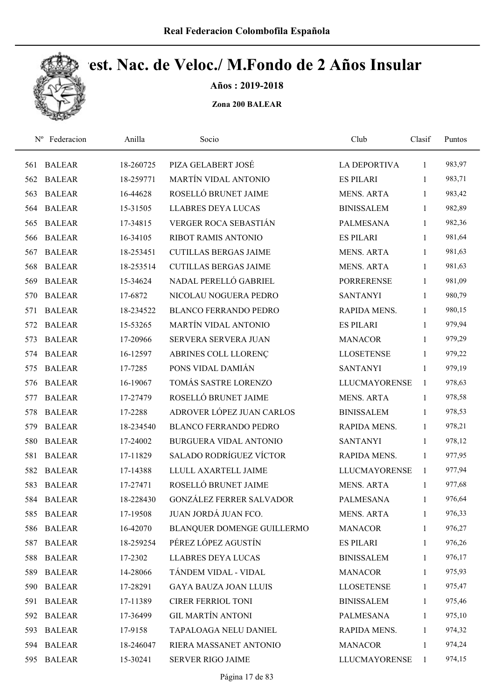

Años : 2019-2018

| $N^{\rm o}$ | Federacion    | Anilla    | Socio                           | Club                 | Clasif       | Puntos |  |
|-------------|---------------|-----------|---------------------------------|----------------------|--------------|--------|--|
| 561         | <b>BALEAR</b> | 18-260725 | PIZA GELABERT JOSÉ              | <b>LA DEPORTIVA</b>  | 1            | 983,97 |  |
| 562         | <b>BALEAR</b> | 18-259771 | <b>MARTÍN VIDAL ANTONIO</b>     | <b>ES PILARI</b>     | 1            | 983,71 |  |
| 563         | <b>BALEAR</b> | 16-44628  | ROSELLÓ BRUNET JAIME            | <b>MENS. ARTA</b>    | $\mathbf{1}$ | 983,42 |  |
| 564         | <b>BALEAR</b> | 15-31505  | <b>LLABRES DEYA LUCAS</b>       | <b>BINISSALEM</b>    | 1            | 982,89 |  |
| 565         | <b>BALEAR</b> | 17-34815  | <b>VERGER ROCA SEBASTIÁN</b>    | <b>PALMESANA</b>     | $\mathbf{1}$ | 982,36 |  |
| 566         | <b>BALEAR</b> | 16-34105  | <b>RIBOT RAMIS ANTONIO</b>      | <b>ES PILARI</b>     | $\mathbf{1}$ | 981,64 |  |
| 567         | <b>BALEAR</b> | 18-253451 | <b>CUTILLAS BERGAS JAIME</b>    | <b>MENS. ARTA</b>    | $\mathbf{1}$ | 981,63 |  |
| 568         | <b>BALEAR</b> | 18-253514 | <b>CUTILLAS BERGAS JAIME</b>    | <b>MENS. ARTA</b>    | $\mathbf{1}$ | 981,63 |  |
| 569         | <b>BALEAR</b> | 15-34624  | NADAL PERELLÓ GABRIEL           | <b>PORRERENSE</b>    | $\mathbf{1}$ | 981,09 |  |
| 570         | <b>BALEAR</b> | 17-6872   | NICOLAU NOGUERA PEDRO           | <b>SANTANYI</b>      | 1            | 980,79 |  |
| 571         | <b>BALEAR</b> | 18-234522 | <b>BLANCO FERRANDO PEDRO</b>    | RAPIDA MENS.         | 1            | 980,15 |  |
| 572         | <b>BALEAR</b> | 15-53265  | <b>MARTÍN VIDAL ANTONIO</b>     | <b>ES PILARI</b>     | 1            | 979,94 |  |
| 573         | <b>BALEAR</b> | 17-20966  | <b>SERVERA SERVERA JUAN</b>     | <b>MANACOR</b>       | 1            | 979,29 |  |
| 574         | <b>BALEAR</b> | 16-12597  | ABRINES COLL LLORENÇ            | <b>LLOSETENSE</b>    | 1            | 979,22 |  |
| 575         | <b>BALEAR</b> | 17-7285   | PONS VIDAL DAMIÁN               | <b>SANTANYI</b>      | 1            | 979,19 |  |
| 576         | <b>BALEAR</b> | 16-19067  | TOMÁS SASTRE LORENZO            | <b>LLUCMAYORENSE</b> | $\mathbf{1}$ | 978,63 |  |
| 577         | <b>BALEAR</b> | 17-27479  | ROSELLÓ BRUNET JAIME            | <b>MENS. ARTA</b>    | $\mathbf{1}$ | 978,58 |  |
| 578         | <b>BALEAR</b> | 17-2288   | ADROVER LÓPEZ JUAN CARLOS       | <b>BINISSALEM</b>    | $\mathbf{1}$ | 978,53 |  |
| 579         | <b>BALEAR</b> | 18-234540 | <b>BLANCO FERRANDO PEDRO</b>    | RAPIDA MENS.         | $\mathbf{1}$ | 978,21 |  |
| 580         | <b>BALEAR</b> | 17-24002  | BURGUERA VIDAL ANTONIO          | <b>SANTANYI</b>      | $\mathbf{1}$ | 978,12 |  |
| 581         | <b>BALEAR</b> | 17-11829  | SALADO RODRÍGUEZ VÍCTOR         | RAPIDA MENS.         | 1            | 977,95 |  |
| 582         | <b>BALEAR</b> | 17-14388  | LLULL AXARTELL JAIME            | <b>LLUCMAYORENSE</b> | $\mathbf{1}$ | 977,94 |  |
| 583         | <b>BALEAR</b> | 17-27471  | ROSELLÓ BRUNET JAIME            | <b>MENS. ARTA</b>    | $\mathbf{1}$ | 977,68 |  |
|             | 584 BALEAR    | 18-228430 | <b>GONZÁLEZ FERRER SALVADOR</b> | <b>PALMESANA</b>     | $\mathbf{1}$ | 976,64 |  |
| 585         | <b>BALEAR</b> | 17-19508  | JUAN JORDÁ JUAN FCO.            | <b>MENS. ARTA</b>    | 1            | 976,33 |  |
| 586         | <b>BALEAR</b> | 16-42070  | BLANQUER DOMENGE GUILLERMO      | <b>MANACOR</b>       | 1            | 976,27 |  |
| 587         | <b>BALEAR</b> | 18-259254 | PÉREZ LÓPEZ AGUSTÍN             | <b>ES PILARI</b>     | 1            | 976,26 |  |
| 588         | <b>BALEAR</b> | 17-2302   | <b>LLABRES DEYA LUCAS</b>       | <b>BINISSALEM</b>    | 1            | 976,17 |  |
| 589         | <b>BALEAR</b> | 14-28066  | TÁNDEM VIDAL - VIDAL            | <b>MANACOR</b>       | 1            | 975,93 |  |
| 590         | <b>BALEAR</b> | 17-28291  | <b>GAYA BAUZA JOAN LLUIS</b>    | <b>LLOSETENSE</b>    | 1            | 975,47 |  |
| 591         | <b>BALEAR</b> | 17-11389  | CIRER FERRIOL TONI              | <b>BINISSALEM</b>    | $\mathbf{1}$ | 975,46 |  |
| 592         | <b>BALEAR</b> | 17-36499  | <b>GIL MARTÍN ANTONI</b>        | PALMESANA            | $\mathbf{1}$ | 975,10 |  |
| 593         | <b>BALEAR</b> | 17-9158   | TAPALOAGA NELU DANIEL           | RAPIDA MENS.         | $\mathbf{1}$ | 974,32 |  |
|             | 594 BALEAR    | 18-246047 | RIERA MASSANET ANTONIO          | <b>MANACOR</b>       | $\mathbf{1}$ | 974,24 |  |
| 595         | <b>BALEAR</b> | 15-30241  | SERVER RIGO JAIME               | <b>LLUCMAYORENSE</b> | $\mathbf{1}$ | 974,15 |  |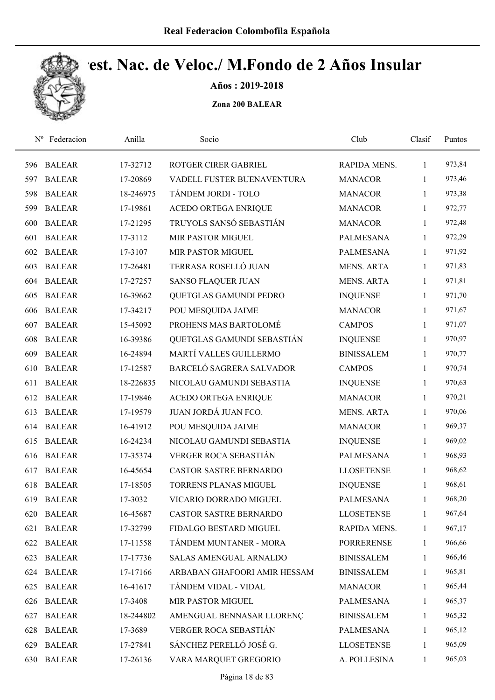

Años : 2019-2018

| $N^{\rm o}$ | Federacion    | Anilla    | Socio                         | Club              | Clasif       | Puntos |
|-------------|---------------|-----------|-------------------------------|-------------------|--------------|--------|
| 596         | <b>BALEAR</b> | 17-32712  | ROTGER CIRER GABRIEL          | RAPIDA MENS.      | $\mathbf{1}$ | 973,84 |
| 597         | <b>BALEAR</b> | 17-20869  | VADELL FUSTER BUENAVENTURA    | <b>MANACOR</b>    | 1            | 973,46 |
| 598         | <b>BALEAR</b> | 18-246975 | TÁNDEM JORDI - TOLO           | <b>MANACOR</b>    | $\mathbf{1}$ | 973,38 |
| 599         | <b>BALEAR</b> | 17-19861  | ACEDO ORTEGA ENRIQUE          | <b>MANACOR</b>    | $\mathbf{1}$ | 972,77 |
| 600         | <b>BALEAR</b> | 17-21295  | TRUYOLS SANSÓ SEBASTIÁN       | <b>MANACOR</b>    | $\mathbf{1}$ | 972,48 |
| 601         | <b>BALEAR</b> | 17-3112   | MIR PASTOR MIGUEL             | <b>PALMESANA</b>  | $\mathbf{1}$ | 972,29 |
| 602         | <b>BALEAR</b> | 17-3107   | MIR PASTOR MIGUEL             | <b>PALMESANA</b>  | $\mathbf{1}$ | 971,92 |
| 603         | <b>BALEAR</b> | 17-26481  | TERRASA ROSELLÓ JUAN          | <b>MENS. ARTA</b> | $\mathbf{1}$ | 971,83 |
| 604         | <b>BALEAR</b> | 17-27257  | <b>SANSO FLAQUER JUAN</b>     | <b>MENS. ARTA</b> | $\mathbf{1}$ | 971,81 |
| 605         | <b>BALEAR</b> | 16-39662  | QUETGLAS GAMUNDI PEDRO        | <b>INQUENSE</b>   | $\mathbf{1}$ | 971,70 |
| 606         | <b>BALEAR</b> | 17-34217  | POU MESQUIDA JAIME            | <b>MANACOR</b>    | 1            | 971,67 |
| 607         | <b>BALEAR</b> | 15-45092  | PROHENS MAS BARTOLOMÉ         | <b>CAMPOS</b>     | $\mathbf{1}$ | 971,07 |
| 608         | <b>BALEAR</b> | 16-39386  | QUETGLAS GAMUNDI SEBASTIÁN    | <b>INQUENSE</b>   | 1            | 970,97 |
| 609         | <b>BALEAR</b> | 16-24894  | MARTÍ VALLES GUILLERMO        | <b>BINISSALEM</b> | $\mathbf{1}$ | 970,77 |
| 610         | <b>BALEAR</b> | 17-12587  | BARCELÓ SAGRERA SALVADOR      | <b>CAMPOS</b>     | 1            | 970,74 |
| 611         | <b>BALEAR</b> | 18-226835 | NICOLAU GAMUNDI SEBASTIA      | <b>INQUENSE</b>   | $\mathbf{1}$ | 970,63 |
| 612         | <b>BALEAR</b> | 17-19846  | ACEDO ORTEGA ENRIQUE          | <b>MANACOR</b>    | $\mathbf{1}$ | 970,21 |
| 613         | <b>BALEAR</b> | 17-19579  | JUAN JORDÁ JUAN FCO.          | <b>MENS. ARTA</b> | $\mathbf{1}$ | 970,06 |
| 614         | <b>BALEAR</b> | 16-41912  | POU MESQUIDA JAIME            | <b>MANACOR</b>    | $\mathbf{1}$ | 969,37 |
| 615         | <b>BALEAR</b> | 16-24234  | NICOLAU GAMUNDI SEBASTIA      | <b>INQUENSE</b>   | 1            | 969,02 |
| 616         | <b>BALEAR</b> | 17-35374  | VERGER ROCA SEBASTIÁN         | PALMESANA         | $\mathbf{1}$ | 968,93 |
| 617         | <b>BALEAR</b> | 16-45654  | <b>CASTOR SASTRE BERNARDO</b> | <b>LLOSETENSE</b> | 1            | 968,62 |
| 618         | <b>BALEAR</b> | 17-18505  | <b>TORRENS PLANAS MIGUEL</b>  | <b>INQUENSE</b>   | $\mathbf{1}$ | 968,61 |
| 619         | <b>BALEAR</b> | 17-3032   | VICARIO DORRADO MIGUEL        | <b>PALMESANA</b>  | 1            | 968,20 |
| 620         | <b>BALEAR</b> | 16-45687  | <b>CASTOR SASTRE BERNARDO</b> | <b>LLOSETENSE</b> | 1            | 967,64 |
| 621         | <b>BALEAR</b> | 17-32799  | FIDALGO BESTARD MIGUEL        | RAPIDA MENS.      | $\mathbf{1}$ | 967,17 |
| 622         | <b>BALEAR</b> | 17-11558  | TÁNDEM MUNTANER - MORA        | <b>PORRERENSE</b> | 1            | 966,66 |
| 623         | <b>BALEAR</b> | 17-17736  | SALAS AMENGUAL ARNALDO        | <b>BINISSALEM</b> | $\mathbf{1}$ | 966,46 |
| 624         | <b>BALEAR</b> | 17-17166  | ARBABAN GHAFOORI AMIR HESSAM  | <b>BINISSALEM</b> | 1            | 965,81 |
| 625         | <b>BALEAR</b> | 16-41617  | TÁNDEM VIDAL - VIDAL          | <b>MANACOR</b>    | 1            | 965,44 |
| 626         | <b>BALEAR</b> | 17-3408   | MIR PASTOR MIGUEL             | <b>PALMESANA</b>  | $\mathbf{1}$ | 965,37 |
| 627         | <b>BALEAR</b> | 18-244802 | AMENGUAL BENNASAR LLORENÇ     | <b>BINISSALEM</b> | $\mathbf{1}$ | 965,32 |
| 628         | <b>BALEAR</b> | 17-3689   | VERGER ROCA SEBASTIÁN         | <b>PALMESANA</b>  | $\mathbf{1}$ | 965,12 |
| 629         | <b>BALEAR</b> | 17-27841  | SÁNCHEZ PERELLÓ JOSÉ G.       | <b>LLOSETENSE</b> | $\mathbf{1}$ | 965,09 |
| 630         | <b>BALEAR</b> | 17-26136  | VARA MARQUET GREGORIO         | A. POLLESINA      | $\mathbf{1}$ | 965,03 |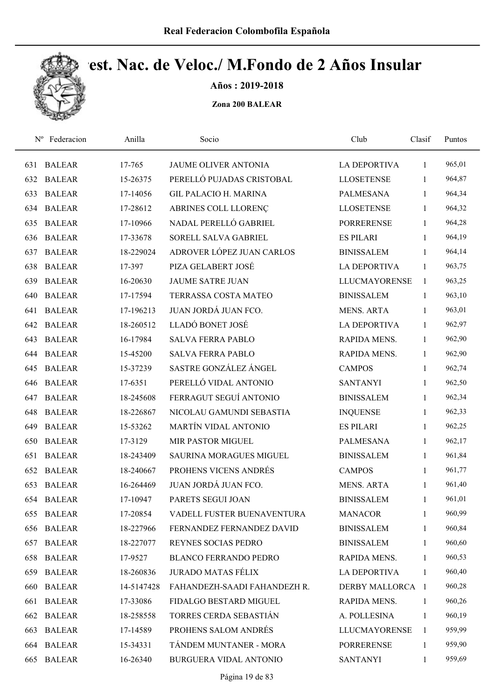

Años : 2019-2018

| $N^{\rm o}$ | Federacion    | Anilla     | Socio                        | Club                 | Clasif       | Puntos |
|-------------|---------------|------------|------------------------------|----------------------|--------------|--------|
| 631         | <b>BALEAR</b> | 17-765     | JAUME OLIVER ANTONIA         | LA DEPORTIVA         | $\mathbf{1}$ | 965,01 |
| 632         | <b>BALEAR</b> | 15-26375   | PERELLÓ PUJADAS CRISTOBAL    | <b>LLOSETENSE</b>    | 1            | 964,87 |
| 633         | <b>BALEAR</b> | 17-14056   | <b>GIL PALACIO H. MARINA</b> | <b>PALMESANA</b>     | $\mathbf{1}$ | 964,34 |
| 634         | <b>BALEAR</b> | 17-28612   | ABRINES COLL LLORENÇ         | <b>LLOSETENSE</b>    | $\mathbf{1}$ | 964,32 |
| 635         | <b>BALEAR</b> | 17-10966   | NADAL PERELLÓ GABRIEL        | <b>PORRERENSE</b>    | $\mathbf{1}$ | 964,28 |
| 636         | <b>BALEAR</b> | 17-33678   | SORELL SALVA GABRIEL         | <b>ES PILARI</b>     | $\mathbf{1}$ | 964,19 |
| 637         | <b>BALEAR</b> | 18-229024  | ADROVER LÓPEZ JUAN CARLOS    | <b>BINISSALEM</b>    | 1            | 964,14 |
| 638         | <b>BALEAR</b> | 17-397     | PIZA GELABERT JOSÉ           | <b>LA DEPORTIVA</b>  | 1            | 963,75 |
| 639         | <b>BALEAR</b> | 16-20630   | <b>JAUME SATRE JUAN</b>      | <b>LLUCMAYORENSE</b> | 1            | 963,25 |
| 640         | <b>BALEAR</b> | 17-17594   | TERRASSA COSTA MATEO         | <b>BINISSALEM</b>    | $\mathbf{1}$ | 963,10 |
| 641         | <b>BALEAR</b> | 17-196213  | JUAN JORDÁ JUAN FCO.         | <b>MENS. ARTA</b>    | $\mathbf{1}$ | 963,01 |
| 642         | <b>BALEAR</b> | 18-260512  | LLADÓ BONET JOSÉ             | <b>LA DEPORTIVA</b>  | $\mathbf{1}$ | 962,97 |
| 643         | <b>BALEAR</b> | 16-17984   | <b>SALVA FERRA PABLO</b>     | RAPIDA MENS.         | $\mathbf{1}$ | 962,90 |
| 644         | <b>BALEAR</b> | 15-45200   | <b>SALVA FERRA PABLO</b>     | RAPIDA MENS.         | $\mathbf{1}$ | 962,90 |
| 645         | <b>BALEAR</b> | 15-37239   | SASTRE GONZÁLEZ ÁNGEL        | <b>CAMPOS</b>        | $\mathbf{1}$ | 962,74 |
| 646         | <b>BALEAR</b> | 17-6351    | PERELLÓ VIDAL ANTONIO        | <b>SANTANYI</b>      | $\mathbf{1}$ | 962,50 |
| 647         | <b>BALEAR</b> | 18-245608  | FERRAGUT SEGUÍ ANTONIO       | <b>BINISSALEM</b>    | $\mathbf{1}$ | 962,34 |
| 648         | <b>BALEAR</b> | 18-226867  | NICOLAU GAMUNDI SEBASTIA     | <b>INQUENSE</b>      | $\mathbf{1}$ | 962,33 |
| 649         | <b>BALEAR</b> | 15-53262   | <b>MARTÍN VIDAL ANTONIO</b>  | <b>ES PILARI</b>     | $\mathbf{1}$ | 962,25 |
| 650         | <b>BALEAR</b> | 17-3129    | MIR PASTOR MIGUEL            | <b>PALMESANA</b>     | $\mathbf{1}$ | 962,17 |
| 651         | <b>BALEAR</b> | 18-243409  | SAURINA MORAGUES MIGUEL      | <b>BINISSALEM</b>    | 1            | 961,84 |
| 652         | <b>BALEAR</b> | 18-240667  | PROHENS VICENS ANDRÉS        | <b>CAMPOS</b>        | 1            | 961,77 |
| 653         | <b>BALEAR</b> | 16-264469  | JUAN JORDÁ JUAN FCO.         | <b>MENS. ARTA</b>    | 1            | 961,40 |
|             | 654 BALEAR    | 17-10947   | PARETS SEGUI JOAN            | <b>BINISSALEM</b>    | $\mathbf{1}$ | 961,01 |
| 655         | <b>BALEAR</b> | 17-20854   | VADELL FUSTER BUENAVENTURA   | <b>MANACOR</b>       | 1            | 960,99 |
| 656         | <b>BALEAR</b> | 18-227966  | FERNANDEZ FERNANDEZ DAVID    | <b>BINISSALEM</b>    | 1            | 960,84 |
| 657         | <b>BALEAR</b> | 18-227077  | REYNES SOCIAS PEDRO          | <b>BINISSALEM</b>    | 1            | 960,60 |
| 658         | <b>BALEAR</b> | 17-9527    | <b>BLANCO FERRANDO PEDRO</b> | RAPIDA MENS.         | 1            | 960,53 |
| 659         | <b>BALEAR</b> | 18-260836  | <b>JURADO MATAS FÉLIX</b>    | <b>LA DEPORTIVA</b>  | $\mathbf{1}$ | 960,40 |
| 660         | <b>BALEAR</b> | 14-5147428 | FAHANDEZH-SAADI FAHANDEZH R. | DERBY MALLORCA 1     |              | 960,28 |
| 661         | <b>BALEAR</b> | 17-33086   | FIDALGO BESTARD MIGUEL       | RAPIDA MENS.         | $\mathbf{1}$ | 960,26 |
| 662         | <b>BALEAR</b> | 18-258558  | TORRES CERDA SEBASTIÁN       | A. POLLESINA         | 1            | 960,19 |
| 663         | <b>BALEAR</b> | 17-14589   | PROHENS SALOM ANDRÉS         | <b>LLUCMAYORENSE</b> | 1            | 959,99 |
|             | 664 BALEAR    | 15-34331   | TÁNDEM MUNTANER - MORA       | <b>PORRERENSE</b>    | 1            | 959,90 |
| 665         | <b>BALEAR</b> | 16-26340   | BURGUERA VIDAL ANTONIO       | <b>SANTANYI</b>      | $\mathbf{1}$ | 959,69 |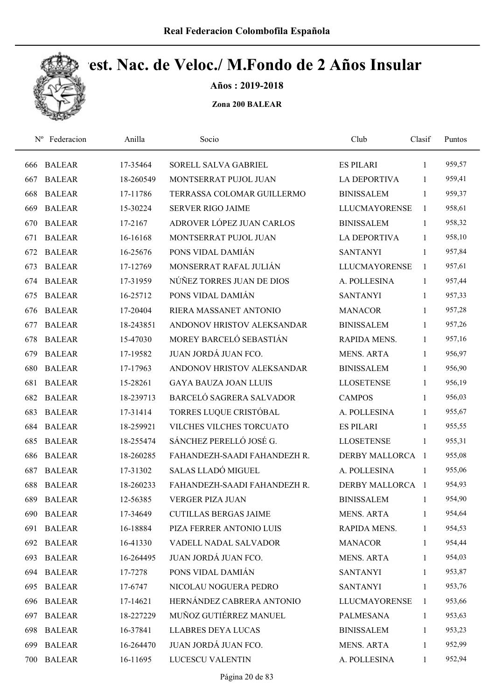

Años : 2019-2018

| $N^{\rm o}$ | Federacion    | Anilla    | Socio                        | Club                 | Clasif       | Puntos |
|-------------|---------------|-----------|------------------------------|----------------------|--------------|--------|
| 666         | <b>BALEAR</b> | 17-35464  | SORELL SALVA GABRIEL         | <b>ES PILARI</b>     | $\mathbf{1}$ | 959,57 |
| 667         | <b>BALEAR</b> | 18-260549 | MONTSERRAT PUJOL JUAN        | <b>LA DEPORTIVA</b>  | $\mathbf{1}$ | 959,41 |
| 668         | <b>BALEAR</b> | 17-11786  | TERRASSA COLOMAR GUILLERMO   | <b>BINISSALEM</b>    | $\mathbf{1}$ | 959,37 |
| 669         | <b>BALEAR</b> | 15-30224  | <b>SERVER RIGO JAIME</b>     | <b>LLUCMAYORENSE</b> | 1            | 958,61 |
| 670         | <b>BALEAR</b> | 17-2167   | ADROVER LÓPEZ JUAN CARLOS    | <b>BINISSALEM</b>    | $\mathbf{1}$ | 958,32 |
| 671         | <b>BALEAR</b> | 16-16168  | MONTSERRAT PUJOL JUAN        | LA DEPORTIVA         | $\mathbf{1}$ | 958,10 |
| 672         | <b>BALEAR</b> | 16-25676  | PONS VIDAL DAMIÁN            | <b>SANTANYI</b>      | $\mathbf{1}$ | 957,84 |
| 673         | <b>BALEAR</b> | 17-12769  | MONSERRAT RAFAL JULIÁN       | <b>LLUCMAYORENSE</b> | 1            | 957,61 |
| 674         | <b>BALEAR</b> | 17-31959  | NÚÑEZ TORRES JUAN DE DIOS    | A. POLLESINA         | $\mathbf{1}$ | 957,44 |
| 675         | <b>BALEAR</b> | 16-25712  | PONS VIDAL DAMIÁN            | <b>SANTANYI</b>      | $\mathbf{1}$ | 957,33 |
| 676         | <b>BALEAR</b> | 17-20404  | RIERA MASSANET ANTONIO       | <b>MANACOR</b>       | $\mathbf{1}$ | 957,28 |
| 677         | <b>BALEAR</b> | 18-243851 | ANDONOV HRISTOV ALEKSANDAR   | <b>BINISSALEM</b>    | $\mathbf{1}$ | 957,26 |
| 678         | <b>BALEAR</b> | 15-47030  | MOREY BARCELÓ SEBASTIÁN      | RAPIDA MENS.         | 1            | 957,16 |
| 679         | <b>BALEAR</b> | 17-19582  | JUAN JORDÁ JUAN FCO.         | <b>MENS. ARTA</b>    | $\mathbf{1}$ | 956,97 |
| 680         | <b>BALEAR</b> | 17-17963  | ANDONOV HRISTOV ALEKSANDAR   | <b>BINISSALEM</b>    | 1            | 956,90 |
| 681         | <b>BALEAR</b> | 15-28261  | <b>GAYA BAUZA JOAN LLUIS</b> | <b>LLOSETENSE</b>    | $\mathbf{1}$ | 956,19 |
| 682         | <b>BALEAR</b> | 18-239713 | BARCELÓ SAGRERA SALVADOR     | <b>CAMPOS</b>        | $\mathbf{1}$ | 956,03 |
| 683         | <b>BALEAR</b> | 17-31414  | TORRES LUQUE CRISTÓBAL       | A. POLLESINA         | $\mathbf{1}$ | 955,67 |
| 684         | <b>BALEAR</b> | 18-259921 | VILCHES VILCHES TORCUATO     | <b>ES PILARI</b>     | 1            | 955,55 |
| 685         | <b>BALEAR</b> | 18-255474 | SÁNCHEZ PERELLÓ JOSÉ G.      | <b>LLOSETENSE</b>    | 1            | 955,31 |
| 686         | <b>BALEAR</b> | 18-260285 | FAHANDEZH-SAADI FAHANDEZH R. | DERBY MALLORCA 1     |              | 955,08 |
| 687         | <b>BALEAR</b> | 17-31302  | SALAS LLADÓ MIGUEL           | A. POLLESINA         | -1           | 955,06 |
| 688         | <b>BALEAR</b> | 18-260233 | FAHANDEZH-SAADI FAHANDEZH R. | DERBY MALLORCA 1     |              | 954,93 |
| 689         | <b>BALEAR</b> | 12-56385  | <b>VERGER PIZA JUAN</b>      | <b>BINISSALEM</b>    | $\mathbf{1}$ | 954,90 |
| 690         | <b>BALEAR</b> | 17-34649  | <b>CUTILLAS BERGAS JAIME</b> | <b>MENS. ARTA</b>    | 1            | 954,64 |
| 691         | <b>BALEAR</b> | 16-18884  | PIZA FERRER ANTONIO LUIS     | RAPIDA MENS.         | $\mathbf{1}$ | 954,53 |
| 692         | <b>BALEAR</b> | 16-41330  | VADELL NADAL SALVADOR        | <b>MANACOR</b>       | 1            | 954,44 |
| 693         | <b>BALEAR</b> | 16-264495 | JUAN JORDÁ JUAN FCO.         | <b>MENS. ARTA</b>    | 1            | 954,03 |
| 694         | <b>BALEAR</b> | 17-7278   | PONS VIDAL DAMIÁN            | <b>SANTANYI</b>      | $\mathbf{1}$ | 953,87 |
| 695         | <b>BALEAR</b> | 17-6747   | NICOLAU NOGUERA PEDRO        | <b>SANTANYI</b>      | $\mathbf{1}$ | 953,76 |
| 696         | <b>BALEAR</b> | 17-14621  | HERNÁNDEZ CABRERA ANTONIO    | <b>LLUCMAYORENSE</b> | 1            | 953,66 |
| 697         | <b>BALEAR</b> | 18-227229 | MUÑOZ GUTIÉRREZ MANUEL       | PALMESANA            | $\mathbf{1}$ | 953,63 |
| 698         | <b>BALEAR</b> | 16-37841  | <b>LLABRES DEYA LUCAS</b>    | <b>BINISSALEM</b>    | $\mathbf{1}$ | 953,23 |
| 699         | <b>BALEAR</b> | 16-264470 | JUAN JORDÁ JUAN FCO.         | <b>MENS. ARTA</b>    | 1            | 952,99 |
| 700         | <b>BALEAR</b> | 16-11695  | LUCESCU VALENTIN             | A. POLLESINA         | $\mathbf{1}$ | 952,94 |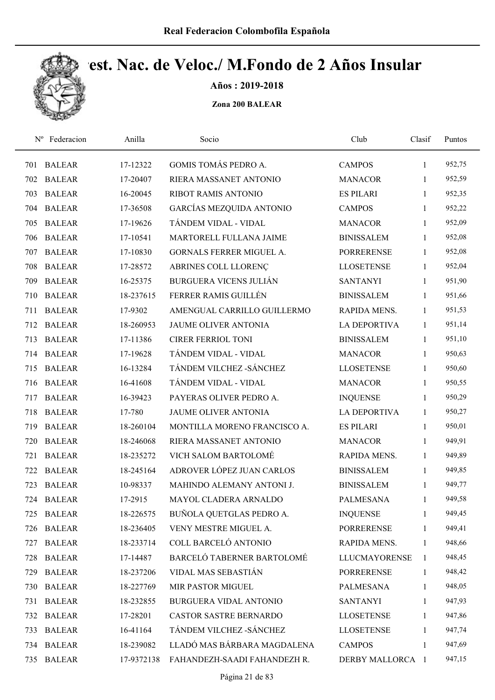

Años : 2019-2018

| $N^{\rm o}$ | Federacion    | Anilla     | Socio                         | Club                 | Clasif       | Puntos |
|-------------|---------------|------------|-------------------------------|----------------------|--------------|--------|
| 701         | <b>BALEAR</b> | 17-12322   | GOMIS TOMÁS PEDRO A.          | <b>CAMPOS</b>        | 1            | 952,75 |
| 702         | <b>BALEAR</b> | 17-20407   | RIERA MASSANET ANTONIO        | <b>MANACOR</b>       | 1            | 952,59 |
| 703         | <b>BALEAR</b> | 16-20045   | <b>RIBOT RAMIS ANTONIO</b>    | <b>ES PILARI</b>     | $\mathbf{1}$ | 952,35 |
| 704         | <b>BALEAR</b> | 17-36508   | GARCÍAS MEZQUIDA ANTONIO      | <b>CAMPOS</b>        | $\mathbf{1}$ | 952,22 |
| 705         | <b>BALEAR</b> | 17-19626   | TÁNDEM VIDAL - VIDAL          | <b>MANACOR</b>       | $\mathbf{1}$ | 952,09 |
| 706         | <b>BALEAR</b> | 17-10541   | MARTORELL FULLANA JAIME       | <b>BINISSALEM</b>    | $\mathbf{1}$ | 952,08 |
| 707         | <b>BALEAR</b> | 17-10830   | GORNALS FERRER MIGUEL A.      | <b>PORRERENSE</b>    | 1            | 952,08 |
| 708         | <b>BALEAR</b> | 17-28572   | ABRINES COLL LLORENÇ          | <b>LLOSETENSE</b>    | $\mathbf{1}$ | 952,04 |
| 709         | <b>BALEAR</b> | 16-25375   | <b>BURGUERA VICENS JULIÁN</b> | <b>SANTANYI</b>      | 1            | 951,90 |
| 710         | <b>BALEAR</b> | 18-237615  | FERRER RAMIS GUILLÉN          | <b>BINISSALEM</b>    | 1            | 951,66 |
| 711         | <b>BALEAR</b> | 17-9302    | AMENGUAL CARRILLO GUILLERMO   | <b>RAPIDA MENS.</b>  | 1            | 951,53 |
| 712         | <b>BALEAR</b> | 18-260953  | <b>JAUME OLIVER ANTONIA</b>   | <b>LA DEPORTIVA</b>  | 1            | 951,14 |
| 713         | <b>BALEAR</b> | 17-11386   | <b>CIRER FERRIOL TONI</b>     | <b>BINISSALEM</b>    | 1            | 951,10 |
| 714         | <b>BALEAR</b> | 17-19628   | TÁNDEM VIDAL - VIDAL          | <b>MANACOR</b>       | 1            | 950,63 |
| 715         | <b>BALEAR</b> | 16-13284   | TÁNDEM VILCHEZ - SÁNCHEZ      | <b>LLOSETENSE</b>    | 1            | 950,60 |
| 716         | <b>BALEAR</b> | 16-41608   | TÁNDEM VIDAL - VIDAL          | <b>MANACOR</b>       | 1            | 950,55 |
| 717         | <b>BALEAR</b> | 16-39423   | PAYERAS OLIVER PEDRO A.       | <b>INQUENSE</b>      | 1            | 950,29 |
| 718         | <b>BALEAR</b> | 17-780     | JAUME OLIVER ANTONIA          | <b>LA DEPORTIVA</b>  | $\mathbf{1}$ | 950,27 |
| 719         | <b>BALEAR</b> | 18-260104  | MONTILLA MORENO FRANCISCO A.  | <b>ES PILARI</b>     | 1            | 950,01 |
| 720         | <b>BALEAR</b> | 18-246068  | RIERA MASSANET ANTONIO        | <b>MANACOR</b>       | $\mathbf{1}$ | 949,91 |
| 721         | <b>BALEAR</b> | 18-235272  | VICH SALOM BARTOLOMÉ          | RAPIDA MENS.         | 1            | 949,89 |
| 722         | <b>BALEAR</b> | 18-245164  | ADROVER LÓPEZ JUAN CARLOS     | <b>BINISSALEM</b>    | 1            | 949,85 |
| 723         | <b>BALEAR</b> | 10-98337   | MAHINDO ALEMANY ANTONI J.     | <b>BINISSALEM</b>    | 1            | 949,77 |
|             | 724 BALEAR    | 17-2915    | MAYOL CLADERA ARNALDO         | <b>PALMESANA</b>     | 1            | 949,58 |
| 725         | <b>BALEAR</b> | 18-226575  | BUÑOLA QUETGLAS PEDRO A.      | <b>INQUENSE</b>      | 1            | 949,45 |
| 726         | <b>BALEAR</b> | 18-236405  | VENY MESTRE MIGUEL A.         | <b>PORRERENSE</b>    | 1            | 949,41 |
| 727         | <b>BALEAR</b> | 18-233714  | COLL BARCELÓ ANTONIO          | RAPIDA MENS.         | 1            | 948,66 |
| 728         | <b>BALEAR</b> | 17-14487   | BARCELÓ TABERNER BARTOLOMÉ    | <b>LLUCMAYORENSE</b> | 1            | 948,45 |
| 729         | <b>BALEAR</b> | 18-237206  | VIDAL MAS SEBASTIÁN           | <b>PORRERENSE</b>    | 1            | 948,42 |
| 730         | <b>BALEAR</b> | 18-227769  | MIR PASTOR MIGUEL             | PALMESANA            | $\mathbf{1}$ | 948,05 |
| 731         | <b>BALEAR</b> | 18-232855  | BURGUERA VIDAL ANTONIO        | <b>SANTANYI</b>      | 1            | 947,93 |
| 732         | <b>BALEAR</b> | 17-28201   | CASTOR SASTRE BERNARDO        | <b>LLOSETENSE</b>    | 1            | 947,86 |
| 733         | <b>BALEAR</b> | 16-41164   | TÁNDEM VILCHEZ - SÁNCHEZ      | <b>LLOSETENSE</b>    | 1            | 947,74 |
| 734         | <b>BALEAR</b> | 18-239082  | LLADÓ MAS BÁRBARA MAGDALENA   | <b>CAMPOS</b>        | 1            | 947,69 |
| 735         | <b>BALEAR</b> | 17-9372138 | FAHANDEZH-SAADI FAHANDEZH R.  | DERBY MALLORCA 1     |              | 947,15 |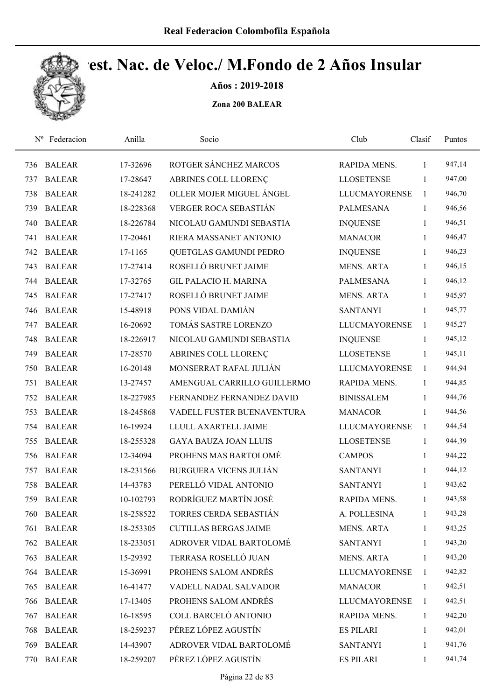

Años : 2019-2018

| $N^{\rm o}$ | Federacion    | Anilla    | Socio                         | Club                 | Clasif       | Puntos |
|-------------|---------------|-----------|-------------------------------|----------------------|--------------|--------|
| 736         | <b>BALEAR</b> | 17-32696  | ROTGER SÁNCHEZ MARCOS         | RAPIDA MENS.         | 1            | 947,14 |
| 737         | <b>BALEAR</b> | 17-28647  | ABRINES COLL LLORENÇ          | <b>LLOSETENSE</b>    | 1            | 947,00 |
| 738         | <b>BALEAR</b> | 18-241282 | OLLER MOJER MIGUEL ÁNGEL      | <b>LLUCMAYORENSE</b> | 1            | 946,70 |
| 739         | <b>BALEAR</b> | 18-228368 | VERGER ROCA SEBASTIÁN         | <b>PALMESANA</b>     | $\mathbf{1}$ | 946,56 |
| 740         | <b>BALEAR</b> | 18-226784 | NICOLAU GAMUNDI SEBASTIA      | <b>INQUENSE</b>      | $\mathbf{1}$ | 946,51 |
| 741         | <b>BALEAR</b> | 17-20461  | RIERA MASSANET ANTONIO        | <b>MANACOR</b>       | $\mathbf{1}$ | 946,47 |
| 742         | <b>BALEAR</b> | 17-1165   | QUETGLAS GAMUNDI PEDRO        | <b>INQUENSE</b>      | $\mathbf{1}$ | 946,23 |
| 743         | <b>BALEAR</b> | 17-27414  | ROSELLÓ BRUNET JAIME          | <b>MENS. ARTA</b>    | 1            | 946,15 |
| 744         | <b>BALEAR</b> | 17-32765  | <b>GIL PALACIO H. MARINA</b>  | <b>PALMESANA</b>     | 1            | 946,12 |
| 745         | <b>BALEAR</b> | 17-27417  | ROSELLÓ BRUNET JAIME          | <b>MENS. ARTA</b>    | 1            | 945,97 |
| 746         | <b>BALEAR</b> | 15-48918  | PONS VIDAL DAMIÁN             | <b>SANTANYI</b>      | 1            | 945,77 |
| 747         | <b>BALEAR</b> | 16-20692  | TOMÁS SASTRE LORENZO          | <b>LLUCMAYORENSE</b> | 1            | 945,27 |
| 748         | <b>BALEAR</b> | 18-226917 | NICOLAU GAMUNDI SEBASTIA      | <b>INQUENSE</b>      | 1            | 945,12 |
| 749         | <b>BALEAR</b> | 17-28570  | ABRINES COLL LLORENÇ          | <b>LLOSETENSE</b>    | 1            | 945,11 |
| 750         | <b>BALEAR</b> | 16-20148  | MONSERRAT RAFAL JULIÁN        | <b>LLUCMAYORENSE</b> | 1            | 944,94 |
| 751         | <b>BALEAR</b> | 13-27457  | AMENGUAL CARRILLO GUILLERMO   | RAPIDA MENS.         | 1            | 944,85 |
| 752         | <b>BALEAR</b> | 18-227985 | FERNANDEZ FERNANDEZ DAVID     | <b>BINISSALEM</b>    | $\mathbf{1}$ | 944,76 |
| 753         | <b>BALEAR</b> | 18-245868 | VADELL FUSTER BUENAVENTURA    | <b>MANACOR</b>       | $\mathbf{1}$ | 944,56 |
| 754         | <b>BALEAR</b> | 16-19924  | LLULL AXARTELL JAIME          | <b>LLUCMAYORENSE</b> | 1            | 944,54 |
| 755         | <b>BALEAR</b> | 18-255328 | <b>GAYA BAUZA JOAN LLUIS</b>  | <b>LLOSETENSE</b>    | 1            | 944,39 |
| 756         | <b>BALEAR</b> | 12-34094  | PROHENS MAS BARTOLOMÉ         | <b>CAMPOS</b>        | 1            | 944,22 |
| 757         | <b>BALEAR</b> | 18-231566 | <b>BURGUERA VICENS JULIÁN</b> | <b>SANTANYI</b>      | 1            | 944,12 |
| 758         | <b>BALEAR</b> | 14-43783  | PERELLÓ VIDAL ANTONIO         | <b>SANTANYI</b>      | 1            | 943,62 |
| 759         | <b>BALEAR</b> | 10-102793 | RODRÍGUEZ MARTÍN JOSÉ         | RAPIDA MENS.         | 1            | 943,58 |
| 760-        | <b>BALEAR</b> | 18-258522 | TORRES CERDA SEBASTIÁN        | A. POLLESINA         | 1            | 943,28 |
| 761         | <b>BALEAR</b> | 18-253305 | <b>CUTILLAS BERGAS JAIME</b>  | <b>MENS. ARTA</b>    | 1            | 943,25 |
| 762         | <b>BALEAR</b> | 18-233051 | ADROVER VIDAL BARTOLOMÉ       | <b>SANTANYI</b>      | 1            | 943,20 |
| 763         | <b>BALEAR</b> | 15-29392  | TERRASA ROSELLÓ JUAN          | <b>MENS. ARTA</b>    | 1            | 943,20 |
| 764         | <b>BALEAR</b> | 15-36991  | PROHENS SALOM ANDRÉS          | <b>LLUCMAYORENSE</b> | 1            | 942,82 |
| 765         | <b>BALEAR</b> | 16-41477  | VADELL NADAL SALVADOR         | <b>MANACOR</b>       | 1            | 942,51 |
| 766         | <b>BALEAR</b> | 17-13405  | PROHENS SALOM ANDRÉS          | <b>LLUCMAYORENSE</b> | 1            | 942,51 |
| 767         | <b>BALEAR</b> | 16-18595  | COLL BARCELÓ ANTONIO          | RAPIDA MENS.         | 1            | 942,20 |
| 768         | <b>BALEAR</b> | 18-259237 | PÉREZ LÓPEZ AGUSTÍN           | <b>ES PILARI</b>     | 1            | 942,01 |
| 769         | <b>BALEAR</b> | 14-43907  | ADROVER VIDAL BARTOLOMÉ       | <b>SANTANYI</b>      | 1            | 941,76 |
| 770         | <b>BALEAR</b> | 18-259207 | PÉREZ LÓPEZ AGUSTÍN           | <b>ES PILARI</b>     | 1            | 941,74 |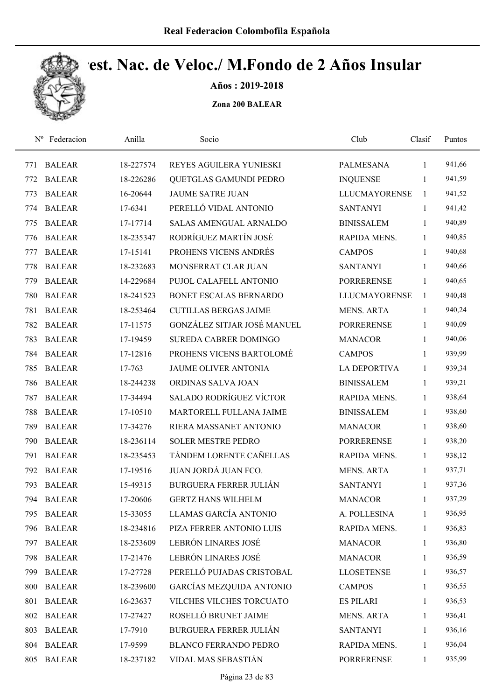

Años : 2019-2018

| $N^{\rm o}$ | Federacion    | Anilla    | Socio                           | Club                 | Clasif       | Puntos |
|-------------|---------------|-----------|---------------------------------|----------------------|--------------|--------|
| 771         | <b>BALEAR</b> | 18-227574 | REYES AGUILERA YUNIESKI         | PALMESANA            | $\mathbf{1}$ | 941,66 |
| 772         | <b>BALEAR</b> | 18-226286 | QUETGLAS GAMUNDI PEDRO          | <b>INQUENSE</b>      | 1            | 941,59 |
| 773         | <b>BALEAR</b> | 16-20644  | <b>JAUME SATRE JUAN</b>         | <b>LLUCMAYORENSE</b> | $\mathbf{1}$ | 941,52 |
| 774         | <b>BALEAR</b> | 17-6341   | PERELLÓ VIDAL ANTONIO           | <b>SANTANYI</b>      | $\mathbf{1}$ | 941,42 |
| 775         | <b>BALEAR</b> | 17-17714  | <b>SALAS AMENGUAL ARNALDO</b>   | <b>BINISSALEM</b>    | $\mathbf{1}$ | 940,89 |
| 776         | <b>BALEAR</b> | 18-235347 | RODRÍGUEZ MARTÍN JOSÉ           | RAPIDA MENS.         | $\mathbf{1}$ | 940,85 |
| 777         | <b>BALEAR</b> | 17-15141  | PROHENS VICENS ANDRÉS           | <b>CAMPOS</b>        | $\mathbf{1}$ | 940,68 |
| 778         | <b>BALEAR</b> | 18-232683 | MONSERRAT CLAR JUAN             | <b>SANTANYI</b>      | $\mathbf{1}$ | 940,66 |
| 779         | <b>BALEAR</b> | 14-229684 | PUJOL CALAFELL ANTONIO          | <b>PORRERENSE</b>    | 1            | 940,65 |
| 780         | <b>BALEAR</b> | 18-241523 | <b>BONET ESCALAS BERNARDO</b>   | <b>LLUCMAYORENSE</b> | $\mathbf{1}$ | 940,48 |
| 781         | <b>BALEAR</b> | 18-253464 | <b>CUTILLAS BERGAS JAIME</b>    | <b>MENS. ARTA</b>    | 1            | 940,24 |
| 782         | <b>BALEAR</b> | 17-11575  | GONZÁLEZ SITJAR JOSÉ MANUEL     | <b>PORRERENSE</b>    | $\mathbf{1}$ | 940,09 |
| 783         | <b>BALEAR</b> | 17-19459  | <b>SUREDA CABRER DOMINGO</b>    | <b>MANACOR</b>       | 1            | 940,06 |
| 784         | <b>BALEAR</b> | 17-12816  | PROHENS VICENS BARTOLOMÉ        | <b>CAMPOS</b>        | $\mathbf{1}$ | 939,99 |
| 785         | <b>BALEAR</b> | 17-763    | <b>JAUME OLIVER ANTONIA</b>     | <b>LA DEPORTIVA</b>  | 1            | 939,34 |
| 786         | <b>BALEAR</b> | 18-244238 | ORDINAS SALVA JOAN              | <b>BINISSALEM</b>    | $\mathbf{1}$ | 939,21 |
| 787         | <b>BALEAR</b> | 17-34494  | <b>SALADO RODRÍGUEZ VÍCTOR</b>  | RAPIDA MENS.         | 1            | 938,64 |
| 788         | <b>BALEAR</b> | 17-10510  | MARTORELL FULLANA JAIME         | <b>BINISSALEM</b>    | $\mathbf{1}$ | 938,60 |
| 789         | <b>BALEAR</b> | 17-34276  | RIERA MASSANET ANTONIO          | <b>MANACOR</b>       | $\mathbf{1}$ | 938,60 |
| 790         | <b>BALEAR</b> | 18-236114 | <b>SOLER MESTRE PEDRO</b>       | <b>PORRERENSE</b>    | $\mathbf{1}$ | 938,20 |
| 791         | <b>BALEAR</b> | 18-235453 | TÁNDEM LORENTE CAÑELLAS         | RAPIDA MENS.         | $\mathbf{1}$ | 938,12 |
| 792         | <b>BALEAR</b> | 17-19516  | JUAN JORDÁ JUAN FCO.            | <b>MENS. ARTA</b>    | 1            | 937,71 |
| 793         | <b>BALEAR</b> | 15-49315  | <b>BURGUERA FERRER JULIÁN</b>   | <b>SANTANYI</b>      | 1            | 937,36 |
| 794         | <b>BALEAR</b> | 17-20606  | <b>GERTZ HANS WILHELM</b>       | <b>MANACOR</b>       | $\mathbf{1}$ | 937,29 |
| 795         | <b>BALEAR</b> | 15-33055  | LLAMAS GARCÍA ANTONIO           | A. POLLESINA         | 1            | 936,95 |
| 796         | <b>BALEAR</b> | 18-234816 | PIZA FERRER ANTONIO LUIS        | RAPIDA MENS.         | $\mathbf{1}$ | 936,83 |
| 797         | <b>BALEAR</b> | 18-253609 | LEBRÓN LINARES JOSÉ             | <b>MANACOR</b>       | 1            | 936,80 |
| 798         | <b>BALEAR</b> | 17-21476  | LEBRÓN LINARES JOSÉ             | <b>MANACOR</b>       | $\mathbf{1}$ | 936,59 |
| 799         | <b>BALEAR</b> | 17-27728  | PERELLÓ PUJADAS CRISTOBAL       | <b>LLOSETENSE</b>    | $\mathbf{1}$ | 936,57 |
| 800         | <b>BALEAR</b> | 18-239600 | <b>GARCÍAS MEZQUIDA ANTONIO</b> | <b>CAMPOS</b>        | $\mathbf{1}$ | 936,55 |
| 801         | <b>BALEAR</b> | 16-23637  | VILCHES VILCHES TORCUATO        | <b>ES PILARI</b>     | $\mathbf{1}$ | 936,53 |
| 802         | <b>BALEAR</b> | 17-27427  | ROSELLÓ BRUNET JAIME            | <b>MENS. ARTA</b>    | 1            | 936,41 |
| 803         | <b>BALEAR</b> | 17-7910   | <b>BURGUERA FERRER JULIÁN</b>   | <b>SANTANYI</b>      | 1            | 936,16 |
| 804         | <b>BALEAR</b> | 17-9599   | <b>BLANCO FERRANDO PEDRO</b>    | RAPIDA MENS.         | 1            | 936,04 |
| 805         | <b>BALEAR</b> | 18-237182 | VIDAL MAS SEBASTIÁN             | PORRERENSE           | 1            | 935,99 |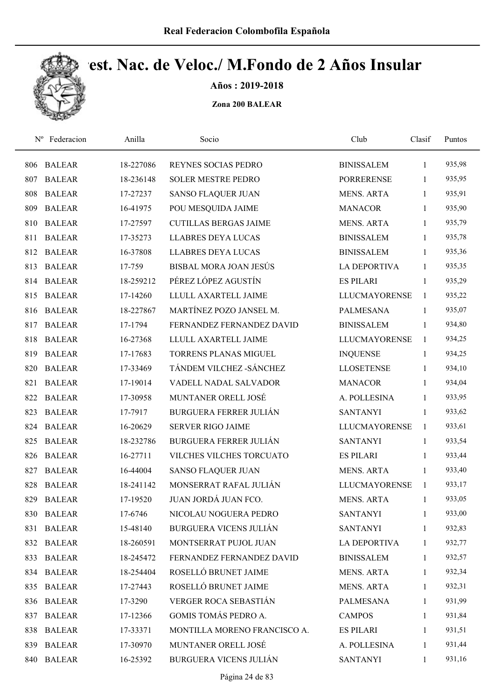

Años : 2019-2018

| $N^{\rm o}$ | Federacion    | Anilla    | Socio                         | Club                 | Clasif       | Puntos |  |
|-------------|---------------|-----------|-------------------------------|----------------------|--------------|--------|--|
| 806         | <b>BALEAR</b> | 18-227086 | REYNES SOCIAS PEDRO           | <b>BINISSALEM</b>    | 1            | 935,98 |  |
| 807         | <b>BALEAR</b> | 18-236148 | <b>SOLER MESTRE PEDRO</b>     | <b>PORRERENSE</b>    | 1            | 935,95 |  |
| 808         | <b>BALEAR</b> | 17-27237  | <b>SANSO FLAQUER JUAN</b>     | <b>MENS. ARTA</b>    | $\mathbf{1}$ | 935,91 |  |
| 809         | <b>BALEAR</b> | 16-41975  | POU MESQUIDA JAIME            | <b>MANACOR</b>       | $\mathbf{1}$ | 935,90 |  |
| 810         | <b>BALEAR</b> | 17-27597  | <b>CUTILLAS BERGAS JAIME</b>  | <b>MENS. ARTA</b>    | $\mathbf{1}$ | 935,79 |  |
| 811         | <b>BALEAR</b> | 17-35273  | <b>LLABRES DEYA LUCAS</b>     | <b>BINISSALEM</b>    | $\mathbf{1}$ | 935,78 |  |
| 812         | <b>BALEAR</b> | 16-37808  | <b>LLABRES DEYA LUCAS</b>     | <b>BINISSALEM</b>    | 1            | 935,36 |  |
| 813         | <b>BALEAR</b> | 17-759    | BISBAL MORA JOAN JESÚS        | <b>LA DEPORTIVA</b>  | $\mathbf{1}$ | 935,35 |  |
| 814         | <b>BALEAR</b> | 18-259212 | PÉREZ LÓPEZ AGUSTÍN           | <b>ES PILARI</b>     | $\mathbf{1}$ | 935,29 |  |
| 815         | <b>BALEAR</b> | 17-14260  | LLULL AXARTELL JAIME          | <b>LLUCMAYORENSE</b> | 1            | 935,22 |  |
| 816         | <b>BALEAR</b> | 18-227867 | MARTÍNEZ POZO JANSEL M.       | <b>PALMESANA</b>     | 1            | 935,07 |  |
| 817         | <b>BALEAR</b> | 17-1794   | FERNANDEZ FERNANDEZ DAVID     | <b>BINISSALEM</b>    | 1            | 934,80 |  |
| 818         | <b>BALEAR</b> | 16-27368  | LLULL AXARTELL JAIME          | <b>LLUCMAYORENSE</b> | 1            | 934,25 |  |
| 819         | <b>BALEAR</b> | 17-17683  | <b>TORRENS PLANAS MIGUEL</b>  | <b>INQUENSE</b>      | $\mathbf{1}$ | 934,25 |  |
| 820         | <b>BALEAR</b> | 17-33469  | TÁNDEM VILCHEZ - SÁNCHEZ      | <b>LLOSETENSE</b>    | $\mathbf{1}$ | 934,10 |  |
| 821         | <b>BALEAR</b> | 17-19014  | VADELL NADAL SALVADOR         | <b>MANACOR</b>       | 1            | 934,04 |  |
| 822         | <b>BALEAR</b> | 17-30958  | MUNTANER ORELL JOSÉ           | A. POLLESINA         | $\mathbf{1}$ | 933,95 |  |
| 823         | <b>BALEAR</b> | 17-7917   | <b>BURGUERA FERRER JULIÁN</b> | <b>SANTANYI</b>      | $\mathbf{1}$ | 933,62 |  |
| 824         | <b>BALEAR</b> | 16-20629  | <b>SERVER RIGO JAIME</b>      | <b>LLUCMAYORENSE</b> | 1            | 933,61 |  |
| 825         | <b>BALEAR</b> | 18-232786 | <b>BURGUERA FERRER JULIÁN</b> | <b>SANTANYI</b>      | $\mathbf{1}$ | 933,54 |  |
| 826         | <b>BALEAR</b> | 16-27711  | VILCHES VILCHES TORCUATO      | <b>ES PILARI</b>     | 1            | 933,44 |  |
| 827         | <b>BALEAR</b> | 16-44004  | <b>SANSO FLAQUER JUAN</b>     | <b>MENS. ARTA</b>    | 1            | 933,40 |  |
| 828         | <b>BALEAR</b> | 18-241142 | MONSERRAT RAFAL JULIÁN        | <b>LLUCMAYORENSE</b> | 1            | 933,17 |  |
| 829         | <b>BALEAR</b> | 17-19520  | JUAN JORDÁ JUAN FCO.          | <b>MENS. ARTA</b>    | $\mathbf{1}$ | 933,05 |  |
| 830         | <b>BALEAR</b> | 17-6746   | NICOLAU NOGUERA PEDRO         | <b>SANTANYI</b>      | 1            | 933,00 |  |
| 831         | <b>BALEAR</b> | 15-48140  | BURGUERA VICENS JULIÁN        | <b>SANTANYI</b>      | $\mathbf{1}$ | 932,83 |  |
|             | 832 BALEAR    | 18-260591 | MONTSERRAT PUJOL JUAN         | <b>LA DEPORTIVA</b>  | 1            | 932,77 |  |
| 833         | <b>BALEAR</b> | 18-245472 | FERNANDEZ FERNANDEZ DAVID     | <b>BINISSALEM</b>    | $\mathbf{1}$ | 932,57 |  |
|             | 834 BALEAR    | 18-254404 | ROSELLÓ BRUNET JAIME          | MENS. ARTA           | 1            | 932,34 |  |
| 835         | <b>BALEAR</b> | 17-27443  | ROSELLÓ BRUNET JAIME          | <b>MENS. ARTA</b>    | $\mathbf{1}$ | 932,31 |  |
| 836         | <b>BALEAR</b> | 17-3290   | VERGER ROCA SEBASTIÁN         | PALMESANA            | $\mathbf{1}$ | 931,99 |  |
| 837         | <b>BALEAR</b> | 17-12366  | <b>GOMIS TOMÁS PEDRO A.</b>   | <b>CAMPOS</b>        | 1            | 931,84 |  |
| 838         | <b>BALEAR</b> | 17-33371  | MONTILLA MORENO FRANCISCO A.  | <b>ES PILARI</b>     | 1            | 931,51 |  |
| 839         | <b>BALEAR</b> | 17-30970  | MUNTANER ORELL JOSÉ           | A. POLLESINA         | 1            | 931,44 |  |
| 840         | <b>BALEAR</b> | 16-25392  | <b>BURGUERA VICENS JULIÁN</b> | <b>SANTANYI</b>      | $\mathbf{1}$ | 931,16 |  |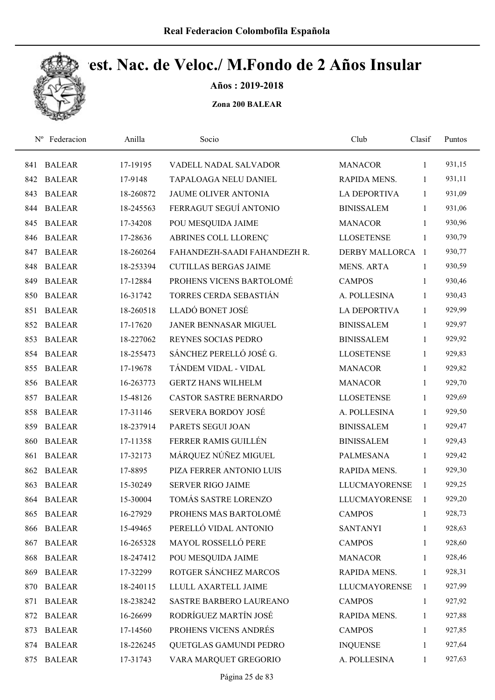

Años : 2019-2018

| $N^{\rm o}$ | Federacion    | Anilla    | Socio                         | Club                 | Clasif       | Puntos |
|-------------|---------------|-----------|-------------------------------|----------------------|--------------|--------|
| 841         | <b>BALEAR</b> | 17-19195  | VADELL NADAL SALVADOR         | <b>MANACOR</b>       | 1            | 931,15 |
| 842         | <b>BALEAR</b> | 17-9148   | TAPALOAGA NELU DANIEL         | RAPIDA MENS.         | 1            | 931,11 |
| 843         | <b>BALEAR</b> | 18-260872 | JAUME OLIVER ANTONIA          | <b>LA DEPORTIVA</b>  | 1            | 931,09 |
| 844         | <b>BALEAR</b> | 18-245563 | FERRAGUT SEGUÍ ANTONIO        | <b>BINISSALEM</b>    | $\mathbf{1}$ | 931,06 |
| 845         | <b>BALEAR</b> | 17-34208  | POU MESQUIDA JAIME            | <b>MANACOR</b>       | $\mathbf{1}$ | 930,96 |
| 846         | <b>BALEAR</b> | 17-28636  | ABRINES COLL LLORENÇ          | <b>LLOSETENSE</b>    | 1            | 930,79 |
| 847         | <b>BALEAR</b> | 18-260264 | FAHANDEZH-SAADI FAHANDEZH R.  | DERBY MALLORCA 1     |              | 930,77 |
| 848         | <b>BALEAR</b> | 18-253394 | <b>CUTILLAS BERGAS JAIME</b>  | <b>MENS. ARTA</b>    | $\mathbf{1}$ | 930,59 |
| 849         | <b>BALEAR</b> | 17-12884  | PROHENS VICENS BARTOLOMÉ      | <b>CAMPOS</b>        | 1            | 930,46 |
| 850         | <b>BALEAR</b> | 16-31742  | TORRES CERDA SEBASTIÁN        | A. POLLESINA         | 1            | 930,43 |
| 851         | <b>BALEAR</b> | 18-260518 | LLADÓ BONET JOSÉ              | <b>LA DEPORTIVA</b>  | $\mathbf{1}$ | 929,99 |
| 852         | <b>BALEAR</b> | 17-17620  | <b>JANER BENNASAR MIGUEL</b>  | <b>BINISSALEM</b>    | 1            | 929,97 |
| 853         | <b>BALEAR</b> | 18-227062 | REYNES SOCIAS PEDRO           | <b>BINISSALEM</b>    | 1            | 929,92 |
| 854         | <b>BALEAR</b> | 18-255473 | SÁNCHEZ PERELLÓ JOSÉ G.       | <b>LLOSETENSE</b>    | 1            | 929,83 |
| 855         | <b>BALEAR</b> | 17-19678  | TÁNDEM VIDAL - VIDAL          | <b>MANACOR</b>       | 1            | 929,82 |
| 856         | <b>BALEAR</b> | 16-263773 | <b>GERTZ HANS WILHELM</b>     | <b>MANACOR</b>       | 1            | 929,70 |
| 857         | <b>BALEAR</b> | 15-48126  | <b>CASTOR SASTRE BERNARDO</b> | <b>LLOSETENSE</b>    | $\mathbf{1}$ | 929,69 |
| 858         | <b>BALEAR</b> | 17-31146  | <b>SERVERA BORDOY JOSÉ</b>    | A. POLLESINA         | 1            | 929,50 |
| 859         | <b>BALEAR</b> | 18-237914 | PARETS SEGUI JOAN             | <b>BINISSALEM</b>    | $\mathbf{1}$ | 929,47 |
| 860         | <b>BALEAR</b> | 17-11358  | FERRER RAMIS GUILLÉN          | <b>BINISSALEM</b>    | $\mathbf{1}$ | 929,43 |
| 861         | <b>BALEAR</b> | 17-32173  | MÁRQUEZ NÚÑEZ MIGUEL          | PALMESANA            | 1            | 929,42 |
| 862         | <b>BALEAR</b> | 17-8895   | PIZA FERRER ANTONIO LUIS      | RAPIDA MENS.         | 1            | 929,30 |
| 863         | <b>BALEAR</b> | 15-30249  | <b>SERVER RIGO JAIME</b>      | <b>LLUCMAYORENSE</b> | 1            | 929,25 |
| 864         | <b>BALEAR</b> | 15-30004  | TOMÁS SASTRE LORENZO          | <b>LLUCMAYORENSE</b> | 1            | 929,20 |
| 865         | <b>BALEAR</b> | 16-27929  | PROHENS MAS BARTOLOMÉ         | <b>CAMPOS</b>        | 1            | 928,73 |
| 866         | <b>BALEAR</b> | 15-49465  | PERELLÓ VIDAL ANTONIO         | <b>SANTANYI</b>      | 1            | 928,63 |
| 867         | <b>BALEAR</b> | 16-265328 | MAYOL ROSSELLÓ PERE           | <b>CAMPOS</b>        | 1            | 928,60 |
| 868         | <b>BALEAR</b> | 18-247412 | POU MESQUIDA JAIME            | <b>MANACOR</b>       | 1            | 928,46 |
| 869         | <b>BALEAR</b> | 17-32299  | ROTGER SÁNCHEZ MARCOS         | RAPIDA MENS.         | 1            | 928,31 |
| 870         | <b>BALEAR</b> | 18-240115 | LLULL AXARTELL JAIME          | <b>LLUCMAYORENSE</b> | 1            | 927,99 |
| 871         | <b>BALEAR</b> | 18-238242 | SASTRE BARBERO LAUREANO       | <b>CAMPOS</b>        | $\mathbf{1}$ | 927,92 |
| 872         | <b>BALEAR</b> | 16-26699  | RODRÍGUEZ MARTÍN JOSÉ         | RAPIDA MENS.         | 1            | 927,88 |
| 873         | <b>BALEAR</b> | 17-14560  | PROHENS VICENS ANDRÉS         | <b>CAMPOS</b>        | 1            | 927,85 |
| 874         | <b>BALEAR</b> | 18-226245 | QUETGLAS GAMUNDI PEDRO        | <b>INQUENSE</b>      | 1            | 927,64 |
| 875         | <b>BALEAR</b> | 17-31743  | VARA MARQUET GREGORIO         | A. POLLESINA         | 1            | 927,63 |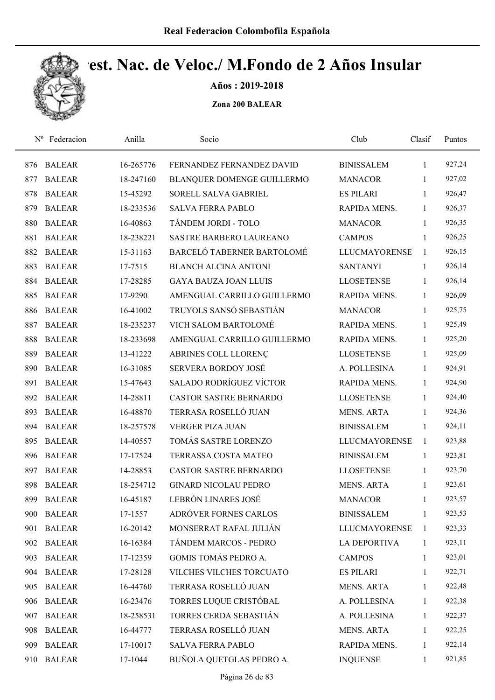

Años : 2019-2018

| $N^{\rm o}$ | Federacion    | Anilla    | Socio                          | Club                 | Clasif       | Puntos |
|-------------|---------------|-----------|--------------------------------|----------------------|--------------|--------|
| 876         | <b>BALEAR</b> | 16-265776 | FERNANDEZ FERNANDEZ DAVID      | <b>BINISSALEM</b>    | 1            | 927,24 |
| 877         | <b>BALEAR</b> | 18-247160 | BLANQUER DOMENGE GUILLERMO     | <b>MANACOR</b>       | 1            | 927,02 |
| 878         | <b>BALEAR</b> | 15-45292  | SORELL SALVA GABRIEL           | <b>ES PILARI</b>     | $\mathbf{1}$ | 926,47 |
| 879         | <b>BALEAR</b> | 18-233536 | <b>SALVA FERRA PABLO</b>       | RAPIDA MENS.         | $\mathbf{1}$ | 926,37 |
| 880         | <b>BALEAR</b> | 16-40863  | TÁNDEM JORDI - TOLO            | <b>MANACOR</b>       | $\mathbf{1}$ | 926,35 |
| 881         | <b>BALEAR</b> | 18-238221 | SASTRE BARBERO LAUREANO        | <b>CAMPOS</b>        | $\mathbf{1}$ | 926,25 |
| 882         | <b>BALEAR</b> | 15-31163  | BARCELÓ TABERNER BARTOLOMÉ     | <b>LLUCMAYORENSE</b> | 1            | 926,15 |
| 883         | <b>BALEAR</b> | 17-7515   | <b>BLANCH ALCINA ANTONI</b>    | <b>SANTANYI</b>      | $\mathbf{1}$ | 926,14 |
| 884         | <b>BALEAR</b> | 17-28285  | <b>GAYA BAUZA JOAN LLUIS</b>   | <b>LLOSETENSE</b>    | $\mathbf{1}$ | 926,14 |
| 885         | <b>BALEAR</b> | 17-9290   | AMENGUAL CARRILLO GUILLERMO    | RAPIDA MENS.         | $\mathbf{1}$ | 926,09 |
| 886         | <b>BALEAR</b> | 16-41002  | TRUYOLS SANSÓ SEBASTIÁN        | <b>MANACOR</b>       | 1            | 925,75 |
| 887         | <b>BALEAR</b> | 18-235237 | VICH SALOM BARTOLOMÉ           | <b>RAPIDA MENS.</b>  | $\mathbf{1}$ | 925,49 |
| 888         | <b>BALEAR</b> | 18-233698 | AMENGUAL CARRILLO GUILLERMO    | RAPIDA MENS.         | 1            | 925,20 |
| 889         | <b>BALEAR</b> | 13-41222  | ABRINES COLL LLORENÇ           | <b>LLOSETENSE</b>    | 1            | 925,09 |
| 890         | <b>BALEAR</b> | 16-31085  | <b>SERVERA BORDOY JOSÉ</b>     | A. POLLESINA         | $\mathbf{1}$ | 924,91 |
| 891         | <b>BALEAR</b> | 15-47643  | <b>SALADO RODRÍGUEZ VÍCTOR</b> | RAPIDA MENS.         | $\mathbf{1}$ | 924,90 |
| 892         | <b>BALEAR</b> | 14-28811  | <b>CASTOR SASTRE BERNARDO</b>  | <b>LLOSETENSE</b>    | $\mathbf{1}$ | 924,40 |
| 893         | <b>BALEAR</b> | 16-48870  | TERRASA ROSELLÓ JUAN           | <b>MENS. ARTA</b>    | $\mathbf{1}$ | 924,36 |
| 894         | <b>BALEAR</b> | 18-257578 | <b>VERGER PIZA JUAN</b>        | <b>BINISSALEM</b>    | $\mathbf{1}$ | 924,11 |
| 895         | <b>BALEAR</b> | 14-40557  | TOMÁS SASTRE LORENZO           | <b>LLUCMAYORENSE</b> | 1            | 923,88 |
| 896         | <b>BALEAR</b> | 17-17524  | TERRASSA COSTA MATEO           | <b>BINISSALEM</b>    | 1            | 923,81 |
| 897         | <b>BALEAR</b> | 14-28853  | <b>CASTOR SASTRE BERNARDO</b>  | <b>LLOSETENSE</b>    | $\mathbf{1}$ | 923,70 |
| 898         | <b>BALEAR</b> | 18-254712 | <b>GINARD NICOLAU PEDRO</b>    | <b>MENS. ARTA</b>    | 1            | 923,61 |
| 899         | <b>BALEAR</b> | 16-45187  | LEBRÓN LINARES JOSÉ            | <b>MANACOR</b>       | $\mathbf{1}$ | 923,57 |
| 900         | <b>BALEAR</b> | 17-1557   | ADRÓVER FORNES CARLOS          | <b>BINISSALEM</b>    | $\mathbf{1}$ | 923,53 |
| 901         | <b>BALEAR</b> | 16-20142  | MONSERRAT RAFAL JULIÁN         | <b>LLUCMAYORENSE</b> | 1            | 923,33 |
| 902         | <b>BALEAR</b> | 16-16384  | TÁNDEM MARCOS - PEDRO          | <b>LA DEPORTIVA</b>  | 1            | 923,11 |
| 903         | <b>BALEAR</b> | 17-12359  | GOMIS TOMÁS PEDRO A.           | <b>CAMPOS</b>        | 1            | 923,01 |
| 904         | <b>BALEAR</b> | 17-28128  | VILCHES VILCHES TORCUATO       | <b>ES PILARI</b>     | 1            | 922,71 |
| 905         | <b>BALEAR</b> | 16-44760  | TERRASA ROSELLÓ JUAN           | <b>MENS. ARTA</b>    | $\mathbf{1}$ | 922,48 |
| 906         | <b>BALEAR</b> | 16-23476  | TORRES LUQUE CRISTÓBAL         | A. POLLESINA         | $\mathbf{1}$ | 922,38 |
| 907         | <b>BALEAR</b> | 18-258531 | TORRES CERDA SEBASTIÁN         | A. POLLESINA         | 1            | 922,37 |
| 908         | <b>BALEAR</b> | 16-44777  | TERRASA ROSELLÓ JUAN           | <b>MENS. ARTA</b>    | $\mathbf{1}$ | 922,25 |
| 909         | <b>BALEAR</b> | 17-10017  | <b>SALVA FERRA PABLO</b>       | RAPIDA MENS.         | $\mathbf{1}$ | 922,14 |
| 910         | <b>BALEAR</b> | 17-1044   | BUÑOLA QUETGLAS PEDRO A.       | <b>INQUENSE</b>      | 1            | 921,85 |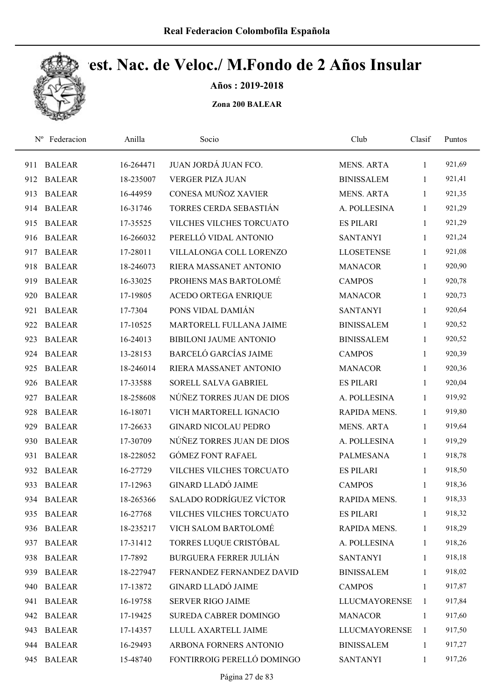

Años : 2019-2018

| $N^{\rm o}$ | Federacion    | Anilla    | Socio                         | Club                 | Clasif       | Puntos |
|-------------|---------------|-----------|-------------------------------|----------------------|--------------|--------|
| 911         | <b>BALEAR</b> | 16-264471 | JUAN JORDÁ JUAN FCO.          | <b>MENS. ARTA</b>    | 1            | 921,69 |
| 912         | <b>BALEAR</b> | 18-235007 | <b>VERGER PIZA JUAN</b>       | <b>BINISSALEM</b>    | 1            | 921,41 |
| 913         | <b>BALEAR</b> | 16-44959  | CONESA MUÑOZ XAVIER           | <b>MENS. ARTA</b>    | 1            | 921,35 |
| 914         | <b>BALEAR</b> | 16-31746  | TORRES CERDA SEBASTIÁN        | A. POLLESINA         | 1            | 921,29 |
| 915         | <b>BALEAR</b> | 17-35525  | VILCHES VILCHES TORCUATO      | <b>ES PILARI</b>     | $\mathbf{1}$ | 921,29 |
| 916         | <b>BALEAR</b> | 16-266032 | PERELLÓ VIDAL ANTONIO         | <b>SANTANYI</b>      | $\mathbf{1}$ | 921,24 |
| 917         | <b>BALEAR</b> | 17-28011  | VILLALONGA COLL LORENZO       | <b>LLOSETENSE</b>    | $\mathbf{1}$ | 921,08 |
| 918         | <b>BALEAR</b> | 18-246073 | RIERA MASSANET ANTONIO        | <b>MANACOR</b>       | 1            | 920,90 |
| 919         | <b>BALEAR</b> | 16-33025  | PROHENS MAS BARTOLOMÉ         | <b>CAMPOS</b>        | 1            | 920,78 |
| 920         | <b>BALEAR</b> | 17-19805  | <b>ACEDO ORTEGA ENRIQUE</b>   | <b>MANACOR</b>       | 1            | 920,73 |
| 921         | <b>BALEAR</b> | 17-7304   | PONS VIDAL DAMIÁN             | <b>SANTANYI</b>      | $\mathbf{1}$ | 920,64 |
| 922         | <b>BALEAR</b> | 17-10525  | MARTORELL FULLANA JAIME       | <b>BINISSALEM</b>    | 1            | 920,52 |
| 923         | <b>BALEAR</b> | 16-24013  | <b>BIBILONI JAUME ANTONIO</b> | <b>BINISSALEM</b>    | 1            | 920,52 |
| 924         | <b>BALEAR</b> | 13-28153  | <b>BARCELÓ GARCÍAS JAIME</b>  | <b>CAMPOS</b>        | 1            | 920,39 |
| 925         | <b>BALEAR</b> | 18-246014 | RIERA MASSANET ANTONIO        | <b>MANACOR</b>       | 1            | 920,36 |
| 926         | <b>BALEAR</b> | 17-33588  | SORELL SALVA GABRIEL          | <b>ES PILARI</b>     | 1            | 920,04 |
| 927         | <b>BALEAR</b> | 18-258608 | NÚÑEZ TORRES JUAN DE DIOS     | A. POLLESINA         | $\mathbf{1}$ | 919,92 |
| 928         | <b>BALEAR</b> | 16-18071  | VICH MARTORELL IGNACIO        | RAPIDA MENS.         | 1            | 919,80 |
| 929         | <b>BALEAR</b> | 17-26633  | <b>GINARD NICOLAU PEDRO</b>   | <b>MENS. ARTA</b>    | 1            | 919,64 |
| 930         | <b>BALEAR</b> | 17-30709  | NÚÑEZ TORRES JUAN DE DIOS     | A. POLLESINA         | $\mathbf{1}$ | 919,29 |
| 931         | <b>BALEAR</b> | 18-228052 | <b>GÓMEZ FONT RAFAEL</b>      | <b>PALMESANA</b>     | $\mathbf{1}$ | 918,78 |
| 932         | <b>BALEAR</b> | 16-27729  | VILCHES VILCHES TORCUATO      | <b>ES PILARI</b>     | 1            | 918,50 |
| 933         | <b>BALEAR</b> | 17-12963  | <b>GINARD LLADÓ JAIME</b>     | <b>CAMPOS</b>        | 1            | 918,36 |
| 934         | <b>BALEAR</b> | 18-265366 | SALADO RODRÍGUEZ VÍCTOR       | RAPIDA MENS.         | $\mathbf{1}$ | 918,33 |
| 935         | <b>BALEAR</b> | 16-27768  | VILCHES VILCHES TORCUATO      | <b>ES PILARI</b>     | 1            | 918,32 |
| 936         | <b>BALEAR</b> | 18-235217 | VICH SALOM BARTOLOMÉ          | RAPIDA MENS.         | 1            | 918,29 |
| 937         | <b>BALEAR</b> | 17-31412  | TORRES LUQUE CRISTÓBAL        | A. POLLESINA         | 1            | 918,26 |
| 938         | <b>BALEAR</b> | 17-7892   | <b>BURGUERA FERRER JULIÁN</b> | <b>SANTANYI</b>      | 1            | 918,18 |
| 939         | <b>BALEAR</b> | 18-227947 | FERNANDEZ FERNANDEZ DAVID     | <b>BINISSALEM</b>    | 1            | 918,02 |
| 940         | <b>BALEAR</b> | 17-13872  | <b>GINARD LLADÓ JAIME</b>     | <b>CAMPOS</b>        | $\mathbf{1}$ | 917,87 |
| 941         | <b>BALEAR</b> | 16-19758  | <b>SERVER RIGO JAIME</b>      | <b>LLUCMAYORENSE</b> | 1            | 917,84 |
| 942         | <b>BALEAR</b> | 17-19425  | SUREDA CABRER DOMINGO         | <b>MANACOR</b>       | 1            | 917,60 |
| 943         | <b>BALEAR</b> | 17-14357  | LLULL AXARTELL JAIME          | <b>LLUCMAYORENSE</b> | 1            | 917,50 |
|             | 944 BALEAR    | 16-29493  | ARBONA FORNERS ANTONIO        | <b>BINISSALEM</b>    | 1            | 917,27 |
| 945         | <b>BALEAR</b> | 15-48740  | FONTIRROIG PERELLÓ DOMINGO    | <b>SANTANYI</b>      | $\mathbf{1}$ | 917,26 |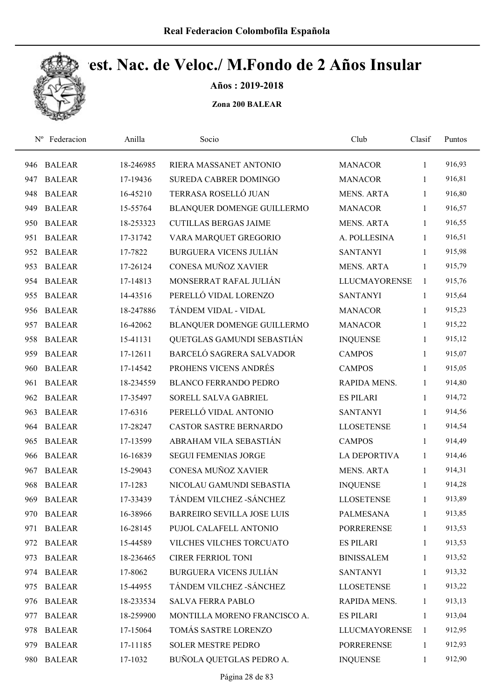

Años : 2019-2018

| $N^{\rm o}$ | Federacion    | Anilla    | Socio                             | Club                 | Clasif       | Puntos |
|-------------|---------------|-----------|-----------------------------------|----------------------|--------------|--------|
| 946         | <b>BALEAR</b> | 18-246985 | RIERA MASSANET ANTONIO            | <b>MANACOR</b>       | 1            | 916,93 |
| 947         | <b>BALEAR</b> | 17-19436  | SUREDA CABRER DOMINGO             | <b>MANACOR</b>       | 1            | 916,81 |
| 948         | <b>BALEAR</b> | 16-45210  | TERRASA ROSELLÓ JUAN              | <b>MENS. ARTA</b>    | 1            | 916,80 |
| 949         | <b>BALEAR</b> | 15-55764  | BLANQUER DOMENGE GUILLERMO        | <b>MANACOR</b>       | $\mathbf{1}$ | 916,57 |
| 950         | <b>BALEAR</b> | 18-253323 | <b>CUTILLAS BERGAS JAIME</b>      | <b>MENS. ARTA</b>    | $\mathbf{1}$ | 916,55 |
| 951         | <b>BALEAR</b> | 17-31742  | VARA MARQUET GREGORIO             | A. POLLESINA         | 1            | 916,51 |
| 952         | <b>BALEAR</b> | 17-7822   | <b>BURGUERA VICENS JULIÁN</b>     | <b>SANTANYI</b>      | 1            | 915,98 |
| 953         | <b>BALEAR</b> | 17-26124  | CONESA MUÑOZ XAVIER               | <b>MENS. ARTA</b>    | 1            | 915,79 |
| 954         | <b>BALEAR</b> | 17-14813  | MONSERRAT RAFAL JULIÁN            | <b>LLUCMAYORENSE</b> | 1            | 915,76 |
| 955         | <b>BALEAR</b> | 14-43516  | PERELLÓ VIDAL LORENZO             | <b>SANTANYI</b>      | 1            | 915,64 |
| 956         | <b>BALEAR</b> | 18-247886 | TÁNDEM VIDAL - VIDAL              | <b>MANACOR</b>       | 1            | 915,23 |
| 957         | <b>BALEAR</b> | 16-42062  | BLANQUER DOMENGE GUILLERMO        | <b>MANACOR</b>       | $\mathbf{1}$ | 915,22 |
| 958         | <b>BALEAR</b> | 15-41131  | QUETGLAS GAMUNDI SEBASTIÁN        | <b>INQUENSE</b>      | 1            | 915,12 |
| 959         | <b>BALEAR</b> | 17-12611  | BARCELÓ SAGRERA SALVADOR          | <b>CAMPOS</b>        | 1            | 915,07 |
| 960         | <b>BALEAR</b> | 17-14542  | PROHENS VICENS ANDRÉS             | <b>CAMPOS</b>        | 1            | 915,05 |
| 961         | <b>BALEAR</b> | 18-234559 | <b>BLANCO FERRANDO PEDRO</b>      | RAPIDA MENS.         | $\mathbf{1}$ | 914,80 |
| 962         | <b>BALEAR</b> | 17-35497  | SORELL SALVA GABRIEL              | <b>ES PILARI</b>     | $\mathbf{1}$ | 914,72 |
| 963         | <b>BALEAR</b> | 17-6316   | PERELLÓ VIDAL ANTONIO             | <b>SANTANYI</b>      | $\mathbf{1}$ | 914,56 |
| 964         | <b>BALEAR</b> | 17-28247  | <b>CASTOR SASTRE BERNARDO</b>     | <b>LLOSETENSE</b>    | 1            | 914,54 |
| 965         | <b>BALEAR</b> | 17-13599  | ABRAHAM VILA SEBASTIÁN            | <b>CAMPOS</b>        | 1            | 914,49 |
| 966         | <b>BALEAR</b> | 16-16839  | <b>SEGUI FEMENIAS JORGE</b>       | <b>LA DEPORTIVA</b>  | 1            | 914,46 |
| 967         | <b>BALEAR</b> | 15-29043  | CONESA MUÑOZ XAVIER               | <b>MENS. ARTA</b>    | 1            | 914,31 |
| 968         | <b>BALEAR</b> | 17-1283   | NICOLAU GAMUNDI SEBASTIA          | <b>INQUENSE</b>      | 1            | 914,28 |
| 969         | <b>BALEAR</b> | 17-33439  | TÁNDEM VILCHEZ - SÁNCHEZ          | <b>LLOSETENSE</b>    | 1            | 913,89 |
| 970         | <b>BALEAR</b> | 16-38966  | <b>BARREIRO SEVILLA JOSE LUIS</b> | <b>PALMESANA</b>     | 1            | 913,85 |
| 971         | <b>BALEAR</b> | 16-28145  | PUJOL CALAFELL ANTONIO            | <b>PORRERENSE</b>    | 1            | 913,53 |
| 972         | <b>BALEAR</b> | 15-44589  | VILCHES VILCHES TORCUATO          | <b>ES PILARI</b>     | 1            | 913,53 |
| 973         | <b>BALEAR</b> | 18-236465 | CIRER FERRIOL TONI                | <b>BINISSALEM</b>    | $\mathbf{1}$ | 913,52 |
| 974         | <b>BALEAR</b> | 17-8062   | <b>BURGUERA VICENS JULIÁN</b>     | <b>SANTANYI</b>      | 1            | 913,32 |
| 975         | <b>BALEAR</b> | 15-44955  | TÁNDEM VILCHEZ - SÁNCHEZ          | <b>LLOSETENSE</b>    | $\mathbf{1}$ | 913,22 |
| 976         | <b>BALEAR</b> | 18-233534 | <b>SALVA FERRA PABLO</b>          | RAPIDA MENS.         | 1            | 913,13 |
| 977         | <b>BALEAR</b> | 18-259900 | MONTILLA MORENO FRANCISCO A.      | <b>ES PILARI</b>     | 1            | 913,04 |
| 978         | <b>BALEAR</b> | 17-15064  | TOMÁS SASTRE LORENZO              | <b>LLUCMAYORENSE</b> | 1            | 912,95 |
| 979         | <b>BALEAR</b> | 17-11185  | <b>SOLER MESTRE PEDRO</b>         | <b>PORRERENSE</b>    | 1            | 912,93 |
| 980         | <b>BALEAR</b> | 17-1032   | BUÑOLA QUETGLAS PEDRO A.          | <b>INQUENSE</b>      | $\mathbf{1}$ | 912,90 |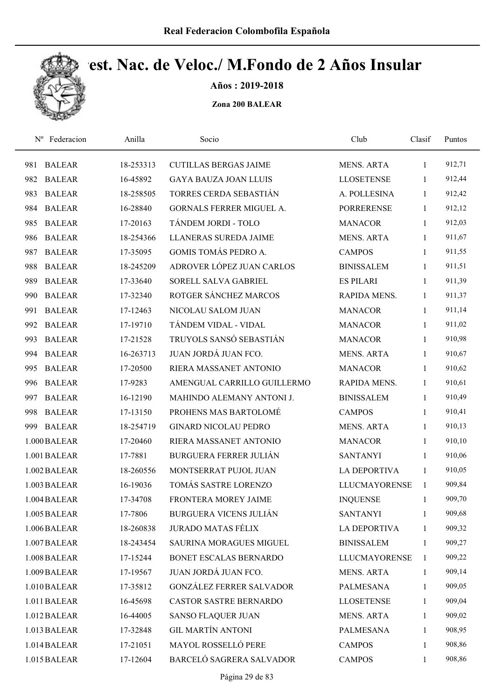

Años : 2019-2018

| Federacion<br>$N^{\rm o}$ | Anilla    | Socio                           | Club                 | Clasif       | Puntos |  |
|---------------------------|-----------|---------------------------------|----------------------|--------------|--------|--|
| <b>BALEAR</b><br>981      | 18-253313 | <b>CUTILLAS BERGAS JAIME</b>    | <b>MENS. ARTA</b>    | 1            | 912,71 |  |
| 982<br><b>BALEAR</b>      | 16-45892  | <b>GAYA BAUZA JOAN LLUIS</b>    | <b>LLOSETENSE</b>    | 1            | 912,44 |  |
| <b>BALEAR</b><br>983      | 18-258505 | TORRES CERDA SEBASTIÁN          | A. POLLESINA         | 1            | 912,42 |  |
| <b>BALEAR</b><br>984      | 16-28840  | <b>GORNALS FERRER MIGUEL A.</b> | <b>PORRERENSE</b>    | $\mathbf{1}$ | 912,12 |  |
| <b>BALEAR</b><br>985      | 17-20163  | TÁNDEM JORDI - TOLO             | <b>MANACOR</b>       | $\mathbf{1}$ | 912,03 |  |
| <b>BALEAR</b><br>986      | 18-254366 | LLANERAS SUREDA JAIME           | <b>MENS. ARTA</b>    | $\mathbf{1}$ | 911,67 |  |
| <b>BALEAR</b><br>987      | 17-35095  | GOMIS TOMÁS PEDRO A.            | <b>CAMPOS</b>        | $\mathbf{1}$ | 911,55 |  |
| 988<br><b>BALEAR</b>      | 18-245209 | ADROVER LÓPEZ JUAN CARLOS       | <b>BINISSALEM</b>    | $\mathbf{1}$ | 911,51 |  |
| <b>BALEAR</b><br>989      | 17-33640  | SORELL SALVA GABRIEL            | <b>ES PILARI</b>     | 1            | 911,39 |  |
| 990<br><b>BALEAR</b>      | 17-32340  | ROTGER SÁNCHEZ MARCOS           | RAPIDA MENS.         | 1            | 911,37 |  |
| <b>BALEAR</b><br>991      | 17-12463  | NICOLAU SALOM JUAN              | <b>MANACOR</b>       | 1            | 911,14 |  |
| 992<br><b>BALEAR</b>      | 17-19710  | TÁNDEM VIDAL - VIDAL            | <b>MANACOR</b>       | $\mathbf{1}$ | 911,02 |  |
| <b>BALEAR</b><br>993      | 17-21528  | TRUYOLS SANSÓ SEBASTIÁN         | <b>MANACOR</b>       | 1            | 910,98 |  |
| <b>BALEAR</b><br>994      | 16-263713 | JUAN JORDÁ JUAN FCO.            | <b>MENS. ARTA</b>    | 1            | 910,67 |  |
| <b>BALEAR</b><br>995      | 17-20500  | RIERA MASSANET ANTONIO          | <b>MANACOR</b>       | 1            | 910,62 |  |
| <b>BALEAR</b><br>996      | 17-9283   | AMENGUAL CARRILLO GUILLERMO     | RAPIDA MENS.         | 1            | 910,61 |  |
| <b>BALEAR</b><br>997      | 16-12190  | MAHINDO ALEMANY ANTONI J.       | <b>BINISSALEM</b>    | $\mathbf{1}$ | 910,49 |  |
| <b>BALEAR</b><br>998      | 17-13150  | PROHENS MAS BARTOLOMÉ           | <b>CAMPOS</b>        | $\mathbf{1}$ | 910,41 |  |
| 999<br><b>BALEAR</b>      | 18-254719 | <b>GINARD NICOLAU PEDRO</b>     | <b>MENS. ARTA</b>    | $\mathbf{1}$ | 910,13 |  |
| 1.000 BALEAR              | 17-20460  | RIERA MASSANET ANTONIO          | <b>MANACOR</b>       | $\mathbf{1}$ | 910,10 |  |
| 1.001 BALEAR              | 17-7881   | <b>BURGUERA FERRER JULIÁN</b>   | <b>SANTANYI</b>      | 1            | 910,06 |  |
| 1.002 BALEAR              | 18-260556 | MONTSERRAT PUJOL JUAN           | <b>LA DEPORTIVA</b>  | 1            | 910,05 |  |
| 1.003 BALEAR              | 16-19036  | TOMÁS SASTRE LORENZO            | <b>LLUCMAYORENSE</b> | 1            | 909,84 |  |
| 1.004 BALEAR              | 17-34708  | FRONTERA MOREY JAIME            | <b>INQUENSE</b>      | 1            | 909,70 |  |
| 1.005 BALEAR              | 17-7806   | <b>BURGUERA VICENS JULIÁN</b>   | <b>SANTANYI</b>      | 1            | 909,68 |  |
| 1.006 BALEAR              | 18-260838 | <b>JURADO MATAS FÉLIX</b>       | <b>LA DEPORTIVA</b>  | 1            | 909,32 |  |
| 1.007 BALEAR              | 18-243454 | SAURINA MORAGUES MIGUEL         | <b>BINISSALEM</b>    | 1            | 909,27 |  |
| 1.008 BALEAR              | 17-15244  | BONET ESCALAS BERNARDO          | <b>LLUCMAYORENSE</b> | 1            | 909,22 |  |
| 1.009 BALEAR              | 17-19567  | JUAN JORDÁ JUAN FCO.            | MENS. ARTA           | 1            | 909,14 |  |
| 1.010 BALEAR              | 17-35812  | <b>GONZÁLEZ FERRER SALVADOR</b> | PALMESANA            | $\mathbf{1}$ | 909,05 |  |
| 1.011 BALEAR              | 16-45698  | CASTOR SASTRE BERNARDO          | <b>LLOSETENSE</b>    | 1            | 909,04 |  |
| 1.012 BALEAR              | 16-44005  | <b>SANSO FLAQUER JUAN</b>       | <b>MENS. ARTA</b>    | 1            | 909,02 |  |
| 1.013 BALEAR              | 17-32848  | <b>GIL MARTÍN ANTONI</b>        | <b>PALMESANA</b>     | $\mathbf{1}$ | 908,95 |  |
| 1.014 BALEAR              | 17-21051  | MAYOL ROSSELLÓ PERE             | <b>CAMPOS</b>        | 1            | 908,86 |  |
| 1.015 BALEAR              | 17-12604  | BARCELÓ SAGRERA SALVADOR        | <b>CAMPOS</b>        | $\mathbf{1}$ | 908,86 |  |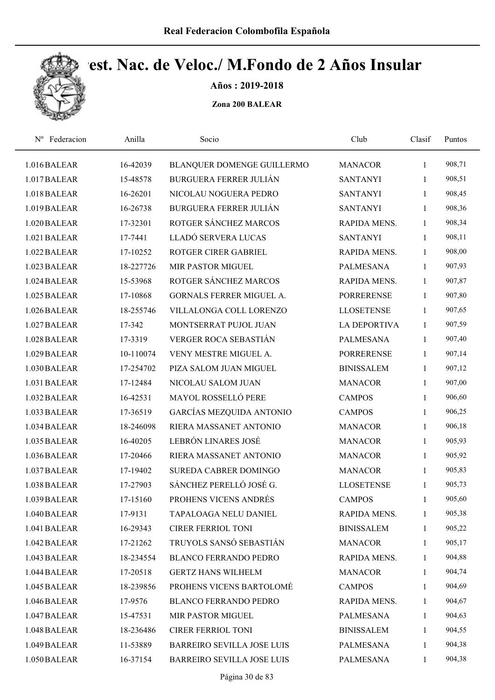

Años : 2019-2018

| Federacion<br>$N^{\rm o}$ | Anilla    | Socio                             | Club                | Clasif       | Puntos |  |
|---------------------------|-----------|-----------------------------------|---------------------|--------------|--------|--|
| 1.016 BALEAR              | 16-42039  | BLANQUER DOMENGE GUILLERMO        | <b>MANACOR</b>      | $\mathbf{1}$ | 908,71 |  |
| 1.017 BALEAR              | 15-48578  | <b>BURGUERA FERRER JULIÁN</b>     | <b>SANTANYI</b>     | 1            | 908,51 |  |
| 1.018 BALEAR              | 16-26201  | NICOLAU NOGUERA PEDRO             | <b>SANTANYI</b>     | 1            | 908,45 |  |
| 1.019 BALEAR              | 16-26738  | <b>BURGUERA FERRER JULIÁN</b>     | <b>SANTANYI</b>     | 1            | 908,36 |  |
| 1.020 BALEAR              | 17-32301  | ROTGER SÁNCHEZ MARCOS             | RAPIDA MENS.        | 1            | 908,34 |  |
| 1.021 BALEAR              | 17-7441   | LLADÓ SERVERA LUCAS               | <b>SANTANYI</b>     | $\mathbf{1}$ | 908,11 |  |
| 1.022 BALEAR              | 17-10252  | ROTGER CIRER GABRIEL              | RAPIDA MENS.        | $\mathbf{1}$ | 908,00 |  |
| 1.023 BALEAR              | 18-227726 | MIR PASTOR MIGUEL                 | <b>PALMESANA</b>    | $\mathbf{1}$ | 907,93 |  |
| 1.024 BALEAR              | 15-53968  | ROTGER SÁNCHEZ MARCOS             | RAPIDA MENS.        | 1            | 907,87 |  |
| 1.025 BALEAR              | 17-10868  | GORNALS FERRER MIGUEL A.          | <b>PORRERENSE</b>   | 1            | 907,80 |  |
| 1.026 BALEAR              | 18-255746 | VILLALONGA COLL LORENZO           | <b>LLOSETENSE</b>   | 1            | 907,65 |  |
| 1.027 BALEAR              | 17-342    | MONTSERRAT PUJOL JUAN             | <b>LA DEPORTIVA</b> | $\mathbf{1}$ | 907,59 |  |
| 1.028 BALEAR              | 17-3319   | <b>VERGER ROCA SEBASTIÁN</b>      | <b>PALMESANA</b>    | 1            | 907,40 |  |
| 1.029 BALEAR              | 10-110074 | VENY MESTRE MIGUEL A.             | <b>PORRERENSE</b>   | 1            | 907,14 |  |
| 1.030 BALEAR              | 17-254702 | PIZA SALOM JUAN MIGUEL            | <b>BINISSALEM</b>   | 1            | 907,12 |  |
| 1.031 BALEAR              | 17-12484  | NICOLAU SALOM JUAN                | <b>MANACOR</b>      | 1            | 907,00 |  |
| 1.032 BALEAR              | 16-42531  | MAYOL ROSSELLÓ PERE               | <b>CAMPOS</b>       | $\mathbf{1}$ | 906,60 |  |
| 1.033 BALEAR              | 17-36519  | GARCÍAS MEZQUIDA ANTONIO          | <b>CAMPOS</b>       | 1            | 906,25 |  |
| 1.034 BALEAR              | 18-246098 | RIERA MASSANET ANTONIO            | <b>MANACOR</b>      | $\mathbf{1}$ | 906,18 |  |
| 1.035 BALEAR              | 16-40205  | LEBRÓN LINARES JOSÉ               | <b>MANACOR</b>      | 1            | 905,93 |  |
| 1.036 BALEAR              | 17-20466  | RIERA MASSANET ANTONIO            | <b>MANACOR</b>      | 1            | 905,92 |  |
| 1.037 BALEAR              | 17-19402  | <b>SUREDA CABRER DOMINGO</b>      | <b>MANACOR</b>      | 1            | 905,83 |  |
| 1.038 BALEAR              | 17-27903  | SÁNCHEZ PERELLÓ JOSÉ G.           | <b>LLOSETENSE</b>   | $\mathbf{1}$ | 905,73 |  |
| 1.039 BALEAR              | 17-15160  | PROHENS VICENS ANDRÉS             | <b>CAMPOS</b>       | $\mathbf{1}$ | 905,60 |  |
| 1.040 BALEAR              | 17-9131   | TAPALOAGA NELU DANIEL             | RAPIDA MENS.        | 1            | 905,38 |  |
| 1.041 BALEAR              | 16-29343  | <b>CIRER FERRIOL TONI</b>         | <b>BINISSALEM</b>   | $\mathbf{1}$ | 905,22 |  |
| 1.042 BALEAR              | 17-21262  | TRUYOLS SANSÓ SEBASTIÁN           | <b>MANACOR</b>      | 1            | 905,17 |  |
| 1.043 BALEAR              | 18-234554 | <b>BLANCO FERRANDO PEDRO</b>      | RAPIDA MENS.        | $\mathbf{1}$ | 904,88 |  |
| 1.044 BALEAR              | 17-20518  | <b>GERTZ HANS WILHELM</b>         | <b>MANACOR</b>      | $\mathbf{1}$ | 904,74 |  |
| 1.045 BALEAR              | 18-239856 | PROHENS VICENS BARTOLOMÉ          | <b>CAMPOS</b>       | $\mathbf{1}$ | 904,69 |  |
| 1.046 BALEAR              | 17-9576   | <b>BLANCO FERRANDO PEDRO</b>      | RAPIDA MENS.        | $\mathbf{1}$ | 904,67 |  |
| 1.047 BALEAR              | 15-47531  | MIR PASTOR MIGUEL                 | <b>PALMESANA</b>    | 1            | 904,63 |  |
| 1.048 BALEAR              | 18-236486 | CIRER FERRIOL TONI                | <b>BINISSALEM</b>   | $\mathbf{1}$ | 904,55 |  |
| 1.049 BALEAR              | 11-53889  | <b>BARREIRO SEVILLA JOSE LUIS</b> | <b>PALMESANA</b>    | 1            | 904,38 |  |
| 1.050 BALEAR              | 16-37154  | <b>BARREIRO SEVILLA JOSE LUIS</b> | PALMESANA           | 1            | 904,38 |  |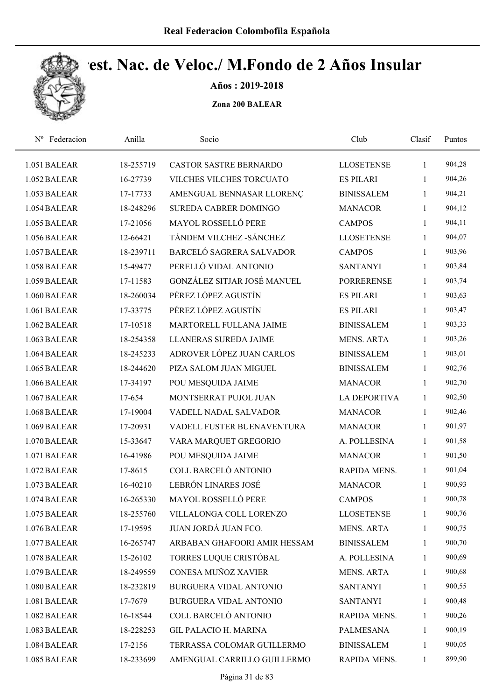

Años : 2019-2018

| Federacion<br>$N^{\rm o}$ | Anilla    | Socio                         | Club                | Clasif       | Puntos |  |
|---------------------------|-----------|-------------------------------|---------------------|--------------|--------|--|
| 1.051 BALEAR              | 18-255719 | <b>CASTOR SASTRE BERNARDO</b> | <b>LLOSETENSE</b>   | 1            | 904,28 |  |
| 1.052 BALEAR              | 16-27739  | VILCHES VILCHES TORCUATO      | <b>ES PILARI</b>    | 1            | 904,26 |  |
| 1.053 BALEAR              | 17-17733  | AMENGUAL BENNASAR LLORENÇ     | <b>BINISSALEM</b>   | $\mathbf{1}$ | 904,21 |  |
| 1.054 BALEAR              | 18-248296 | SUREDA CABRER DOMINGO         | <b>MANACOR</b>      | 1            | 904,12 |  |
| 1.055 BALEAR              | 17-21056  | MAYOL ROSSELLÓ PERE           | <b>CAMPOS</b>       | 1            | 904,11 |  |
| 1.056 BALEAR              | 12-66421  | TÁNDEM VILCHEZ - SÁNCHEZ      | <b>LLOSETENSE</b>   | $\mathbf{1}$ | 904,07 |  |
| 1.057 BALEAR              | 18-239711 | BARCELÓ SAGRERA SALVADOR      | <b>CAMPOS</b>       | 1            | 903,96 |  |
| 1.058 BALEAR              | 15-49477  | PERELLÓ VIDAL ANTONIO         | <b>SANTANYI</b>     | 1            | 903,84 |  |
| 1.059 BALEAR              | 17-11583  | GONZÁLEZ SITJAR JOSÉ MANUEL   | <b>PORRERENSE</b>   | $\mathbf{1}$ | 903,74 |  |
| 1.060 BALEAR              | 18-260034 | PÉREZ LÓPEZ AGUSTÍN           | <b>ES PILARI</b>    | 1            | 903,63 |  |
| 1.061 BALEAR              | 17-33775  | PÉREZ LÓPEZ AGUSTÍN           | <b>ES PILARI</b>    | $\mathbf{1}$ | 903,47 |  |
| 1.062 BALEAR              | 17-10518  | MARTORELL FULLANA JAIME       | <b>BINISSALEM</b>   | 1            | 903,33 |  |
| 1.063 BALEAR              | 18-254358 | <b>LLANERAS SUREDA JAIME</b>  | <b>MENS. ARTA</b>   | 1            | 903,26 |  |
| 1.064 BALEAR              | 18-245233 | ADROVER LÓPEZ JUAN CARLOS     | <b>BINISSALEM</b>   | 1            | 903,01 |  |
| 1.065 BALEAR              | 18-244620 | PIZA SALOM JUAN MIGUEL        | <b>BINISSALEM</b>   | $\mathbf{1}$ | 902,76 |  |
| 1.066 BALEAR              | 17-34197  | POU MESQUIDA JAIME            | <b>MANACOR</b>      | 1            | 902,70 |  |
| 1.067 BALEAR              | 17-654    | MONTSERRAT PUJOL JUAN         | <b>LA DEPORTIVA</b> | 1            | 902,50 |  |
| 1.068 BALEAR              | 17-19004  | VADELL NADAL SALVADOR         | <b>MANACOR</b>      | $\mathbf{1}$ | 902,46 |  |
| 1.069 BALEAR              | 17-20931  | VADELL FUSTER BUENAVENTURA    | <b>MANACOR</b>      | $\mathbf{1}$ | 901,97 |  |
| 1.070 BALEAR              | 15-33647  | VARA MARQUET GREGORIO         | A. POLLESINA        | 1            | 901,58 |  |
| 1.071 BALEAR              | 16-41986  | POU MESQUIDA JAIME            | <b>MANACOR</b>      | 1            | 901,50 |  |
| 1.072 BALEAR              | 17-8615   | COLL BARCELÓ ANTONIO          | RAPIDA MENS.        | 1            | 901,04 |  |
| 1.073 BALEAR              | 16-40210  | LEBRÓN LINARES JOSÉ           | <b>MANACOR</b>      | 1            | 900,93 |  |
| 1.074 BALEAR              | 16-265330 | <b>MAYOL ROSSELLÓ PERE</b>    | <b>CAMPOS</b>       | 1            | 900,78 |  |
| 1.075 BALEAR              | 18-255760 | VILLALONGA COLL LORENZO       | <b>LLOSETENSE</b>   | 1            | 900,76 |  |
| 1.076 BALEAR              | 17-19595  | JUAN JORDÁ JUAN FCO.          | <b>MENS. ARTA</b>   | $\mathbf{1}$ | 900,75 |  |
| 1.077 BALEAR              | 16-265747 | ARBABAN GHAFOORI AMIR HESSAM  | <b>BINISSALEM</b>   | $\mathbf{1}$ | 900,70 |  |
| 1.078 BALEAR              | 15-26102  | TORRES LUQUE CRISTÓBAL        | A. POLLESINA        | $\mathbf{1}$ | 900,69 |  |
| 1.079 BALEAR              | 18-249559 | CONESA MUÑOZ XAVIER           | <b>MENS. ARTA</b>   | $\mathbf{1}$ | 900,68 |  |
| 1.080 BALEAR              | 18-232819 | <b>BURGUERA VIDAL ANTONIO</b> | <b>SANTANYI</b>     | $\mathbf{1}$ | 900,55 |  |
| 1.081 BALEAR              | 17-7679   | <b>BURGUERA VIDAL ANTONIO</b> | <b>SANTANYI</b>     | $\mathbf{1}$ | 900,48 |  |
| 1.082 BALEAR              | 16-18544  | COLL BARCELÓ ANTONIO          | RAPIDA MENS.        | $\mathbf{1}$ | 900,26 |  |
| 1.083 BALEAR              | 18-228253 | <b>GIL PALACIO H. MARINA</b>  | <b>PALMESANA</b>    | $\mathbf{1}$ | 900,19 |  |
| 1.084 BALEAR              | 17-2156   | TERRASSA COLOMAR GUILLERMO    | <b>BINISSALEM</b>   | 1            | 900,05 |  |
| 1.085 BALEAR              | 18-233699 | AMENGUAL CARRILLO GUILLERMO   | RAPIDA MENS.        | 1            | 899,90 |  |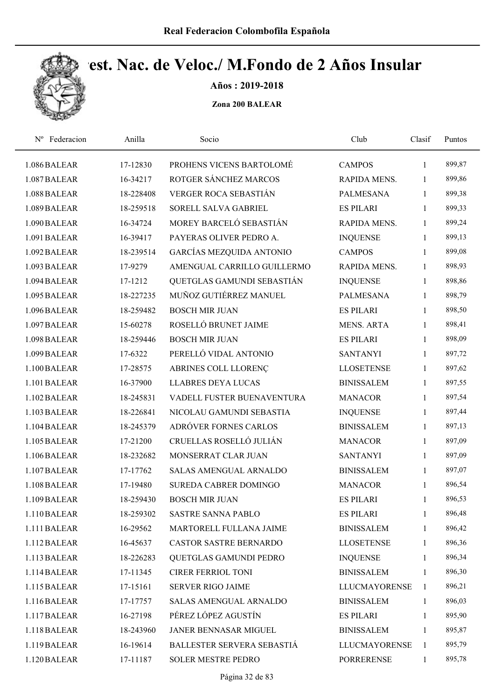

Años : 2019-2018

| Nº Federacion | Anilla    | Socio                           | Club                 | Clasif       | Puntos |  |
|---------------|-----------|---------------------------------|----------------------|--------------|--------|--|
| 1.086 BALEAR  | 17-12830  | PROHENS VICENS BARTOLOMÉ        | <b>CAMPOS</b>        | 1            | 899,87 |  |
| 1.087 BALEAR  | 16-34217  | ROTGER SÁNCHEZ MARCOS           | RAPIDA MENS.         | 1            | 899,86 |  |
| 1.088 BALEAR  | 18-228408 | VERGER ROCA SEBASTIÁN           | <b>PALMESANA</b>     | $\mathbf{1}$ | 899,38 |  |
| 1.089 BALEAR  | 18-259518 | SORELL SALVA GABRIEL            | <b>ES PILARI</b>     | $\mathbf{1}$ | 899,33 |  |
| 1.090 BALEAR  | 16-34724  | MOREY BARCELÓ SEBASTIÁN         | RAPIDA MENS.         | $\mathbf{1}$ | 899,24 |  |
| 1.091 BALEAR  | 16-39417  | PAYERAS OLIVER PEDRO A.         | <b>INQUENSE</b>      | $\mathbf{1}$ | 899,13 |  |
| 1.092 BALEAR  | 18-239514 | <b>GARCÍAS MEZQUIDA ANTONIO</b> | <b>CAMPOS</b>        | 1            | 899,08 |  |
| 1.093 BALEAR  | 17-9279   | AMENGUAL CARRILLO GUILLERMO     | RAPIDA MENS.         | $\mathbf{1}$ | 898,93 |  |
| 1.094 BALEAR  | 17-1212   | QUETGLAS GAMUNDI SEBASTIÁN      | <b>INQUENSE</b>      | 1            | 898,86 |  |
| 1.095 BALEAR  | 18-227235 | MUÑOZ GUTIÉRREZ MANUEL          | <b>PALMESANA</b>     | $\mathbf{1}$ | 898,79 |  |
| 1.096 BALEAR  | 18-259482 | <b>BOSCH MIR JUAN</b>           | <b>ES PILARI</b>     | $\mathbf{1}$ | 898,50 |  |
| 1.097 BALEAR  | 15-60278  | ROSELLÓ BRUNET JAIME            | MENS. ARTA           | 1            | 898,41 |  |
| 1.098 BALEAR  | 18-259446 | <b>BOSCH MIR JUAN</b>           | <b>ES PILARI</b>     | 1            | 898,09 |  |
| 1.099 BALEAR  | 17-6322   | PERELLÓ VIDAL ANTONIO           | <b>SANTANYI</b>      | 1            | 897,72 |  |
| 1.100 BALEAR  | 17-28575  | ABRINES COLL LLORENÇ            | <b>LLOSETENSE</b>    | 1            | 897,62 |  |
| 1.101 BALEAR  | 16-37900  | <b>LLABRES DEYA LUCAS</b>       | <b>BINISSALEM</b>    | $\mathbf{1}$ | 897,55 |  |
| 1.102 BALEAR  | 18-245831 | VADELL FUSTER BUENAVENTURA      | <b>MANACOR</b>       | $\mathbf{1}$ | 897,54 |  |
| 1.103 BALEAR  | 18-226841 | NICOLAU GAMUNDI SEBASTIA        | <b>INQUENSE</b>      | $\mathbf{1}$ | 897,44 |  |
| 1.104 BALEAR  | 18-245379 | ADRÓVER FORNES CARLOS           | <b>BINISSALEM</b>    | $\mathbf{1}$ | 897,13 |  |
| 1.105 BALEAR  | 17-21200  | CRUELLAS ROSELLÓ JULIÁN         | <b>MANACOR</b>       | 1            | 897,09 |  |
| 1.106 BALEAR  | 18-232682 | MONSERRAT CLAR JUAN             | <b>SANTANYI</b>      | $\mathbf{1}$ | 897,09 |  |
| 1.107 BALEAR  | 17-17762  | SALAS AMENGUAL ARNALDO          | <b>BINISSALEM</b>    | 1            | 897,07 |  |
| 1.108 BALEAR  | 17-19480  | SUREDA CABRER DOMINGO           | <b>MANACOR</b>       | 1            | 896,54 |  |
| 1.109 BALEAR  | 18-259430 | <b>BOSCH MIR JUAN</b>           | <b>ES PILARI</b>     | 1            | 896,53 |  |
| 1.110 BALEAR  | 18-259302 | <b>SASTRE SANNA PABLO</b>       | <b>ES PILARI</b>     | 1            | 896,48 |  |
| 1.111 BALEAR  | 16-29562  | MARTORELL FULLANA JAIME         | <b>BINISSALEM</b>    | 1            | 896,42 |  |
| 1.112 BALEAR  | 16-45637  | CASTOR SASTRE BERNARDO          | <b>LLOSETENSE</b>    | 1            | 896,36 |  |
| 1.113 BALEAR  | 18-226283 | QUETGLAS GAMUNDI PEDRO          | <b>INQUENSE</b>      | $\mathbf{1}$ | 896,34 |  |
| 1.114 BALEAR  | 17-11345  | <b>CIRER FERRIOL TONI</b>       | <b>BINISSALEM</b>    | 1            | 896,30 |  |
| 1.115 BALEAR  | 17-15161  | <b>SERVER RIGO JAIME</b>        | <b>LLUCMAYORENSE</b> | $\mathbf{1}$ | 896,21 |  |
| 1.116 BALEAR  | 17-17757  | SALAS AMENGUAL ARNALDO          | <b>BINISSALEM</b>    | $\mathbf{1}$ | 896,03 |  |
| 1.117 BALEAR  | 16-27198  | PÉREZ LÓPEZ AGUSTÍN             | <b>ES PILARI</b>     | 1            | 895,90 |  |
| 1.118 BALEAR  | 18-243960 | JANER BENNASAR MIGUEL           | <b>BINISSALEM</b>    | $\mathbf{1}$ | 895,87 |  |
| 1.119 BALEAR  | 16-19614  | BALLESTER SERVERA SEBASTIÁ      | <b>LLUCMAYORENSE</b> | 1            | 895,79 |  |
| 1.120 BALEAR  | 17-11187  | SOLER MESTRE PEDRO              | PORRERENSE           | 1            | 895,78 |  |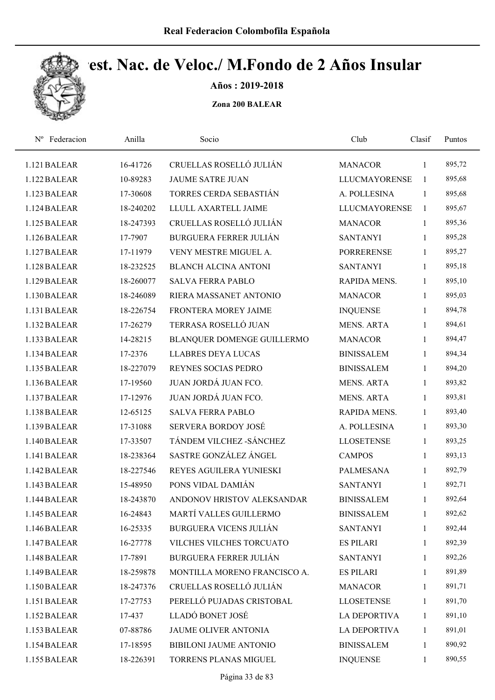

Años : 2019-2018

| Federacion<br>$N^{\rm o}$ | Anilla    | Socio                         | Club                 | Clasif       | Puntos |  |
|---------------------------|-----------|-------------------------------|----------------------|--------------|--------|--|
| 1.121 BALEAR              | 16-41726  | CRUELLAS ROSELLÓ JULIÁN       | <b>MANACOR</b>       | 1            | 895,72 |  |
| 1.122 BALEAR              | 10-89283  | <b>JAUME SATRE JUAN</b>       | <b>LLUCMAYORENSE</b> | 1            | 895,68 |  |
| 1.123 BALEAR              | 17-30608  | TORRES CERDA SEBASTIÁN        | A. POLLESINA         | 1            | 895,68 |  |
| 1.124 BALEAR              | 18-240202 | LLULL AXARTELL JAIME          | <b>LLUCMAYORENSE</b> | 1            | 895,67 |  |
| 1.125 BALEAR              | 18-247393 | CRUELLAS ROSELLÓ JULIÁN       | <b>MANACOR</b>       | $\mathbf{1}$ | 895,36 |  |
| 1.126 BALEAR              | 17-7907   | <b>BURGUERA FERRER JULIÁN</b> | <b>SANTANYI</b>      | $\mathbf{1}$ | 895,28 |  |
| 1.127 BALEAR              | 17-11979  | VENY MESTRE MIGUEL A.         | <b>PORRERENSE</b>    | $\mathbf{1}$ | 895,27 |  |
| 1.128 BALEAR              | 18-232525 | <b>BLANCH ALCINA ANTONI</b>   | <b>SANTANYI</b>      | $\mathbf{1}$ | 895,18 |  |
| 1.129 BALEAR              | 18-260077 | <b>SALVA FERRA PABLO</b>      | RAPIDA MENS.         | $\mathbf{1}$ | 895,10 |  |
| 1.130 BALEAR              | 18-246089 | RIERA MASSANET ANTONIO        | <b>MANACOR</b>       | $\mathbf{1}$ | 895,03 |  |
| 1.131 BALEAR              | 18-226754 | FRONTERA MOREY JAIME          | <b>INQUENSE</b>      | $\mathbf{1}$ | 894,78 |  |
| 1.132 BALEAR              | 17-26279  | TERRASA ROSELLÓ JUAN          | <b>MENS. ARTA</b>    | $\mathbf{1}$ | 894,61 |  |
| 1.133 BALEAR              | 14-28215  | BLANQUER DOMENGE GUILLERMO    | <b>MANACOR</b>       | $\mathbf{1}$ | 894,47 |  |
| 1.134 BALEAR              | 17-2376   | <b>LLABRES DEYA LUCAS</b>     | <b>BINISSALEM</b>    | $\mathbf{1}$ | 894,34 |  |
| 1.135 BALEAR              | 18-227079 | REYNES SOCIAS PEDRO           | <b>BINISSALEM</b>    | $\mathbf{1}$ | 894,20 |  |
| 1.136 BALEAR              | 17-19560  | JUAN JORDÁ JUAN FCO.          | <b>MENS. ARTA</b>    | $\mathbf{1}$ | 893,82 |  |
| 1.137 BALEAR              | 17-12976  | JUAN JORDÁ JUAN FCO.          | <b>MENS. ARTA</b>    | $\mathbf{1}$ | 893,81 |  |
| 1.138 BALEAR              | 12-65125  | <b>SALVA FERRA PABLO</b>      | RAPIDA MENS.         | $\mathbf{1}$ | 893,40 |  |
| 1.139 BALEAR              | 17-31088  | SERVERA BORDOY JOSÉ           | A. POLLESINA         | $\mathbf{1}$ | 893,30 |  |
| 1.140 BALEAR              | 17-33507  | TÁNDEM VILCHEZ - SÁNCHEZ      | <b>LLOSETENSE</b>    | $\mathbf{1}$ | 893,25 |  |
| 1.141 BALEAR              | 18-238364 | SASTRE GONZÁLEZ ÁNGEL         | <b>CAMPOS</b>        | $\mathbf{1}$ | 893,13 |  |
| 1.142 BALEAR              | 18-227546 | REYES AGUILERA YUNIESKI       | <b>PALMESANA</b>     | 1            | 892,79 |  |
| 1.143 BALEAR              | 15-48950  | PONS VIDAL DAMIÁN             | <b>SANTANYI</b>      | $\mathbf{1}$ | 892,71 |  |
| 1.144 BALEAR              | 18-243870 | ANDONOV HRISTOV ALEKSANDAR    | <b>BINISSALEM</b>    | $\mathbf{1}$ | 892,64 |  |
| 1.145 BALEAR              | 16-24843  | MARTÍ VALLES GUILLERMO        | <b>BINISSALEM</b>    | 1            | 892,62 |  |
| 1.146 BALEAR              | 16-25335  | BURGUERA VICENS JULIÁN        | <b>SANTANYI</b>      | $\mathbf{1}$ | 892,44 |  |
| 1.147 BALEAR              | 16-27778  | VILCHES VILCHES TORCUATO      | <b>ES PILARI</b>     | $\mathbf{1}$ | 892,39 |  |
| 1.148 BALEAR              | 17-7891   | <b>BURGUERA FERRER JULIÁN</b> | <b>SANTANYI</b>      | $\mathbf{1}$ | 892,26 |  |
| 1.149 BALEAR              | 18-259878 | MONTILLA MORENO FRANCISCO A.  | <b>ES PILARI</b>     | $\mathbf{1}$ | 891,89 |  |
| 1.150 BALEAR              | 18-247376 | CRUELLAS ROSELLÓ JULIÁN       | <b>MANACOR</b>       | $\mathbf{1}$ | 891,71 |  |
| 1.151 BALEAR              | 17-27753  | PERELLÓ PUJADAS CRISTOBAL     | <b>LLOSETENSE</b>    | $\mathbf{1}$ | 891,70 |  |
| 1.152 BALEAR              | 17-437    | LLADÓ BONET JOSÉ              | <b>LA DEPORTIVA</b>  | $\mathbf{1}$ | 891,10 |  |
| 1.153 BALEAR              | 07-88786  | <b>JAUME OLIVER ANTONIA</b>   | <b>LA DEPORTIVA</b>  | $\mathbf{1}$ | 891,01 |  |
| 1.154 BALEAR              | 17-18595  | BIBILONI JAUME ANTONIO        | <b>BINISSALEM</b>    | $\mathbf{1}$ | 890,92 |  |
| 1.155 BALEAR              | 18-226391 | TORRENS PLANAS MIGUEL         | <b>INQUENSE</b>      | 1            | 890,55 |  |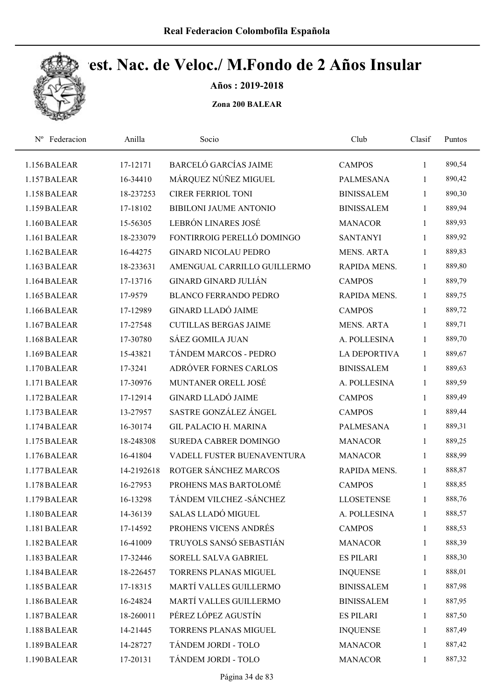

Años : 2019-2018

| Federacion<br>$N^{\rm o}$ | Anilla     | Socio                         | Club                | Clasif       | Puntos |  |
|---------------------------|------------|-------------------------------|---------------------|--------------|--------|--|
| 1.156 BALEAR              | 17-12171   | <b>BARCELÓ GARCÍAS JAIME</b>  | <b>CAMPOS</b>       | 1            | 890,54 |  |
| 1.157 BALEAR              | 16-34410   | MÁRQUEZ NÚÑEZ MIGUEL          | PALMESANA           | 1            | 890,42 |  |
| 1.158 BALEAR              | 18-237253  | <b>CIRER FERRIOL TONI</b>     | <b>BINISSALEM</b>   | 1            | 890,30 |  |
| 1.159 BALEAR              | 17-18102   | <b>BIBILONI JAUME ANTONIO</b> | <b>BINISSALEM</b>   | $\mathbf{1}$ | 889,94 |  |
| 1.160 BALEAR              | 15-56305   | LEBRÓN LINARES JOSÉ           | <b>MANACOR</b>      | $\mathbf{1}$ | 889,93 |  |
| 1.161 BALEAR              | 18-233079  | FONTIRROIG PERELLÓ DOMINGO    | <b>SANTANYI</b>     | $\mathbf{1}$ | 889,92 |  |
| 1.162 BALEAR              | 16-44275   | <b>GINARD NICOLAU PEDRO</b>   | <b>MENS. ARTA</b>   | $\mathbf{1}$ | 889,83 |  |
| 1.163 BALEAR              | 18-233631  | AMENGUAL CARRILLO GUILLERMO   | RAPIDA MENS.        | 1            | 889,80 |  |
| 1.164 BALEAR              | 17-13716   | <b>GINARD GINARD JULIÁN</b>   | <b>CAMPOS</b>       | 1            | 889,79 |  |
| 1.165 BALEAR              | 17-9579    | <b>BLANCO FERRANDO PEDRO</b>  | RAPIDA MENS.        | 1            | 889,75 |  |
| 1.166 BALEAR              | 17-12989   | <b>GINARD LLADÓ JAIME</b>     | <b>CAMPOS</b>       | 1            | 889,72 |  |
| 1.167 BALEAR              | 17-27548   | <b>CUTILLAS BERGAS JAIME</b>  | <b>MENS. ARTA</b>   | $\mathbf{1}$ | 889,71 |  |
| 1.168 BALEAR              | 17-30780   | <b>SÁEZ GOMILA JUAN</b>       | A. POLLESINA        | 1            | 889,70 |  |
| 1.169 BALEAR              | 15-43821   | TÁNDEM MARCOS - PEDRO         | <b>LA DEPORTIVA</b> | 1            | 889,67 |  |
| 1.170 BALEAR              | 17-3241    | ADRÓVER FORNES CARLOS         | <b>BINISSALEM</b>   | $\mathbf{1}$ | 889,63 |  |
| 1.171 BALEAR              | 17-30976   | MUNTANER ORELL JOSÉ           | A. POLLESINA        | $\mathbf{1}$ | 889,59 |  |
| 1.172 BALEAR              | 17-12914   | <b>GINARD LLADÓ JAIME</b>     | <b>CAMPOS</b>       | $\mathbf{1}$ | 889,49 |  |
| 1.173 BALEAR              | 13-27957   | SASTRE GONZÁLEZ ÁNGEL         | <b>CAMPOS</b>       | $\mathbf{1}$ | 889,44 |  |
| 1.174 BALEAR              | 16-30174   | <b>GIL PALACIO H. MARINA</b>  | PALMESANA           | 1            | 889,31 |  |
| 1.175 BALEAR              | 18-248308  | SUREDA CABRER DOMINGO         | <b>MANACOR</b>      | 1            | 889,25 |  |
| 1.176 BALEAR              | 16-41804   | VADELL FUSTER BUENAVENTURA    | <b>MANACOR</b>      | 1            | 888,99 |  |
| 1.177 BALEAR              | 14-2192618 | ROTGER SÁNCHEZ MARCOS         | RAPIDA MENS.        | 1            | 888,87 |  |
| 1.178 BALEAR              | 16-27953   | PROHENS MAS BARTOLOMÉ         | <b>CAMPOS</b>       | $\mathbf{1}$ | 888,85 |  |
| 1.179 BALEAR              | 16-13298   | TÁNDEM VILCHEZ - SÁNCHEZ      | <b>LLOSETENSE</b>   | 1            | 888,76 |  |
| 1.180 BALEAR              | 14-36139   | SALAS LLADÓ MIGUEL            | A. POLLESINA        | $\mathbf{1}$ | 888,57 |  |
| 1.181 BALEAR              | 17-14592   | PROHENS VICENS ANDRÉS         | <b>CAMPOS</b>       | $\mathbf{1}$ | 888,53 |  |
| 1.182 BALEAR              | 16-41009   | TRUYOLS SANSÓ SEBASTIÁN       | <b>MANACOR</b>      | 1            | 888,39 |  |
| 1.183 BALEAR              | 17-32446   | SORELL SALVA GABRIEL          | <b>ES PILARI</b>    | 1            | 888,30 |  |
| 1.184 BALEAR              | 18-226457  | TORRENS PLANAS MIGUEL         | <b>INQUENSE</b>     | $\mathbf{1}$ | 888,01 |  |
| 1.185 BALEAR              | 17-18315   | MARTÍ VALLES GUILLERMO        | <b>BINISSALEM</b>   | $\mathbf{1}$ | 887,98 |  |
| 1.186 BALEAR              | 16-24824   | MARTÍ VALLES GUILLERMO        | <b>BINISSALEM</b>   | $\mathbf{1}$ | 887,95 |  |
| 1.187 BALEAR              | 18-260011  | PÉREZ LÓPEZ AGUSTÍN           | <b>ES PILARI</b>    | 1            | 887,50 |  |
| 1.188 BALEAR              | 14-21445   | TORRENS PLANAS MIGUEL         | <b>INQUENSE</b>     | $\mathbf{1}$ | 887,49 |  |
| 1.189 BALEAR              | 14-28727   | TÁNDEM JORDI - TOLO           | <b>MANACOR</b>      | 1            | 887,42 |  |
| 1.190 BALEAR              | 17-20131   | TÁNDEM JORDI - TOLO           | <b>MANACOR</b>      | $\mathbf{1}$ | 887,32 |  |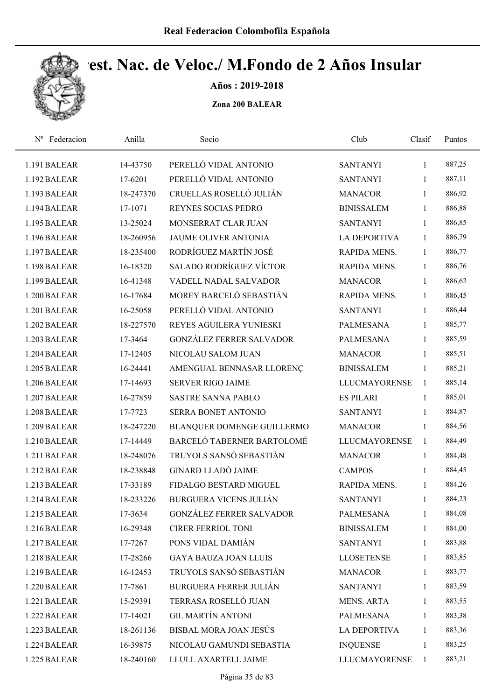

Años : 2019-2018

| Federacion<br>$N^{\rm o}$ | Anilla    | Socio                           | Club                 | Clasif       | Puntos |  |
|---------------------------|-----------|---------------------------------|----------------------|--------------|--------|--|
| 1.191 BALEAR              | 14-43750  | PERELLÓ VIDAL ANTONIO           | <b>SANTANYI</b>      | $\mathbf{1}$ | 887,25 |  |
| 1.192 BALEAR              | 17-6201   | PERELLÓ VIDAL ANTONIO           | <b>SANTANYI</b>      | 1            | 887,11 |  |
| 1.193 BALEAR              | 18-247370 | CRUELLAS ROSELLÓ JULIÁN         | <b>MANACOR</b>       | $\mathbf{1}$ | 886,92 |  |
| 1.194 BALEAR              | 17-1071   | REYNES SOCIAS PEDRO             | <b>BINISSALEM</b>    | 1            | 886,88 |  |
| 1.195 BALEAR              | 13-25024  | MONSERRAT CLAR JUAN             | <b>SANTANYI</b>      | $\mathbf{1}$ | 886,85 |  |
| 1.196 BALEAR              | 18-260956 | <b>JAUME OLIVER ANTONIA</b>     | LA DEPORTIVA         | 1            | 886,79 |  |
| 1.197 BALEAR              | 18-235400 | RODRÍGUEZ MARTÍN JOSÉ           | RAPIDA MENS.         | 1            | 886,77 |  |
| 1.198 BALEAR              | 16-18320  | <b>SALADO RODRÍGUEZ VÍCTOR</b>  | RAPIDA MENS.         | 1            | 886,76 |  |
| 1.199 BALEAR              | 16-41348  | VADELL NADAL SALVADOR           | <b>MANACOR</b>       | 1            | 886,62 |  |
| 1.200 BALEAR              | 16-17684  | MOREY BARCELÓ SEBASTIÁN         | RAPIDA MENS.         | 1            | 886,45 |  |
| 1.201 BALEAR              | 16-25058  | PERELLÓ VIDAL ANTONIO           | <b>SANTANYI</b>      | 1            | 886,44 |  |
| 1.202 BALEAR              | 18-227570 | REYES AGUILERA YUNIESKI         | <b>PALMESANA</b>     | 1            | 885,77 |  |
| 1.203 BALEAR              | 17-3464   | <b>GONZÁLEZ FERRER SALVADOR</b> | <b>PALMESANA</b>     | 1            | 885,59 |  |
| 1.204 BALEAR              | 17-12405  | NICOLAU SALOM JUAN              | <b>MANACOR</b>       | 1            | 885,51 |  |
| 1.205 BALEAR              | 16-24441  | AMENGUAL BENNASAR LLORENÇ       | <b>BINISSALEM</b>    | 1            | 885,21 |  |
| 1.206 BALEAR              | 17-14693  | <b>SERVER RIGO JAIME</b>        | <b>LLUCMAYORENSE</b> | 1            | 885,14 |  |
| 1.207 BALEAR              | 16-27859  | <b>SASTRE SANNA PABLO</b>       | <b>ES PILARI</b>     | 1            | 885,01 |  |
| 1.208 BALEAR              | 17-7723   | SERRA BONET ANTONIO             | <b>SANTANYI</b>      | $\mathbf{1}$ | 884,87 |  |
| 1.209 BALEAR              | 18-247220 | BLANQUER DOMENGE GUILLERMO      | <b>MANACOR</b>       | 1            | 884,56 |  |
| 1.210 BALEAR              | 17-14449  | BARCELÓ TABERNER BARTOLOMÉ      | <b>LLUCMAYORENSE</b> | 1            | 884,49 |  |
| 1.211 BALEAR              | 18-248076 | TRUYOLS SANSÓ SEBASTIÁN         | <b>MANACOR</b>       | 1            | 884,48 |  |
| 1.212 BALEAR              | 18-238848 | <b>GINARD LLADÓ JAIME</b>       | <b>CAMPOS</b>        | 1            | 884,45 |  |
| 1.213 BALEAR              | 17-33189  | FIDALGO BESTARD MIGUEL          | RAPIDA MENS.         | 1            | 884,26 |  |
| 1.214 BALEAR              | 18-233226 | <b>BURGUERA VICENS JULIÁN</b>   | <b>SANTANYI</b>      | $\mathbf{1}$ | 884,23 |  |
| 1.215 BALEAR              | 17-3634   | <b>GONZÁLEZ FERRER SALVADOR</b> | <b>PALMESANA</b>     | $\mathbf{1}$ | 884,08 |  |
| 1.216 BALEAR              | 16-29348  | <b>CIRER FERRIOL TONI</b>       | <b>BINISSALEM</b>    | $\mathbf{1}$ | 884,00 |  |
| 1.217 BALEAR              | 17-7267   | PONS VIDAL DAMIÁN               | <b>SANTANYI</b>      | $\mathbf{1}$ | 883,88 |  |
| 1.218 BALEAR              | 17-28266  | <b>GAYA BAUZA JOAN LLUIS</b>    | <b>LLOSETENSE</b>    | $\mathbf{1}$ | 883,85 |  |
| 1.219 BALEAR              | 16-12453  | TRUYOLS SANSÓ SEBASTIÁN         | <b>MANACOR</b>       | $\mathbf{1}$ | 883,77 |  |
| 1.220 BALEAR              | 17-7861   | <b>BURGUERA FERRER JULIÁN</b>   | <b>SANTANYI</b>      | $\mathbf{1}$ | 883,59 |  |
| 1.221 BALEAR              | 15-29391  | TERRASA ROSELLÓ JUAN            | MENS. ARTA           | $\mathbf{1}$ | 883,55 |  |
| 1.222 BALEAR              | 17-14021  | <b>GIL MARTÍN ANTONI</b>        | PALMESANA            | $\mathbf{1}$ | 883,38 |  |
| 1.223 BALEAR              | 18-261136 | BISBAL MORA JOAN JESÚS          | <b>LA DEPORTIVA</b>  | $\mathbf{1}$ | 883,36 |  |
| 1.224 BALEAR              | 16-39875  | NICOLAU GAMUNDI SEBASTIA        | <b>INQUENSE</b>      | 1            | 883,25 |  |
| 1.225 BALEAR              | 18-240160 | LLULL AXARTELL JAIME            | <b>LLUCMAYORENSE</b> | $\mathbf{1}$ | 883,21 |  |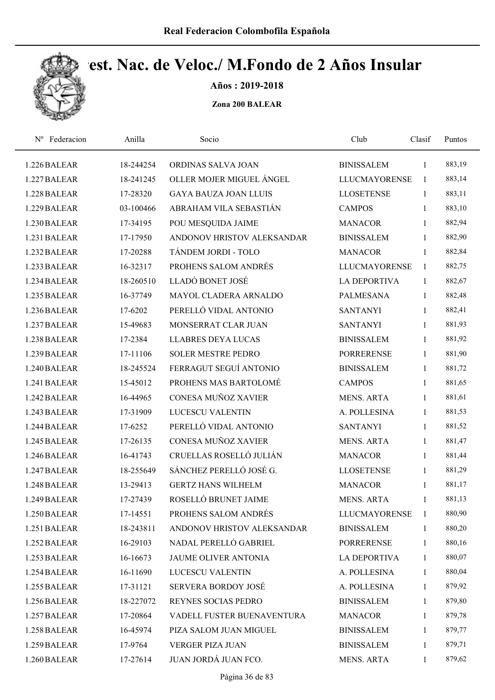

Años : 2019-2018

| Federacion<br>$N^{\rm o}$ | Anilla    | Socio                        | Club                 | Clasif       | Puntos |  |
|---------------------------|-----------|------------------------------|----------------------|--------------|--------|--|
| 1.226 BALEAR              | 18-244254 | ORDINAS SALVA JOAN           | <b>BINISSALEM</b>    | 1            | 883,19 |  |
| 1.227 BALEAR              | 18-241245 | OLLER MOJER MIGUEL ÁNGEL     | <b>LLUCMAYORENSE</b> | 1            | 883,14 |  |
| 1.228 BALEAR              | 17-28320  | <b>GAYA BAUZA JOAN LLUIS</b> | <b>LLOSETENSE</b>    | 1            | 883,11 |  |
| 1.229 BALEAR              | 03-100466 | ABRAHAM VILA SEBASTIÁN       | <b>CAMPOS</b>        | $\mathbf{1}$ | 883,10 |  |
| 1.230 BALEAR              | 17-34195  | POU MESQUIDA JAIME           | <b>MANACOR</b>       | $\mathbf{1}$ | 882,94 |  |
| 1.231 BALEAR              | 17-17950  | ANDONOV HRISTOV ALEKSANDAR   | <b>BINISSALEM</b>    | $\mathbf{1}$ | 882,90 |  |
| 1.232 BALEAR              | 17-20288  | TÁNDEM JORDI - TOLO          | <b>MANACOR</b>       | 1            | 882,84 |  |
| 1.233 BALEAR              | 16-32317  | PROHENS SALOM ANDRÉS         | <b>LLUCMAYORENSE</b> | 1            | 882,75 |  |
| 1.234 BALEAR              | 18-260510 | LLADÓ BONET JOSÉ             | LA DEPORTIVA         | 1            | 882,67 |  |
| 1.235 BALEAR              | 16-37749  | MAYOL CLADERA ARNALDO        | <b>PALMESANA</b>     | 1            | 882,48 |  |
| 1.236 BALEAR              | 17-6202   | PERELLÓ VIDAL ANTONIO        | <b>SANTANYI</b>      | 1            | 882,41 |  |
| 1.237 BALEAR              | 15-49683  | MONSERRAT CLAR JUAN          | <b>SANTANYI</b>      | 1            | 881,93 |  |
| 1.238 BALEAR              | 17-2384   | <b>LLABRES DEYA LUCAS</b>    | <b>BINISSALEM</b>    | 1            | 881,92 |  |
| 1.239 BALEAR              | 17-11106  | <b>SOLER MESTRE PEDRO</b>    | <b>PORRERENSE</b>    | 1            | 881,90 |  |
| 1.240 BALEAR              | 18-245524 | FERRAGUT SEGUÍ ANTONIO       | <b>BINISSALEM</b>    | $\mathbf{1}$ | 881,72 |  |
| 1.241 BALEAR              | 15-45012  | PROHENS MAS BARTOLOMÉ        | <b>CAMPOS</b>        | $\mathbf{1}$ | 881,65 |  |
| 1.242 BALEAR              | 16-44965  | CONESA MUÑOZ XAVIER          | <b>MENS. ARTA</b>    | $\mathbf{1}$ | 881,61 |  |
| 1.243 BALEAR              | 17-31909  | LUCESCU VALENTIN             | A. POLLESINA         | $\mathbf{1}$ | 881,53 |  |
| 1.244 BALEAR              | 17-6252   | PERELLÓ VIDAL ANTONIO        | <b>SANTANYI</b>      | 1            | 881,52 |  |
| 1.245 BALEAR              | 17-26135  | CONESA MUÑOZ XAVIER          | <b>MENS. ARTA</b>    | $\mathbf{1}$ | 881,47 |  |
| 1.246 BALEAR              | 16-41743  | CRUELLAS ROSELLÓ JULIÁN      | <b>MANACOR</b>       | $\mathbf{1}$ | 881,44 |  |
| 1.247 BALEAR              | 18-255649 | SÁNCHEZ PERELLÓ JOSÉ G.      | <b>LLOSETENSE</b>    | $\mathbf{1}$ | 881,29 |  |
| 1.248 BALEAR              | 13-29413  | <b>GERTZ HANS WILHELM</b>    | <b>MANACOR</b>       | 1            | 881,17 |  |
| 1.249 BALEAR              | 17-27439  | ROSELLÓ BRUNET JAIME         | <b>MENS. ARTA</b>    | $\mathbf{1}$ | 881,13 |  |
| 1.250 BALEAR              | 17-14551  | PROHENS SALOM ANDRÉS         | <b>LLUCMAYORENSE</b> | 1            | 880,90 |  |
| 1.251 BALEAR              | 18-243811 | ANDONOV HRISTOV ALEKSANDAR   | <b>BINISSALEM</b>    | 1            | 880,20 |  |
| 1.252 BALEAR              | 16-29103  | NADAL PERELLÓ GABRIEL        | <b>PORRERENSE</b>    | 1            | 880,16 |  |
| 1.253 BALEAR              | 16-16673  | <b>JAUME OLIVER ANTONIA</b>  | LA DEPORTIVA         | $\mathbf{1}$ | 880,07 |  |
| 1.254 BALEAR              | 16-11690  | LUCESCU VALENTIN             | A. POLLESINA         | $\mathbf{1}$ | 880,04 |  |
| 1.255 BALEAR              | 17-31121  | SERVERA BORDOY JOSÉ          | A. POLLESINA         | $\mathbf{1}$ | 879,92 |  |
| 1.256 BALEAR              | 18-227072 | REYNES SOCIAS PEDRO          | <b>BINISSALEM</b>    | $\mathbf{1}$ | 879,80 |  |
| 1.257 BALEAR              | 17-20864  | VADELL FUSTER BUENAVENTURA   | <b>MANACOR</b>       | $\mathbf{1}$ | 879,78 |  |
| 1.258 BALEAR              | 16-45974  | PIZA SALOM JUAN MIGUEL       | <b>BINISSALEM</b>    | $\mathbf{1}$ | 879,77 |  |
| 1.259 BALEAR              | 17-9764   | <b>VERGER PIZA JUAN</b>      | <b>BINISSALEM</b>    | $\mathbf{1}$ | 879,71 |  |
| 1.260 BALEAR              | 17-27614  | JUAN JORDÁ JUAN FCO.         | MENS. ARTA           | 1            | 879,62 |  |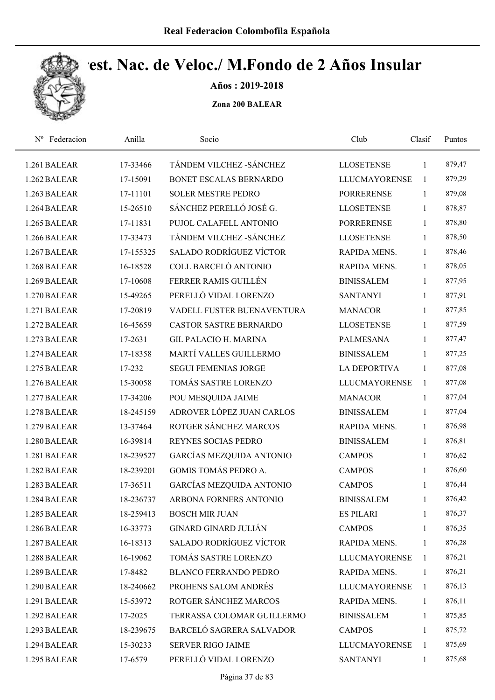

Años : 2019-2018

| Nº Federacion | Anilla    | Socio                          | Club                 | Clasif       | Puntos |  |
|---------------|-----------|--------------------------------|----------------------|--------------|--------|--|
| 1.261 BALEAR  | 17-33466  | TÁNDEM VILCHEZ - SÁNCHEZ       | <b>LLOSETENSE</b>    | 1            | 879,47 |  |
| 1.262 BALEAR  | 17-15091  | BONET ESCALAS BERNARDO         | <b>LLUCMAYORENSE</b> | 1            | 879,29 |  |
| 1.263 BALEAR  | 17-11101  | <b>SOLER MESTRE PEDRO</b>      | <b>PORRERENSE</b>    | $\mathbf{1}$ | 879,08 |  |
| 1.264 BALEAR  | 15-26510  | SÁNCHEZ PERELLÓ JOSÉ G.        | <b>LLOSETENSE</b>    | 1            | 878,87 |  |
| 1.265 BALEAR  | 17-11831  | PUJOL CALAFELL ANTONIO         | <b>PORRERENSE</b>    | $\mathbf{1}$ | 878,80 |  |
| 1.266 BALEAR  | 17-33473  | TÁNDEM VILCHEZ - SÁNCHEZ       | <b>LLOSETENSE</b>    | $\mathbf{1}$ | 878,50 |  |
| 1.267 BALEAR  | 17-155325 | <b>SALADO RODRÍGUEZ VÍCTOR</b> | RAPIDA MENS.         | 1            | 878,46 |  |
| 1.268 BALEAR  | 16-18528  | COLL BARCELÓ ANTONIO           | RAPIDA MENS.         | $\mathbf{1}$ | 878,05 |  |
| 1.269 BALEAR  | 17-10608  | FERRER RAMIS GUILLÉN           | <b>BINISSALEM</b>    | $\mathbf{1}$ | 877,95 |  |
| 1.270 BALEAR  | 15-49265  | PERELLÓ VIDAL LORENZO          | <b>SANTANYI</b>      | $\mathbf{1}$ | 877,91 |  |
| 1.271 BALEAR  | 17-20819  | VADELL FUSTER BUENAVENTURA     | <b>MANACOR</b>       | $\mathbf{1}$ | 877,85 |  |
| 1.272 BALEAR  | 16-45659  | <b>CASTOR SASTRE BERNARDO</b>  | <b>LLOSETENSE</b>    | 1            | 877,59 |  |
| 1.273 BALEAR  | 17-2631   | <b>GIL PALACIO H. MARINA</b>   | <b>PALMESANA</b>     | 1            | 877,47 |  |
| 1.274 BALEAR  | 17-18358  | MARTÍ VALLES GUILLERMO         | <b>BINISSALEM</b>    | 1            | 877,25 |  |
| 1.275 BALEAR  | 17-232    | <b>SEGUI FEMENIAS JORGE</b>    | <b>LA DEPORTIVA</b>  | 1            | 877,08 |  |
| 1.276 BALEAR  | 15-30058  | TOMÁS SASTRE LORENZO           | <b>LLUCMAYORENSE</b> | $\mathbf{1}$ | 877,08 |  |
| 1.277 BALEAR  | 17-34206  | POU MESQUIDA JAIME             | <b>MANACOR</b>       | $\mathbf{1}$ | 877,04 |  |
| 1.278 BALEAR  | 18-245159 | ADROVER LÓPEZ JUAN CARLOS      | <b>BINISSALEM</b>    | $\mathbf{1}$ | 877,04 |  |
| 1.279 BALEAR  | 13-37464  | ROTGER SÁNCHEZ MARCOS          | RAPIDA MENS.         | 1            | 876,98 |  |
| 1.280 BALEAR  | 16-39814  | REYNES SOCIAS PEDRO            | <b>BINISSALEM</b>    | 1            | 876,81 |  |
| 1.281 BALEAR  | 18-239527 | GARCÍAS MEZQUIDA ANTONIO       | <b>CAMPOS</b>        | $\mathbf{1}$ | 876,62 |  |
| 1.282 BALEAR  | 18-239201 | <b>GOMIS TOMÁS PEDRO A.</b>    | <b>CAMPOS</b>        | 1            | 876,60 |  |
| 1.283 BALEAR  | 17-36511  | GARCÍAS MEZQUIDA ANTONIO       | <b>CAMPOS</b>        | 1            | 876,44 |  |
| 1.284 BALEAR  | 18-236737 | ARBONA FORNERS ANTONIO         | <b>BINISSALEM</b>    | 1            | 876,42 |  |
| 1.285 BALEAR  | 18-259413 | <b>BOSCH MIR JUAN</b>          | <b>ES PILARI</b>     | 1            | 876,37 |  |
| 1.286 BALEAR  | 16-33773  | <b>GINARD GINARD JULIÁN</b>    | <b>CAMPOS</b>        | 1            | 876,35 |  |
| 1.287 BALEAR  | 16-18313  | <b>SALADO RODRÍGUEZ VÍCTOR</b> | RAPIDA MENS.         | 1            | 876,28 |  |
| 1.288 BALEAR  | 16-19062  | TOMÁS SASTRE LORENZO           | <b>LLUCMAYORENSE</b> | 1            | 876,21 |  |
| 1.289 BALEAR  | 17-8482   | <b>BLANCO FERRANDO PEDRO</b>   | RAPIDA MENS.         | 1            | 876,21 |  |
| 1.290 BALEAR  | 18-240662 | PROHENS SALOM ANDRÉS           | <b>LLUCMAYORENSE</b> | $\mathbf{1}$ | 876,13 |  |
| 1.291 BALEAR  | 15-53972  | ROTGER SÁNCHEZ MARCOS          | RAPIDA MENS.         | $\mathbf{1}$ | 876,11 |  |
| 1.292 BALEAR  | 17-2025   | TERRASSA COLOMAR GUILLERMO     | <b>BINISSALEM</b>    | 1            | 875,85 |  |
| 1.293 BALEAR  | 18-239675 | BARCELÓ SAGRERA SALVADOR       | <b>CAMPOS</b>        | 1            | 875,72 |  |
| 1.294 BALEAR  | 15-30233  | <b>SERVER RIGO JAIME</b>       | <b>LLUCMAYORENSE</b> | 1            | 875,69 |  |
| 1.295 BALEAR  | 17-6579   | PERELLÓ VIDAL LORENZO          | <b>SANTANYI</b>      | 1            | 875,68 |  |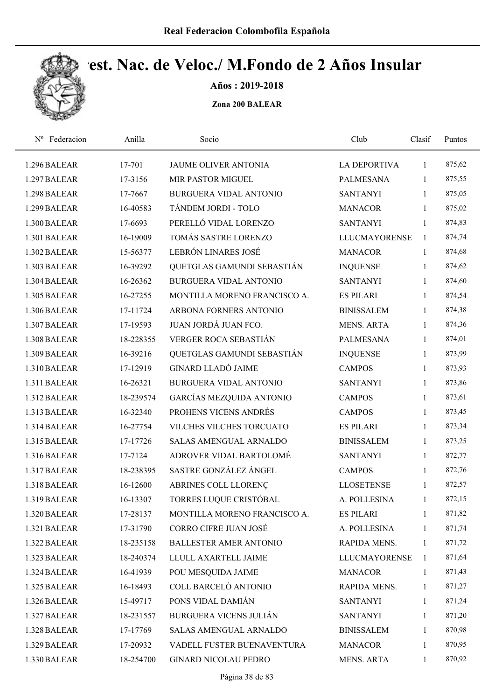

Años : 2019-2018

| Nº Federacion | Anilla    | Socio                           | Club                 | Clasif       | Puntos |  |
|---------------|-----------|---------------------------------|----------------------|--------------|--------|--|
| 1.296 BALEAR  | 17-701    | JAUME OLIVER ANTONIA            | <b>LA DEPORTIVA</b>  | 1            | 875,62 |  |
| 1.297 BALEAR  | 17-3156   | MIR PASTOR MIGUEL               | <b>PALMESANA</b>     | $\mathbf{1}$ | 875,55 |  |
| 1.298 BALEAR  | 17-7667   | BURGUERA VIDAL ANTONIO          | <b>SANTANYI</b>      | $\mathbf{1}$ | 875,05 |  |
| 1.299 BALEAR  | 16-40583  | TÁNDEM JORDI - TOLO             | <b>MANACOR</b>       | $\mathbf{1}$ | 875,02 |  |
| 1.300 BALEAR  | 17-6693   | PERELLÓ VIDAL LORENZO           | <b>SANTANYI</b>      | $\mathbf{1}$ | 874,83 |  |
| 1.301 BALEAR  | 16-19009  | TOMÁS SASTRE LORENZO            | <b>LLUCMAYORENSE</b> | $\mathbf{1}$ | 874,74 |  |
| 1.302 BALEAR  | 15-56377  | LEBRÓN LINARES JOSÉ             | <b>MANACOR</b>       | $\mathbf{1}$ | 874,68 |  |
| 1.303 BALEAR  | 16-39292  | QUETGLAS GAMUNDI SEBASTIÁN      | <b>INQUENSE</b>      | $\mathbf{1}$ | 874,62 |  |
| 1.304 BALEAR  | 16-26362  | <b>BURGUERA VIDAL ANTONIO</b>   | <b>SANTANYI</b>      | 1            | 874,60 |  |
| 1.305 BALEAR  | 16-27255  | MONTILLA MORENO FRANCISCO A.    | <b>ES PILARI</b>     | 1            | 874,54 |  |
| 1.306 BALEAR  | 17-11724  | ARBONA FORNERS ANTONIO          | <b>BINISSALEM</b>    | $\mathbf{1}$ | 874,38 |  |
| 1.307 BALEAR  | 17-19593  | JUAN JORDÁ JUAN FCO.            | <b>MENS. ARTA</b>    | 1            | 874,36 |  |
| 1.308 BALEAR  | 18-228355 | VERGER ROCA SEBASTIÁN           | <b>PALMESANA</b>     | 1            | 874,01 |  |
| 1.309 BALEAR  | 16-39216  | QUETGLAS GAMUNDI SEBASTIÁN      | <b>INQUENSE</b>      | 1            | 873,99 |  |
| 1.310 BALEAR  | 17-12919  | <b>GINARD LLADÓ JAIME</b>       | <b>CAMPOS</b>        | $\mathbf{1}$ | 873,93 |  |
| 1.311 BALEAR  | 16-26321  | BURGUERA VIDAL ANTONIO          | <b>SANTANYI</b>      | $\mathbf{1}$ | 873,86 |  |
| 1.312 BALEAR  | 18-239574 | <b>GARCÍAS MEZQUIDA ANTONIO</b> | <b>CAMPOS</b>        | $\mathbf{1}$ | 873,61 |  |
| 1.313 BALEAR  | 16-32340  | PROHENS VICENS ANDRÉS           | <b>CAMPOS</b>        | $\mathbf{1}$ | 873,45 |  |
| 1.314 BALEAR  | 16-27754  | VILCHES VILCHES TORCUATO        | <b>ES PILARI</b>     | $\mathbf{1}$ | 873,34 |  |
| 1.315 BALEAR  | 17-17726  | SALAS AMENGUAL ARNALDO          | <b>BINISSALEM</b>    | 1            | 873,25 |  |
| 1.316 BALEAR  | 17-7124   | ADROVER VIDAL BARTOLOMÉ         | <b>SANTANYI</b>      | 1            | 872,77 |  |
| 1.317 BALEAR  | 18-238395 | SASTRE GONZÁLEZ ÁNGEL           | <b>CAMPOS</b>        | 1            | 872,76 |  |
| 1.318 BALEAR  | 16-12600  | ABRINES COLL LLORENÇ            | <b>LLOSETENSE</b>    | 1            | 872,57 |  |
| 1.319 BALEAR  | 16-13307  | TORRES LUQUE CRISTÓBAL          | A. POLLESINA         | $\mathbf{1}$ | 872,15 |  |
| 1.320 BALEAR  | 17-28137  | MONTILLA MORENO FRANCISCO A.    | <b>ES PILARI</b>     | 1            | 871,82 |  |
| 1.321 BALEAR  | 17-31790  | CORRO CIFRE JUAN JOSÉ           | A. POLLESINA         | 1            | 871,74 |  |
| 1.322 BALEAR  | 18-235158 | <b>BALLESTER AMER ANTONIO</b>   | RAPIDA MENS.         | 1            | 871,72 |  |
| 1.323 BALEAR  | 18-240374 | LLULL AXARTELL JAIME            | <b>LLUCMAYORENSE</b> | 1            | 871,64 |  |
| 1.324 BALEAR  | 16-41939  | POU MESQUIDA JAIME              | <b>MANACOR</b>       | 1            | 871,43 |  |
| 1.325 BALEAR  | 16-18493  | COLL BARCELÓ ANTONIO            | RAPIDA MENS.         | $\mathbf{1}$ | 871,27 |  |
| 1.326 BALEAR  | 15-49717  | PONS VIDAL DAMIÁN               | <b>SANTANYI</b>      | $\mathbf{1}$ | 871,24 |  |
| 1.327 BALEAR  | 18-231557 | <b>BURGUERA VICENS JULIÁN</b>   | <b>SANTANYI</b>      | 1            | 871,20 |  |
| 1.328 BALEAR  | 17-17769  | SALAS AMENGUAL ARNALDO          | <b>BINISSALEM</b>    | 1            | 870,98 |  |
| 1.329 BALEAR  | 17-20932  | VADELL FUSTER BUENAVENTURA      | <b>MANACOR</b>       | 1            | 870,95 |  |
| 1.330 BALEAR  | 18-254700 | <b>GINARD NICOLAU PEDRO</b>     | <b>MENS. ARTA</b>    | $\mathbf{1}$ | 870,92 |  |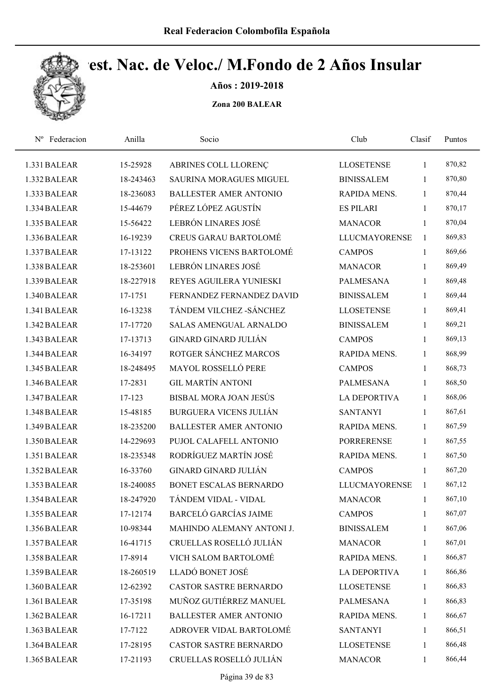

Años : 2019-2018

| Federacion<br>$N^{\rm o}$ | Anilla    | Socio                          | Club                 | Clasif       | Puntos |  |
|---------------------------|-----------|--------------------------------|----------------------|--------------|--------|--|
| 1.331 BALEAR              | 15-25928  | ABRINES COLL LLORENÇ           | <b>LLOSETENSE</b>    | 1            | 870,82 |  |
| 1.332 BALEAR              | 18-243463 | <b>SAURINA MORAGUES MIGUEL</b> | <b>BINISSALEM</b>    | 1            | 870,80 |  |
| 1.333 BALEAR              | 18-236083 | <b>BALLESTER AMER ANTONIO</b>  | RAPIDA MENS.         | $\mathbf{1}$ | 870,44 |  |
| 1.334 BALEAR              | 15-44679  | PÉREZ LÓPEZ AGUSTÍN            | <b>ES PILARI</b>     | $\mathbf{1}$ | 870,17 |  |
| 1.335 BALEAR              | 15-56422  | LEBRÓN LINARES JOSÉ            | <b>MANACOR</b>       | $\mathbf{1}$ | 870,04 |  |
| 1.336 BALEAR              | 16-19239  | <b>CREUS GARAU BARTOLOMÉ</b>   | <b>LLUCMAYORENSE</b> | $\mathbf{1}$ | 869,83 |  |
| 1.337 BALEAR              | 17-13122  | PROHENS VICENS BARTOLOMÉ       | <b>CAMPOS</b>        | $\mathbf{1}$ | 869,66 |  |
| 1.338 BALEAR              | 18-253601 | LEBRÓN LINARES JOSÉ            | <b>MANACOR</b>       | $\mathbf{1}$ | 869,49 |  |
| 1.339 BALEAR              | 18-227918 | REYES AGUILERA YUNIESKI        | <b>PALMESANA</b>     | $\mathbf{1}$ | 869,48 |  |
| 1.340 BALEAR              | 17-1751   | FERNANDEZ FERNANDEZ DAVID      | <b>BINISSALEM</b>    | 1            | 869,44 |  |
| 1.341 BALEAR              | 16-13238  | TÁNDEM VILCHEZ - SÁNCHEZ       | <b>LLOSETENSE</b>    | 1            | 869,41 |  |
| 1.342 BALEAR              | 17-17720  | <b>SALAS AMENGUAL ARNALDO</b>  | <b>BINISSALEM</b>    | 1            | 869,21 |  |
| 1.343 BALEAR              | 17-13713  | <b>GINARD GINARD JULIÁN</b>    | <b>CAMPOS</b>        | $\mathbf{1}$ | 869,13 |  |
| 1.344 BALEAR              | 16-34197  | ROTGER SÁNCHEZ MARCOS          | RAPIDA MENS.         | 1            | 868,99 |  |
| 1.345 BALEAR              | 18-248495 | <b>MAYOL ROSSELLÓ PERE</b>     | <b>CAMPOS</b>        | $\mathbf{1}$ | 868,73 |  |
| 1.346 BALEAR              | 17-2831   | <b>GIL MARTÍN ANTONI</b>       | <b>PALMESANA</b>     | $\mathbf{1}$ | 868,50 |  |
| 1.347 BALEAR              | 17-123    | BISBAL MORA JOAN JESÚS         | <b>LA DEPORTIVA</b>  | 1            | 868,06 |  |
| 1.348 BALEAR              | 15-48185  | <b>BURGUERA VICENS JULIÁN</b>  | <b>SANTANYI</b>      | $\mathbf{1}$ | 867,61 |  |
| 1.349 BALEAR              | 18-235200 | <b>BALLESTER AMER ANTONIO</b>  | RAPIDA MENS.         | $\mathbf{1}$ | 867,59 |  |
| 1.350 BALEAR              | 14-229693 | PUJOL CALAFELL ANTONIO         | <b>PORRERENSE</b>    | $\mathbf{1}$ | 867,55 |  |
| 1.351 BALEAR              | 18-235348 | RODRÍGUEZ MARTÍN JOSÉ          | RAPIDA MENS.         | 1            | 867,50 |  |
| 1.352 BALEAR              | 16-33760  | <b>GINARD GINARD JULIÁN</b>    | <b>CAMPOS</b>        | 1            | 867,20 |  |
| 1.353 BALEAR              | 18-240085 | <b>BONET ESCALAS BERNARDO</b>  | <b>LLUCMAYORENSE</b> | 1            | 867,12 |  |
| 1.354 BALEAR              | 18-247920 | TÁNDEM VIDAL - VIDAL           | <b>MANACOR</b>       | $\mathbf{1}$ | 867,10 |  |
| 1.355 BALEAR              | 17-12174  | <b>BARCELÓ GARCÍAS JAIME</b>   | <b>CAMPOS</b>        | 1            | 867,07 |  |
| 1.356 BALEAR              | 10-98344  | MAHINDO ALEMANY ANTONI J.      | <b>BINISSALEM</b>    | 1            | 867,06 |  |
| 1.357 BALEAR              | 16-41715  | CRUELLAS ROSELLÓ JULIÁN        | <b>MANACOR</b>       | 1            | 867,01 |  |
| 1.358 BALEAR              | 17-8914   | VICH SALOM BARTOLOMÉ           | RAPIDA MENS.         | $\mathbf{1}$ | 866,87 |  |
| 1.359 BALEAR              | 18-260519 | LLADÓ BONET JOSÉ               | LA DEPORTIVA         | 1            | 866,86 |  |
| 1.360 BALEAR              | 12-62392  | <b>CASTOR SASTRE BERNARDO</b>  | <b>LLOSETENSE</b>    | 1            | 866,83 |  |
| 1.361 BALEAR              | 17-35198  | MUÑOZ GUTIÉRREZ MANUEL         | PALMESANA            | $\mathbf{1}$ | 866,83 |  |
| 1.362 BALEAR              | 16-17211  | <b>BALLESTER AMER ANTONIO</b>  | RAPIDA MENS.         | 1            | 866,67 |  |
| 1.363 BALEAR              | 17-7122   | ADROVER VIDAL BARTOLOMÉ        | <b>SANTANYI</b>      | $\mathbf{1}$ | 866,51 |  |
| 1.364 BALEAR              | 17-28195  | CASTOR SASTRE BERNARDO         | <b>LLOSETENSE</b>    | 1            | 866,48 |  |
| 1.365 BALEAR              | 17-21193  | CRUELLAS ROSELLÓ JULIÁN        | <b>MANACOR</b>       | 1            | 866,44 |  |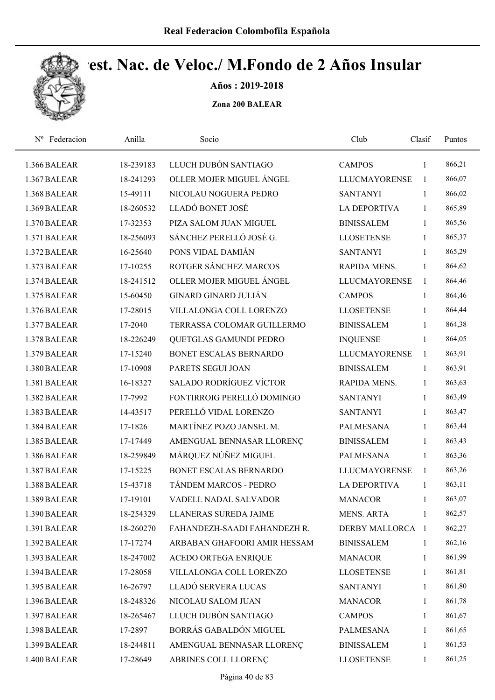

Años : 2019-2018

| Federacion<br>$N^{\rm o}$ | Anilla    | Socio                          | Club                 | Clasif       | Puntos |
|---------------------------|-----------|--------------------------------|----------------------|--------------|--------|
| 1.366 BALEAR              | 18-239183 | LLUCH DUBÓN SANTIAGO           | <b>CAMPOS</b>        | $\mathbf{1}$ | 866,21 |
| 1.367 BALEAR              | 18-241293 | OLLER MOJER MIGUEL ÁNGEL       | <b>LLUCMAYORENSE</b> | $\mathbf{1}$ | 866,07 |
| 1.368 BALEAR              | 15-49111  | NICOLAU NOGUERA PEDRO          | <b>SANTANYI</b>      | $\mathbf{1}$ | 866,02 |
| 1.369 BALEAR              | 18-260532 | LLADÓ BONET JOSÉ               | <b>LA DEPORTIVA</b>  | 1            | 865,89 |
| 1.370 BALEAR              | 17-32353  | PIZA SALOM JUAN MIGUEL         | <b>BINISSALEM</b>    | $\mathbf{1}$ | 865,56 |
| 1.371 BALEAR              | 18-256093 | SÁNCHEZ PERELLÓ JOSÉ G.        | <b>LLOSETENSE</b>    | $\mathbf{1}$ | 865,37 |
| 1.372 BALEAR              | 16-25640  | PONS VIDAL DAMIÁN              | <b>SANTANYI</b>      | $\mathbf{1}$ | 865,29 |
| 1.373 BALEAR              | 17-10255  | ROTGER SÁNCHEZ MARCOS          | RAPIDA MENS.         | $\mathbf{1}$ | 864,62 |
| 1.374 BALEAR              | 18-241512 | OLLER MOJER MIGUEL ÁNGEL       | <b>LLUCMAYORENSE</b> | $\mathbf{1}$ | 864,46 |
| 1.375 BALEAR              | 15-60450  | <b>GINARD GINARD JULIÁN</b>    | <b>CAMPOS</b>        | 1            | 864,46 |
| 1.376 BALEAR              | 17-28015  | VILLALONGA COLL LORENZO        | <b>LLOSETENSE</b>    | $\mathbf{1}$ | 864,44 |
| 1.377 BALEAR              | 17-2040   | TERRASSA COLOMAR GUILLERMO     | <b>BINISSALEM</b>    | 1            | 864,38 |
| 1.378 BALEAR              | 18-226249 | QUETGLAS GAMUNDI PEDRO         | <b>INQUENSE</b>      | 1            | 864,05 |
| 1.379 BALEAR              | 17-15240  | BONET ESCALAS BERNARDO         | <b>LLUCMAYORENSE</b> | $\mathbf{1}$ | 863,91 |
| 1.380 BALEAR              | 17-10908  | PARETS SEGUI JOAN              | <b>BINISSALEM</b>    | $\mathbf{1}$ | 863,91 |
| 1.381 BALEAR              | 16-18327  | <b>SALADO RODRÍGUEZ VÍCTOR</b> | RAPIDA MENS.         | $\mathbf{1}$ | 863,63 |
| 1.382 BALEAR              | 17-7992   | FONTIRROIG PERELLÓ DOMINGO     | <b>SANTANYI</b>      | $\mathbf{1}$ | 863,49 |
| 1.383 BALEAR              | 14-43517  | PERELLÓ VIDAL LORENZO          | <b>SANTANYI</b>      | $\mathbf{1}$ | 863,47 |
| 1.384 BALEAR              | 17-1826   | MARTÍNEZ POZO JANSEL M.        | <b>PALMESANA</b>     | $\mathbf{1}$ | 863,44 |
| 1.385 BALEAR              | 17-17449  | AMENGUAL BENNASAR LLORENÇ      | <b>BINISSALEM</b>    | $\mathbf{1}$ | 863,43 |
| 1.386 BALEAR              | 18-259849 | MÁRQUEZ NÚÑEZ MIGUEL           | <b>PALMESANA</b>     | 1            | 863,36 |
| 1.387 BALEAR              | 17-15225  | BONET ESCALAS BERNARDO         | <b>LLUCMAYORENSE</b> | 1            | 863,26 |
| 1.388 BALEAR              | 15-43718  | TÁNDEM MARCOS - PEDRO          | <b>LA DEPORTIVA</b>  | $\mathbf{1}$ | 863,11 |
| 1.389 BALEAR              | 17-19101  | VADELL NADAL SALVADOR          | <b>MANACOR</b>       | 1            | 863,07 |
| 1.390 BALEAR              | 18-254329 | LLANERAS SUREDA JAIME          | MENS. ARTA           | -1           | 862,57 |
| 1.391 BALEAR              | 18-260270 | FAHANDEZH-SAADI FAHANDEZH R.   | DERBY MALLORCA 1     |              | 862,27 |
| 1.392 BALEAR              | 17-17274  | ARBABAN GHAFOORI AMIR HESSAM   | <b>BINISSALEM</b>    | 1            | 862,16 |
| 1.393 BALEAR              | 18-247002 | ACEDO ORTEGA ENRIQUE           | <b>MANACOR</b>       | $\mathbf{1}$ | 861,99 |
| 1.394 BALEAR              | 17-28058  | VILLALONGA COLL LORENZO        | <b>LLOSETENSE</b>    | 1            | 861,81 |
| 1.395 BALEAR              | 16-26797  | LLADÓ SERVERA LUCAS            | <b>SANTANYI</b>      | $\mathbf{1}$ | 861,80 |
| 1.396 BALEAR              | 18-248326 | NICOLAU SALOM JUAN             | <b>MANACOR</b>       | $\mathbf{1}$ | 861,78 |
| 1.397 BALEAR              | 18-265467 | LLUCH DUBÓN SANTIAGO           | <b>CAMPOS</b>        | $\mathbf{1}$ | 861,67 |
| 1.398 BALEAR              | 17-2897   | BORRÁS GABALDÓN MIGUEL         | <b>PALMESANA</b>     | $\mathbf{1}$ | 861,65 |
| 1.399 BALEAR              | 18-244811 | AMENGUAL BENNASAR LLORENÇ      | <b>BINISSALEM</b>    | 1            | 861,53 |
| 1.400 BALEAR              | 17-28649  | ABRINES COLL LLORENÇ           | <b>LLOSETENSE</b>    | $\mathbf{1}$ | 861,25 |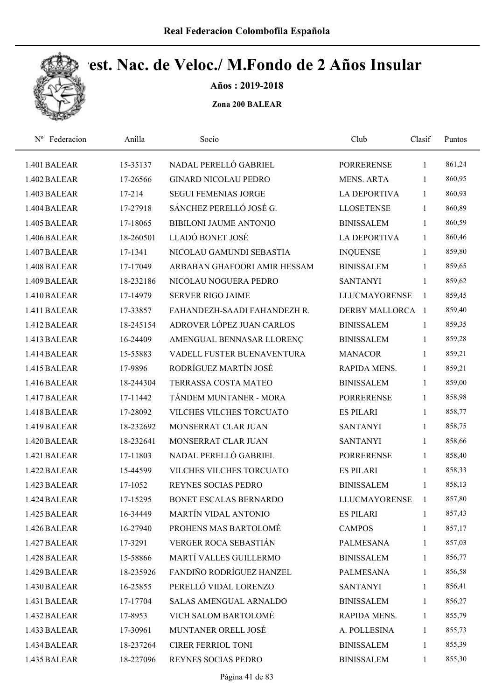

Años : 2019-2018

| Nº Federacion | Anilla    | Socio                         | Club                 | Clasif       | Puntos |  |
|---------------|-----------|-------------------------------|----------------------|--------------|--------|--|
| 1.401 BALEAR  | 15-35137  | NADAL PERELLÓ GABRIEL         | <b>PORRERENSE</b>    | 1            | 861,24 |  |
| 1.402 BALEAR  | 17-26566  | <b>GINARD NICOLAU PEDRO</b>   | <b>MENS. ARTA</b>    | 1            | 860,95 |  |
| 1.403 BALEAR  | 17-214    | <b>SEGUI FEMENIAS JORGE</b>   | <b>LA DEPORTIVA</b>  | 1            | 860,93 |  |
| 1.404 BALEAR  | 17-27918  | SÁNCHEZ PERELLÓ JOSÉ G.       | <b>LLOSETENSE</b>    | $\mathbf{1}$ | 860,89 |  |
| 1.405 BALEAR  | 17-18065  | <b>BIBILONI JAUME ANTONIO</b> | <b>BINISSALEM</b>    | $\mathbf{1}$ | 860,59 |  |
| 1.406 BALEAR  | 18-260501 | LLADÓ BONET JOSÉ              | <b>LA DEPORTIVA</b>  | 1            | 860,46 |  |
| 1.407 BALEAR  | 17-1341   | NICOLAU GAMUNDI SEBASTIA      | <b>INQUENSE</b>      | $\mathbf{1}$ | 859,80 |  |
| 1.408 BALEAR  | 17-17049  | ARBABAN GHAFOORI AMIR HESSAM  | <b>BINISSALEM</b>    | $\mathbf{1}$ | 859,65 |  |
| 1.409 BALEAR  | 18-232186 | NICOLAU NOGUERA PEDRO         | <b>SANTANYI</b>      | $\mathbf{1}$ | 859,62 |  |
| 1.410 BALEAR  | 17-14979  | <b>SERVER RIGO JAIME</b>      | <b>LLUCMAYORENSE</b> | $\mathbf{1}$ | 859,45 |  |
| 1.411 BALEAR  | 17-33857  | FAHANDEZH-SAADI FAHANDEZH R.  | DERBY MALLORCA 1     |              | 859,40 |  |
| 1.412 BALEAR  | 18-245154 | ADROVER LÓPEZ JUAN CARLOS     | <b>BINISSALEM</b>    | $\mathbf{1}$ | 859,35 |  |
| 1.413 BALEAR  | 16-24409  | AMENGUAL BENNASAR LLORENÇ     | <b>BINISSALEM</b>    | 1            | 859,28 |  |
| 1.414 BALEAR  | 15-55883  | VADELL FUSTER BUENAVENTURA    | <b>MANACOR</b>       | 1            | 859,21 |  |
| 1.415 BALEAR  | 17-9896   | RODRÍGUEZ MARTÍN JOSÉ         | RAPIDA MENS.         | $\mathbf{1}$ | 859,21 |  |
| 1.416 BALEAR  | 18-244304 | TERRASSA COSTA MATEO          | <b>BINISSALEM</b>    | $\mathbf{1}$ | 859,00 |  |
| 1.417 BALEAR  | 17-11442  | TÁNDEM MUNTANER - MORA        | <b>PORRERENSE</b>    | $\mathbf{1}$ | 858,98 |  |
| 1.418 BALEAR  | 17-28092  | VILCHES VILCHES TORCUATO      | <b>ES PILARI</b>     | $\mathbf{1}$ | 858,77 |  |
| 1.419 BALEAR  | 18-232692 | MONSERRAT CLAR JUAN           | <b>SANTANYI</b>      | $\mathbf{1}$ | 858,75 |  |
| 1.420 BALEAR  | 18-232641 | MONSERRAT CLAR JUAN           | <b>SANTANYI</b>      | $\mathbf{1}$ | 858,66 |  |
| 1.421 BALEAR  | 17-11803  | NADAL PERELLÓ GABRIEL         | <b>PORRERENSE</b>    | $\mathbf{1}$ | 858,40 |  |
| 1.422 BALEAR  | 15-44599  | VILCHES VILCHES TORCUATO      | <b>ES PILARI</b>     | $\mathbf{1}$ | 858,33 |  |
| 1.423 BALEAR  | 17-1052   | <b>REYNES SOCIAS PEDRO</b>    | <b>BINISSALEM</b>    | $\mathbf{1}$ | 858,13 |  |
| 1.424 BALEAR  | 17-15295  | <b>BONET ESCALAS BERNARDO</b> | <b>LLUCMAYORENSE</b> | 1            | 857,80 |  |
| 1.425 BALEAR  | 16-34449  | MARTÍN VIDAL ANTONIO          | <b>ES PILARI</b>     | 1            | 857,43 |  |
| 1.426 BALEAR  | 16-27940  | PROHENS MAS BARTOLOMÉ         | <b>CAMPOS</b>        | 1            | 857,17 |  |
| 1.427 BALEAR  | 17-3291   | VERGER ROCA SEBASTIÁN         | PALMESANA            | 1            | 857,03 |  |
| 1.428 BALEAR  | 15-58866  | MARTÍ VALLES GUILLERMO        | <b>BINISSALEM</b>    | $\mathbf{1}$ | 856,77 |  |
| 1.429 BALEAR  | 18-235926 | FANDIÑO RODRÍGUEZ HANZEL      | <b>PALMESANA</b>     | 1            | 856,58 |  |
| 1.430 BALEAR  | 16-25855  | PERELLÓ VIDAL LORENZO         | <b>SANTANYI</b>      | 1            | 856,41 |  |
| 1.431 BALEAR  | 17-17704  | <b>SALAS AMENGUAL ARNALDO</b> | <b>BINISSALEM</b>    | $\mathbf{1}$ | 856,27 |  |
| 1.432 BALEAR  | 17-8953   | VICH SALOM BARTOLOMÉ          | RAPIDA MENS.         | 1            | 855,79 |  |
| 1.433 BALEAR  | 17-30961  | MUNTANER ORELL JOSÉ           | A. POLLESINA         | $\mathbf{1}$ | 855,73 |  |
| 1.434 BALEAR  | 18-237264 | CIRER FERRIOL TONI            | <b>BINISSALEM</b>    | 1            | 855,39 |  |
| 1.435 BALEAR  | 18-227096 | REYNES SOCIAS PEDRO           | <b>BINISSALEM</b>    | 1            | 855,30 |  |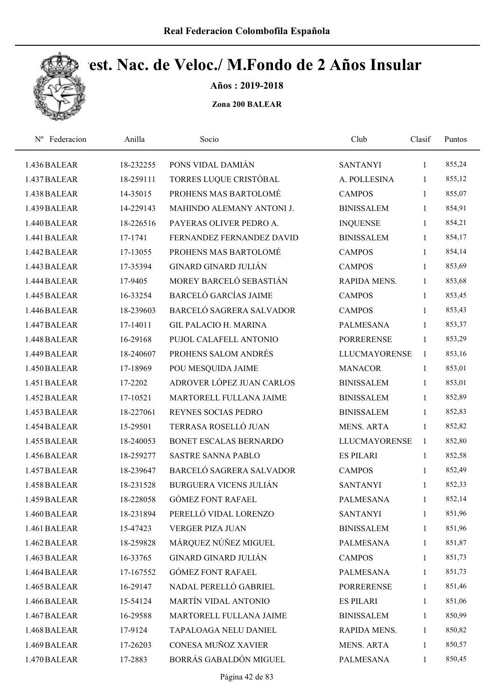

Años : 2019-2018

| Federacion<br>$N^{\rm o}$ | Anilla    | Socio                         | Club                 | Clasif       | Puntos |  |
|---------------------------|-----------|-------------------------------|----------------------|--------------|--------|--|
| 1.436 BALEAR              | 18-232255 | PONS VIDAL DAMIÁN             | <b>SANTANYI</b>      | 1            | 855,24 |  |
| 1.437 BALEAR              | 18-259111 | TORRES LUQUE CRISTÓBAL        | A. POLLESINA         | 1            | 855,12 |  |
| 1.438 BALEAR              | 14-35015  | PROHENS MAS BARTOLOMÉ         | <b>CAMPOS</b>        | 1            | 855,07 |  |
| 1.439 BALEAR              | 14-229143 | MAHINDO ALEMANY ANTONI J.     | <b>BINISSALEM</b>    | 1            | 854,91 |  |
| 1.440 BALEAR              | 18-226516 | PAYERAS OLIVER PEDRO A.       | <b>INQUENSE</b>      | 1            | 854,21 |  |
| 1.441 BALEAR              | 17-1741   | FERNANDEZ FERNANDEZ DAVID     | <b>BINISSALEM</b>    | 1            | 854,17 |  |
| 1.442 BALEAR              | 17-13055  | PROHENS MAS BARTOLOMÉ         | <b>CAMPOS</b>        | 1            | 854,14 |  |
| 1.443 BALEAR              | 17-35394  | <b>GINARD GINARD JULIÁN</b>   | <b>CAMPOS</b>        | 1            | 853,69 |  |
| 1.444 BALEAR              | 17-9405   | MOREY BARCELÓ SEBASTIÁN       | RAPIDA MENS.         | 1            | 853,68 |  |
| 1.445 BALEAR              | 16-33254  | <b>BARCELÓ GARCÍAS JAIME</b>  | <b>CAMPOS</b>        | 1            | 853,45 |  |
| 1.446 BALEAR              | 18-239603 | BARCELÓ SAGRERA SALVADOR      | <b>CAMPOS</b>        | 1            | 853,43 |  |
| 1.447 BALEAR              | 17-14011  | <b>GIL PALACIO H. MARINA</b>  | <b>PALMESANA</b>     | 1            | 853,37 |  |
| 1.448 BALEAR              | 16-29168  | PUJOL CALAFELL ANTONIO        | <b>PORRERENSE</b>    | 1            | 853,29 |  |
| 1.449 BALEAR              | 18-240607 | PROHENS SALOM ANDRÉS          | <b>LLUCMAYORENSE</b> | $\mathbf{1}$ | 853,16 |  |
| 1.450 BALEAR              | 17-18969  | POU MESQUIDA JAIME            | <b>MANACOR</b>       | $\mathbf{1}$ | 853,01 |  |
| 1.451 BALEAR              | 17-2202   | ADROVER LÓPEZ JUAN CARLOS     | <b>BINISSALEM</b>    | $\mathbf{1}$ | 853,01 |  |
| 1.452 BALEAR              | 17-10521  | MARTORELL FULLANA JAIME       | <b>BINISSALEM</b>    | 1            | 852,89 |  |
| 1.453 BALEAR              | 18-227061 | REYNES SOCIAS PEDRO           | <b>BINISSALEM</b>    | 1            | 852,83 |  |
| 1.454 BALEAR              | 15-29501  | TERRASA ROSELLÓ JUAN          | <b>MENS. ARTA</b>    | $\mathbf{1}$ | 852,82 |  |
| 1.455 BALEAR              | 18-240053 | BONET ESCALAS BERNARDO        | <b>LLUCMAYORENSE</b> | $\mathbf{1}$ | 852,80 |  |
| 1.456 BALEAR              | 18-259277 | <b>SASTRE SANNA PABLO</b>     | <b>ES PILARI</b>     | $\mathbf{1}$ | 852,58 |  |
| 1.457 BALEAR              | 18-239647 | BARCELÓ SAGRERA SALVADOR      | <b>CAMPOS</b>        | 1            | 852,49 |  |
| 1.458 BALEAR              | 18-231528 | <b>BURGUERA VICENS JULIÁN</b> | <b>SANTANYI</b>      | 1            | 852,33 |  |
| 1.459 BALEAR              | 18-228058 | <b>GÓMEZ FONT RAFAEL</b>      | <b>PALMESANA</b>     | $\mathbf{1}$ | 852,14 |  |
| 1.460 BALEAR              | 18-231894 | PERELLÓ VIDAL LORENZO         | <b>SANTANYI</b>      | $\mathbf{1}$ | 851,96 |  |
| 1.461 BALEAR              | 15-47423  | <b>VERGER PIZA JUAN</b>       | <b>BINISSALEM</b>    | 1            | 851,96 |  |
| 1.462 BALEAR              | 18-259828 | MÁRQUEZ NÚÑEZ MIGUEL          | PALMESANA            | 1            | 851,87 |  |
| 1.463 BALEAR              | 16-33765  | <b>GINARD GINARD JULIÁN</b>   | <b>CAMPOS</b>        | 1            | 851,73 |  |
| 1.464 BALEAR              | 17-167552 | <b>GÓMEZ FONT RAFAEL</b>      | <b>PALMESANA</b>     | 1            | 851,73 |  |
| 1.465 BALEAR              | 16-29147  | NADAL PERELLÓ GABRIEL         | <b>PORRERENSE</b>    | $\mathbf{1}$ | 851,46 |  |
| 1.466 BALEAR              | 15-54124  | MARTÍN VIDAL ANTONIO          | <b>ES PILARI</b>     | 1            | 851,06 |  |
| 1.467 BALEAR              | 16-29588  | MARTORELL FULLANA JAIME       | <b>BINISSALEM</b>    | 1            | 850,99 |  |
| 1.468 BALEAR              | 17-9124   | TAPALOAGA NELU DANIEL         | RAPIDA MENS.         | $\mathbf{1}$ | 850,82 |  |
| 1.469 BALEAR              | 17-26203  | CONESA MUÑOZ XAVIER           | <b>MENS. ARTA</b>    | 1            | 850,57 |  |
| 1.470 BALEAR              | 17-2883   | BORRÁS GABALDÓN MIGUEL        | PALMESANA            | $\mathbf{1}$ | 850,45 |  |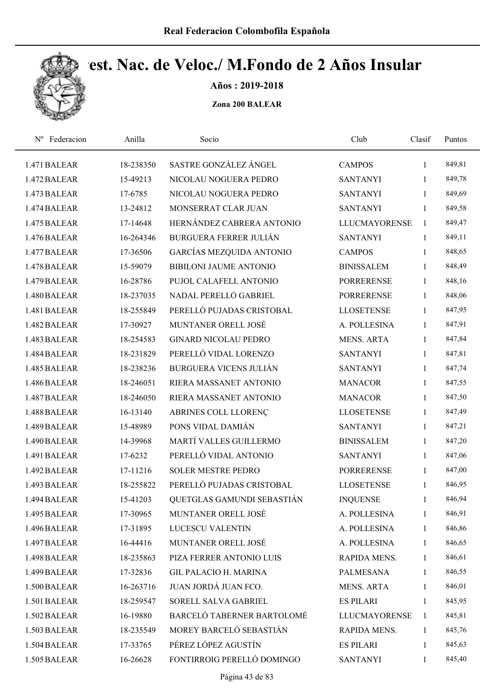

Años : 2019-2018

| Federacion<br>$N^{\rm o}$ | Anilla    | Socio                         | Club                 | Clasif       | Puntos |  |
|---------------------------|-----------|-------------------------------|----------------------|--------------|--------|--|
| 1.471 BALEAR              | 18-238350 | SASTRE GONZÁLEZ ÁNGEL         | <b>CAMPOS</b>        | $\mathbf{1}$ | 849,81 |  |
| 1.472 BALEAR              | 15-49213  | NICOLAU NOGUERA PEDRO         | <b>SANTANYI</b>      | $\mathbf{1}$ | 849,78 |  |
| 1.473 BALEAR              | 17-6785   | NICOLAU NOGUERA PEDRO         | <b>SANTANYI</b>      | $\mathbf{1}$ | 849,69 |  |
| 1.474 BALEAR              | 13-24812  | MONSERRAT CLAR JUAN           | <b>SANTANYI</b>      | $\mathbf{1}$ | 849,58 |  |
| 1.475 BALEAR              | 17-14648  | HERNÁNDEZ CABRERA ANTONIO     | <b>LLUCMAYORENSE</b> | $\mathbf{1}$ | 849,47 |  |
| 1.476 BALEAR              | 16-264346 | <b>BURGUERA FERRER JULIÁN</b> | <b>SANTANYI</b>      | $\mathbf{1}$ | 849,11 |  |
| 1.477 BALEAR              | 17-36506  | GARCÍAS MEZQUIDA ANTONIO      | <b>CAMPOS</b>        | $\mathbf{1}$ | 848,65 |  |
| 1.478 BALEAR              | 15-59079  | <b>BIBILONI JAUME ANTONIO</b> | <b>BINISSALEM</b>    | $\mathbf{1}$ | 848,49 |  |
| 1.479 BALEAR              | 16-28786  | PUJOL CALAFELL ANTONIO        | <b>PORRERENSE</b>    | $\mathbf{1}$ | 848,16 |  |
| 1.480 BALEAR              | 18-237035 | NADAL PERELLÓ GABRIEL         | <b>PORRERENSE</b>    | $\mathbf{1}$ | 848,06 |  |
| 1.481 BALEAR              | 18-255849 | PERELLÓ PUJADAS CRISTOBAL     | <b>LLOSETENSE</b>    | $\mathbf{1}$ | 847,95 |  |
| 1.482 BALEAR              | 17-30927  | MUNTANER ORELL JOSÉ           | A. POLLESINA         | $\mathbf{1}$ | 847,91 |  |
| 1.483 BALEAR              | 18-254583 | <b>GINARD NICOLAU PEDRO</b>   | <b>MENS. ARTA</b>    | 1            | 847,84 |  |
| 1.484 BALEAR              | 18-231829 | PERELLÓ VIDAL LORENZO         | <b>SANTANYI</b>      | $\mathbf{1}$ | 847,81 |  |
| 1.485 BALEAR              | 18-238236 | <b>BURGUERA VICENS JULIÁN</b> | <b>SANTANYI</b>      | $\mathbf{1}$ | 847,74 |  |
| 1.486 BALEAR              | 18-246051 | RIERA MASSANET ANTONIO        | <b>MANACOR</b>       | $\mathbf{1}$ | 847,55 |  |
| 1.487 BALEAR              | 18-246050 | RIERA MASSANET ANTONIO        | <b>MANACOR</b>       | $\mathbf{1}$ | 847,50 |  |
| 1.488 BALEAR              | 16-13140  | ABRINES COLL LLORENÇ          | <b>LLOSETENSE</b>    | $\mathbf{1}$ | 847,49 |  |
| 1.489 BALEAR              | 15-48989  | PONS VIDAL DAMIÁN             | <b>SANTANYI</b>      | $\mathbf{1}$ | 847,21 |  |
| 1.490 BALEAR              | 14-39968  | MARTÍ VALLES GUILLERMO        | <b>BINISSALEM</b>    | $\mathbf{1}$ | 847,20 |  |
| 1.491 BALEAR              | 17-6232   | PERELLÓ VIDAL ANTONIO         | <b>SANTANYI</b>      | $\mathbf{1}$ | 847,06 |  |
| 1.492 BALEAR              | 17-11216  | <b>SOLER MESTRE PEDRO</b>     | <b>PORRERENSE</b>    | $\mathbf{1}$ | 847,00 |  |
| 1.493 BALEAR              | 18-255822 | PERELLÓ PUJADAS CRISTOBAL     | <b>LLOSETENSE</b>    | $\mathbf{1}$ | 846,95 |  |
| 1.494 BALEAR              | 15-41203  | QUETGLAS GAMUNDI SEBASTIÁN    | <b>INQUENSE</b>      | 1            | 846,94 |  |
| 1.495 BALEAR              | 17-30965  | MUNTANER ORELL JOSÉ           | A. POLLESINA         | 1            | 846,91 |  |
| 1.496 BALEAR              | 17-31895  | <b>LUCESCU VALENTIN</b>       | A. POLLESINA         | $\mathbf{1}$ | 846,86 |  |
| 1.497 BALEAR              | 16-44416  | MUNTANER ORELL JOSÉ           | A. POLLESINA         | 1            | 846,65 |  |
| 1.498 BALEAR              | 18-235863 | PIZA FERRER ANTONIO LUIS      | RAPIDA MENS.         | 1            | 846,61 |  |
| 1.499 BALEAR              | 17-32836  | <b>GIL PALACIO H. MARINA</b>  | PALMESANA            | $\mathbf{1}$ | 846,55 |  |
| 1.500 BALEAR              | 16-263716 | JUAN JORDÁ JUAN FCO.          | <b>MENS. ARTA</b>    | $\mathbf{1}$ | 846,01 |  |
| 1.501 BALEAR              | 18-259547 | SORELL SALVA GABRIEL          | <b>ES PILARI</b>     | $\mathbf{1}$ | 845,95 |  |
| 1.502 BALEAR              | 16-19880  | BARCELÓ TABERNER BARTOLOMÉ    | <b>LLUCMAYORENSE</b> | 1            | 845,81 |  |
| 1.503 BALEAR              | 18-235549 | MOREY BARCELÓ SEBASTIÁN       | RAPIDA MENS.         | $\mathbf{1}$ | 845,76 |  |
| 1.504 BALEAR              | 17-33765  | PÉREZ LÓPEZ AGUSTÍN           | <b>ES PILARI</b>     | 1            | 845,63 |  |
| 1.505 BALEAR              | 16-26628  | FONTIRROIG PERELLÓ DOMINGO    | <b>SANTANYI</b>      | $\mathbf{1}$ | 845,40 |  |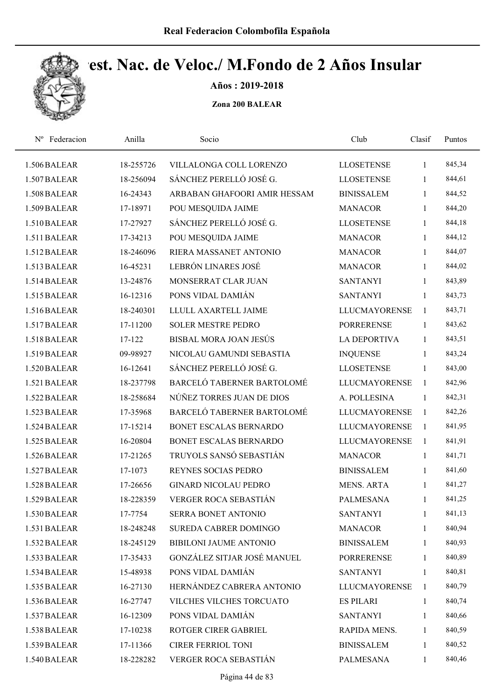

Años : 2019-2018

| Federacion<br>$N^{\rm o}$ | Anilla    | Socio                         | Club                 | Clasif       | Puntos |  |
|---------------------------|-----------|-------------------------------|----------------------|--------------|--------|--|
| 1.506 BALEAR              | 18-255726 | VILLALONGA COLL LORENZO       | <b>LLOSETENSE</b>    | 1            | 845,34 |  |
| 1.507 BALEAR              | 18-256094 | SÁNCHEZ PERELLÓ JOSÉ G.       | <b>LLOSETENSE</b>    | 1            | 844,61 |  |
| 1.508 BALEAR              | 16-24343  | ARBABAN GHAFOORI AMIR HESSAM  | <b>BINISSALEM</b>    | $\mathbf{1}$ | 844,52 |  |
| 1.509 BALEAR              | 17-18971  | POU MESQUIDA JAIME            | <b>MANACOR</b>       | $\mathbf{1}$ | 844,20 |  |
| 1.510 BALEAR              | 17-27927  | SÁNCHEZ PERELLÓ JOSÉ G.       | <b>LLOSETENSE</b>    | $\mathbf{1}$ | 844,18 |  |
| 1.511 BALEAR              | 17-34213  | POU MESQUIDA JAIME            | <b>MANACOR</b>       | $\mathbf{1}$ | 844,12 |  |
| 1.512 BALEAR              | 18-246096 | RIERA MASSANET ANTONIO        | <b>MANACOR</b>       | $\mathbf{1}$ | 844,07 |  |
| 1.513 BALEAR              | 16-45231  | LEBRÓN LINARES JOSÉ           | <b>MANACOR</b>       | $\mathbf{1}$ | 844,02 |  |
| 1.514 BALEAR              | 13-24876  | MONSERRAT CLAR JUAN           | <b>SANTANYI</b>      | $\mathbf{1}$ | 843,89 |  |
| 1.515 BALEAR              | 16-12316  | PONS VIDAL DAMIÁN             | <b>SANTANYI</b>      | 1            | 843,73 |  |
| 1.516 BALEAR              | 18-240301 | LLULL AXARTELL JAIME          | <b>LLUCMAYORENSE</b> | $\mathbf{1}$ | 843,71 |  |
| 1.517 BALEAR              | 17-11200  | <b>SOLER MESTRE PEDRO</b>     | <b>PORRERENSE</b>    | $\mathbf{1}$ | 843,62 |  |
| 1.518 BALEAR              | 17-122    | <b>BISBAL MORA JOAN JESÚS</b> | <b>LA DEPORTIVA</b>  | 1            | 843,51 |  |
| 1.519 BALEAR              | 09-98927  | NICOLAU GAMUNDI SEBASTIA      | <b>INQUENSE</b>      | 1            | 843,24 |  |
| 1.520 BALEAR              | 16-12641  | SÁNCHEZ PERELLÓ JOSÉ G.       | <b>LLOSETENSE</b>    | $\mathbf{1}$ | 843,00 |  |
| 1.521 BALEAR              | 18-237798 | BARCELÓ TABERNER BARTOLOMÉ    | <b>LLUCMAYORENSE</b> | $\mathbf{1}$ | 842,96 |  |
| 1.522 BALEAR              | 18-258684 | NÚÑEZ TORRES JUAN DE DIOS     | A. POLLESINA         | $\mathbf{1}$ | 842,31 |  |
| 1.523 BALEAR              | 17-35968  | BARCELÓ TABERNER BARTOLOMÉ    | <b>LLUCMAYORENSE</b> | $\mathbf{1}$ | 842,26 |  |
| 1.524 BALEAR              | 17-15214  | BONET ESCALAS BERNARDO        | <b>LLUCMAYORENSE</b> | $\mathbf{1}$ | 841,95 |  |
| 1.525 BALEAR              | 16-20804  | BONET ESCALAS BERNARDO        | <b>LLUCMAYORENSE</b> | $\mathbf{1}$ | 841,91 |  |
| 1.526 BALEAR              | 17-21265  | TRUYOLS SANSÓ SEBASTIÁN       | <b>MANACOR</b>       | 1            | 841,71 |  |
| 1.527 BALEAR              | 17-1073   | <b>REYNES SOCIAS PEDRO</b>    | <b>BINISSALEM</b>    | $\mathbf{1}$ | 841,60 |  |
| 1.528 BALEAR              | 17-26656  | <b>GINARD NICOLAU PEDRO</b>   | <b>MENS. ARTA</b>    | $\mathbf{1}$ | 841,27 |  |
| 1.529 BALEAR              | 18-228359 | VERGER ROCA SEBASTIÁN         | <b>PALMESANA</b>     | 1            | 841,25 |  |
| 1.530 BALEAR              | 17-7754   | SERRA BONET ANTONIO           | <b>SANTANYI</b>      | 1            | 841,13 |  |
| 1.531 BALEAR              | 18-248248 | SUREDA CABRER DOMINGO         | <b>MANACOR</b>       | $\mathbf{1}$ | 840,94 |  |
| 1.532 BALEAR              | 18-245129 | BIBILONI JAUME ANTONIO        | <b>BINISSALEM</b>    | $\mathbf{1}$ | 840,93 |  |
| 1.533 BALEAR              | 17-35433  | GONZÁLEZ SITJAR JOSÉ MANUEL   | <b>PORRERENSE</b>    | 1            | 840,89 |  |
| 1.534 BALEAR              | 15-48938  | PONS VIDAL DAMIÁN             | <b>SANTANYI</b>      | 1            | 840,81 |  |
| 1.535 BALEAR              | 16-27130  | HERNÁNDEZ CABRERA ANTONIO     | LLUCMAYORENSE        | $\mathbf{1}$ | 840,79 |  |
| 1.536 BALEAR              | 16-27747  | VILCHES VILCHES TORCUATO      | <b>ES PILARI</b>     | 1            | 840,74 |  |
| 1.537 BALEAR              | 16-12309  | PONS VIDAL DAMIÁN             | <b>SANTANYI</b>      | 1            | 840,66 |  |
| 1.538 BALEAR              | 17-10238  | ROTGER CIRER GABRIEL          | RAPIDA MENS.         | $\mathbf{1}$ | 840,59 |  |
| 1.539 BALEAR              | 17-11366  | <b>CIRER FERRIOL TONI</b>     | <b>BINISSALEM</b>    | $\mathbf{1}$ | 840,52 |  |
| 1.540 BALEAR              | 18-228282 | VERGER ROCA SEBASTIÁN         | <b>PALMESANA</b>     | 1            | 840,46 |  |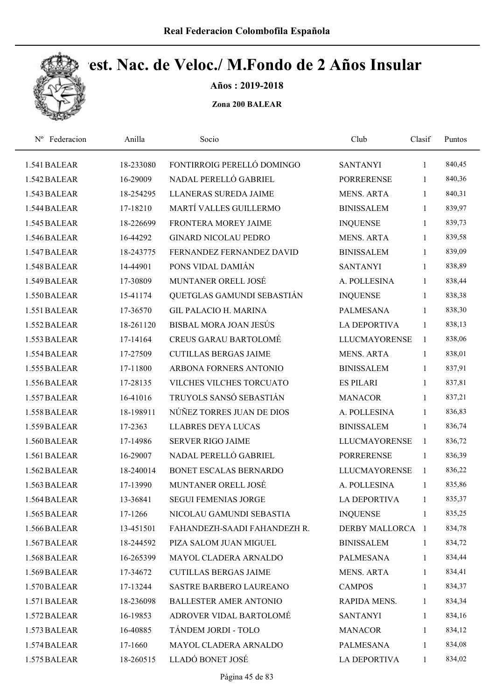

Años : 2019-2018

| Nº Federacion | Anilla    | Socio                         | Club                 | Clasif       | Puntos |  |
|---------------|-----------|-------------------------------|----------------------|--------------|--------|--|
| 1.541 BALEAR  | 18-233080 | FONTIRROIG PERELLÓ DOMINGO    | <b>SANTANYI</b>      | 1            | 840,45 |  |
| 1.542 BALEAR  | 16-29009  | NADAL PERELLÓ GABRIEL         | <b>PORRERENSE</b>    | 1            | 840,36 |  |
| 1.543 BALEAR  | 18-254295 | LLANERAS SUREDA JAIME         | <b>MENS. ARTA</b>    | 1            | 840,31 |  |
| 1.544 BALEAR  | 17-18210  | MARTÍ VALLES GUILLERMO        | <b>BINISSALEM</b>    | $\mathbf{1}$ | 839,97 |  |
| 1.545 BALEAR  | 18-226699 | FRONTERA MOREY JAIME          | <b>INQUENSE</b>      | $\mathbf{1}$ | 839,73 |  |
| 1.546 BALEAR  | 16-44292  | <b>GINARD NICOLAU PEDRO</b>   | <b>MENS. ARTA</b>    | 1            | 839,58 |  |
| 1.547 BALEAR  | 18-243775 | FERNANDEZ FERNANDEZ DAVID     | <b>BINISSALEM</b>    | $\mathbf{1}$ | 839,09 |  |
| 1.548 BALEAR  | 14-44901  | PONS VIDAL DAMIÁN             | <b>SANTANYI</b>      | 1            | 838,89 |  |
| 1.549 BALEAR  | 17-30809  | MUNTANER ORELL JOSÉ           | A. POLLESINA         | $\mathbf{1}$ | 838,44 |  |
| 1.550 BALEAR  | 15-41174  | QUETGLAS GAMUNDI SEBASTIÁN    | <b>INQUENSE</b>      | 1            | 838,38 |  |
| 1.551 BALEAR  | 17-36570  | <b>GIL PALACIO H. MARINA</b>  | <b>PALMESANA</b>     | $\mathbf{1}$ | 838,30 |  |
| 1.552 BALEAR  | 18-261120 | BISBAL MORA JOAN JESÚS        | <b>LA DEPORTIVA</b>  | 1            | 838,13 |  |
| 1.553 BALEAR  | 17-14164  | <b>CREUS GARAU BARTOLOMÉ</b>  | <b>LLUCMAYORENSE</b> | $\mathbf{1}$ | 838,06 |  |
| 1.554 BALEAR  | 17-27509  | <b>CUTILLAS BERGAS JAIME</b>  | <b>MENS. ARTA</b>    | 1            | 838,01 |  |
| 1.555 BALEAR  | 17-11800  | ARBONA FORNERS ANTONIO        | <b>BINISSALEM</b>    | $\mathbf{1}$ | 837,91 |  |
| 1.556 BALEAR  | 17-28135  | VILCHES VILCHES TORCUATO      | <b>ES PILARI</b>     | $\mathbf{1}$ | 837,81 |  |
| 1.557 BALEAR  | 16-41016  | TRUYOLS SANSÓ SEBASTIÁN       | <b>MANACOR</b>       | $\mathbf{1}$ | 837,21 |  |
| 1.558 BALEAR  | 18-198911 | NÚÑEZ TORRES JUAN DE DIOS     | A. POLLESINA         | $\mathbf{1}$ | 836,83 |  |
| 1.559 BALEAR  | 17-2363   | <b>LLABRES DEYA LUCAS</b>     | <b>BINISSALEM</b>    | 1            | 836,74 |  |
| 1.560 BALEAR  | 17-14986  | <b>SERVER RIGO JAIME</b>      | <b>LLUCMAYORENSE</b> | 1            | 836,72 |  |
| 1.561 BALEAR  | 16-29007  | NADAL PERELLÓ GABRIEL         | <b>PORRERENSE</b>    | 1            | 836,39 |  |
| 1.562 BALEAR  | 18-240014 | BONET ESCALAS BERNARDO        | <b>LLUCMAYORENSE</b> | 1            | 836,22 |  |
| 1.563 BALEAR  | 17-13990  | MUNTANER ORELL JOSÉ           | A. POLLESINA         | $\mathbf{1}$ | 835,86 |  |
| 1.564 BALEAR  | 13-36841  | <b>SEGUI FEMENIAS JORGE</b>   | <b>LA DEPORTIVA</b>  | 1            | 835,37 |  |
| 1.565 BALEAR  | 17-1266   | NICOLAU GAMUNDI SEBASTIA      | <b>INQUENSE</b>      | 1            | 835,25 |  |
| 1.566 BALEAR  | 13-451501 | FAHANDEZH-SAADI FAHANDEZH R.  | DERBY MALLORCA 1     |              | 834,78 |  |
| 1.567 BALEAR  | 18-244592 | PIZA SALOM JUAN MIGUEL        | <b>BINISSALEM</b>    | 1            | 834,72 |  |
| 1.568 BALEAR  | 16-265399 | MAYOL CLADERA ARNALDO         | PALMESANA            | $\mathbf{1}$ | 834,44 |  |
| 1.569 BALEAR  | 17-34672  | <b>CUTILLAS BERGAS JAIME</b>  | <b>MENS. ARTA</b>    | $\mathbf{1}$ | 834,41 |  |
| 1.570 BALEAR  | 17-13244  | SASTRE BARBERO LAUREANO       | <b>CAMPOS</b>        | $\mathbf{1}$ | 834,37 |  |
| 1.571 BALEAR  | 18-236098 | <b>BALLESTER AMER ANTONIO</b> | RAPIDA MENS.         | $\mathbf{1}$ | 834,34 |  |
| 1.572 BALEAR  | 16-19853  | ADROVER VIDAL BARTOLOMÉ       | <b>SANTANYI</b>      | 1            | 834,16 |  |
| 1.573 BALEAR  | 16-40885  | TÁNDEM JORDI - TOLO           | <b>MANACOR</b>       | 1            | 834,12 |  |
| 1.574 BALEAR  | 17-1660   | MAYOL CLADERA ARNALDO         | PALMESANA            | 1            | 834,08 |  |
| 1.575 BALEAR  | 18-260515 | LLADÓ BONET JOSÉ              | LA DEPORTIVA         | 1            | 834,02 |  |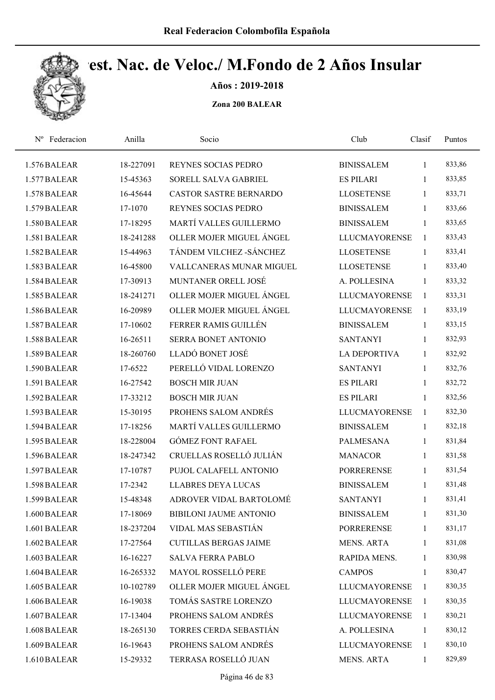

Años : 2019-2018

| Federacion<br>$N^{\rm o}$ | Anilla    | Socio                         | Club                 | Clasif       | Puntos |
|---------------------------|-----------|-------------------------------|----------------------|--------------|--------|
| 1.576 BALEAR              | 18-227091 | REYNES SOCIAS PEDRO           | <b>BINISSALEM</b>    | 1            | 833,86 |
| 1.577 BALEAR              | 15-45363  | SORELL SALVA GABRIEL          | <b>ES PILARI</b>     | 1            | 833,85 |
| 1.578 BALEAR              | 16-45644  | <b>CASTOR SASTRE BERNARDO</b> | <b>LLOSETENSE</b>    | 1            | 833,71 |
| 1.579 BALEAR              | 17-1070   | REYNES SOCIAS PEDRO           | <b>BINISSALEM</b>    | 1            | 833,66 |
| 1.580 BALEAR              | 17-18295  | MARTÍ VALLES GUILLERMO        | <b>BINISSALEM</b>    | $\mathbf{1}$ | 833,65 |
| 1.581 BALEAR              | 18-241288 | OLLER MOJER MIGUEL ÁNGEL      | LLUCMAYORENSE        | $\mathbf{1}$ | 833,43 |
| 1.582 BALEAR              | 15-44963  | TÁNDEM VILCHEZ - SÁNCHEZ      | <b>LLOSETENSE</b>    | $\mathbf{1}$ | 833,41 |
| 1.583 BALEAR              | 16-45800  | VALLCANERAS MUNAR MIGUEL      | <b>LLOSETENSE</b>    | 1            | 833,40 |
| 1.584 BALEAR              | 17-30913  | MUNTANER ORELL JOSÉ           | A. POLLESINA         | 1            | 833,32 |
| 1.585 BALEAR              | 18-241271 | OLLER MOJER MIGUEL ÁNGEL      | <b>LLUCMAYORENSE</b> | 1            | 833,31 |
| 1.586 BALEAR              | 16-20989  | OLLER MOJER MIGUEL ÁNGEL      | <b>LLUCMAYORENSE</b> | $\mathbf{1}$ | 833,19 |
| 1.587 BALEAR              | 17-10602  | FERRER RAMIS GUILLÉN          | <b>BINISSALEM</b>    | $\mathbf{1}$ | 833,15 |
| 1.588 BALEAR              | 16-26511  | SERRA BONET ANTONIO           | <b>SANTANYI</b>      | 1            | 832,93 |
| 1.589 BALEAR              | 18-260760 | LLADÓ BONET JOSÉ              | <b>LA DEPORTIVA</b>  | 1            | 832,92 |
| 1.590 BALEAR              | 17-6522   | PERELLÓ VIDAL LORENZO         | <b>SANTANYI</b>      | 1            | 832,76 |
| 1.591 BALEAR              | 16-27542  | <b>BOSCH MIR JUAN</b>         | <b>ES PILARI</b>     | 1            | 832,72 |
| 1.592 BALEAR              | 17-33212  | <b>BOSCH MIR JUAN</b>         | <b>ES PILARI</b>     | 1            | 832,56 |
| 1.593 BALEAR              | 15-30195  | PROHENS SALOM ANDRÉS          | <b>LLUCMAYORENSE</b> | $\mathbf{1}$ | 832,30 |
| 1.594 BALEAR              | 17-18256  | MARTÍ VALLES GUILLERMO        | <b>BINISSALEM</b>    | $\mathbf{1}$ | 832,18 |
| 1.595 BALEAR              | 18-228004 | <b>GÓMEZ FONT RAFAEL</b>      | <b>PALMESANA</b>     | 1            | 831,84 |
| 1.596 BALEAR              | 18-247342 | CRUELLAS ROSELLÓ JULIÁN       | <b>MANACOR</b>       | 1            | 831,58 |
| 1.597 BALEAR              | 17-10787  | PUJOL CALAFELL ANTONIO        | <b>PORRERENSE</b>    | 1            | 831,54 |
| 1.598 BALEAR              | 17-2342   | <b>LLABRES DEYA LUCAS</b>     | <b>BINISSALEM</b>    | 1            | 831,48 |
| 1.599 BALEAR              | 15-48348  | ADROVER VIDAL BARTOLOMÉ       | <b>SANTANYI</b>      | 1            | 831,41 |
| 1.600 BALEAR              | 17-18069  | <b>BIBILONI JAUME ANTONIO</b> | <b>BINISSALEM</b>    | 1            | 831,30 |
| 1.601 BALEAR              | 18-237204 | VIDAL MAS SEBASTIÁN           | <b>PORRERENSE</b>    | $\mathbf{1}$ | 831,17 |
| 1.602 BALEAR              | 17-27564  | <b>CUTILLAS BERGAS JAIME</b>  | <b>MENS. ARTA</b>    | 1            | 831,08 |
| 1.603 BALEAR              | 16-16227  | <b>SALVA FERRA PABLO</b>      | RAPIDA MENS.         | 1            | 830,98 |
| 1.604 BALEAR              | 16-265332 | MAYOL ROSSELLÓ PERE           | <b>CAMPOS</b>        | $\mathbf{1}$ | 830,47 |
| 1.605 BALEAR              | 10-102789 | OLLER MOJER MIGUEL ÁNGEL      | LLUCMAYORENSE        | -1           | 830,35 |
| 1.606 BALEAR              | 16-19038  | TOMÁS SASTRE LORENZO          | <b>LLUCMAYORENSE</b> | $\mathbf{1}$ | 830,35 |
| 1.607 BALEAR              | 17-13404  | PROHENS SALOM ANDRÉS          | <b>LLUCMAYORENSE</b> | 1            | 830,21 |
| 1.608 BALEAR              | 18-265130 | TORRES CERDA SEBASTIÁN        | A. POLLESINA         | 1            | 830,12 |
| 1.609 BALEAR              | 16-19643  | PROHENS SALOM ANDRÉS          | <b>LLUCMAYORENSE</b> | 1            | 830,10 |
| 1.610 BALEAR              | 15-29332  | TERRASA ROSELLÓ JUAN          | MENS. ARTA           | $\mathbf{1}$ | 829,89 |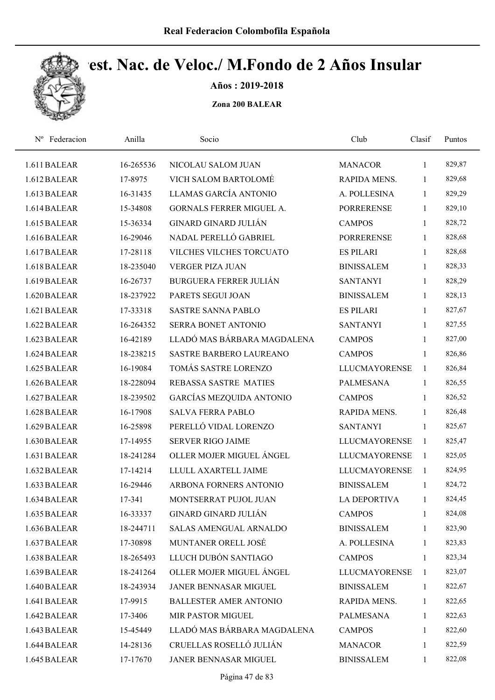

Años : 2019-2018

| Nº Federacion | Anilla    | Socio                           | Club                 | Clasif       | Puntos |
|---------------|-----------|---------------------------------|----------------------|--------------|--------|
| 1.611 BALEAR  | 16-265536 | NICOLAU SALOM JUAN              | <b>MANACOR</b>       | $\mathbf{1}$ | 829,87 |
| 1.612 BALEAR  | 17-8975   | VICH SALOM BARTOLOMÉ            | RAPIDA MENS.         | 1            | 829,68 |
| 1.613 BALEAR  | 16-31435  | LLAMAS GARCÍA ANTONIO           | A. POLLESINA         | 1            | 829,29 |
| 1.614 BALEAR  | 15-34808  | <b>GORNALS FERRER MIGUEL A.</b> | <b>PORRERENSE</b>    | 1            | 829,10 |
| 1.615 BALEAR  | 15-36334  | <b>GINARD GINARD JULIÁN</b>     | <b>CAMPOS</b>        | $\mathbf{1}$ | 828,72 |
| 1.616 BALEAR  | 16-29046  | NADAL PERELLÓ GABRIEL           | <b>PORRERENSE</b>    | 1            | 828,68 |
| 1.617 BALEAR  | 17-28118  | VILCHES VILCHES TORCUATO        | <b>ES PILARI</b>     | $\mathbf{1}$ | 828,68 |
| 1.618 BALEAR  | 18-235040 | <b>VERGER PIZA JUAN</b>         | <b>BINISSALEM</b>    | $\mathbf{1}$ | 828,33 |
| 1.619 BALEAR  | 16-26737  | <b>BURGUERA FERRER JULIÁN</b>   | <b>SANTANYI</b>      | 1            | 828,29 |
| 1.620 BALEAR  | 18-237922 | PARETS SEGUI JOAN               | <b>BINISSALEM</b>    | $\mathbf{1}$ | 828,13 |
| 1.621 BALEAR  | 17-33318  | <b>SASTRE SANNA PABLO</b>       | <b>ES PILARI</b>     | $\mathbf{1}$ | 827,67 |
| 1.622 BALEAR  | 16-264352 | SERRA BONET ANTONIO             | <b>SANTANYI</b>      | $\mathbf{1}$ | 827,55 |
| 1.623 BALEAR  | 16-42189  | LLADÓ MAS BÁRBARA MAGDALENA     | <b>CAMPOS</b>        | $\mathbf{1}$ | 827,00 |
| 1.624 BALEAR  | 18-238215 | <b>SASTRE BARBERO LAUREANO</b>  | <b>CAMPOS</b>        | 1            | 826,86 |
| 1.625 BALEAR  | 16-19084  | TOMÁS SASTRE LORENZO            | <b>LLUCMAYORENSE</b> | $\mathbf{1}$ | 826,84 |
| 1.626 BALEAR  | 18-228094 | REBASSA SASTRE MATIES           | <b>PALMESANA</b>     | $\mathbf{1}$ | 826,55 |
| 1.627 BALEAR  | 18-239502 | <b>GARCÍAS MEZQUIDA ANTONIO</b> | <b>CAMPOS</b>        | $\mathbf{1}$ | 826,52 |
| 1.628 BALEAR  | 16-17908  | <b>SALVA FERRA PABLO</b>        | RAPIDA MENS.         | $\mathbf{1}$ | 826,48 |
| 1.629 BALEAR  | 16-25898  | PERELLÓ VIDAL LORENZO           | <b>SANTANYI</b>      | 1            | 825,67 |
| 1.630 BALEAR  | 17-14955  | <b>SERVER RIGO JAIME</b>        | <b>LLUCMAYORENSE</b> | 1            | 825,47 |
| 1.631 BALEAR  | 18-241284 | OLLER MOJER MIGUEL ÁNGEL        | <b>LLUCMAYORENSE</b> | 1            | 825,05 |
| 1.632 BALEAR  | 17-14214  | LLULL AXARTELL JAIME            | <b>LLUCMAYORENSE</b> | 1            | 824,95 |
| 1.633 BALEAR  | 16-29446  | ARBONA FORNERS ANTONIO          | <b>BINISSALEM</b>    | $\mathbf{1}$ | 824,72 |
| 1.634 BALEAR  | 17-341    | MONTSERRAT PUJOL JUAN           | <b>LA DEPORTIVA</b>  | 1            | 824,45 |
| 1.635 BALEAR  | 16-33337  | GINARD GINARD JULIÁN            | <b>CAMPOS</b>        | 1            | 824,08 |
| 1.636 BALEAR  | 18-244711 | SALAS AMENGUAL ARNALDO          | <b>BINISSALEM</b>    | 1            | 823,90 |
| 1.637 BALEAR  | 17-30898  | MUNTANER ORELL JOSÉ             | A. POLLESINA         | 1            | 823,83 |
| 1.638 BALEAR  | 18-265493 | LLUCH DUBÓN SANTIAGO            | <b>CAMPOS</b>        | 1            | 823,34 |
| 1.639 BALEAR  | 18-241264 | OLLER MOJER MIGUEL ÁNGEL        | <b>LLUCMAYORENSE</b> | 1            | 823,07 |
| 1.640 BALEAR  | 18-243934 | JANER BENNASAR MIGUEL           | <b>BINISSALEM</b>    | $\mathbf{1}$ | 822,67 |
| 1.641 BALEAR  | 17-9915   | <b>BALLESTER AMER ANTONIO</b>   | RAPIDA MENS.         | $\mathbf{1}$ | 822,65 |
| 1.642 BALEAR  | 17-3406   | MIR PASTOR MIGUEL               | PALMESANA            | 1            | 822,63 |
| 1.643 BALEAR  | 15-45449  | LLADÓ MAS BÁRBARA MAGDALENA     | <b>CAMPOS</b>        | $\mathbf{1}$ | 822,60 |
| 1.644 BALEAR  | 14-28136  | CRUELLAS ROSELLÓ JULIÁN         | <b>MANACOR</b>       | 1            | 822,59 |
| 1.645 BALEAR  | 17-17670  | JANER BENNASAR MIGUEL           | <b>BINISSALEM</b>    | 1            | 822,08 |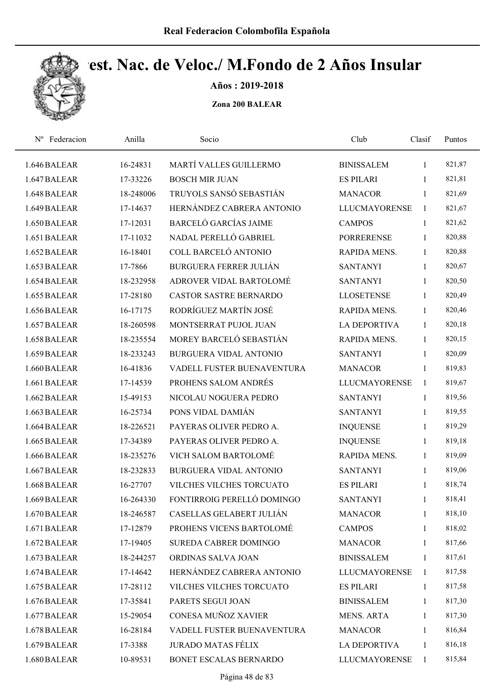

Años : 2019-2018

| Federacion<br>$N^{\rm o}$ | Anilla    | Socio                         | Club                 | Clasif       | Puntos |  |
|---------------------------|-----------|-------------------------------|----------------------|--------------|--------|--|
| 1.646 BALEAR              | 16-24831  | MARTÍ VALLES GUILLERMO        | <b>BINISSALEM</b>    | 1            | 821,87 |  |
| 1.647 BALEAR              | 17-33226  | <b>BOSCH MIR JUAN</b>         | <b>ES PILARI</b>     | 1            | 821,81 |  |
| 1.648 BALEAR              | 18-248006 | TRUYOLS SANSÓ SEBASTIÁN       | <b>MANACOR</b>       | 1            | 821,69 |  |
| 1.649 BALEAR              | 17-14637  | HERNÁNDEZ CABRERA ANTONIO     | <b>LLUCMAYORENSE</b> | $\mathbf{1}$ | 821,67 |  |
| 1.650 BALEAR              | 17-12031  | <b>BARCELÓ GARCÍAS JAIME</b>  | <b>CAMPOS</b>        | $\mathbf{1}$ | 821,62 |  |
| 1.651 BALEAR              | 17-11032  | NADAL PERELLÓ GABRIEL         | <b>PORRERENSE</b>    | $\mathbf{1}$ | 820,88 |  |
| 1.652 BALEAR              | 16-18401  | COLL BARCELÓ ANTONIO          | RAPIDA MENS.         | 1            | 820,88 |  |
| 1.653 BALEAR              | 17-7866   | <b>BURGUERA FERRER JULIÁN</b> | <b>SANTANYI</b>      | 1            | 820,67 |  |
| 1.654 BALEAR              | 18-232958 | ADROVER VIDAL BARTOLOMÉ       | <b>SANTANYI</b>      | 1            | 820,50 |  |
| 1.655 BALEAR              | 17-28180  | <b>CASTOR SASTRE BERNARDO</b> | <b>LLOSETENSE</b>    | $\mathbf{1}$ | 820,49 |  |
| 1.656 BALEAR              | 16-17175  | RODRÍGUEZ MARTÍN JOSÉ         | RAPIDA MENS.         | 1            | 820,46 |  |
| 1.657 BALEAR              | 18-260598 | MONTSERRAT PUJOL JUAN         | <b>LA DEPORTIVA</b>  | 1            | 820,18 |  |
| 1.658 BALEAR              | 18-235554 | MOREY BARCELÓ SEBASTIÁN       | RAPIDA MENS.         | 1            | 820,15 |  |
| 1.659 BALEAR              | 18-233243 | <b>BURGUERA VIDAL ANTONIO</b> | <b>SANTANYI</b>      | 1            | 820,09 |  |
| 1.660 BALEAR              | 16-41836  | VADELL FUSTER BUENAVENTURA    | <b>MANACOR</b>       | 1            | 819,83 |  |
| 1.661 BALEAR              | 17-14539  | PROHENS SALOM ANDRÉS          | <b>LLUCMAYORENSE</b> | $\mathbf{1}$ | 819,67 |  |
| 1.662 BALEAR              | 15-49153  | NICOLAU NOGUERA PEDRO         | <b>SANTANYI</b>      | $\mathbf{1}$ | 819,56 |  |
| 1.663 BALEAR              | 16-25734  | PONS VIDAL DAMIÁN             | <b>SANTANYI</b>      | 1            | 819,55 |  |
| 1.664 BALEAR              | 18-226521 | PAYERAS OLIVER PEDRO A.       | <b>INQUENSE</b>      | 1            | 819,29 |  |
| 1.665 BALEAR              | 17-34389  | PAYERAS OLIVER PEDRO A.       | <b>INQUENSE</b>      | 1            | 819,18 |  |
| 1.666 BALEAR              | 18-235276 | VICH SALOM BARTOLOMÉ          | RAPIDA MENS.         | $\mathbf{1}$ | 819,09 |  |
| 1.667 BALEAR              | 18-232833 | <b>BURGUERA VIDAL ANTONIO</b> | <b>SANTANYI</b>      | 1            | 819,06 |  |
| 1.668 BALEAR              | 16-27707  | VILCHES VILCHES TORCUATO      | <b>ES PILARI</b>     | 1            | 818,74 |  |
| 1.669 BALEAR              | 16-264330 | FONTIRROIG PERELLÓ DOMINGO    | <b>SANTANYI</b>      | 1            | 818,41 |  |
| 1.670 BALEAR              | 18-246587 | CASELLAS GELABERT JULIÁN      | <b>MANACOR</b>       | 1            | 818,10 |  |
| 1.671 BALEAR              | 17-12879  | PROHENS VICENS BARTOLOMÉ      | <b>CAMPOS</b>        | 1            | 818,02 |  |
| 1.672 BALEAR              | 17-19405  | SUREDA CABRER DOMINGO         | <b>MANACOR</b>       | 1            | 817,66 |  |
| 1.673 BALEAR              | 18-244257 | ORDINAS SALVA JOAN            | <b>BINISSALEM</b>    | $\mathbf{1}$ | 817,61 |  |
| 1.674 BALEAR              | 17-14642  | HERNÁNDEZ CABRERA ANTONIO     | <b>LLUCMAYORENSE</b> | $\mathbf{1}$ | 817,58 |  |
| 1.675 BALEAR              | 17-28112  | VILCHES VILCHES TORCUATO      | <b>ES PILARI</b>     | $\mathbf{1}$ | 817,58 |  |
| 1.676 BALEAR              | 17-35841  | PARETS SEGUI JOAN             | <b>BINISSALEM</b>    | $\mathbf{1}$ | 817,30 |  |
| 1.677 BALEAR              | 15-29054  | CONESA MUÑOZ XAVIER           | <b>MENS. ARTA</b>    | 1            | 817,30 |  |
| 1.678 BALEAR              | 16-28184  | VADELL FUSTER BUENAVENTURA    | <b>MANACOR</b>       | 1            | 816,84 |  |
| 1.679 BALEAR              | 17-3388   | <b>JURADO MATAS FÉLIX</b>     | <b>LA DEPORTIVA</b>  | 1            | 816,18 |  |
| 1.680 BALEAR              | 10-89531  | BONET ESCALAS BERNARDO        | <b>LLUCMAYORENSE</b> | $\mathbf{1}$ | 815,84 |  |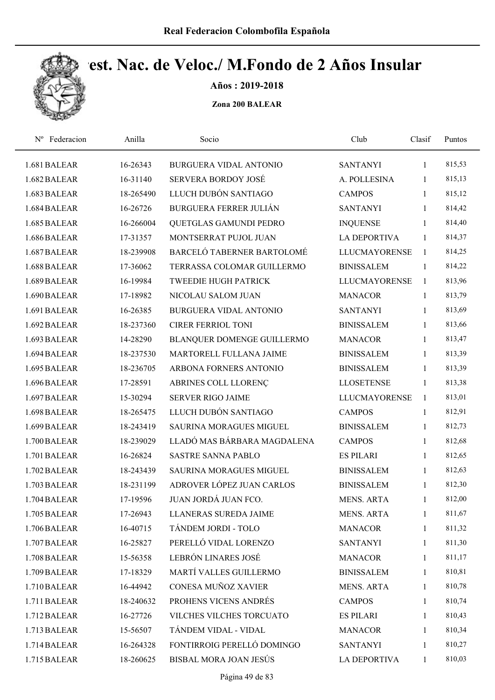

Años : 2019-2018

| Nº Federacion | Anilla    | Socio                          | Club                 | Clasif       | Puntos |  |
|---------------|-----------|--------------------------------|----------------------|--------------|--------|--|
| 1.681 BALEAR  | 16-26343  | BURGUERA VIDAL ANTONIO         | <b>SANTANYI</b>      | 1            | 815,53 |  |
| 1.682 BALEAR  | 16-31140  | <b>SERVERA BORDOY JOSÉ</b>     | A. POLLESINA         | 1            | 815,13 |  |
| 1.683 BALEAR  | 18-265490 | LLUCH DUBÓN SANTIAGO           | <b>CAMPOS</b>        | 1            | 815,12 |  |
| 1.684 BALEAR  | 16-26726  | BURGUERA FERRER JULIÁN         | <b>SANTANYI</b>      | $\mathbf{1}$ | 814,42 |  |
| 1.685 BALEAR  | 16-266004 | QUETGLAS GAMUNDI PEDRO         | <b>INQUENSE</b>      | $\mathbf{1}$ | 814,40 |  |
| 1.686 BALEAR  | 17-31357  | MONTSERRAT PUJOL JUAN          | <b>LA DEPORTIVA</b>  | $\mathbf{1}$ | 814,37 |  |
| 1.687 BALEAR  | 18-239908 | BARCELÓ TABERNER BARTOLOMÉ     | <b>LLUCMAYORENSE</b> | 1            | 814,25 |  |
| 1.688 BALEAR  | 17-36062  | TERRASSA COLOMAR GUILLERMO     | <b>BINISSALEM</b>    | $\mathbf{1}$ | 814,22 |  |
| 1.689 BALEAR  | 16-19984  | <b>TWEEDIE HUGH PATRICK</b>    | <b>LLUCMAYORENSE</b> | $\mathbf{1}$ | 813,96 |  |
| 1.690 BALEAR  | 17-18982  | NICOLAU SALOM JUAN             | <b>MANACOR</b>       | $\mathbf{1}$ | 813,79 |  |
| 1.691 BALEAR  | 16-26385  | <b>BURGUERA VIDAL ANTONIO</b>  | <b>SANTANYI</b>      | $\mathbf{1}$ | 813,69 |  |
| 1.692 BALEAR  | 18-237360 | <b>CIRER FERRIOL TONI</b>      | <b>BINISSALEM</b>    | $\mathbf{1}$ | 813,66 |  |
| 1.693 BALEAR  | 14-28290  | BLANQUER DOMENGE GUILLERMO     | <b>MANACOR</b>       | 1            | 813,47 |  |
| 1.694 BALEAR  | 18-237530 | MARTORELL FULLANA JAIME        | <b>BINISSALEM</b>    | $\mathbf{1}$ | 813,39 |  |
| 1.695 BALEAR  | 18-236705 | ARBONA FORNERS ANTONIO         | <b>BINISSALEM</b>    | $\mathbf{1}$ | 813,39 |  |
| 1.696 BALEAR  | 17-28591  | ABRINES COLL LLORENÇ           | <b>LLOSETENSE</b>    | 1            | 813,38 |  |
| 1.697 BALEAR  | 15-30294  | <b>SERVER RIGO JAIME</b>       | <b>LLUCMAYORENSE</b> | $\mathbf{1}$ | 813,01 |  |
| 1.698 BALEAR  | 18-265475 | LLUCH DUBÓN SANTIAGO           | <b>CAMPOS</b>        | $\mathbf{1}$ | 812,91 |  |
| 1.699 BALEAR  | 18-243419 | SAURINA MORAGUES MIGUEL        | <b>BINISSALEM</b>    | 1            | 812,73 |  |
| 1.700 BALEAR  | 18-239029 | LLADÓ MAS BÁRBARA MAGDALENA    | <b>CAMPOS</b>        | $\mathbf{1}$ | 812,68 |  |
| 1.701 BALEAR  | 16-26824  | <b>SASTRE SANNA PABLO</b>      | <b>ES PILARI</b>     | 1            | 812,65 |  |
| 1.702 BALEAR  | 18-243439 | <b>SAURINA MORAGUES MIGUEL</b> | <b>BINISSALEM</b>    | 1            | 812,63 |  |
| 1.703 BALEAR  | 18-231199 | ADROVER LÓPEZ JUAN CARLOS      | <b>BINISSALEM</b>    | 1            | 812,30 |  |
| 1.704 BALEAR  | 17-19596  | <b>JUAN JORDÁ JUAN FCO.</b>    | <b>MENS. ARTA</b>    | 1            | 812,00 |  |
| 1.705 BALEAR  | 17-26943  | LLANERAS SUREDA JAIME          | MENS. ARTA           | 1            | 811,67 |  |
| 1.706 BALEAR  | 16-40715  | TÁNDEM JORDI - TOLO            | <b>MANACOR</b>       | 1            | 811,32 |  |
| 1.707 BALEAR  | 16-25827  | PERELLÓ VIDAL LORENZO          | <b>SANTANYI</b>      | $\mathbf{1}$ | 811,30 |  |
| 1.708 BALEAR  | 15-56358  | LEBRÓN LINARES JOSÉ            | <b>MANACOR</b>       | $\mathbf{1}$ | 811,17 |  |
| 1.709 BALEAR  | 17-18329  | MARTÍ VALLES GUILLERMO         | <b>BINISSALEM</b>    | $\mathbf{1}$ | 810,81 |  |
| 1.710 BALEAR  | 16-44942  | CONESA MUÑOZ XAVIER            | <b>MENS. ARTA</b>    | $\mathbf{1}$ | 810,78 |  |
| 1.711 BALEAR  | 18-240632 | PROHENS VICENS ANDRÉS          | <b>CAMPOS</b>        | $\mathbf{1}$ | 810,74 |  |
| 1.712 BALEAR  | 16-27726  | VILCHES VILCHES TORCUATO       | <b>ES PILARI</b>     | 1            | 810,43 |  |
| 1.713 BALEAR  | 15-56507  | TÁNDEM VIDAL - VIDAL           | <b>MANACOR</b>       | 1            | 810,34 |  |
| 1.714 BALEAR  | 16-264328 | FONTIRROIG PERELLÓ DOMINGO     | <b>SANTANYI</b>      | 1            | 810,27 |  |
| 1.715 BALEAR  | 18-260625 | BISBAL MORA JOAN JESÚS         | LA DEPORTIVA         | 1            | 810,03 |  |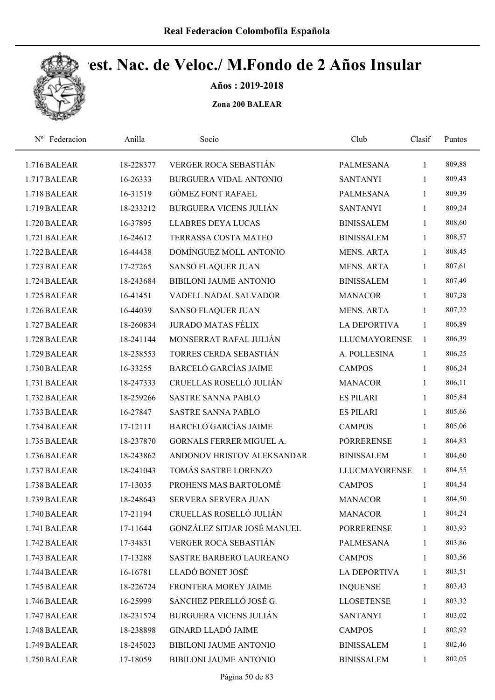

Años : 2019-2018

| Federacion<br>$N^{\rm o}$ | Anilla    | Socio                         | Club                 | Clasif       | Puntos |  |
|---------------------------|-----------|-------------------------------|----------------------|--------------|--------|--|
| 1.716 BALEAR              | 18-228377 | VERGER ROCA SEBASTIÁN         | <b>PALMESANA</b>     | 1            | 809,88 |  |
| 1.717 BALEAR              | 16-26333  | <b>BURGUERA VIDAL ANTONIO</b> | <b>SANTANYI</b>      | $\mathbf{1}$ | 809,43 |  |
| 1.718 BALEAR              | 16-31519  | <b>GÓMEZ FONT RAFAEL</b>      | <b>PALMESANA</b>     | $\mathbf{1}$ | 809,39 |  |
| 1.719 BALEAR              | 18-233212 | <b>BURGUERA VICENS JULIÁN</b> | <b>SANTANYI</b>      | $\mathbf{1}$ | 809,24 |  |
| 1.720 BALEAR              | 16-37895  | <b>LLABRES DEYA LUCAS</b>     | <b>BINISSALEM</b>    | $\mathbf{1}$ | 808,60 |  |
| 1.721 BALEAR              | 16-24612  | TERRASSA COSTA MATEO          | <b>BINISSALEM</b>    | $\mathbf{1}$ | 808,57 |  |
| 1.722 BALEAR              | 16-44438  | DOMÍNGUEZ MOLL ANTONIO        | <b>MENS. ARTA</b>    | $\mathbf{1}$ | 808,45 |  |
| 1.723 BALEAR              | 17-27265  | <b>SANSO FLAQUER JUAN</b>     | <b>MENS. ARTA</b>    | $\mathbf{1}$ | 807,61 |  |
| 1.724 BALEAR              | 18-243684 | <b>BIBILONI JAUME ANTONIO</b> | <b>BINISSALEM</b>    | $\mathbf{1}$ | 807,49 |  |
| 1.725 BALEAR              | 16-41451  | VADELL NADAL SALVADOR         | <b>MANACOR</b>       | $\mathbf{1}$ | 807,38 |  |
| 1.726 BALEAR              | 16-44039  | <b>SANSO FLAQUER JUAN</b>     | <b>MENS. ARTA</b>    | 1            | 807,22 |  |
| 1.727 BALEAR              | 18-260834 | <b>JURADO MATAS FÉLIX</b>     | LA DEPORTIVA         | $\mathbf{1}$ | 806,89 |  |
| 1.728 BALEAR              | 18-241144 | MONSERRAT RAFAL JULIÁN        | <b>LLUCMAYORENSE</b> | 1            | 806,39 |  |
| 1.729 BALEAR              | 18-258553 | TORRES CERDA SEBASTIÁN        | A. POLLESINA         | 1            | 806,25 |  |
| 1.730 BALEAR              | 16-33255  | <b>BARCELÓ GARCÍAS JAIME</b>  | <b>CAMPOS</b>        | $\mathbf{1}$ | 806,24 |  |
| 1.731 BALEAR              | 18-247333 | CRUELLAS ROSELLÓ JULIÁN       | <b>MANACOR</b>       | $\mathbf{1}$ | 806,11 |  |
| 1.732 BALEAR              | 18-259266 | <b>SASTRE SANNA PABLO</b>     | <b>ES PILARI</b>     | 1            | 805,84 |  |
| 1.733 BALEAR              | 16-27847  | <b>SASTRE SANNA PABLO</b>     | <b>ES PILARI</b>     | $\mathbf{1}$ | 805,66 |  |
| 1.734 BALEAR              | 17-12111  | <b>BARCELÓ GARCÍAS JAIME</b>  | <b>CAMPOS</b>        | $\mathbf{1}$ | 805,06 |  |
| 1.735 BALEAR              | 18-237870 | GORNALS FERRER MIGUEL A.      | <b>PORRERENSE</b>    | $\mathbf{1}$ | 804,83 |  |
| 1.736 BALEAR              | 18-243862 | ANDONOV HRISTOV ALEKSANDAR    | <b>BINISSALEM</b>    | $\mathbf{1}$ | 804,60 |  |
| 1.737 BALEAR              | 18-241043 | TOMÁS SASTRE LORENZO          | <b>LLUCMAYORENSE</b> | $\mathbf{1}$ | 804,55 |  |
| 1.738 BALEAR              | 17-13035  | PROHENS MAS BARTOLOMÉ         | <b>CAMPOS</b>        | $\mathbf{1}$ | 804,54 |  |
| 1.739 BALEAR              | 18-248643 | SERVERA SERVERA JUAN          | <b>MANACOR</b>       | $\mathbf{1}$ | 804,50 |  |
| 1.740 BALEAR              | 17-21194  | CRUELLAS ROSELLÓ JULIÁN       | <b>MANACOR</b>       | 1            | 804,24 |  |
| 1.741 BALEAR              | 17-11644  | GONZÁLEZ SITJAR JOSÉ MANUEL   | <b>PORRERENSE</b>    | $\mathbf{1}$ | 803,93 |  |
| 1.742 BALEAR              | 17-34831  | VERGER ROCA SEBASTIÁN         | <b>PALMESANA</b>     | $\mathbf{1}$ | 803,86 |  |
| 1.743 BALEAR              | 17-13288  | SASTRE BARBERO LAUREANO       | <b>CAMPOS</b>        | $\mathbf{1}$ | 803,56 |  |
| 1.744 BALEAR              | 16-16781  | LLADÓ BONET JOSÉ              | <b>LA DEPORTIVA</b>  | $\mathbf{1}$ | 803,51 |  |
| 1.745 BALEAR              | 18-226724 | FRONTERA MOREY JAIME          | <b>INQUENSE</b>      | $\mathbf{1}$ | 803,43 |  |
| 1.746 BALEAR              | 16-25999  | SÁNCHEZ PERELLÓ JOSÉ G.       | <b>LLOSETENSE</b>    | $\mathbf{1}$ | 803,32 |  |
| 1.747 BALEAR              | 18-231574 | <b>BURGUERA VICENS JULIÁN</b> | <b>SANTANYI</b>      | $\mathbf{1}$ | 803,02 |  |
| 1.748 BALEAR              | 18-238898 | <b>GINARD LLADÓ JAIME</b>     | <b>CAMPOS</b>        | $\mathbf{1}$ | 802,92 |  |
| 1.749 BALEAR              | 18-245023 | BIBILONI JAUME ANTONIO        | <b>BINISSALEM</b>    | $\mathbf{1}$ | 802,46 |  |
| 1.750 BALEAR              | 17-18059  | BIBILONI JAUME ANTONIO        | <b>BINISSALEM</b>    | $\mathbf{1}$ | 802,05 |  |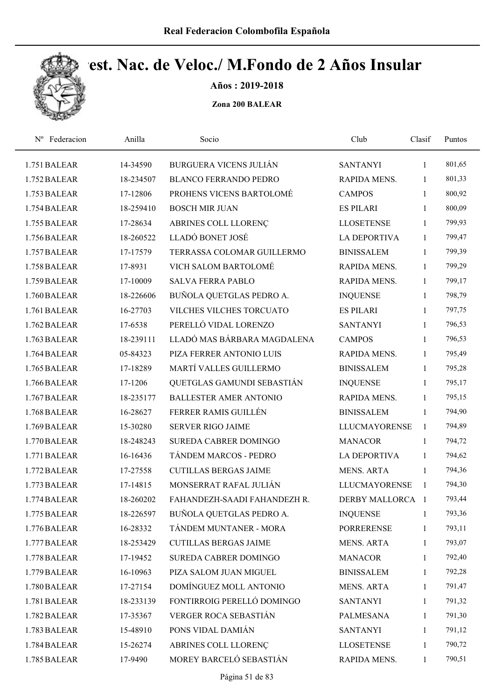

Años : 2019-2018

| Nº Federacion | Anilla    | Socio                         | Club                 | Clasif       | Puntos |
|---------------|-----------|-------------------------------|----------------------|--------------|--------|
| 1.751 BALEAR  | 14-34590  | <b>BURGUERA VICENS JULIÁN</b> | <b>SANTANYI</b>      | 1            | 801,65 |
| 1.752 BALEAR  | 18-234507 | <b>BLANCO FERRANDO PEDRO</b>  | RAPIDA MENS.         | 1            | 801,33 |
| 1.753 BALEAR  | 17-12806  | PROHENS VICENS BARTOLOMÉ      | <b>CAMPOS</b>        | 1            | 800,92 |
| 1.754 BALEAR  | 18-259410 | <b>BOSCH MIR JUAN</b>         | <b>ES PILARI</b>     | $\mathbf{1}$ | 800,09 |
| 1.755 BALEAR  | 17-28634  | ABRINES COLL LLORENÇ          | <b>LLOSETENSE</b>    | $\mathbf{1}$ | 799,93 |
| 1.756 BALEAR  | 18-260522 | LLADÓ BONET JOSÉ              | <b>LA DEPORTIVA</b>  | $\mathbf{1}$ | 799,47 |
| 1.757 BALEAR  | 17-17579  | TERRASSA COLOMAR GUILLERMO    | <b>BINISSALEM</b>    | 1            | 799,39 |
| 1.758 BALEAR  | 17-8931   | VICH SALOM BARTOLOMÉ          | RAPIDA MENS.         | $\mathbf{1}$ | 799,29 |
| 1.759 BALEAR  | 17-10009  | <b>SALVA FERRA PABLO</b>      | RAPIDA MENS.         | $\mathbf{1}$ | 799,17 |
| 1.760 BALEAR  | 18-226606 | BUÑOLA QUETGLAS PEDRO A.      | <b>INQUENSE</b>      | 1            | 798,79 |
| 1.761 BALEAR  | 16-27703  | VILCHES VILCHES TORCUATO      | <b>ES PILARI</b>     | $\mathbf{1}$ | 797,75 |
| 1.762 BALEAR  | 17-6538   | PERELLÓ VIDAL LORENZO         | <b>SANTANYI</b>      | $\mathbf{1}$ | 796,53 |
| 1.763 BALEAR  | 18-239111 | LLADÓ MAS BÁRBARA MAGDALENA   | <b>CAMPOS</b>        | $\mathbf{1}$ | 796,53 |
| 1.764 BALEAR  | 05-84323  | PIZA FERRER ANTONIO LUIS      | <b>RAPIDA MENS.</b>  | 1            | 795,49 |
| 1.765 BALEAR  | 17-18289  | MARTÍ VALLES GUILLERMO        | <b>BINISSALEM</b>    | $\mathbf{1}$ | 795,28 |
| 1.766 BALEAR  | 17-1206   | QUETGLAS GAMUNDI SEBASTIÁN    | <b>INQUENSE</b>      | $\mathbf{1}$ | 795,17 |
| 1.767 BALEAR  | 18-235177 | <b>BALLESTER AMER ANTONIO</b> | RAPIDA MENS.         | $\mathbf{1}$ | 795,15 |
| 1.768 BALEAR  | 16-28627  | FERRER RAMIS GUILLÉN          | <b>BINISSALEM</b>    | $\mathbf{1}$ | 794,90 |
| 1.769 BALEAR  | 15-30280  | <b>SERVER RIGO JAIME</b>      | <b>LLUCMAYORENSE</b> | 1            | 794,89 |
| 1.770 BALEAR  | 18-248243 | SUREDA CABRER DOMINGO         | <b>MANACOR</b>       | 1            | 794,72 |
| 1.771 BALEAR  | 16-16436  | TÁNDEM MARCOS - PEDRO         | <b>LA DEPORTIVA</b>  | $\mathbf{1}$ | 794,62 |
| 1.772 BALEAR  | 17-27558  | <b>CUTILLAS BERGAS JAIME</b>  | <b>MENS. ARTA</b>    | $\mathbf{1}$ | 794,36 |
| 1.773 BALEAR  | 17-14815  | MONSERRAT RAFAL JULIÁN        | <b>LLUCMAYORENSE</b> | $\mathbf{1}$ | 794,30 |
| 1.774 BALEAR  | 18-260202 | FAHANDEZH-SAADI FAHANDEZH R.  | DERBY MALLORCA 1     |              | 793,44 |
| 1.775 BALEAR  | 18-226597 | BUÑOLA QUETGLAS PEDRO A.      | <b>INQUENSE</b>      | $\mathbf{1}$ | 793,36 |
| 1.776 BALEAR  | 16-28332  | TÁNDEM MUNTANER - MORA        | <b>PORRERENSE</b>    | $\mathbf{1}$ | 793,11 |
| 1.777 BALEAR  | 18-253429 | <b>CUTILLAS BERGAS JAIME</b>  | <b>MENS. ARTA</b>    | 1            | 793,07 |
| 1.778 BALEAR  | 17-19452  | SUREDA CABRER DOMINGO         | <b>MANACOR</b>       | 1            | 792,40 |
| 1.779 BALEAR  | 16-10963  | PIZA SALOM JUAN MIGUEL        | <b>BINISSALEM</b>    | 1            | 792,28 |
| 1.780 BALEAR  | 17-27154  | DOMÍNGUEZ MOLL ANTONIO        | <b>MENS. ARTA</b>    | $\mathbf{1}$ | 791,47 |
| 1.781 BALEAR  | 18-233139 | FONTIRROIG PERELLÓ DOMINGO    | <b>SANTANYI</b>      | 1            | 791,32 |
| 1.782 BALEAR  | 17-35367  | VERGER ROCA SEBASTIÁN         | <b>PALMESANA</b>     | 1            | 791,30 |
| 1.783 BALEAR  | 15-48910  | PONS VIDAL DAMIÁN             | <b>SANTANYI</b>      | 1            | 791,12 |
| 1.784 BALEAR  | 15-26274  | ABRINES COLL LLORENÇ          | <b>LLOSETENSE</b>    | 1            | 790,72 |
| 1.785 BALEAR  | 17-9490   | MOREY BARCELÓ SEBASTIÁN       | RAPIDA MENS.         | $\mathbf{1}$ | 790,51 |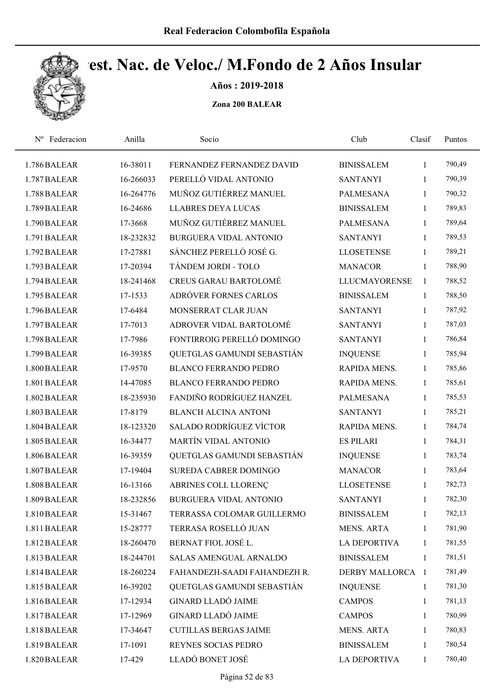

Años : 2019-2018

| Federacion<br>$N^{\rm o}$ | Anilla    | Socio                          | Club                | Clasif       | Puntos |
|---------------------------|-----------|--------------------------------|---------------------|--------------|--------|
| 1.786 BALEAR              | 16-38011  | FERNANDEZ FERNANDEZ DAVID      | <b>BINISSALEM</b>   | $\mathbf{1}$ | 790,49 |
| 1.787 BALEAR              | 16-266033 | PERELLÓ VIDAL ANTONIO          | <b>SANTANYI</b>     | 1            | 790,39 |
| 1.788 BALEAR              | 16-264776 | MUÑOZ GUTIÉRREZ MANUEL         | <b>PALMESANA</b>    | 1            | 790,32 |
| 1.789 BALEAR              | 16-24686  | <b>LLABRES DEYA LUCAS</b>      | <b>BINISSALEM</b>   | $\mathbf{1}$ | 789,83 |
| 1.790 BALEAR              | 17-3668   | MUÑOZ GUTIÉRREZ MANUEL         | <b>PALMESANA</b>    | 1            | 789,64 |
| 1.791 BALEAR              | 18-232832 | <b>BURGUERA VIDAL ANTONIO</b>  | <b>SANTANYI</b>     | 1            | 789,53 |
| 1.792 BALEAR              | 17-27881  | SÁNCHEZ PERELLÓ JOSÉ G.        | <b>LLOSETENSE</b>   | 1            | 789,21 |
| 1.793 BALEAR              | 17-20394  | TÁNDEM JORDI - TOLO            | <b>MANACOR</b>      | $\mathbf{1}$ | 788,90 |
| 1.794 BALEAR              | 18-241468 | <b>CREUS GARAU BARTOLOMÉ</b>   | LLUCMAYORENSE       | $\mathbf{1}$ | 788,52 |
| 1.795 BALEAR              | 17-1533   | ADRÓVER FORNES CARLOS          | <b>BINISSALEM</b>   | $\mathbf{1}$ | 788,50 |
| 1.796 BALEAR              | 17-6484   | MONSERRAT CLAR JUAN            | <b>SANTANYI</b>     | 1            | 787,92 |
| 1.797 BALEAR              | 17-7013   | ADROVER VIDAL BARTOLOMÉ        | <b>SANTANYI</b>     | 1            | 787,03 |
| 1.798 BALEAR              | 17-7986   | FONTIRROIG PERELLÓ DOMINGO     | <b>SANTANYI</b>     | 1            | 786,84 |
| 1.799 BALEAR              | 16-39385  | QUETGLAS GAMUNDI SEBASTIÁN     | <b>INQUENSE</b>     | 1            | 785,94 |
| 1.800 BALEAR              | 17-9570   | <b>BLANCO FERRANDO PEDRO</b>   | RAPIDA MENS.        | 1            | 785,86 |
| 1.801 BALEAR              | 14-47085  | BLANCO FERRANDO PEDRO          | RAPIDA MENS.        | 1            | 785,61 |
| 1.802 BALEAR              | 18-235930 | FANDIÑO RODRÍGUEZ HANZEL       | <b>PALMESANA</b>    | 1            | 785,53 |
| 1.803 BALEAR              | 17-8179   | <b>BLANCH ALCINA ANTONI</b>    | <b>SANTANYI</b>     | 1            | 785,21 |
| 1.804 BALEAR              | 18-123320 | <b>SALADO RODRÍGUEZ VÍCTOR</b> | RAPIDA MENS.        | $\mathbf{1}$ | 784,74 |
| 1.805 BALEAR              | 16-34477  | <b>MARTÍN VIDAL ANTONIO</b>    | <b>ES PILARI</b>    | 1            | 784,31 |
| 1.806 BALEAR              | 16-39359  | QUETGLAS GAMUNDI SEBASTIÁN     | <b>INQUENSE</b>     | $\mathbf{1}$ | 783,74 |
| 1.807 BALEAR              | 17-19404  | <b>SUREDA CABRER DOMINGO</b>   | <b>MANACOR</b>      | 1            | 783,64 |
| 1.808 BALEAR              | 16-13166  | ABRINES COLL LLORENÇ           | <b>LLOSETENSE</b>   | 1            | 782,73 |
| 1.809 BALEAR              | 18-232856 | <b>BURGUERA VIDAL ANTONIO</b>  | <b>SANTANYI</b>     | 1            | 782,30 |
| 1.810 BALEAR              | 15-31467  | TERRASSA COLOMAR GUILLERMO     | <b>BINISSALEM</b>   | 1            | 782,13 |
| 1.811 BALEAR              | 15-28777  | TERRASA ROSELLÓ JUAN           | <b>MENS. ARTA</b>   | 1            | 781,90 |
| 1.812 BALEAR              | 18-260470 | BERNAT FIOL JOSÉ L.            | <b>LA DEPORTIVA</b> | $\mathbf{1}$ | 781,55 |
| 1.813 BALEAR              | 18-244701 | <b>SALAS AMENGUAL ARNALDO</b>  | <b>BINISSALEM</b>   | $\mathbf{1}$ | 781,51 |
| 1.814 BALEAR              | 18-260224 | FAHANDEZH-SAADI FAHANDEZH R.   | DERBY MALLORCA 1    |              | 781,49 |
| 1.815 BALEAR              | 16-39202  | QUETGLAS GAMUNDI SEBASTIÁN     | <b>INQUENSE</b>     | $\mathbf{1}$ | 781,30 |
| 1.816 BALEAR              | 17-12934  | <b>GINARD LLADÓ JAIME</b>      | <b>CAMPOS</b>       | $\mathbf{1}$ | 781,13 |
| 1.817 BALEAR              | 17-12969  | <b>GINARD LLADÓ JAIME</b>      | <b>CAMPOS</b>       | 1            | 780,99 |
| 1.818 BALEAR              | 17-34647  | <b>CUTILLAS BERGAS JAIME</b>   | <b>MENS. ARTA</b>   | 1            | 780,83 |
| 1.819 BALEAR              | 17-1091   | REYNES SOCIAS PEDRO            | <b>BINISSALEM</b>   | 1            | 780,54 |
| 1.820 BALEAR              | 17-429    | LLADÓ BONET JOSÉ               | LA DEPORTIVA        | $\mathbf{1}$ | 780,40 |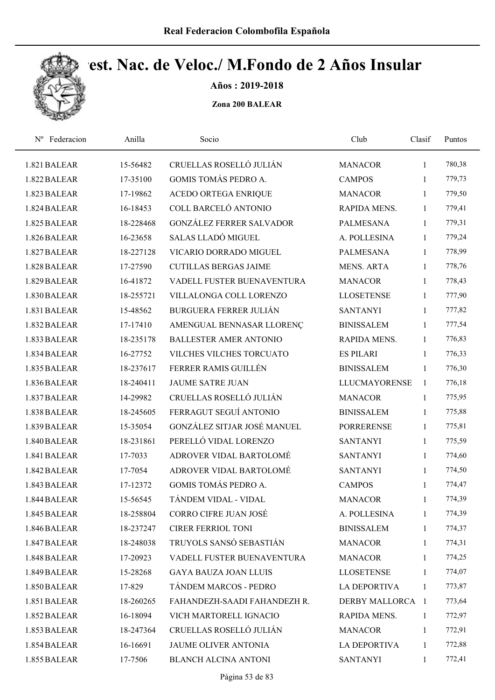

Años : 2019-2018

| Nº Federacion | Anilla    | Socio                         | Club                 | Clasif       | Puntos |
|---------------|-----------|-------------------------------|----------------------|--------------|--------|
| 1.821 BALEAR  | 15-56482  | CRUELLAS ROSELLÓ JULIÁN       | <b>MANACOR</b>       | $\mathbf{1}$ | 780,38 |
| 1.822 BALEAR  | 17-35100  | <b>GOMIS TOMÁS PEDRO A.</b>   | <b>CAMPOS</b>        | 1            | 779,73 |
| 1.823 BALEAR  | 17-19862  | ACEDO ORTEGA ENRIQUE          | <b>MANACOR</b>       | $\mathbf{1}$ | 779,50 |
| 1.824 BALEAR  | 16-18453  | COLL BARCELÓ ANTONIO          | RAPIDA MENS.         | 1            | 779,41 |
| 1.825 BALEAR  | 18-228468 | GONZÁLEZ FERRER SALVADOR      | <b>PALMESANA</b>     | $\mathbf{1}$ | 779,31 |
| 1.826 BALEAR  | 16-23658  | <b>SALAS LLADÓ MIGUEL</b>     | A. POLLESINA         | $\mathbf{1}$ | 779,24 |
| 1.827 BALEAR  | 18-227128 | VICARIO DORRADO MIGUEL        | <b>PALMESANA</b>     | $\mathbf{1}$ | 778,99 |
| 1.828 BALEAR  | 17-27590  | <b>CUTILLAS BERGAS JAIME</b>  | MENS. ARTA           | $\mathbf{1}$ | 778,76 |
| 1.829 BALEAR  | 16-41872  | VADELL FUSTER BUENAVENTURA    | <b>MANACOR</b>       | $\mathbf{1}$ | 778,43 |
| 1.830 BALEAR  | 18-255721 | VILLALONGA COLL LORENZO       | <b>LLOSETENSE</b>    | $\mathbf{1}$ | 777,90 |
| 1.831 BALEAR  | 15-48562  | <b>BURGUERA FERRER JULIÁN</b> | <b>SANTANYI</b>      | $\mathbf{1}$ | 777,82 |
| 1.832 BALEAR  | 17-17410  | AMENGUAL BENNASAR LLORENÇ     | <b>BINISSALEM</b>    | $\mathbf{1}$ | 777,54 |
| 1.833 BALEAR  | 18-235178 | <b>BALLESTER AMER ANTONIO</b> | <b>RAPIDA MENS.</b>  | $\mathbf{1}$ | 776,83 |
| 1.834 BALEAR  | 16-27752  | VILCHES VILCHES TORCUATO      | <b>ES PILARI</b>     | 1            | 776,33 |
| 1.835 BALEAR  | 18-237617 | FERRER RAMIS GUILLÉN          | <b>BINISSALEM</b>    | 1            | 776,30 |
| 1.836 BALEAR  | 18-240411 | <b>JAUME SATRE JUAN</b>       | <b>LLUCMAYORENSE</b> | $\mathbf{1}$ | 776,18 |
| 1.837 BALEAR  | 14-29982  | CRUELLAS ROSELLÓ JULIÁN       | <b>MANACOR</b>       | $\mathbf{1}$ | 775,95 |
| 1.838 BALEAR  | 18-245605 | FERRAGUT SEGUÍ ANTONIO        | <b>BINISSALEM</b>    | $\mathbf{1}$ | 775,88 |
| 1.839 BALEAR  | 15-35054  | GONZÁLEZ SITJAR JOSÉ MANUEL   | <b>PORRERENSE</b>    | $\mathbf{1}$ | 775,81 |
| 1.840 BALEAR  | 18-231861 | PERELLÓ VIDAL LORENZO         | <b>SANTANYI</b>      | $\mathbf{1}$ | 775,59 |
| 1.841 BALEAR  | 17-7033   | ADROVER VIDAL BARTOLOMÉ       | <b>SANTANYI</b>      | $\mathbf{1}$ | 774,60 |
| 1.842 BALEAR  | 17-7054   | ADROVER VIDAL BARTOLOMÉ       | <b>SANTANYI</b>      | $\mathbf{1}$ | 774,50 |
| 1.843 BALEAR  | 17-12372  | GOMIS TOMÁS PEDRO A.          | <b>CAMPOS</b>        | $\mathbf{1}$ | 774,47 |
| 1.844 BALEAR  | 15-56545  | TÁNDEM VIDAL - VIDAL          | <b>MANACOR</b>       | 1            | 774,39 |
| 1.845 BALEAR  | 18-258804 | CORRO CIFRE JUAN JOSÉ         | A. POLLESINA         | 1            | 774,39 |
| 1.846 BALEAR  | 18-237247 | <b>CIRER FERRIOL TONI</b>     | <b>BINISSALEM</b>    | $\mathbf{1}$ | 774,37 |
| 1.847 BALEAR  | 18-248038 | TRUYOLS SANSÓ SEBASTIÁN       | <b>MANACOR</b>       | 1            | 774,31 |
| 1.848 BALEAR  | 17-20923  | VADELL FUSTER BUENAVENTURA    | <b>MANACOR</b>       | $\mathbf{1}$ | 774,25 |
| 1.849 BALEAR  | 15-28268  | <b>GAYA BAUZA JOAN LLUIS</b>  | <b>LLOSETENSE</b>    | 1            | 774,07 |
| 1.850 BALEAR  | 17-829    | TÁNDEM MARCOS - PEDRO         | <b>LA DEPORTIVA</b>  | 1            | 773,87 |
| 1.851 BALEAR  | 18-260265 | FAHANDEZH-SAADI FAHANDEZH R.  | DERBY MALLORCA 1     |              | 773,64 |
| 1.852 BALEAR  | 16-18094  | VICH MARTORELL IGNACIO        | RAPIDA MENS.         | 1            | 772,97 |
| 1.853 BALEAR  | 18-247364 | CRUELLAS ROSELLÓ JULIÁN       | <b>MANACOR</b>       | $\mathbf{1}$ | 772,91 |
| 1.854 BALEAR  | 16-16691  | JAUME OLIVER ANTONIA          | LA DEPORTIVA         | 1            | 772,88 |
| 1.855 BALEAR  | 17-7506   | <b>BLANCH ALCINA ANTONI</b>   | <b>SANTANYI</b>      | 1            | 772,41 |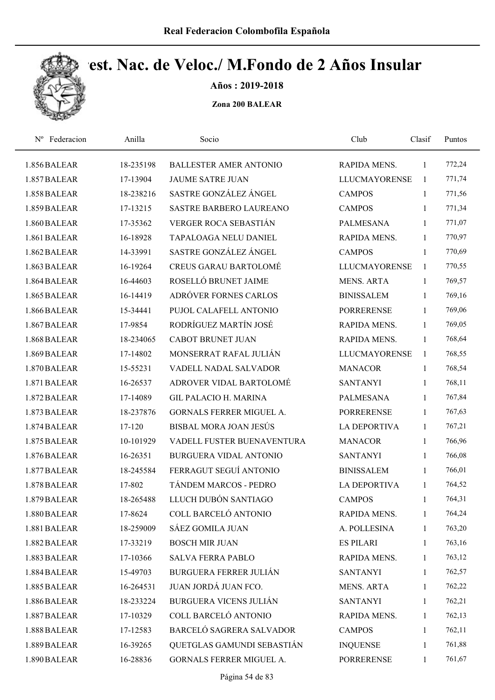

Años : 2019-2018

| Federacion<br>$N^{\rm o}$ | Anilla    | Socio                         | Club                 | Clasif       | Puntos |  |
|---------------------------|-----------|-------------------------------|----------------------|--------------|--------|--|
| 1.856 BALEAR              | 18-235198 | <b>BALLESTER AMER ANTONIO</b> | RAPIDA MENS.         | 1            | 772,24 |  |
| 1.857 BALEAR              | 17-13904  | <b>JAUME SATRE JUAN</b>       | <b>LLUCMAYORENSE</b> | 1            | 771,74 |  |
| 1.858 BALEAR              | 18-238216 | SASTRE GONZÁLEZ ÁNGEL         | <b>CAMPOS</b>        | 1            | 771,56 |  |
| 1.859 BALEAR              | 17-13215  | SASTRE BARBERO LAUREANO       | <b>CAMPOS</b>        | 1            | 771,34 |  |
| 1.860 BALEAR              | 17-35362  | VERGER ROCA SEBASTIÁN         | <b>PALMESANA</b>     | $\mathbf{1}$ | 771,07 |  |
| 1.861 BALEAR              | 16-18928  | <b>TAPALOAGA NELU DANIEL</b>  | RAPIDA MENS.         | $\mathbf{1}$ | 770,97 |  |
| 1.862 BALEAR              | 14-33991  | SASTRE GONZÁLEZ ÁNGEL         | <b>CAMPOS</b>        | $\mathbf{1}$ | 770,69 |  |
| 1.863 BALEAR              | 16-19264  | <b>CREUS GARAU BARTOLOMÉ</b>  | <b>LLUCMAYORENSE</b> | $\mathbf{1}$ | 770,55 |  |
| 1.864 BALEAR              | 16-44603  | ROSELLÓ BRUNET JAIME          | <b>MENS. ARTA</b>    | 1            | 769,57 |  |
| 1.865 BALEAR              | 16-14419  | ADRÓVER FORNES CARLOS         | <b>BINISSALEM</b>    | $\mathbf{1}$ | 769,16 |  |
| 1.866 BALEAR              | 15-34441  | PUJOL CALAFELL ANTONIO        | <b>PORRERENSE</b>    | $\mathbf{1}$ | 769,06 |  |
| 1.867 BALEAR              | 17-9854   | RODRÍGUEZ MARTÍN JOSÉ         | RAPIDA MENS.         | 1            | 769,05 |  |
| 1.868 BALEAR              | 18-234065 | <b>CABOT BRUNET JUAN</b>      | RAPIDA MENS.         | 1            | 768,64 |  |
| 1.869 BALEAR              | 17-14802  | MONSERRAT RAFAL JULIÁN        | <b>LLUCMAYORENSE</b> | 1            | 768,55 |  |
| 1.870 BALEAR              | 15-55231  | VADELL NADAL SALVADOR         | <b>MANACOR</b>       | 1            | 768,54 |  |
| 1.871 BALEAR              | 16-26537  | ADROVER VIDAL BARTOLOMÉ       | <b>SANTANYI</b>      | 1            | 768,11 |  |
| 1.872 BALEAR              | 17-14089  | <b>GIL PALACIO H. MARINA</b>  | <b>PALMESANA</b>     | 1            | 767,84 |  |
| 1.873 BALEAR              | 18-237876 | GORNALS FERRER MIGUEL A.      | <b>PORRERENSE</b>    | $\mathbf{1}$ | 767,63 |  |
| 1.874 BALEAR              | 17-120    | BISBAL MORA JOAN JESÚS        | <b>LA DEPORTIVA</b>  | $\mathbf{1}$ | 767,21 |  |
| 1.875 BALEAR              | 10-101929 | VADELL FUSTER BUENAVENTURA    | <b>MANACOR</b>       | 1            | 766,96 |  |
| 1.876 BALEAR              | 16-26351  | <b>BURGUERA VIDAL ANTONIO</b> | <b>SANTANYI</b>      | 1            | 766,08 |  |
| 1.877 BALEAR              | 18-245584 | FERRAGUT SEGUÍ ANTONIO        | <b>BINISSALEM</b>    | 1            | 766,01 |  |
| 1.878 BALEAR              | 17-802    | TÁNDEM MARCOS - PEDRO         | <b>LA DEPORTIVA</b>  | 1            | 764,52 |  |
| 1.879 BALEAR              | 18-265488 | LLUCH DUBÓN SANTIAGO          | <b>CAMPOS</b>        | 1            | 764,31 |  |
| 1.880 BALEAR              | 17-8624   | COLL BARCELÓ ANTONIO          | RAPIDA MENS.         | 1            | 764,24 |  |
| 1.881 BALEAR              | 18-259009 | SÁEZ GOMILA JUAN              | A. POLLESINA         | $\mathbf{1}$ | 763,20 |  |
| 1.882 BALEAR              | 17-33219  | <b>BOSCH MIR JUAN</b>         | <b>ES PILARI</b>     | 1            | 763,16 |  |
| 1.883 BALEAR              | 17-10366  | <b>SALVA FERRA PABLO</b>      | RAPIDA MENS.         | 1            | 763,12 |  |
| 1.884 BALEAR              | 15-49703  | <b>BURGUERA FERRER JULIÁN</b> | <b>SANTANYI</b>      | $\mathbf{1}$ | 762,57 |  |
| 1.885 BALEAR              | 16-264531 | JUAN JORDÁ JUAN FCO.          | <b>MENS. ARTA</b>    | $\mathbf{1}$ | 762,22 |  |
| 1.886 BALEAR              | 18-233224 | <b>BURGUERA VICENS JULIÁN</b> | <b>SANTANYI</b>      | $\mathbf{1}$ | 762,21 |  |
| 1.887 BALEAR              | 17-10329  | COLL BARCELÓ ANTONIO          | RAPIDA MENS.         | 1            | 762,13 |  |
| 1.888 BALEAR              | 17-12583  | BARCELÓ SAGRERA SALVADOR      | <b>CAMPOS</b>        | 1            | 762,11 |  |
| 1.889 BALEAR              | 16-39265  | QUETGLAS GAMUNDI SEBASTIÁN    | <b>INQUENSE</b>      | 1            | 761,88 |  |
| 1.890 BALEAR              | 16-28836  | GORNALS FERRER MIGUEL A.      | PORRERENSE           | 1            | 761,67 |  |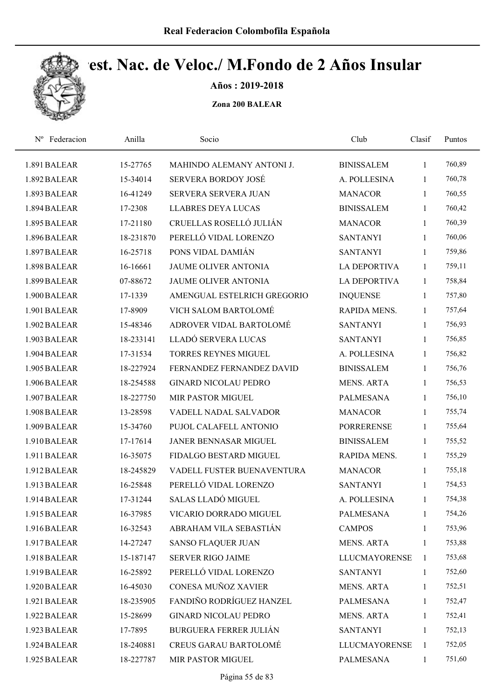

Años : 2019-2018

| Federacion<br>$N^{\rm o}$ | Anilla    | Socio                         | Club                 | Clasif       | Puntos |
|---------------------------|-----------|-------------------------------|----------------------|--------------|--------|
| 1.891 BALEAR              | 15-27765  | MAHINDO ALEMANY ANTONI J.     | <b>BINISSALEM</b>    | 1            | 760,89 |
| 1.892 BALEAR              | 15-34014  | <b>SERVERA BORDOY JOSÉ</b>    | A. POLLESINA         | 1            | 760,78 |
| 1.893 BALEAR              | 16-41249  | <b>SERVERA SERVERA JUAN</b>   | <b>MANACOR</b>       | 1            | 760,55 |
| 1.894 BALEAR              | 17-2308   | <b>LLABRES DEYA LUCAS</b>     | <b>BINISSALEM</b>    | 1            | 760,42 |
| 1.895 BALEAR              | 17-21180  | CRUELLAS ROSELLÓ JULIÁN       | <b>MANACOR</b>       | $\mathbf{1}$ | 760,39 |
| 1.896 BALEAR              | 18-231870 | PERELLÓ VIDAL LORENZO         | <b>SANTANYI</b>      | 1            | 760,06 |
| 1.897 BALEAR              | 16-25718  | PONS VIDAL DAMIÁN             | <b>SANTANYI</b>      | 1            | 759,86 |
| 1.898 BALEAR              | 16-16661  | JAUME OLIVER ANTONIA          | <b>LA DEPORTIVA</b>  | 1            | 759,11 |
| 1.899 BALEAR              | 07-88672  | JAUME OLIVER ANTONIA          | <b>LA DEPORTIVA</b>  | $\mathbf{1}$ | 758,84 |
| 1.900 BALEAR              | 17-1339   | AMENGUAL ESTELRICH GREGORIO   | <b>INQUENSE</b>      | $\mathbf{1}$ | 757,80 |
| 1.901 BALEAR              | 17-8909   | VICH SALOM BARTOLOMÉ          | RAPIDA MENS.         | $\mathbf{1}$ | 757,64 |
| 1.902 BALEAR              | 15-48346  | ADROVER VIDAL BARTOLOMÉ       | <b>SANTANYI</b>      | 1            | 756,93 |
| 1.903 BALEAR              | 18-233141 | LLADÓ SERVERA LUCAS           | <b>SANTANYI</b>      | 1            | 756,85 |
| 1.904 BALEAR              | 17-31534  | TORRES REYNES MIGUEL          | A. POLLESINA         | 1            | 756,82 |
| 1.905 BALEAR              | 18-227924 | FERNANDEZ FERNANDEZ DAVID     | <b>BINISSALEM</b>    | 1            | 756,76 |
| 1.906 BALEAR              | 18-254588 | <b>GINARD NICOLAU PEDRO</b>   | <b>MENS. ARTA</b>    | 1            | 756,53 |
| 1.907 BALEAR              | 18-227750 | <b>MIR PASTOR MIGUEL</b>      | <b>PALMESANA</b>     | $\mathbf{1}$ | 756,10 |
| 1.908 BALEAR              | 13-28598  | VADELL NADAL SALVADOR         | <b>MANACOR</b>       | $\mathbf{1}$ | 755,74 |
| 1.909 BALEAR              | 15-34760  | PUJOL CALAFELL ANTONIO        | <b>PORRERENSE</b>    | 1            | 755,64 |
| 1.910 BALEAR              | 17-17614  | JANER BENNASAR MIGUEL         | <b>BINISSALEM</b>    | $\mathbf{1}$ | 755,52 |
| 1.911 BALEAR              | 16-35075  | FIDALGO BESTARD MIGUEL        | RAPIDA MENS.         | $\mathbf{1}$ | 755,29 |
| 1.912 BALEAR              | 18-245829 | VADELL FUSTER BUENAVENTURA    | <b>MANACOR</b>       | $\mathbf{1}$ | 755,18 |
| 1.913 BALEAR              | 16-25848  | PERELLÓ VIDAL LORENZO         | <b>SANTANYI</b>      | $\mathbf{1}$ | 754,53 |
| 1.914 BALEAR              | 17-31244  | <b>SALAS LLADÓ MIGUEL</b>     | A. POLLESINA         | $\mathbf{1}$ | 754,38 |
| 1.915 BALEAR              | 16-37985  | VICARIO DORRADO MIGUEL        | <b>PALMESANA</b>     | 1            | 754,26 |
| 1.916 BALEAR              | 16-32543  | ABRAHAM VILA SEBASTIÁN        | <b>CAMPOS</b>        | 1            | 753,96 |
| 1.917 BALEAR              | 14-27247  | <b>SANSO FLAQUER JUAN</b>     | <b>MENS. ARTA</b>    | 1            | 753,88 |
| 1.918 BALEAR              | 15-187147 | <b>SERVER RIGO JAIME</b>      | <b>LLUCMAYORENSE</b> | $\mathbf{1}$ | 753,68 |
| 1.919 BALEAR              | 16-25892  | PERELLÓ VIDAL LORENZO         | <b>SANTANYI</b>      | $\mathbf{1}$ | 752,60 |
| 1.920 BALEAR              | 16-45030  | CONESA MUÑOZ XAVIER           | <b>MENS. ARTA</b>    | $\mathbf{1}$ | 752,51 |
| 1.921 BALEAR              | 18-235905 | FANDIÑO RODRÍGUEZ HANZEL      | PALMESANA            | $\mathbf{1}$ | 752,47 |
| 1.922 BALEAR              | 15-28699  | <b>GINARD NICOLAU PEDRO</b>   | MENS. ARTA           | $\mathbf{1}$ | 752,41 |
| 1.923 BALEAR              | 17-7895   | <b>BURGUERA FERRER JULIÁN</b> | <b>SANTANYI</b>      | $\mathbf{1}$ | 752,13 |
| 1.924 BALEAR              | 18-240881 | <b>CREUS GARAU BARTOLOMÉ</b>  | <b>LLUCMAYORENSE</b> | 1            | 752,05 |
| 1.925 BALEAR              | 18-227787 | MIR PASTOR MIGUEL             | PALMESANA            | $\mathbf{1}$ | 751,60 |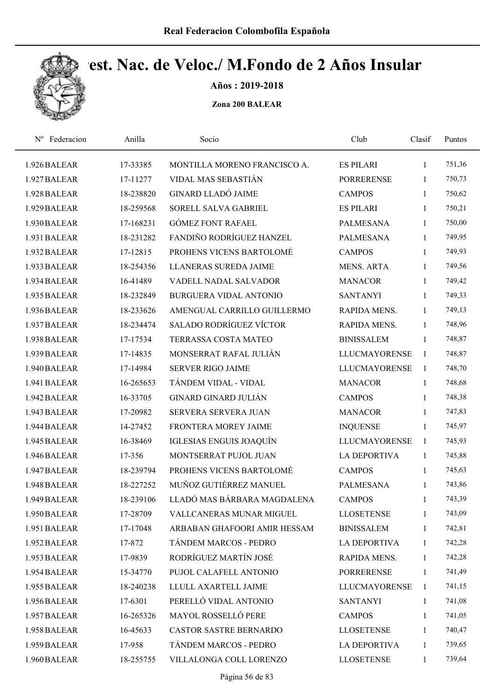

Años : 2019-2018

| Federacion<br>$N^{\rm o}$ | Anilla    | Socio                          | Club                 | Clasif       | Puntos |  |
|---------------------------|-----------|--------------------------------|----------------------|--------------|--------|--|
| 1.926 BALEAR              | 17-33385  | MONTILLA MORENO FRANCISCO A.   | <b>ES PILARI</b>     | $\mathbf{1}$ | 751,36 |  |
| 1.927 BALEAR              | 17-11277  | VIDAL MAS SEBASTIÁN            | <b>PORRERENSE</b>    | 1            | 750,73 |  |
| 1.928 BALEAR              | 18-238820 | <b>GINARD LLADÓ JAIME</b>      | <b>CAMPOS</b>        | 1            | 750,62 |  |
| 1.929 BALEAR              | 18-259568 | SORELL SALVA GABRIEL           | <b>ES PILARI</b>     | 1            | 750,21 |  |
| 1.930 BALEAR              | 17-168231 | <b>GÓMEZ FONT RAFAEL</b>       | PALMESANA            | 1            | 750,00 |  |
| 1.931 BALEAR              | 18-231282 | FANDIÑO RODRÍGUEZ HANZEL       | <b>PALMESANA</b>     | 1            | 749,95 |  |
| 1.932 BALEAR              | 17-12815  | PROHENS VICENS BARTOLOMÉ       | <b>CAMPOS</b>        | 1            | 749,93 |  |
| 1.933 BALEAR              | 18-254356 | LLANERAS SUREDA JAIME          | <b>MENS. ARTA</b>    | $\mathbf{1}$ | 749,56 |  |
| 1.934 BALEAR              | 16-41489  | VADELL NADAL SALVADOR          | <b>MANACOR</b>       | 1            | 749,42 |  |
| 1.935 BALEAR              | 18-232849 | BURGUERA VIDAL ANTONIO         | <b>SANTANYI</b>      | 1            | 749,33 |  |
| 1.936 BALEAR              | 18-233626 | AMENGUAL CARRILLO GUILLERMO    | RAPIDA MENS.         | $\mathbf{1}$ | 749,13 |  |
| 1.937 BALEAR              | 18-234474 | <b>SALADO RODRÍGUEZ VÍCTOR</b> | RAPIDA MENS.         | 1            | 748,96 |  |
| 1.938 BALEAR              | 17-17534  | TERRASSA COSTA MATEO           | <b>BINISSALEM</b>    | 1            | 748,87 |  |
| 1.939 BALEAR              | 17-14835  | MONSERRAT RAFAL JULIÁN         | <b>LLUCMAYORENSE</b> | $\mathbf{1}$ | 748,87 |  |
| 1.940 BALEAR              | 17-14984  | <b>SERVER RIGO JAIME</b>       | <b>LLUCMAYORENSE</b> | $\mathbf{1}$ | 748,70 |  |
| 1.941 BALEAR              | 16-265653 | TÁNDEM VIDAL - VIDAL           | <b>MANACOR</b>       | $\mathbf{1}$ | 748,68 |  |
| 1.942 BALEAR              | 16-33705  | <b>GINARD GINARD JULIÁN</b>    | <b>CAMPOS</b>        | 1            | 748,38 |  |
| 1.943 BALEAR              | 17-20982  | SERVERA SERVERA JUAN           | <b>MANACOR</b>       | 1            | 747,83 |  |
| 1.944 BALEAR              | 14-27452  | FRONTERA MOREY JAIME           | <b>INQUENSE</b>      | $\mathbf{1}$ | 745,97 |  |
| 1.945 BALEAR              | 16-38469  | IGLESIAS ENGUIS JOAQUÍN        | <b>LLUCMAYORENSE</b> | 1            | 745,93 |  |
| 1.946 BALEAR              | 17-356    | MONTSERRAT PUJOL JUAN          | LA DEPORTIVA         | $\mathbf{1}$ | 745,88 |  |
| 1.947 BALEAR              | 18-239794 | PROHENS VICENS BARTOLOMÉ       | <b>CAMPOS</b>        | 1            | 745,63 |  |
| 1.948 BALEAR              | 18-227252 | MUÑOZ GUTIÉRREZ MANUEL         | <b>PALMESANA</b>     | $\mathbf{1}$ | 743,86 |  |
| 1.949 BALEAR              | 18-239106 | LLADÓ MAS BÁRBARA MAGDALENA    | <b>CAMPOS</b>        | 1            | 743,39 |  |
| 1.950 BALEAR              | 17-28709  | VALLCANERAS MUNAR MIGUEL       | <b>LLOSETENSE</b>    | 1            | 743,09 |  |
| 1.951 BALEAR              | 17-17048  | ARBABAN GHAFOORI AMIR HESSAM   | <b>BINISSALEM</b>    | $\mathbf{1}$ | 742,81 |  |
| 1.952 BALEAR              | 17-872    | TÁNDEM MARCOS - PEDRO          | <b>LA DEPORTIVA</b>  | $\mathbf{1}$ | 742,28 |  |
| 1.953 BALEAR              | 17-9839   | RODRÍGUEZ MARTÍN JOSÉ          | RAPIDA MENS.         | $\mathbf{1}$ | 742,28 |  |
| 1.954 BALEAR              | 15-34770  | PUJOL CALAFELL ANTONIO         | <b>PORRERENSE</b>    | 1            | 741,49 |  |
| 1.955 BALEAR              | 18-240238 | LLULL AXARTELL JAIME           | <b>LLUCMAYORENSE</b> | $\mathbf{1}$ | 741,15 |  |
| 1.956 BALEAR              | 17-6301   | PERELLÓ VIDAL ANTONIO          | <b>SANTANYI</b>      | $\mathbf{1}$ | 741,08 |  |
| 1.957 BALEAR              | 16-265326 | <b>MAYOL ROSSELLÓ PERE</b>     | <b>CAMPOS</b>        | 1            | 741,05 |  |
| 1.958 BALEAR              | 16-45633  | <b>CASTOR SASTRE BERNARDO</b>  | <b>LLOSETENSE</b>    | $\mathbf{1}$ | 740,47 |  |
| 1.959 BALEAR              | 17-958    | TÁNDEM MARCOS - PEDRO          | <b>LA DEPORTIVA</b>  | 1            | 739,65 |  |
| 1.960 BALEAR              | 18-255755 | VILLALONGA COLL LORENZO        | <b>LLOSETENSE</b>    | $\mathbf{1}$ | 739,64 |  |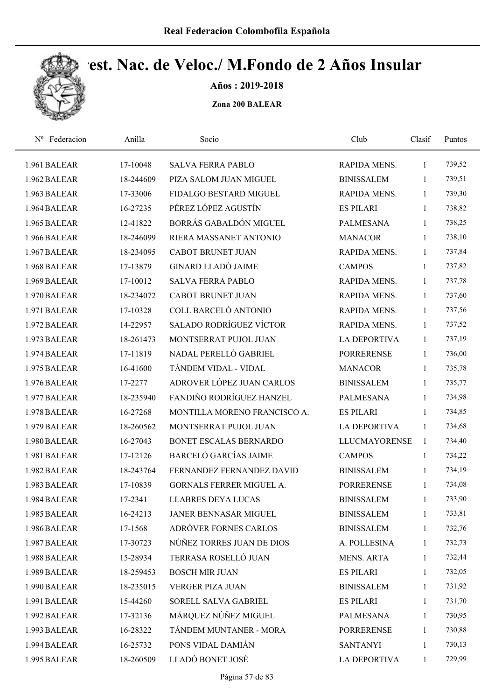

Años : 2019-2018

| Federacion<br>$N^{\rm o}$ | Anilla    | Socio                           | Club                 | Clasif       | Puntos |  |
|---------------------------|-----------|---------------------------------|----------------------|--------------|--------|--|
| 1.961 BALEAR              | 17-10048  | <b>SALVA FERRA PABLO</b>        | RAPIDA MENS.         | 1            | 739,52 |  |
| 1.962 BALEAR              | 18-244609 | PIZA SALOM JUAN MIGUEL          | <b>BINISSALEM</b>    | 1            | 739,51 |  |
| 1.963 BALEAR              | 17-33006  | FIDALGO BESTARD MIGUEL          | RAPIDA MENS.         | $\mathbf{1}$ | 739,30 |  |
| 1.964 BALEAR              | 16-27235  | PÉREZ LÓPEZ AGUSTÍN             | <b>ES PILARI</b>     | $\mathbf{1}$ | 738,82 |  |
| 1.965 BALEAR              | 12-41822  | BORRÁS GABALDÓN MIGUEL          | <b>PALMESANA</b>     | $\mathbf{1}$ | 738,25 |  |
| 1.966 BALEAR              | 18-246099 | RIERA MASSANET ANTONIO          | <b>MANACOR</b>       | $\mathbf{1}$ | 738,10 |  |
| 1.967 BALEAR              | 18-234095 | <b>CABOT BRUNET JUAN</b>        | RAPIDA MENS.         | 1            | 737,84 |  |
| 1.968 BALEAR              | 17-13879  | <b>GINARD LLADÓ JAIME</b>       | <b>CAMPOS</b>        | 1            | 737,82 |  |
| 1.969 BALEAR              | 17-10012  | <b>SALVA FERRA PABLO</b>        | RAPIDA MENS.         | 1            | 737,78 |  |
| 1.970 BALEAR              | 18-234072 | <b>CABOT BRUNET JUAN</b>        | RAPIDA MENS.         | 1            | 737,60 |  |
| 1.971 BALEAR              | 17-10328  | COLL BARCELÓ ANTONIO            | <b>RAPIDA MENS.</b>  | 1            | 737,56 |  |
| 1.972 BALEAR              | 14-22957  | <b>SALADO RODRÍGUEZ VÍCTOR</b>  | <b>RAPIDA MENS.</b>  | 1            | 737,52 |  |
| 1.973 BALEAR              | 18-261473 | MONTSERRAT PUJOL JUAN           | <b>LA DEPORTIVA</b>  | 1            | 737,19 |  |
| 1.974 BALEAR              | 17-11819  | NADAL PERELLÓ GABRIEL           | <b>PORRERENSE</b>    | 1            | 736,00 |  |
| 1.975 BALEAR              | 16-41600  | TÁNDEM VIDAL - VIDAL            | <b>MANACOR</b>       | $\mathbf{1}$ | 735,78 |  |
| 1.976 BALEAR              | 17-2277   | ADROVER LÓPEZ JUAN CARLOS       | <b>BINISSALEM</b>    | $\mathbf{1}$ | 735,77 |  |
| 1.977 BALEAR              | 18-235940 | FANDIÑO RODRÍGUEZ HANZEL        | <b>PALMESANA</b>     | $\mathbf{1}$ | 734,98 |  |
| 1.978 BALEAR              | 16-27268  | MONTILLA MORENO FRANCISCO A.    | <b>ES PILARI</b>     | $\mathbf{1}$ | 734,85 |  |
| 1.979 BALEAR              | 18-260562 | MONTSERRAT PUJOL JUAN           | <b>LA DEPORTIVA</b>  | 1            | 734,68 |  |
| 1.980 BALEAR              | 16-27043  | <b>BONET ESCALAS BERNARDO</b>   | <b>LLUCMAYORENSE</b> | 1            | 734,40 |  |
| 1.981 BALEAR              | 17-12126  | <b>BARCELÓ GARCÍAS JAIME</b>    | <b>CAMPOS</b>        | $\mathbf{1}$ | 734,22 |  |
| 1.982 BALEAR              | 18-243764 | FERNANDEZ FERNANDEZ DAVID       | <b>BINISSALEM</b>    | $\mathbf{1}$ | 734,19 |  |
| 1.983 BALEAR              | 17-10839  | <b>GORNALS FERRER MIGUEL A.</b> | <b>PORRERENSE</b>    | 1            | 734,08 |  |
| 1.984 BALEAR              | 17-2341   | <b>LLABRES DEYA LUCAS</b>       | <b>BINISSALEM</b>    | 1            | 733,90 |  |
| 1.985 BALEAR              | 16-24213  | <b>JANER BENNASAR MIGUEL</b>    | <b>BINISSALEM</b>    | $\mathbf{1}$ | 733,81 |  |
| 1.986 BALEAR              | 17-1568   | ADRÓVER FORNES CARLOS           | <b>BINISSALEM</b>    | $\mathbf{1}$ | 732,76 |  |
| 1.987 BALEAR              | 17-30723  | NÚÑEZ TORRES JUAN DE DIOS       | A. POLLESINA         | $\mathbf{1}$ | 732,73 |  |
| 1.988 BALEAR              | 15-28934  | TERRASA ROSELLÓ JUAN            | <b>MENS. ARTA</b>    | $\mathbf{1}$ | 732,44 |  |
| 1.989 BALEAR              | 18-259453 | <b>BOSCH MIR JUAN</b>           | <b>ES PILARI</b>     | $\mathbf{1}$ | 732,05 |  |
| 1.990 BALEAR              | 18-235015 | <b>VERGER PIZA JUAN</b>         | <b>BINISSALEM</b>    | $\mathbf{1}$ | 731,92 |  |
| 1.991 BALEAR              | 15-44260  | SORELL SALVA GABRIEL            | <b>ES PILARI</b>     | $\mathbf{1}$ | 731,70 |  |
| 1.992 BALEAR              | 17-32136  | MÁRQUEZ NÚÑEZ MIGUEL            | PALMESANA            | $\mathbf{1}$ | 730,95 |  |
| 1.993 BALEAR              | 16-28322  | TÁNDEM MUNTANER - MORA          | <b>PORRERENSE</b>    | $\mathbf{1}$ | 730,88 |  |
| 1.994 BALEAR              | 16-25732  | PONS VIDAL DAMIÁN               | <b>SANTANYI</b>      | 1            | 730,13 |  |
| 1.995 BALEAR              | 18-260509 | LLADÓ BONET JOSÉ                | LA DEPORTIVA         | $\mathbf{1}$ | 729,99 |  |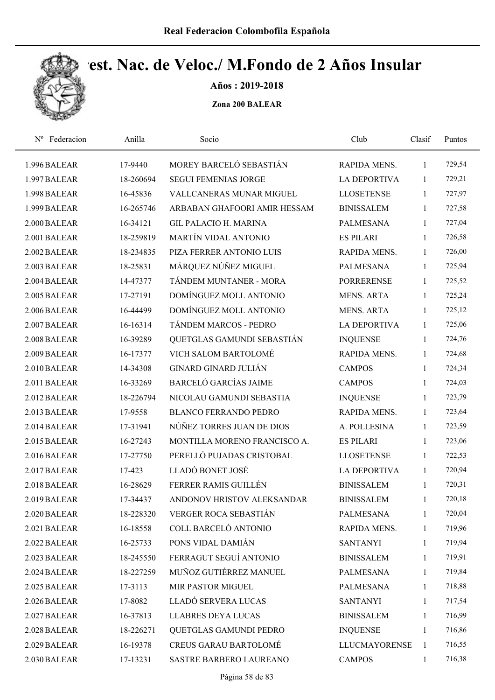

Años : 2019-2018

| Federacion<br>$N^{\rm o}$ | Anilla    | Socio                        | Club                 | Clasif       | Puntos |  |
|---------------------------|-----------|------------------------------|----------------------|--------------|--------|--|
| 1.996 BALEAR              | 17-9440   | MOREY BARCELÓ SEBASTIÁN      | RAPIDA MENS.         | $\mathbf{1}$ | 729,54 |  |
| 1.997 BALEAR              | 18-260694 | <b>SEGUI FEMENIAS JORGE</b>  | <b>LA DEPORTIVA</b>  | 1            | 729,21 |  |
| 1.998 BALEAR              | 16-45836  | VALLCANERAS MUNAR MIGUEL     | <b>LLOSETENSE</b>    | 1            | 727,97 |  |
| 1.999 BALEAR              | 16-265746 | ARBABAN GHAFOORI AMIR HESSAM | <b>BINISSALEM</b>    | 1            | 727,58 |  |
| 2.000 BALEAR              | 16-34121  | <b>GIL PALACIO H. MARINA</b> | <b>PALMESANA</b>     | 1            | 727,04 |  |
| 2.001 BALEAR              | 18-259819 | MARTÍN VIDAL ANTONIO         | <b>ES PILARI</b>     | 1            | 726,58 |  |
| 2.002 BALEAR              | 18-234835 | PIZA FERRER ANTONIO LUIS     | RAPIDA MENS.         | $\mathbf{1}$ | 726,00 |  |
| 2.003 BALEAR              | 18-25831  | MÁRQUEZ NÚÑEZ MIGUEL         | <b>PALMESANA</b>     | 1            | 725,94 |  |
| 2.004 BALEAR              | 14-47377  | TÁNDEM MUNTANER - MORA       | <b>PORRERENSE</b>    | 1            | 725,52 |  |
| 2.005 BALEAR              | 17-27191  | DOMÍNGUEZ MOLL ANTONIO       | <b>MENS. ARTA</b>    | $\mathbf{1}$ | 725,24 |  |
| 2.006 BALEAR              | 16-44499  | DOMÍNGUEZ MOLL ANTONIO       | <b>MENS. ARTA</b>    | 1            | 725,12 |  |
| 2.007 BALEAR              | 16-16314  | TÁNDEM MARCOS - PEDRO        | <b>LA DEPORTIVA</b>  | 1            | 725,06 |  |
| 2.008 BALEAR              | 16-39289  | QUETGLAS GAMUNDI SEBASTIÁN   | <b>INQUENSE</b>      | 1            | 724,76 |  |
| 2.009 BALEAR              | 16-17377  | VICH SALOM BARTOLOMÉ         | RAPIDA MENS.         | 1            | 724,68 |  |
| 2.010 BALEAR              | 14-34308  | <b>GINARD GINARD JULIÁN</b>  | <b>CAMPOS</b>        | 1            | 724,34 |  |
| 2.011 BALEAR              | 16-33269  | <b>BARCELÓ GARCÍAS JAIME</b> | <b>CAMPOS</b>        | 1            | 724,03 |  |
| 2.012 BALEAR              | 18-226794 | NICOLAU GAMUNDI SEBASTIA     | <b>INQUENSE</b>      | 1            | 723,79 |  |
| 2.013 BALEAR              | 17-9558   | <b>BLANCO FERRANDO PEDRO</b> | RAPIDA MENS.         | 1            | 723,64 |  |
| 2.014 BALEAR              | 17-31941  | NÚÑEZ TORRES JUAN DE DIOS    | A. POLLESINA         | 1            | 723,59 |  |
| 2.015 BALEAR              | 16-27243  | MONTILLA MORENO FRANCISCO A. | <b>ES PILARI</b>     | 1            | 723,06 |  |
| 2.016 BALEAR              | 17-27750  | PERELLÓ PUJADAS CRISTOBAL    | <b>LLOSETENSE</b>    | 1            | 722,53 |  |
| 2.017 BALEAR              | 17-423    | LLADÓ BONET JOSÉ             | <b>LA DEPORTIVA</b>  | 1            | 720,94 |  |
| 2.018 BALEAR              | 16-28629  | FERRER RAMIS GUILLÉN         | <b>BINISSALEM</b>    | $\mathbf{1}$ | 720,31 |  |
| 2.019 BALEAR              | 17-34437  | ANDONOV HRISTOV ALEKSANDAR   | <b>BINISSALEM</b>    | 1            | 720,18 |  |
| 2.020 BALEAR              | 18-228320 | VERGER ROCA SEBASTIÁN        | <b>PALMESANA</b>     | 1            | 720,04 |  |
| 2.021 BALEAR              | 16-18558  | COLL BARCELÓ ANTONIO         | RAPIDA MENS.         | 1            | 719,96 |  |
| 2.022 BALEAR              | 16-25733  | PONS VIDAL DAMIÁN            | <b>SANTANYI</b>      | 1            | 719,94 |  |
| 2.023 BALEAR              | 18-245550 | FERRAGUT SEGUÍ ANTONIO       | <b>BINISSALEM</b>    | $\mathbf{1}$ | 719,91 |  |
| 2.024 BALEAR              | 18-227259 | MUÑOZ GUTIÉRREZ MANUEL       | PALMESANA            | 1            | 719,84 |  |
| 2.025 BALEAR              | 17-3113   | MIR PASTOR MIGUEL            | PALMESANA            | $\mathbf{1}$ | 718,88 |  |
| 2.026 BALEAR              | 17-8082   | LLADÓ SERVERA LUCAS          | <b>SANTANYI</b>      | 1            | 717,54 |  |
| 2.027 BALEAR              | 16-37813  | LLABRES DEYA LUCAS           | <b>BINISSALEM</b>    | 1            | 716,99 |  |
| 2.028 BALEAR              | 18-226271 | QUETGLAS GAMUNDI PEDRO       | <b>INQUENSE</b>      | 1            | 716,86 |  |
| 2.029 BALEAR              | 16-19378  | CREUS GARAU BARTOLOMÉ        | <b>LLUCMAYORENSE</b> | $\mathbf{1}$ | 716,55 |  |
| 2.030 BALEAR              | 17-13231  | SASTRE BARBERO LAUREANO      | <b>CAMPOS</b>        | 1            | 716,38 |  |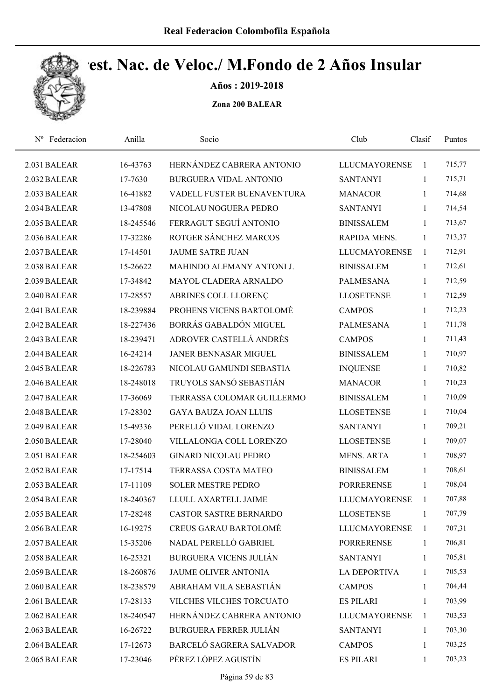

Años : 2019-2018

| Federacion<br>$N^{\rm o}$ | Anilla    | Socio                         | Club                 | Clasif       | Puntos |
|---------------------------|-----------|-------------------------------|----------------------|--------------|--------|
| 2.031 BALEAR              | 16-43763  | HERNÁNDEZ CABRERA ANTONIO     | <b>LLUCMAYORENSE</b> | 1            | 715,77 |
| 2.032 BALEAR              | 17-7630   | <b>BURGUERA VIDAL ANTONIO</b> | <b>SANTANYI</b>      | $\mathbf{1}$ | 715,71 |
| 2.033 BALEAR              | 16-41882  | VADELL FUSTER BUENAVENTURA    | <b>MANACOR</b>       | $\mathbf{1}$ | 714,68 |
| 2.034 BALEAR              | 13-47808  | NICOLAU NOGUERA PEDRO         | <b>SANTANYI</b>      | $\mathbf{1}$ | 714,54 |
| 2.035 BALEAR              | 18-245546 | FERRAGUT SEGUÍ ANTONIO        | <b>BINISSALEM</b>    | $\mathbf{1}$ | 713,67 |
| 2.036 BALEAR              | 17-32286  | ROTGER SÁNCHEZ MARCOS         | RAPIDA MENS.         | $\mathbf{1}$ | 713,37 |
| 2.037 BALEAR              | 17-14501  | <b>JAUME SATRE JUAN</b>       | <b>LLUCMAYORENSE</b> | $\mathbf{1}$ | 712,91 |
| 2.038 BALEAR              | 15-26622  | MAHINDO ALEMANY ANTONI J.     | <b>BINISSALEM</b>    | $\mathbf{1}$ | 712,61 |
| 2.039 BALEAR              | 17-34842  | MAYOL CLADERA ARNALDO         | <b>PALMESANA</b>     | $\mathbf{1}$ | 712,59 |
| 2.040 BALEAR              | 17-28557  | ABRINES COLL LLORENÇ          | <b>LLOSETENSE</b>    | $\mathbf{1}$ | 712,59 |
| 2.041 BALEAR              | 18-239884 | PROHENS VICENS BARTOLOMÉ      | <b>CAMPOS</b>        | $\mathbf{1}$ | 712,23 |
| 2.042 BALEAR              | 18-227436 | BORRÁS GABALDÓN MIGUEL        | <b>PALMESANA</b>     | $\mathbf{1}$ | 711,78 |
| 2.043 BALEAR              | 18-239471 | ADROVER CASTELLÁ ANDRÉS       | <b>CAMPOS</b>        | $\mathbf{1}$ | 711,43 |
| 2.044 BALEAR              | 16-24214  | <b>JANER BENNASAR MIGUEL</b>  | <b>BINISSALEM</b>    | $\mathbf{1}$ | 710,97 |
| 2.045 BALEAR              | 18-226783 | NICOLAU GAMUNDI SEBASTIA      | <b>INQUENSE</b>      | 1            | 710,82 |
| 2.046 BALEAR              | 18-248018 | TRUYOLS SANSÓ SEBASTIÁN       | <b>MANACOR</b>       | $\mathbf{1}$ | 710,23 |
| 2.047 BALEAR              | 17-36069  | TERRASSA COLOMAR GUILLERMO    | <b>BINISSALEM</b>    | $\mathbf{1}$ | 710,09 |
| 2.048 BALEAR              | 17-28302  | <b>GAYA BAUZA JOAN LLUIS</b>  | <b>LLOSETENSE</b>    | $\mathbf{1}$ | 710,04 |
| 2.049 BALEAR              | 15-49336  | PERELLÓ VIDAL LORENZO         | <b>SANTANYI</b>      | $\mathbf{1}$ | 709,21 |
| 2.050 BALEAR              | 17-28040  | VILLALONGA COLL LORENZO       | <b>LLOSETENSE</b>    | $\mathbf{1}$ | 709,07 |
| 2.051 BALEAR              | 18-254603 | <b>GINARD NICOLAU PEDRO</b>   | <b>MENS. ARTA</b>    | $\mathbf{1}$ | 708,97 |
| 2.052 BALEAR              | 17-17514  | TERRASSA COSTA MATEO          | <b>BINISSALEM</b>    | 1            | 708,61 |
| 2.053 BALEAR              | 17-11109  | <b>SOLER MESTRE PEDRO</b>     | <b>PORRERENSE</b>    | $\mathbf{1}$ | 708,04 |
| 2.054 BALEAR              | 18-240367 | LLULL AXARTELL JAIME          | <b>LLUCMAYORENSE</b> | 1            | 707,88 |
| 2.055 BALEAR              | 17-28248  | <b>CASTOR SASTRE BERNARDO</b> | <b>LLOSETENSE</b>    | 1            | 707,79 |
| 2.056 BALEAR              | 16-19275  | <b>CREUS GARAU BARTOLOMÉ</b>  | <b>LLUCMAYORENSE</b> | $\mathbf{1}$ | 707,31 |
| 2.057 BALEAR              | 15-35206  | NADAL PERELLÓ GABRIEL         | <b>PORRERENSE</b>    | 1            | 706,81 |
| 2.058 BALEAR              | 16-25321  | <b>BURGUERA VICENS JULIÁN</b> | <b>SANTANYI</b>      | $\mathbf{1}$ | 705,81 |
| 2.059 BALEAR              | 18-260876 | JAUME OLIVER ANTONIA          | <b>LA DEPORTIVA</b>  | 1            | 705,53 |
| 2.060 BALEAR              | 18-238579 | ABRAHAM VILA SEBASTIÁN        | <b>CAMPOS</b>        | $\mathbf{1}$ | 704,44 |
| 2.061 BALEAR              | 17-28133  | VILCHES VILCHES TORCUATO      | <b>ES PILARI</b>     | 1            | 703,99 |
| 2.062 BALEAR              | 18-240547 | HERNÁNDEZ CABRERA ANTONIO     | <b>LLUCMAYORENSE</b> | 1            | 703,53 |
| 2.063 BALEAR              | 16-26722  | <b>BURGUERA FERRER JULIÁN</b> | <b>SANTANYI</b>      | $\mathbf{1}$ | 703,30 |
| 2.064 BALEAR              | 17-12673  | BARCELÓ SAGRERA SALVADOR      | <b>CAMPOS</b>        | 1            | 703,25 |
| 2.065 BALEAR              | 17-23046  | PÉREZ LÓPEZ AGUSTÍN           | <b>ES PILARI</b>     | 1            | 703,23 |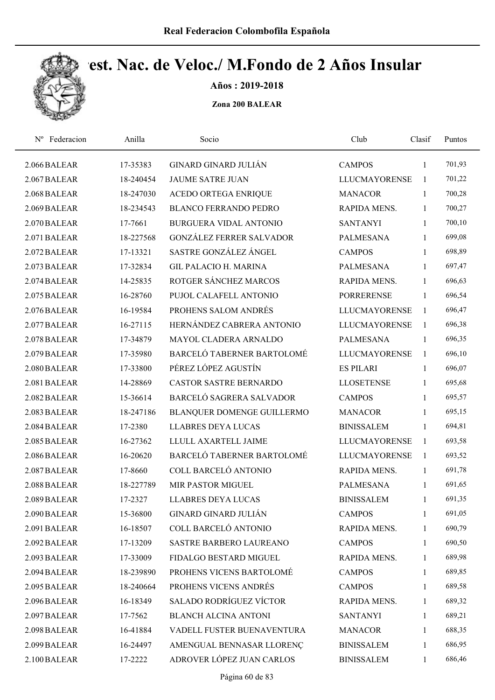

Años : 2019-2018

| Nº Federacion | Anilla    | Socio                           | Club                 | Clasif       | Puntos |  |
|---------------|-----------|---------------------------------|----------------------|--------------|--------|--|
| 2.066 BALEAR  | 17-35383  | GINARD GINARD JULIÁN            | <b>CAMPOS</b>        | $\mathbf{1}$ | 701,93 |  |
| 2.067 BALEAR  | 18-240454 | <b>JAUME SATRE JUAN</b>         | <b>LLUCMAYORENSE</b> | $\mathbf{1}$ | 701,22 |  |
| 2.068 BALEAR  | 18-247030 | ACEDO ORTEGA ENRIQUE            | <b>MANACOR</b>       | $\mathbf{1}$ | 700,28 |  |
| 2.069 BALEAR  | 18-234543 | <b>BLANCO FERRANDO PEDRO</b>    | RAPIDA MENS.         | 1            | 700,27 |  |
| 2.070 BALEAR  | 17-7661   | <b>BURGUERA VIDAL ANTONIO</b>   | <b>SANTANYI</b>      | $\mathbf{1}$ | 700,10 |  |
| 2.071 BALEAR  | 18-227568 | <b>GONZÁLEZ FERRER SALVADOR</b> | <b>PALMESANA</b>     | $\mathbf{1}$ | 699,08 |  |
| 2.072 BALEAR  | 17-13321  | SASTRE GONZÁLEZ ÁNGEL           | <b>CAMPOS</b>        | 1            | 698,89 |  |
| 2.073 BALEAR  | 17-32834  | <b>GIL PALACIO H. MARINA</b>    | <b>PALMESANA</b>     | $\mathbf{1}$ | 697,47 |  |
| 2.074 BALEAR  | 14-25835  | ROTGER SÁNCHEZ MARCOS           | RAPIDA MENS.         | $\mathbf{1}$ | 696,63 |  |
| 2.075 BALEAR  | 16-28760  | PUJOL CALAFELL ANTONIO          | <b>PORRERENSE</b>    | 1            | 696,54 |  |
| 2.076 BALEAR  | 16-19584  | PROHENS SALOM ANDRÉS            | <b>LLUCMAYORENSE</b> | 1            | 696,47 |  |
| 2.077 BALEAR  | 16-27115  | HERNÁNDEZ CABRERA ANTONIO       | <b>LLUCMAYORENSE</b> | 1            | 696,38 |  |
| 2.078 BALEAR  | 17-34879  | MAYOL CLADERA ARNALDO           | <b>PALMESANA</b>     | $\mathbf{1}$ | 696,35 |  |
| 2.079 BALEAR  | 17-35980  | BARCELÓ TABERNER BARTOLOMÉ      | <b>LLUCMAYORENSE</b> | $\mathbf{1}$ | 696,10 |  |
| 2.080 BALEAR  | 17-33800  | PÉREZ LÓPEZ AGUSTÍN             | <b>ES PILARI</b>     | $\mathbf{1}$ | 696,07 |  |
| 2.081 BALEAR  | 14-28869  | <b>CASTOR SASTRE BERNARDO</b>   | <b>LLOSETENSE</b>    | $\mathbf{1}$ | 695,68 |  |
| 2.082 BALEAR  | 15-36614  | BARCELÓ SAGRERA SALVADOR        | <b>CAMPOS</b>        | $\mathbf{1}$ | 695,57 |  |
| 2.083 BALEAR  | 18-247186 | BLANQUER DOMENGE GUILLERMO      | <b>MANACOR</b>       | $\mathbf{1}$ | 695,15 |  |
| 2.084 BALEAR  | 17-2380   | <b>LLABRES DEYA LUCAS</b>       | <b>BINISSALEM</b>    | $\mathbf{1}$ | 694,81 |  |
| 2.085 BALEAR  | 16-27362  | LLULL AXARTELL JAIME            | <b>LLUCMAYORENSE</b> | 1            | 693,58 |  |
| 2.086 BALEAR  | 16-20620  | BARCELÓ TABERNER BARTOLOMÉ      | <b>LLUCMAYORENSE</b> | 1            | 693,52 |  |
| 2.087 BALEAR  | 17-8660   | COLL BARCELÓ ANTONIO            | RAPIDA MENS.         | 1            | 691,78 |  |
| 2.088 BALEAR  | 18-227789 | MIR PASTOR MIGUEL               | <b>PALMESANA</b>     | $\mathbf{1}$ | 691,65 |  |
| 2.089 BALEAR  | 17-2327   | <b>LLABRES DEYA LUCAS</b>       | <b>BINISSALEM</b>    | 1            | 691,35 |  |
| 2.090 BALEAR  | 15-36800  | <b>GINARD GINARD JULIÁN</b>     | <b>CAMPOS</b>        | 1            | 691,05 |  |
| 2.091 BALEAR  | 16-18507  | COLL BARCELÓ ANTONIO            | RAPIDA MENS.         | 1            | 690,79 |  |
| 2.092 BALEAR  | 17-13209  | SASTRE BARBERO LAUREANO         | <b>CAMPOS</b>        | 1            | 690,50 |  |
| 2.093 BALEAR  | 17-33009  | FIDALGO BESTARD MIGUEL          | RAPIDA MENS.         | 1            | 689,98 |  |
| 2.094 BALEAR  | 18-239890 | PROHENS VICENS BARTOLOMÉ        | <b>CAMPOS</b>        | $\mathbf{1}$ | 689,85 |  |
| 2.095 BALEAR  | 18-240664 | PROHENS VICENS ANDRÉS           | <b>CAMPOS</b>        | $\mathbf{1}$ | 689,58 |  |
| 2.096 BALEAR  | 16-18349  | <b>SALADO RODRÍGUEZ VÍCTOR</b>  | RAPIDA MENS.         | 1            | 689,32 |  |
| 2.097 BALEAR  | 17-7562   | <b>BLANCH ALCINA ANTONI</b>     | <b>SANTANYI</b>      | $\mathbf{1}$ | 689,21 |  |
| 2.098 BALEAR  | 16-41884  | VADELL FUSTER BUENAVENTURA      | <b>MANACOR</b>       | $\mathbf{1}$ | 688,35 |  |
| 2.099 BALEAR  | 16-24497  | AMENGUAL BENNASAR LLORENÇ       | <b>BINISSALEM</b>    | 1            | 686,95 |  |
| 2.100 BALEAR  | 17-2222   | ADROVER LÓPEZ JUAN CARLOS       | <b>BINISSALEM</b>    | 1            | 686,46 |  |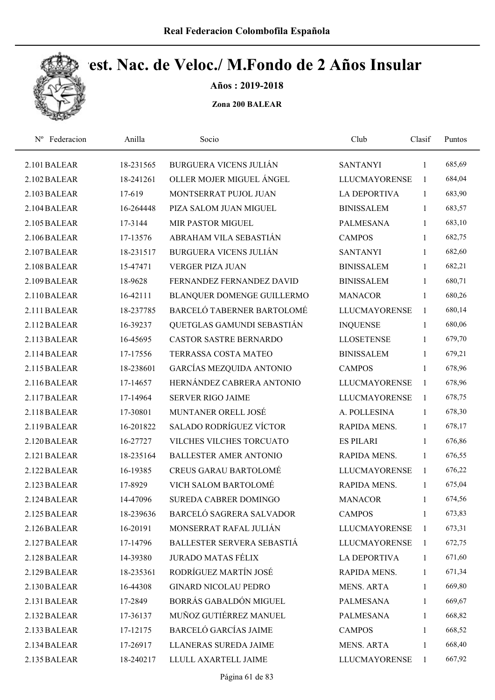

Años : 2019-2018

| Nº Federacion | Anilla    | Socio                           | Club                 | Clasif       | Puntos |  |
|---------------|-----------|---------------------------------|----------------------|--------------|--------|--|
| 2.101 BALEAR  | 18-231565 | <b>BURGUERA VICENS JULIÁN</b>   | <b>SANTANYI</b>      | $\mathbf{1}$ | 685,69 |  |
| 2.102 BALEAR  | 18-241261 | OLLER MOJER MIGUEL ÁNGEL        | <b>LLUCMAYORENSE</b> | 1            | 684,04 |  |
| 2.103 BALEAR  | 17-619    | MONTSERRAT PUJOL JUAN           | <b>LA DEPORTIVA</b>  | 1            | 683,90 |  |
| 2.104 BALEAR  | 16-264448 | PIZA SALOM JUAN MIGUEL          | <b>BINISSALEM</b>    | $\mathbf{1}$ | 683,57 |  |
| 2.105 BALEAR  | 17-3144   | <b>MIR PASTOR MIGUEL</b>        | <b>PALMESANA</b>     | $\mathbf{1}$ | 683,10 |  |
| 2.106 BALEAR  | 17-13576  | ABRAHAM VILA SEBASTIÁN          | <b>CAMPOS</b>        | $\mathbf{1}$ | 682,75 |  |
| 2.107 BALEAR  | 18-231517 | <b>BURGUERA VICENS JULIÁN</b>   | <b>SANTANYI</b>      | $\mathbf{1}$ | 682,60 |  |
| 2.108 BALEAR  | 15-47471  | <b>VERGER PIZA JUAN</b>         | <b>BINISSALEM</b>    | $\mathbf{1}$ | 682,21 |  |
| 2.109 BALEAR  | 18-9628   | FERNANDEZ FERNANDEZ DAVID       | <b>BINISSALEM</b>    | 1            | 680,71 |  |
| 2.110 BALEAR  | 16-42111  | BLANQUER DOMENGE GUILLERMO      | <b>MANACOR</b>       | 1            | 680,26 |  |
| 2.111 BALEAR  | 18-237785 | BARCELÓ TABERNER BARTOLOMÉ      | <b>LLUCMAYORENSE</b> | 1            | 680,14 |  |
| 2.112 BALEAR  | 16-39237  | QUETGLAS GAMUNDI SEBASTIÁN      | <b>INQUENSE</b>      | $\mathbf{1}$ | 680,06 |  |
| 2.113 BALEAR  | 16-45695  | <b>CASTOR SASTRE BERNARDO</b>   | <b>LLOSETENSE</b>    | $\mathbf{1}$ | 679,70 |  |
| 2.114 BALEAR  | 17-17556  | TERRASSA COSTA MATEO            | <b>BINISSALEM</b>    | 1            | 679,21 |  |
| 2.115 BALEAR  | 18-238601 | <b>GARCÍAS MEZQUIDA ANTONIO</b> | <b>CAMPOS</b>        | $\mathbf{1}$ | 678,96 |  |
| 2.116 BALEAR  | 17-14657  | HERNÁNDEZ CABRERA ANTONIO       | <b>LLUCMAYORENSE</b> | 1            | 678,96 |  |
| 2.117 BALEAR  | 17-14964  | <b>SERVER RIGO JAIME</b>        | <b>LLUCMAYORENSE</b> | $\mathbf{1}$ | 678,75 |  |
| 2.118 BALEAR  | 17-30801  | MUNTANER ORELL JOSÉ             | A. POLLESINA         | $\mathbf{1}$ | 678,30 |  |
| 2.119 BALEAR  | 16-201822 | <b>SALADO RODRÍGUEZ VÍCTOR</b>  | RAPIDA MENS.         | $\mathbf{1}$ | 678,17 |  |
| 2.120 BALEAR  | 16-27727  | VILCHES VILCHES TORCUATO        | <b>ES PILARI</b>     | $\mathbf{1}$ | 676,86 |  |
| 2.121 BALEAR  | 18-235164 | <b>BALLESTER AMER ANTONIO</b>   | RAPIDA MENS.         | 1            | 676,55 |  |
| 2.122 BALEAR  | 16-19385  | <b>CREUS GARAU BARTOLOMÉ</b>    | <b>LLUCMAYORENSE</b> | 1            | 676,22 |  |
| 2.123 BALEAR  | 17-8929   | VICH SALOM BARTOLOMÉ            | RAPIDA MENS.         | $\mathbf{1}$ | 675,04 |  |
| 2.124 BALEAR  | 14-47096  | SUREDA CABRER DOMINGO           | <b>MANACOR</b>       | 1            | 674,56 |  |
| 2.125 BALEAR  | 18-239636 | BARCELÓ SAGRERA SALVADOR        | <b>CAMPOS</b>        | $\mathbf{1}$ | 673,83 |  |
| 2.126 BALEAR  | 16-20191  | MONSERRAT RAFAL JULIÁN          | <b>LLUCMAYORENSE</b> | $\mathbf{1}$ | 673,31 |  |
| 2.127 BALEAR  | 17-14796  | BALLESTER SERVERA SEBASTIÁ      | <b>LLUCMAYORENSE</b> | $\mathbf{1}$ | 672,75 |  |
| 2.128 BALEAR  | 14-39380  | <b>JURADO MATAS FÉLIX</b>       | <b>LA DEPORTIVA</b>  | 1            | 671,60 |  |
| 2.129 BALEAR  | 18-235361 | RODRÍGUEZ MARTÍN JOSÉ           | RAPIDA MENS.         | 1            | 671,34 |  |
| 2.130 BALEAR  | 16-44308  | <b>GINARD NICOLAU PEDRO</b>     | <b>MENS. ARTA</b>    | 1            | 669,80 |  |
| 2.131 BALEAR  | 17-2849   | BORRÁS GABALDÓN MIGUEL          | PALMESANA            | 1            | 669,67 |  |
| 2.132 BALEAR  | 17-36137  | MUÑOZ GUTIÉRREZ MANUEL          | <b>PALMESANA</b>     | 1            | 668,82 |  |
| 2.133 BALEAR  | 17-12175  | <b>BARCELÓ GARCÍAS JAIME</b>    | <b>CAMPOS</b>        | $\mathbf{1}$ | 668,52 |  |
| 2.134 BALEAR  | 17-26917  | LLANERAS SUREDA JAIME           | MENS. ARTA           | 1            | 668,40 |  |
| 2.135 BALEAR  | 18-240217 | LLULL AXARTELL JAIME            | <b>LLUCMAYORENSE</b> | $\mathbf{1}$ | 667,92 |  |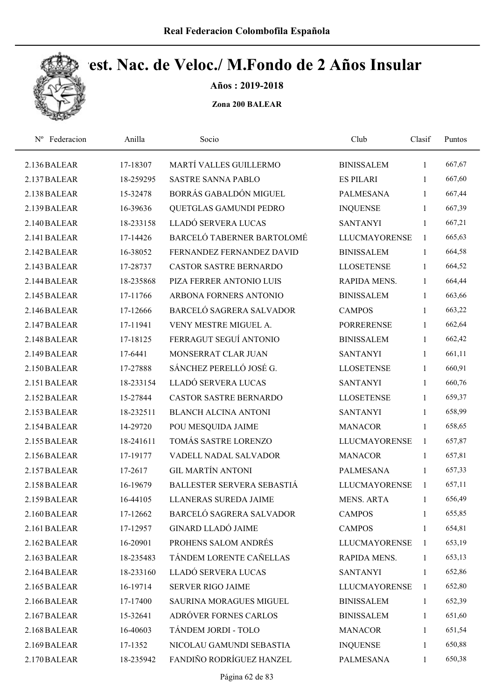

Años : 2019-2018

| Nº Federacion | Anilla    | Socio                          | Club                 | Clasif       | Puntos |
|---------------|-----------|--------------------------------|----------------------|--------------|--------|
| 2.136 BALEAR  | 17-18307  | MARTÍ VALLES GUILLERMO         | <b>BINISSALEM</b>    | 1            | 667,67 |
| 2.137 BALEAR  | 18-259295 | <b>SASTRE SANNA PABLO</b>      | <b>ES PILARI</b>     | 1            | 667,60 |
| 2.138 BALEAR  | 15-32478  | BORRÁS GABALDÓN MIGUEL         | <b>PALMESANA</b>     | $\mathbf{1}$ | 667,44 |
| 2.139 BALEAR  | 16-39636  | QUETGLAS GAMUNDI PEDRO         | <b>INQUENSE</b>      | $\mathbf{1}$ | 667,39 |
| 2.140 BALEAR  | 18-233158 | LLADÓ SERVERA LUCAS            | <b>SANTANYI</b>      | $\mathbf{1}$ | 667,21 |
| 2.141 BALEAR  | 17-14426  | BARCELÓ TABERNER BARTOLOMÉ     | <b>LLUCMAYORENSE</b> | $\mathbf{1}$ | 665,63 |
| 2.142 BALEAR  | 16-38052  | FERNANDEZ FERNANDEZ DAVID      | <b>BINISSALEM</b>    | $\mathbf{1}$ | 664,58 |
| 2.143 BALEAR  | 17-28737  | <b>CASTOR SASTRE BERNARDO</b>  | <b>LLOSETENSE</b>    | $\mathbf{1}$ | 664,52 |
| 2.144 BALEAR  | 18-235868 | PIZA FERRER ANTONIO LUIS       | RAPIDA MENS.         | $\mathbf{1}$ | 664,44 |
| 2.145 BALEAR  | 17-11766  | ARBONA FORNERS ANTONIO         | <b>BINISSALEM</b>    | $\mathbf{1}$ | 663,66 |
| 2.146 BALEAR  | 17-12666  | BARCELÓ SAGRERA SALVADOR       | <b>CAMPOS</b>        | 1            | 663,22 |
| 2.147 BALEAR  | 17-11941  | VENY MESTRE MIGUEL A.          | <b>PORRERENSE</b>    | 1            | 662,64 |
| 2.148 BALEAR  | 17-18125  | FERRAGUT SEGUÍ ANTONIO         | <b>BINISSALEM</b>    | 1            | 662,42 |
| 2.149 BALEAR  | 17-6441   | MONSERRAT CLAR JUAN            | <b>SANTANYI</b>      | 1            | 661,11 |
| 2.150 BALEAR  | 17-27888  | SÁNCHEZ PERELLÓ JOSÉ G.        | <b>LLOSETENSE</b>    | $\mathbf{1}$ | 660,91 |
| 2.151 BALEAR  | 18-233154 | LLADÓ SERVERA LUCAS            | <b>SANTANYI</b>      | $\mathbf{1}$ | 660,76 |
| 2.152 BALEAR  | 15-27844  | <b>CASTOR SASTRE BERNARDO</b>  | <b>LLOSETENSE</b>    | $\mathbf{1}$ | 659,37 |
| 2.153 BALEAR  | 18-232511 | <b>BLANCH ALCINA ANTONI</b>    | <b>SANTANYI</b>      | $\mathbf{1}$ | 658,99 |
| 2.154 BALEAR  | 14-29720  | POU MESQUIDA JAIME             | <b>MANACOR</b>       | $\mathbf{1}$ | 658,65 |
| 2.155 BALEAR  | 18-241611 | TOMÁS SASTRE LORENZO           | <b>LLUCMAYORENSE</b> | 1            | 657,87 |
| 2.156 BALEAR  | 17-19177  | VADELL NADAL SALVADOR          | <b>MANACOR</b>       | 1            | 657,81 |
| 2.157 BALEAR  | 17-2617   | <b>GIL MARTÍN ANTONI</b>       | <b>PALMESANA</b>     | 1            | 657,33 |
| 2.158 BALEAR  | 16-19679  | BALLESTER SERVERA SEBASTIÁ     | <b>LLUCMAYORENSE</b> | $\mathbf{1}$ | 657,11 |
| 2.159 BALEAR  | 16-44105  | LLANERAS SUREDA JAIME          | <b>MENS. ARTA</b>    | 1            | 656,49 |
| 2.160 BALEAR  | 17-12662  | BARCELÓ SAGRERA SALVADOR       | <b>CAMPOS</b>        | 1            | 655,85 |
| 2.161 BALEAR  | 17-12957  | <b>GINARD LLADÓ JAIME</b>      | <b>CAMPOS</b>        | 1            | 654,81 |
| 2.162 BALEAR  | 16-20901  | PROHENS SALOM ANDRÉS           | <b>LLUCMAYORENSE</b> | $\mathbf{1}$ | 653,19 |
| 2.163 BALEAR  | 18-235483 | TÁNDEM LORENTE CAÑELLAS        | RAPIDA MENS.         | 1            | 653,13 |
| 2.164 BALEAR  | 18-233160 | LLADÓ SERVERA LUCAS            | <b>SANTANYI</b>      | 1            | 652,86 |
| 2.165 BALEAR  | 16-19714  | SERVER RIGO JAIME              | <b>LLUCMAYORENSE</b> | $\mathbf{1}$ | 652,80 |
| 2.166 BALEAR  | 17-17400  | <b>SAURINA MORAGUES MIGUEL</b> | <b>BINISSALEM</b>    | $\mathbf{1}$ | 652,39 |
| 2.167 BALEAR  | 15-32641  | ADRÓVER FORNES CARLOS          | <b>BINISSALEM</b>    | $\mathbf{1}$ | 651,60 |
| 2.168 BALEAR  | 16-40603  | TÁNDEM JORDI - TOLO            | <b>MANACOR</b>       | $\mathbf{1}$ | 651,54 |
| 2.169 BALEAR  | 17-1352   | NICOLAU GAMUNDI SEBASTIA       | <b>INQUENSE</b>      | 1            | 650,88 |
| 2.170 BALEAR  | 18-235942 | FANDIÑO RODRÍGUEZ HANZEL       | PALMESANA            | 1            | 650,38 |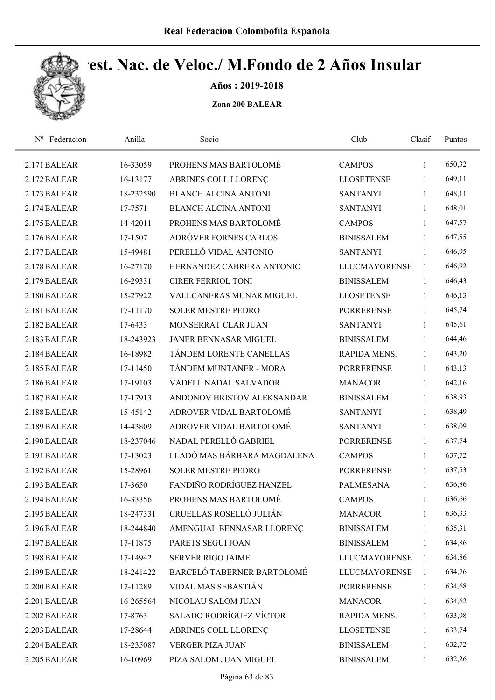

Años : 2019-2018

| Federacion<br>$N^{\rm o}$ | Anilla    | Socio                       | Club                 | Clasif       | Puntos |  |
|---------------------------|-----------|-----------------------------|----------------------|--------------|--------|--|
| 2.171 BALEAR              | 16-33059  | PROHENS MAS BARTOLOMÉ       | <b>CAMPOS</b>        | 1            | 650,32 |  |
| 2.172 BALEAR              | 16-13177  | ABRINES COLL LLORENÇ        | <b>LLOSETENSE</b>    | 1            | 649,11 |  |
| 2.173 BALEAR              | 18-232590 | <b>BLANCH ALCINA ANTONI</b> | <b>SANTANYI</b>      | $\mathbf{1}$ | 648,11 |  |
| 2.174 BALEAR              | 17-7571   | <b>BLANCH ALCINA ANTONI</b> | <b>SANTANYI</b>      | $\mathbf{1}$ | 648,01 |  |
| 2.175 BALEAR              | 14-42011  | PROHENS MAS BARTOLOMÉ       | <b>CAMPOS</b>        | $\mathbf{1}$ | 647,57 |  |
| 2.176 BALEAR              | 17-1507   | ADRÓVER FORNES CARLOS       | <b>BINISSALEM</b>    | $\mathbf{1}$ | 647,55 |  |
| 2.177 BALEAR              | 15-49481  | PERELLÓ VIDAL ANTONIO       | <b>SANTANYI</b>      | 1            | 646,95 |  |
| 2.178 BALEAR              | 16-27170  | HERNÁNDEZ CABRERA ANTONIO   | <b>LLUCMAYORENSE</b> | 1            | 646,92 |  |
| 2.179 BALEAR              | 16-29331  | <b>CIRER FERRIOL TONI</b>   | <b>BINISSALEM</b>    | $\mathbf{1}$ | 646,43 |  |
| 2.180 BALEAR              | 15-27922  | VALLCANERAS MUNAR MIGUEL    | <b>LLOSETENSE</b>    | 1            | 646,13 |  |
| 2.181 BALEAR              | 17-11170  | <b>SOLER MESTRE PEDRO</b>   | <b>PORRERENSE</b>    | 1            | 645,74 |  |
| 2.182 BALEAR              | 17-6433   | MONSERRAT CLAR JUAN         | <b>SANTANYI</b>      | 1            | 645,61 |  |
| 2.183 BALEAR              | 18-243923 | JANER BENNASAR MIGUEL       | <b>BINISSALEM</b>    | 1            | 644,46 |  |
| 2.184 BALEAR              | 16-18982  | TÁNDEM LORENTE CAÑELLAS     | <b>RAPIDA MENS.</b>  | 1            | 643,20 |  |
| 2.185 BALEAR              | 17-11450  | TÁNDEM MUNTANER - MORA      | <b>PORRERENSE</b>    | $\mathbf{1}$ | 643,13 |  |
| 2.186 BALEAR              | 17-19103  | VADELL NADAL SALVADOR       | <b>MANACOR</b>       | $\mathbf{1}$ | 642,16 |  |
| 2.187 BALEAR              | 17-17913  | ANDONOV HRISTOV ALEKSANDAR  | <b>BINISSALEM</b>    | $\mathbf{1}$ | 638,93 |  |
| 2.188 BALEAR              | 15-45142  | ADROVER VIDAL BARTOLOMÉ     | <b>SANTANYI</b>      | $\mathbf{1}$ | 638,49 |  |
| 2.189 BALEAR              | 14-43809  | ADROVER VIDAL BARTOLOMÉ     | <b>SANTANYI</b>      | 1            | 638,09 |  |
| 2.190 BALEAR              | 18-237046 | NADAL PERELLÓ GABRIEL       | <b>PORRERENSE</b>    | $\mathbf{1}$ | 637,74 |  |
| 2.191 BALEAR              | 17-13023  | LLADÓ MAS BÁRBARA MAGDALENA | <b>CAMPOS</b>        | $\mathbf{1}$ | 637,72 |  |
| 2.192 BALEAR              | 15-28961  | <b>SOLER MESTRE PEDRO</b>   | <b>PORRERENSE</b>    | $\mathbf{1}$ | 637,53 |  |
| 2.193 BALEAR              | 17-3650   | FANDIÑO RODRÍGUEZ HANZEL    | <b>PALMESANA</b>     | $\mathbf{1}$ | 636,86 |  |
| 2.194 BALEAR              | 16-33356  | PROHENS MAS BARTOLOMÉ       | <b>CAMPOS</b>        | 1            | 636,66 |  |
| 2.195 BALEAR              | 18-247331 | CRUELLAS ROSELLÓ JULIÁN     | <b>MANACOR</b>       | 1            | 636,33 |  |
| 2.196 BALEAR              | 18-244840 | AMENGUAL BENNASAR LLORENÇ   | <b>BINISSALEM</b>    | 1            | 635,31 |  |
| 2.197 BALEAR              | 17-11875  | PARETS SEGUI JOAN           | <b>BINISSALEM</b>    | 1            | 634,86 |  |
| 2.198 BALEAR              | 17-14942  | SERVER RIGO JAIME           | <b>LLUCMAYORENSE</b> | $\mathbf{1}$ | 634,86 |  |
| 2.199 BALEAR              | 18-241422 | BARCELÓ TABERNER BARTOLOMÉ  | <b>LLUCMAYORENSE</b> | 1            | 634,76 |  |
| 2.200 BALEAR              | 17-11289  | VIDAL MAS SEBASTIÁN         | <b>PORRERENSE</b>    | $\mathbf{1}$ | 634,68 |  |
| 2.201 BALEAR              | 16-265564 | NICOLAU SALOM JUAN          | <b>MANACOR</b>       | $\mathbf{1}$ | 634,62 |  |
| 2.202 BALEAR              | 17-8763   | SALADO RODRÍGUEZ VÍCTOR     | RAPIDA MENS.         | 1            | 633,98 |  |
| 2.203 BALEAR              | 17-28644  | ABRINES COLL LLORENÇ        | <b>LLOSETENSE</b>    | $\mathbf{1}$ | 633,74 |  |
| 2.204 BALEAR              | 18-235087 | VERGER PIZA JUAN            | <b>BINISSALEM</b>    | 1            | 632,72 |  |
| 2.205 BALEAR              | 16-10969  | PIZA SALOM JUAN MIGUEL      | <b>BINISSALEM</b>    | 1            | 632,26 |  |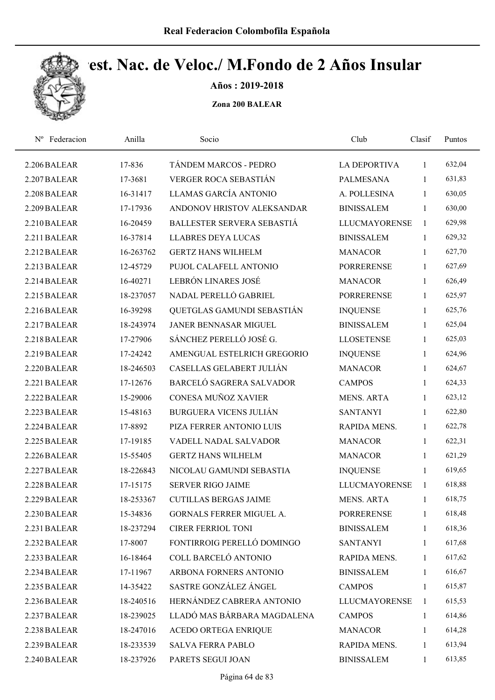

Años : 2019-2018

| Federacion<br>$N^{\rm o}$ | Anilla    | Socio                         | Club                 | Clasif       | Puntos |  |
|---------------------------|-----------|-------------------------------|----------------------|--------------|--------|--|
| 2.206 BALEAR              | 17-836    | TÁNDEM MARCOS - PEDRO         | <b>LA DEPORTIVA</b>  | 1            | 632,04 |  |
| 2.207 BALEAR              | 17-3681   | VERGER ROCA SEBASTIÁN         | <b>PALMESANA</b>     | 1            | 631,83 |  |
| 2.208 BALEAR              | 16-31417  | LLAMAS GARCÍA ANTONIO         | A. POLLESINA         | 1            | 630,05 |  |
| 2.209 BALEAR              | 17-17936  | ANDONOV HRISTOV ALEKSANDAR    | <b>BINISSALEM</b>    | $\mathbf{1}$ | 630,00 |  |
| 2.210 BALEAR              | 16-20459  | BALLESTER SERVERA SEBASTIÁ    | <b>LLUCMAYORENSE</b> | $\mathbf{1}$ | 629,98 |  |
| 2.211 BALEAR              | 16-37814  | <b>LLABRES DEYA LUCAS</b>     | <b>BINISSALEM</b>    | $\mathbf{1}$ | 629,32 |  |
| 2.212 BALEAR              | 16-263762 | <b>GERTZ HANS WILHELM</b>     | <b>MANACOR</b>       | $\mathbf{1}$ | 627,70 |  |
| 2.213 BALEAR              | 12-45729  | PUJOL CALAFELL ANTONIO        | <b>PORRERENSE</b>    | 1            | 627,69 |  |
| 2.214 BALEAR              | 16-40271  | LEBRÓN LINARES JOSÉ           | <b>MANACOR</b>       | 1            | 626,49 |  |
| 2.215 BALEAR              | 18-237057 | NADAL PERELLÓ GABRIEL         | <b>PORRERENSE</b>    | 1            | 625,97 |  |
| 2.216 BALEAR              | 16-39298  | QUETGLAS GAMUNDI SEBASTIÁN    | <b>INQUENSE</b>      | $\mathbf{1}$ | 625,76 |  |
| 2.217 BALEAR              | 18-243974 | JANER BENNASAR MIGUEL         | <b>BINISSALEM</b>    | $\mathbf{1}$ | 625,04 |  |
| 2.218 BALEAR              | 17-27906  | SÁNCHEZ PERELLÓ JOSÉ G.       | <b>LLOSETENSE</b>    | 1            | 625,03 |  |
| 2.219 BALEAR              | 17-24242  | AMENGUAL ESTELRICH GREGORIO   | <b>INQUENSE</b>      | 1            | 624,96 |  |
| 2.220 BALEAR              | 18-246503 | CASELLAS GELABERT JULIÁN      | <b>MANACOR</b>       | $\mathbf{1}$ | 624,67 |  |
| 2.221 BALEAR              | 17-12676  | BARCELÓ SAGRERA SALVADOR      | <b>CAMPOS</b>        | $\mathbf{1}$ | 624,33 |  |
| 2.222 BALEAR              | 15-29006  | CONESA MUÑOZ XAVIER           | <b>MENS. ARTA</b>    | $\mathbf{1}$ | 623,12 |  |
| 2.223 BALEAR              | 15-48163  | <b>BURGUERA VICENS JULIÁN</b> | <b>SANTANYI</b>      | $\mathbf{1}$ | 622,80 |  |
| 2.224 BALEAR              | 17-8892   | PIZA FERRER ANTONIO LUIS      | RAPIDA MENS.         | $\mathbf{1}$ | 622,78 |  |
| 2.225 BALEAR              | 17-19185  | VADELL NADAL SALVADOR         | <b>MANACOR</b>       | 1            | 622,31 |  |
| 2.226 BALEAR              | 15-55405  | <b>GERTZ HANS WILHELM</b>     | <b>MANACOR</b>       | 1            | 621,29 |  |
| 2.227 BALEAR              | 18-226843 | NICOLAU GAMUNDI SEBASTIA      | <b>INQUENSE</b>      | 1            | 619,65 |  |
| 2.228 BALEAR              | 17-15175  | <b>SERVER RIGO JAIME</b>      | <b>LLUCMAYORENSE</b> | $\mathbf{1}$ | 618,88 |  |
| 2.229 BALEAR              | 18-253367 | <b>CUTILLAS BERGAS JAIME</b>  | <b>MENS. ARTA</b>    | 1            | 618,75 |  |
| 2.230 BALEAR              | 15-34836  | GORNALS FERRER MIGUEL A.      | <b>PORRERENSE</b>    | 1            | 618,48 |  |
| 2.231 BALEAR              | 18-237294 | <b>CIRER FERRIOL TONI</b>     | <b>BINISSALEM</b>    | 1            | 618,36 |  |
| 2.232 BALEAR              | 17-8007   | FONTIRROIG PERELLÓ DOMINGO    | <b>SANTANYI</b>      | 1            | 617,68 |  |
| 2.233 BALEAR              | 16-18464  | COLL BARCELÓ ANTONIO          | RAPIDA MENS.         | 1            | 617,62 |  |
| 2.234 BALEAR              | 17-11967  | ARBONA FORNERS ANTONIO        | <b>BINISSALEM</b>    | 1            | 616,67 |  |
| 2.235 BALEAR              | 14-35422  | SASTRE GONZÁLEZ ÁNGEL         | <b>CAMPOS</b>        | $\mathbf{1}$ | 615,87 |  |
| 2.236 BALEAR              | 18-240516 | HERNÁNDEZ CABRERA ANTONIO     | <b>LLUCMAYORENSE</b> | 1            | 615,53 |  |
| 2.237 BALEAR              | 18-239025 | LLADÓ MAS BÁRBARA MAGDALENA   | <b>CAMPOS</b>        | 1            | 614,86 |  |
| 2.238 BALEAR              | 18-247016 | ACEDO ORTEGA ENRIQUE          | <b>MANACOR</b>       | $\mathbf{1}$ | 614,28 |  |
| 2.239 BALEAR              | 18-233539 | <b>SALVA FERRA PABLO</b>      | RAPIDA MENS.         | 1            | 613,94 |  |
| 2.240 BALEAR              | 18-237926 | PARETS SEGUI JOAN             | <b>BINISSALEM</b>    | $\mathbf{1}$ | 613,85 |  |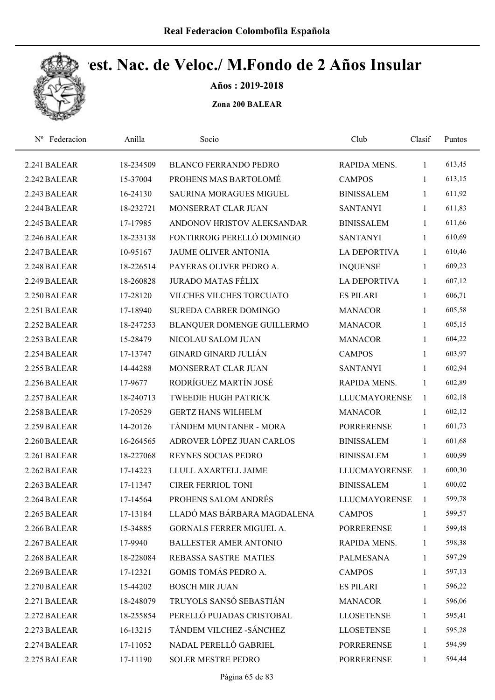

Años : 2019-2018

| Federacion<br>$N^{\rm o}$ | Anilla    | Socio                           | Club                 | Clasif       | Puntos |  |
|---------------------------|-----------|---------------------------------|----------------------|--------------|--------|--|
| 2.241 BALEAR              | 18-234509 | <b>BLANCO FERRANDO PEDRO</b>    | RAPIDA MENS.         | 1            | 613,45 |  |
| 2.242 BALEAR              | 15-37004  | PROHENS MAS BARTOLOMÉ           | <b>CAMPOS</b>        | 1            | 613,15 |  |
| 2.243 BALEAR              | 16-24130  | <b>SAURINA MORAGUES MIGUEL</b>  | <b>BINISSALEM</b>    | $\mathbf{1}$ | 611,92 |  |
| 2.244 BALEAR              | 18-232721 | MONSERRAT CLAR JUAN             | <b>SANTANYI</b>      | $\mathbf{1}$ | 611,83 |  |
| 2.245 BALEAR              | 17-17985  | ANDONOV HRISTOV ALEKSANDAR      | <b>BINISSALEM</b>    | $\mathbf{1}$ | 611,66 |  |
| 2.246 BALEAR              | 18-233138 | FONTIRROIG PERELLÓ DOMINGO      | <b>SANTANYI</b>      | $\mathbf{1}$ | 610,69 |  |
| 2.247 BALEAR              | 10-95167  | <b>JAUME OLIVER ANTONIA</b>     | LA DEPORTIVA         | 1            | 610,46 |  |
| 2.248 BALEAR              | 18-226514 | PAYERAS OLIVER PEDRO A.         | <b>INQUENSE</b>      | 1            | 609,23 |  |
| 2.249 BALEAR              | 18-260828 | <b>JURADO MATAS FÉLIX</b>       | <b>LA DEPORTIVA</b>  | $\mathbf{1}$ | 607,12 |  |
| 2.250 BALEAR              | 17-28120  | VILCHES VILCHES TORCUATO        | <b>ES PILARI</b>     | 1            | 606,71 |  |
| 2.251 BALEAR              | 17-18940  | SUREDA CABRER DOMINGO           | <b>MANACOR</b>       | $\mathbf{1}$ | 605,58 |  |
| 2.252 BALEAR              | 18-247253 | BLANQUER DOMENGE GUILLERMO      | <b>MANACOR</b>       | $\mathbf{1}$ | 605,15 |  |
| 2.253 BALEAR              | 15-28479  | NICOLAU SALOM JUAN              | <b>MANACOR</b>       | 1            | 604,22 |  |
| 2.254 BALEAR              | 17-13747  | <b>GINARD GINARD JULIÁN</b>     | <b>CAMPOS</b>        | 1            | 603,97 |  |
| 2.255 BALEAR              | 14-44288  | MONSERRAT CLAR JUAN             | <b>SANTANYI</b>      | $\mathbf{1}$ | 602,94 |  |
| 2.256 BALEAR              | 17-9677   | RODRÍGUEZ MARTÍN JOSÉ           | RAPIDA MENS.         | 1            | 602,89 |  |
| 2.257 BALEAR              | 18-240713 | <b>TWEEDIE HUGH PATRICK</b>     | <b>LLUCMAYORENSE</b> | $\mathbf{1}$ | 602,18 |  |
| 2.258 BALEAR              | 17-20529  | <b>GERTZ HANS WILHELM</b>       | <b>MANACOR</b>       | $\mathbf{1}$ | 602,12 |  |
| 2.259 BALEAR              | 14-20126  | TÁNDEM MUNTANER - MORA          | <b>PORRERENSE</b>    | $\mathbf{1}$ | 601,73 |  |
| 2.260 BALEAR              | 16-264565 | ADROVER LÓPEZ JUAN CARLOS       | <b>BINISSALEM</b>    | $\mathbf{1}$ | 601,68 |  |
| 2.261 BALEAR              | 18-227068 | REYNES SOCIAS PEDRO             | <b>BINISSALEM</b>    | 1            | 600,99 |  |
| 2.262 BALEAR              | 17-14223  | LLULL AXARTELL JAIME            | <b>LLUCMAYORENSE</b> | 1            | 600,30 |  |
| 2.263 BALEAR              | 17-11347  | <b>CIRER FERRIOL TONI</b>       | <b>BINISSALEM</b>    | $\mathbf{1}$ | 600,02 |  |
| 2.264 BALEAR              | 17-14564  | PROHENS SALOM ANDRÉS            | <b>LLUCMAYORENSE</b> | 1            | 599,78 |  |
| 2.265 BALEAR              | 17-13184  | LLADÓ MAS BÁRBARA MAGDALENA     | <b>CAMPOS</b>        | 1            | 599,57 |  |
| 2.266 BALEAR              | 15-34885  | <b>GORNALS FERRER MIGUEL A.</b> | <b>PORRERENSE</b>    | 1            | 599,48 |  |
| 2.267 BALEAR              | 17-9940   | <b>BALLESTER AMER ANTONIO</b>   | RAPIDA MENS.         | 1            | 598,38 |  |
| 2.268 BALEAR              | 18-228084 | REBASSA SASTRE MATIES           | PALMESANA            | 1            | 597,29 |  |
| 2.269 BALEAR              | 17-12321  | GOMIS TOMÁS PEDRO A.            | <b>CAMPOS</b>        | 1            | 597,13 |  |
| 2.270 BALEAR              | 15-44202  | <b>BOSCH MIR JUAN</b>           | <b>ES PILARI</b>     | 1            | 596,22 |  |
| 2.271 BALEAR              | 18-248079 | TRUYOLS SANSÓ SEBASTIÁN         | <b>MANACOR</b>       | 1            | 596,06 |  |
| 2.272 BALEAR              | 18-255854 | PERELLÓ PUJADAS CRISTOBAL       | <b>LLOSETENSE</b>    | 1            | 595,41 |  |
| 2.273 BALEAR              | 16-13215  | TÁNDEM VILCHEZ - SÁNCHEZ        | <b>LLOSETENSE</b>    | 1            | 595,28 |  |
| 2.274 BALEAR              | 17-11052  | NADAL PERELLÓ GABRIEL           | <b>PORRERENSE</b>    | 1            | 594,99 |  |
| 2.275 BALEAR              | 17-11190  | SOLER MESTRE PEDRO              | PORRERENSE           | $\mathbf{1}$ | 594,44 |  |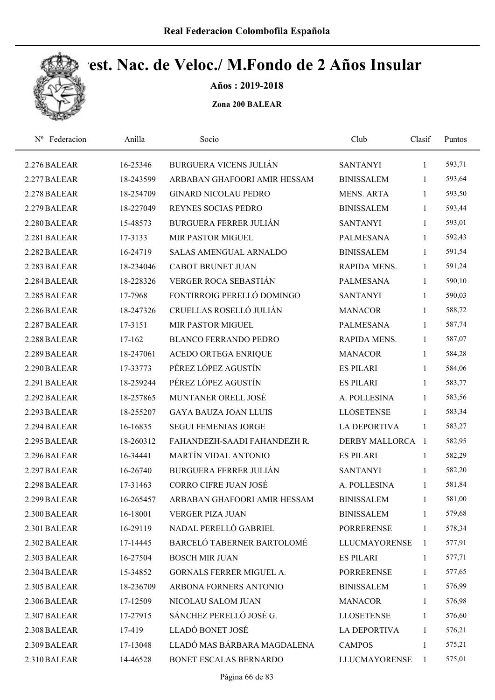

Años : 2019-2018

| Nº Federacion | Anilla    | Socio                         | Club                 | Clasif       | Puntos |  |
|---------------|-----------|-------------------------------|----------------------|--------------|--------|--|
| 2.276 BALEAR  | 16-25346  | <b>BURGUERA VICENS JULIÁN</b> | <b>SANTANYI</b>      | 1            | 593,71 |  |
| 2.277 BALEAR  | 18-243599 | ARBABAN GHAFOORI AMIR HESSAM  | <b>BINISSALEM</b>    | 1            | 593,64 |  |
| 2.278 BALEAR  | 18-254709 | <b>GINARD NICOLAU PEDRO</b>   | <b>MENS. ARTA</b>    | $\mathbf{1}$ | 593,50 |  |
| 2.279 BALEAR  | 18-227049 | REYNES SOCIAS PEDRO           | <b>BINISSALEM</b>    | $\mathbf{1}$ | 593,44 |  |
| 2.280 BALEAR  | 15-48573  | <b>BURGUERA FERRER JULIÁN</b> | <b>SANTANYI</b>      | $\mathbf{1}$ | 593,01 |  |
| 2.281 BALEAR  | 17-3133   | MIR PASTOR MIGUEL             | <b>PALMESANA</b>     | $\mathbf{1}$ | 592,43 |  |
| 2.282 BALEAR  | 16-24719  | <b>SALAS AMENGUAL ARNALDO</b> | <b>BINISSALEM</b>    | $\mathbf{1}$ | 591,54 |  |
| 2.283 BALEAR  | 18-234046 | <b>CABOT BRUNET JUAN</b>      | RAPIDA MENS.         | $\mathbf{1}$ | 591,24 |  |
| 2.284 BALEAR  | 18-228326 | VERGER ROCA SEBASTIÁN         | <b>PALMESANA</b>     | 1            | 590,10 |  |
| 2.285 BALEAR  | 17-7968   | FONTIRROIG PERELLÓ DOMINGO    | <b>SANTANYI</b>      | 1            | 590,03 |  |
| 2.286 BALEAR  | 18-247326 | CRUELLAS ROSELLÓ JULIÁN       | <b>MANACOR</b>       | $\mathbf{1}$ | 588,72 |  |
| 2.287 BALEAR  | 17-3151   | MIR PASTOR MIGUEL             | <b>PALMESANA</b>     | $\mathbf{1}$ | 587,74 |  |
| 2.288 BALEAR  | 17-162    | <b>BLANCO FERRANDO PEDRO</b>  | RAPIDA MENS.         | 1            | 587,07 |  |
| 2.289 BALEAR  | 18-247061 | <b>ACEDO ORTEGA ENRIQUE</b>   | <b>MANACOR</b>       | $\mathbf{1}$ | 584,28 |  |
| 2.290 BALEAR  | 17-33773  | PÉREZ LÓPEZ AGUSTÍN           | <b>ES PILARI</b>     | $\mathbf{1}$ | 584,06 |  |
| 2.291 BALEAR  | 18-259244 | PÉREZ LÓPEZ AGUSTÍN           | <b>ES PILARI</b>     | $\mathbf{1}$ | 583,77 |  |
| 2.292 BALEAR  | 18-257865 | MUNTANER ORELL JOSÉ           | A. POLLESINA         | $\mathbf{1}$ | 583,56 |  |
| 2.293 BALEAR  | 18-255207 | <b>GAYA BAUZA JOAN LLUIS</b>  | <b>LLOSETENSE</b>    | $\mathbf{1}$ | 583,34 |  |
| 2.294 BALEAR  | 16-16835  | <b>SEGUI FEMENIAS JORGE</b>   | <b>LA DEPORTIVA</b>  | $\mathbf{1}$ | 583,27 |  |
| 2.295 BALEAR  | 18-260312 | FAHANDEZH-SAADI FAHANDEZH R.  | DERBY MALLORCA 1     |              | 582,95 |  |
| 2.296 BALEAR  | 16-34441  | <b>MARTÍN VIDAL ANTONIO</b>   | <b>ES PILARI</b>     | 1            | 582,29 |  |
| 2.297 BALEAR  | 16-26740  | <b>BURGUERA FERRER JULIÁN</b> | <b>SANTANYI</b>      | $\mathbf{1}$ | 582,20 |  |
| 2.298 BALEAR  | 17-31463  | <b>CORRO CIFRE JUAN JOSÉ</b>  | A. POLLESINA         | $\mathbf{1}$ | 581,84 |  |
| 2.299 BALEAR  | 16-265457 | ARBABAN GHAFOORI AMIR HESSAM  | <b>BINISSALEM</b>    | 1            | 581,00 |  |
| 2.300 BALEAR  | 16-18001  | <b>VERGER PIZA JUAN</b>       | <b>BINISSALEM</b>    | 1            | 579,68 |  |
| 2.301 BALEAR  | 16-29119  | NADAL PERELLÓ GABRIEL         | <b>PORRERENSE</b>    | $\mathbf{1}$ | 578,34 |  |
| 2.302 BALEAR  | 17-14445  | BARCELÓ TABERNER BARTOLOMÉ    | <b>LLUCMAYORENSE</b> | 1            | 577,91 |  |
| 2.303 BALEAR  | 16-27504  | <b>BOSCH MIR JUAN</b>         | <b>ES PILARI</b>     | $\mathbf{1}$ | 577,71 |  |
| 2.304 BALEAR  | 15-34852  | GORNALS FERRER MIGUEL A.      | <b>PORRERENSE</b>    | 1            | 577,65 |  |
| 2.305 BALEAR  | 18-236709 | ARBONA FORNERS ANTONIO        | <b>BINISSALEM</b>    | $\mathbf{1}$ | 576,99 |  |
| 2.306 BALEAR  | 17-12509  | NICOLAU SALOM JUAN            | <b>MANACOR</b>       | 1            | 576,98 |  |
| 2.307 BALEAR  | 17-27915  | SÁNCHEZ PERELLÓ JOSÉ G.       | <b>LLOSETENSE</b>    | 1            | 576,60 |  |
| 2.308 BALEAR  | 17-419    | LLADÓ BONET JOSÉ              | <b>LA DEPORTIVA</b>  | 1            | 576,21 |  |
| 2.309 BALEAR  | 17-13048  | LLADÓ MAS BÁRBARA MAGDALENA   | <b>CAMPOS</b>        | 1            | 575,21 |  |
| 2.310 BALEAR  | 14-46528  | BONET ESCALAS BERNARDO        | <b>LLUCMAYORENSE</b> | $\mathbf{1}$ | 575,01 |  |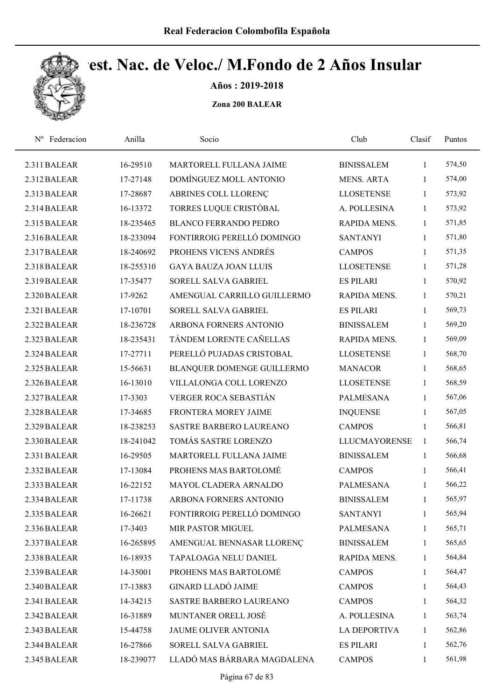

Años : 2019-2018

| Nº Federacion | Anilla    | Socio                        | Club                 | Clasif       | Puntos |
|---------------|-----------|------------------------------|----------------------|--------------|--------|
| 2.311 BALEAR  | 16-29510  | MARTORELL FULLANA JAIME      | <b>BINISSALEM</b>    | 1            | 574,50 |
| 2.312 BALEAR  | 17-27148  | DOMÍNGUEZ MOLL ANTONIO       | <b>MENS. ARTA</b>    | 1            | 574,00 |
| 2.313 BALEAR  | 17-28687  | ABRINES COLL LLORENC         | <b>LLOSETENSE</b>    | $\mathbf{1}$ | 573,92 |
| 2.314 BALEAR  | 16-13372  | TORRES LUQUE CRISTÓBAL       | A. POLLESINA         | $\mathbf{1}$ | 573,92 |
| 2.315 BALEAR  | 18-235465 | <b>BLANCO FERRANDO PEDRO</b> | RAPIDA MENS.         | $\mathbf{1}$ | 571,85 |
| 2.316 BALEAR  | 18-233094 | FONTIRROIG PERELLÓ DOMINGO   | <b>SANTANYI</b>      | $\mathbf{1}$ | 571,80 |
| 2.317 BALEAR  | 18-240692 | PROHENS VICENS ANDRÉS        | <b>CAMPOS</b>        | 1            | 571,35 |
| 2.318 BALEAR  | 18-255310 | <b>GAYA BAUZA JOAN LLUIS</b> | <b>LLOSETENSE</b>    | 1            | 571,28 |
| 2.319 BALEAR  | 17-35477  | SORELL SALVA GABRIEL         | <b>ES PILARI</b>     | 1            | 570,92 |
| 2.320 BALEAR  | 17-9262   | AMENGUAL CARRILLO GUILLERMO  | RAPIDA MENS.         | 1            | 570,21 |
| 2.321 BALEAR  | 17-10701  | SORELL SALVA GABRIEL         | <b>ES PILARI</b>     | $\mathbf{1}$ | 569,73 |
| 2.322 BALEAR  | 18-236728 | ARBONA FORNERS ANTONIO       | <b>BINISSALEM</b>    | $\mathbf{1}$ | 569,20 |
| 2.323 BALEAR  | 18-235431 | TÁNDEM LORENTE CAÑELLAS      | RAPIDA MENS.         | 1            | 569,09 |
| 2.324 BALEAR  | 17-27711  | PERELLÓ PUJADAS CRISTOBAL    | <b>LLOSETENSE</b>    | 1            | 568,70 |
| 2.325 BALEAR  | 15-56631  | BLANQUER DOMENGE GUILLERMO   | <b>MANACOR</b>       | $\mathbf{1}$ | 568,65 |
| 2.326 BALEAR  | 16-13010  | VILLALONGA COLL LORENZO      | <b>LLOSETENSE</b>    | $\mathbf{1}$ | 568,59 |
| 2.327 BALEAR  | 17-3303   | VERGER ROCA SEBASTIÁN        | <b>PALMESANA</b>     | $\mathbf{1}$ | 567,06 |
| 2.328 BALEAR  | 17-34685  | FRONTERA MOREY JAIME         | <b>INQUENSE</b>      | $\mathbf{1}$ | 567,05 |
| 2.329 BALEAR  | 18-238253 | SASTRE BARBERO LAUREANO      | <b>CAMPOS</b>        | $\mathbf{1}$ | 566,81 |
| 2.330 BALEAR  | 18-241042 | TOMÁS SASTRE LORENZO         | <b>LLUCMAYORENSE</b> | 1            | 566,74 |
| 2.331 BALEAR  | 16-29505  | MARTORELL FULLANA JAIME      | <b>BINISSALEM</b>    | 1            | 566,68 |
| 2.332 BALEAR  | 17-13084  | PROHENS MAS BARTOLOMÉ        | <b>CAMPOS</b>        | 1            | 566,41 |
| 2.333 BALEAR  | 16-22152  | MAYOL CLADERA ARNALDO        | <b>PALMESANA</b>     | 1            | 566,22 |
| 2.334 BALEAR  | 17-11738  | ARBONA FORNERS ANTONIO       | <b>BINISSALEM</b>    | 1            | 565,97 |
| 2.335 BALEAR  | 16-26621  | FONTIRROIG PERELLÓ DOMINGO   | <b>SANTANYI</b>      | 1            | 565,94 |
| 2.336 BALEAR  | 17-3403   | MIR PASTOR MIGUEL            | <b>PALMESANA</b>     | 1            | 565,71 |
| 2.337 BALEAR  | 16-265895 | AMENGUAL BENNASAR LLORENC    | <b>BINISSALEM</b>    | 1            | 565,65 |
| 2.338 BALEAR  | 16-18935  | TAPALOAGA NELU DANIEL        | RAPIDA MENS.         | 1            | 564,84 |
| 2.339 BALEAR  | 14-35001  | PROHENS MAS BARTOLOMÉ        | <b>CAMPOS</b>        | 1            | 564,47 |
| 2.340 BALEAR  | 17-13883  | <b>GINARD LLADÓ JAIME</b>    | <b>CAMPOS</b>        | $\mathbf{1}$ | 564,43 |
| 2.341 BALEAR  | 14-34215  | SASTRE BARBERO LAUREANO      | <b>CAMPOS</b>        | 1            | 564,32 |
| 2.342 BALEAR  | 16-31889  | MUNTANER ORELL JOSÉ          | A. POLLESINA         | 1            | 563,74 |
| 2.343 BALEAR  | 15-44758  | <b>JAUME OLIVER ANTONIA</b>  | <b>LA DEPORTIVA</b>  | 1            | 562,86 |
| 2.344 BALEAR  | 16-27866  | SORELL SALVA GABRIEL         | <b>ES PILARI</b>     | 1            | 562,76 |
| 2.345 BALEAR  | 18-239077 | LLADÓ MAS BÁRBARA MAGDALENA  | <b>CAMPOS</b>        | $\mathbf{1}$ | 561,98 |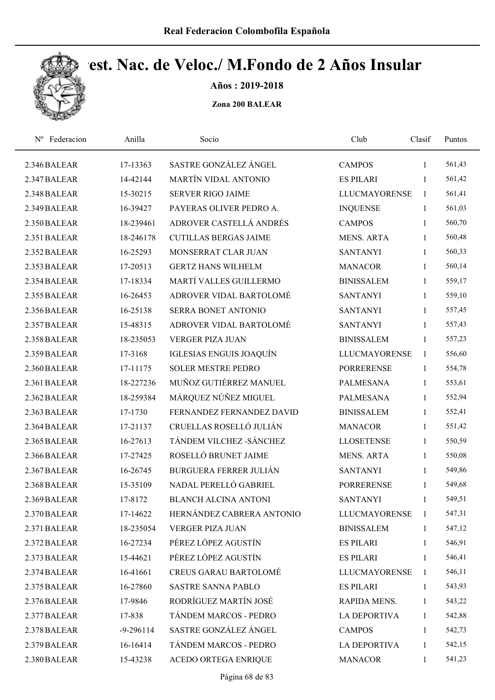

Años : 2019-2018

| Federacion<br>$N^{\rm o}$ | Anilla        | Socio                          | Club                 | Clasif       | Puntos |  |
|---------------------------|---------------|--------------------------------|----------------------|--------------|--------|--|
| 2.346 BALEAR              | 17-13363      | SASTRE GONZÁLEZ ÁNGEL          | <b>CAMPOS</b>        | 1            | 561,43 |  |
| 2.347 BALEAR              | 14-42144      | <b>MARTÍN VIDAL ANTONIO</b>    | <b>ES PILARI</b>     | 1            | 561,42 |  |
| 2.348 BALEAR              | 15-30215      | <b>SERVER RIGO JAIME</b>       | <b>LLUCMAYORENSE</b> | $\mathbf{1}$ | 561,41 |  |
| 2.349 BALEAR              | 16-39427      | PAYERAS OLIVER PEDRO A.        | <b>INQUENSE</b>      | 1            | 561,03 |  |
| 2.350 BALEAR              | 18-239461     | ADROVER CASTELLÁ ANDRÉS        | <b>CAMPOS</b>        | $\mathbf{1}$ | 560,70 |  |
| 2.351 BALEAR              | 18-246178     | <b>CUTILLAS BERGAS JAIME</b>   | <b>MENS. ARTA</b>    | $\mathbf{1}$ | 560,48 |  |
| 2.352 BALEAR              | 16-25293      | MONSERRAT CLAR JUAN            | <b>SANTANYI</b>      | $\mathbf{1}$ | 560,33 |  |
| 2.353 BALEAR              | 17-20513      | <b>GERTZ HANS WILHELM</b>      | <b>MANACOR</b>       | $\mathbf{1}$ | 560,14 |  |
| 2.354 BALEAR              | 17-18334      | MARTÍ VALLES GUILLERMO         | <b>BINISSALEM</b>    | $\mathbf{1}$ | 559,17 |  |
| 2.355 BALEAR              | 16-26453      | ADROVER VIDAL BARTOLOMÉ        | <b>SANTANYI</b>      | $\mathbf{1}$ | 559,10 |  |
| 2.356 BALEAR              | 16-25138      | SERRA BONET ANTONIO            | <b>SANTANYI</b>      | $\mathbf{1}$ | 557,45 |  |
| 2.357 BALEAR              | 15-48315      | ADROVER VIDAL BARTOLOMÉ        | <b>SANTANYI</b>      | $\mathbf{1}$ | 557,43 |  |
| 2.358 BALEAR              | 18-235053     | <b>VERGER PIZA JUAN</b>        | <b>BINISSALEM</b>    | 1            | 557,23 |  |
| 2.359 BALEAR              | 17-3168       | <b>IGLESIAS ENGUIS JOAQUÍN</b> | <b>LLUCMAYORENSE</b> | 1            | 556,60 |  |
| 2.360 BALEAR              | 17-11175      | <b>SOLER MESTRE PEDRO</b>      | <b>PORRERENSE</b>    | $\mathbf{1}$ | 554,78 |  |
| 2.361 BALEAR              | 18-227236     | MUÑOZ GUTIÉRREZ MANUEL         | <b>PALMESANA</b>     | $\mathbf{1}$ | 553,61 |  |
| 2.362 BALEAR              | 18-259384     | MÁRQUEZ NÚÑEZ MIGUEL           | <b>PALMESANA</b>     | $\mathbf{1}$ | 552,94 |  |
| 2.363 BALEAR              | 17-1730       | FERNANDEZ FERNANDEZ DAVID      | <b>BINISSALEM</b>    | $\mathbf{1}$ | 552,41 |  |
| 2.364 BALEAR              | 17-21137      | CRUELLAS ROSELLÓ JULIÁN        | <b>MANACOR</b>       | $\mathbf{1}$ | 551,42 |  |
| 2.365 BALEAR              | 16-27613      | TÁNDEM VILCHEZ - SÁNCHEZ       | <b>LLOSETENSE</b>    | $\mathbf{1}$ | 550,59 |  |
| 2.366 BALEAR              | 17-27425      | ROSELLÓ BRUNET JAIME           | <b>MENS. ARTA</b>    | 1            | 550,08 |  |
| 2.367 BALEAR              | 16-26745      | <b>BURGUERA FERRER JULIÁN</b>  | <b>SANTANYI</b>      | 1            | 549,86 |  |
| 2.368 BALEAR              | 15-35109      | NADAL PERELLÓ GABRIEL          | <b>PORRERENSE</b>    | $\mathbf{1}$ | 549,68 |  |
| 2.369 BALEAR              | 17-8172       | <b>BLANCH ALCINA ANTONI</b>    | <b>SANTANYI</b>      | 1            | 549,51 |  |
| 2.370 BALEAR              | 17-14622      | HERNÁNDEZ CABRERA ANTONIO      | <b>LLUCMAYORENSE</b> | -1           | 547,31 |  |
| 2.371 BALEAR              | 18-235054     | <b>VERGER PIZA JUAN</b>        | <b>BINISSALEM</b>    | 1            | 547,12 |  |
| 2.372 BALEAR              | 16-27234      | PÉREZ LÓPEZ AGUSTÍN            | <b>ES PILARI</b>     | 1            | 546,91 |  |
| 2.373 BALEAR              | 15-44621      | PÉREZ LÓPEZ AGUSTÍN            | <b>ES PILARI</b>     | 1            | 546,41 |  |
| 2.374 BALEAR              | 16-41661      | <b>CREUS GARAU BARTOLOMÉ</b>   | <b>LLUCMAYORENSE</b> | 1            | 546,11 |  |
| 2.375 BALEAR              | 16-27860      | SASTRE SANNA PABLO             | <b>ES PILARI</b>     | 1            | 543,93 |  |
| 2.376 BALEAR              | 17-9846       | RODRÍGUEZ MARTÍN JOSÉ          | RAPIDA MENS.         | $\mathbf{1}$ | 543,22 |  |
| 2.377 BALEAR              | 17-838        | TÁNDEM MARCOS - PEDRO          | <b>LA DEPORTIVA</b>  | 1            | 542,88 |  |
| 2.378 BALEAR              | $-9 - 296114$ | SASTRE GONZÁLEZ ÁNGEL          | <b>CAMPOS</b>        | 1            | 542,73 |  |
| 2.379 BALEAR              | 16-16414      | TÁNDEM MARCOS - PEDRO          | <b>LA DEPORTIVA</b>  | 1            | 542,15 |  |
| 2.380 BALEAR              | 15-43238      | ACEDO ORTEGA ENRIQUE           | <b>MANACOR</b>       | $\mathbf{1}$ | 541,23 |  |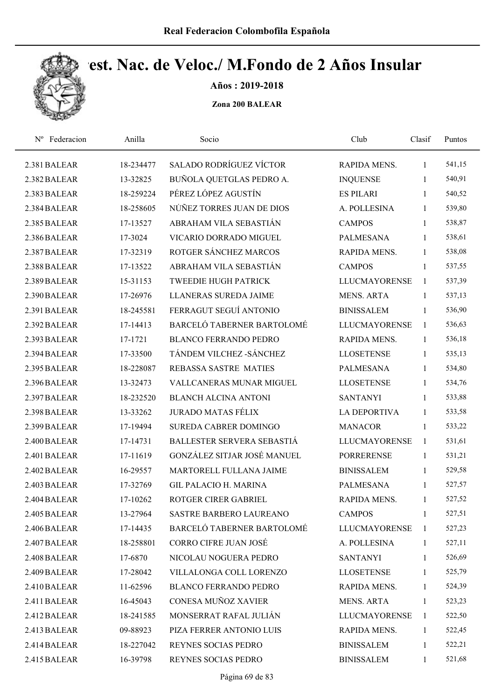

Años : 2019-2018

| Nº Federacion | Anilla    | Socio                          | Club                 | Clasif       | Puntos |
|---------------|-----------|--------------------------------|----------------------|--------------|--------|
| 2.381 BALEAR  | 18-234477 | <b>SALADO RODRÍGUEZ VÍCTOR</b> | RAPIDA MENS.         | 1            | 541,15 |
| 2.382 BALEAR  | 13-32825  | BUÑOLA QUETGLAS PEDRO A.       | <b>INQUENSE</b>      | $\mathbf{1}$ | 540,91 |
| 2.383 BALEAR  | 18-259224 | PÉREZ LÓPEZ AGUSTÍN            | <b>ES PILARI</b>     | $\mathbf{1}$ | 540,52 |
| 2.384 BALEAR  | 18-258605 | NÚÑEZ TORRES JUAN DE DIOS      | A. POLLESINA         | $\mathbf{1}$ | 539,80 |
| 2.385 BALEAR  | 17-13527  | ABRAHAM VILA SEBASTIÁN         | <b>CAMPOS</b>        | $\mathbf{1}$ | 538,87 |
| 2.386 BALEAR  | 17-3024   | VICARIO DORRADO MIGUEL         | <b>PALMESANA</b>     | $\mathbf{1}$ | 538,61 |
| 2.387 BALEAR  | 17-32319  | ROTGER SÁNCHEZ MARCOS          | RAPIDA MENS.         | $\mathbf{1}$ | 538,08 |
| 2.388 BALEAR  | 17-13522  | ABRAHAM VILA SEBASTIÁN         | <b>CAMPOS</b>        | $\mathbf{1}$ | 537,55 |
| 2.389 BALEAR  | 15-31153  | <b>TWEEDIE HUGH PATRICK</b>    | <b>LLUCMAYORENSE</b> | $\mathbf{1}$ | 537,39 |
| 2.390 BALEAR  | 17-26976  | <b>LLANERAS SUREDA JAIME</b>   | <b>MENS. ARTA</b>    | $\mathbf{1}$ | 537,13 |
| 2.391 BALEAR  | 18-245581 | FERRAGUT SEGUÍ ANTONIO         | <b>BINISSALEM</b>    | $\mathbf{1}$ | 536,90 |
| 2.392 BALEAR  | 17-14413  | BARCELÓ TABERNER BARTOLOMÉ     | <b>LLUCMAYORENSE</b> | 1            | 536,63 |
| 2.393 BALEAR  | 17-1721   | <b>BLANCO FERRANDO PEDRO</b>   | RAPIDA MENS.         | $\mathbf{1}$ | 536,18 |
| 2.394 BALEAR  | 17-33500  | TÁNDEM VILCHEZ - SÁNCHEZ       | <b>LLOSETENSE</b>    | $\mathbf{1}$ | 535,13 |
| 2.395 BALEAR  | 18-228087 | REBASSA SASTRE MATIES          | <b>PALMESANA</b>     | $\mathbf{1}$ | 534,80 |
| 2.396 BALEAR  | 13-32473  | VALLCANERAS MUNAR MIGUEL       | <b>LLOSETENSE</b>    | $\mathbf{1}$ | 534,76 |
| 2.397 BALEAR  | 18-232520 | <b>BLANCH ALCINA ANTONI</b>    | <b>SANTANYI</b>      | $\mathbf{1}$ | 533,88 |
| 2.398 BALEAR  | 13-33262  | <b>JURADO MATAS FÉLIX</b>      | LA DEPORTIVA         | $\mathbf{1}$ | 533,58 |
| 2.399 BALEAR  | 17-19494  | <b>SUREDA CABRER DOMINGO</b>   | <b>MANACOR</b>       | $\mathbf{1}$ | 533,22 |
| 2.400 BALEAR  | 17-14731  | BALLESTER SERVERA SEBASTIÁ     | <b>LLUCMAYORENSE</b> | 1            | 531,61 |
| 2.401 BALEAR  | 17-11619  | GONZÁLEZ SITJAR JOSÉ MANUEL    | <b>PORRERENSE</b>    | $\mathbf{1}$ | 531,21 |
| 2.402 BALEAR  | 16-29557  | MARTORELL FULLANA JAIME        | <b>BINISSALEM</b>    | 1            | 529,58 |
| 2.403 BALEAR  | 17-32769  | <b>GIL PALACIO H. MARINA</b>   | PALMESANA            | $\mathbf{1}$ | 527,57 |
| 2.404 BALEAR  | 17-10262  | ROTGER CIRER GABRIEL           | RAPIDA MENS.         | $\mathbf{1}$ | 527,52 |
| 2.405 BALEAR  | 13-27964  | <b>SASTRE BARBERO LAUREANO</b> | <b>CAMPOS</b>        | 1            | 527,51 |
| 2.406 BALEAR  | 17-14435  | BARCELÓ TABERNER BARTOLOMÉ     | <b>LLUCMAYORENSE</b> | 1            | 527,23 |
| 2.407 BALEAR  | 18-258801 | CORRO CIFRE JUAN JOSÉ          | A. POLLESINA         | 1            | 527,11 |
| 2.408 BALEAR  | 17-6870   | NICOLAU NOGUERA PEDRO          | <b>SANTANYI</b>      | $\mathbf{1}$ | 526,69 |
| 2.409 BALEAR  | 17-28042  | VILLALONGA COLL LORENZO        | <b>LLOSETENSE</b>    | $\mathbf{1}$ | 525,79 |
| 2.410 BALEAR  | 11-62596  | <b>BLANCO FERRANDO PEDRO</b>   | RAPIDA MENS.         | $\mathbf{1}$ | 524,39 |
| 2.411 BALEAR  | 16-45043  | CONESA MUÑOZ XAVIER            | <b>MENS. ARTA</b>    | $\mathbf{1}$ | 523,23 |
| 2.412 BALEAR  | 18-241585 | MONSERRAT RAFAL JULIÁN         | LLUCMAYORENSE        | 1            | 522,50 |
| 2.413 BALEAR  | 09-88923  | PIZA FERRER ANTONIO LUIS       | RAPIDA MENS.         | $\mathbf{1}$ | 522,45 |
| 2.414 BALEAR  | 18-227042 | REYNES SOCIAS PEDRO            | <b>BINISSALEM</b>    | 1            | 522,21 |
| 2.415 BALEAR  | 16-39798  | REYNES SOCIAS PEDRO            | <b>BINISSALEM</b>    | 1            | 521,68 |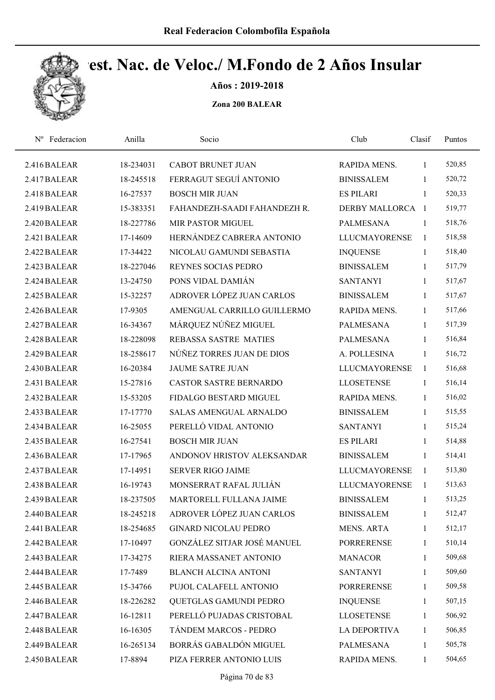

Años : 2019-2018

| Nº Federacion | Anilla    | Socio                         | Club                 | Clasif         | Puntos |
|---------------|-----------|-------------------------------|----------------------|----------------|--------|
| 2.416 BALEAR  | 18-234031 | <b>CABOT BRUNET JUAN</b>      | RAPIDA MENS.         | $\mathbf{1}$   | 520,85 |
| 2.417 BALEAR  | 18-245518 | FERRAGUT SEGUÍ ANTONIO        | <b>BINISSALEM</b>    | 1              | 520,72 |
| 2.418 BALEAR  | 16-27537  | <b>BOSCH MIR JUAN</b>         | <b>ES PILARI</b>     | 1              | 520,33 |
| 2.419 BALEAR  | 15-383351 | FAHANDEZH-SAADI FAHANDEZH R.  | DERBY MALLORCA 1     |                | 519,77 |
| 2.420 BALEAR  | 18-227786 | <b>MIR PASTOR MIGUEL</b>      | <b>PALMESANA</b>     | $\overline{1}$ | 518,76 |
| 2.421 BALEAR  | 17-14609  | HERNÁNDEZ CABRERA ANTONIO     | <b>LLUCMAYORENSE</b> | $\mathbf{1}$   | 518,58 |
| 2.422 BALEAR  | 17-34422  | NICOLAU GAMUNDI SEBASTIA      | <b>INQUENSE</b>      | $\mathbf{1}$   | 518,40 |
| 2.423 BALEAR  | 18-227046 | REYNES SOCIAS PEDRO           | <b>BINISSALEM</b>    | $\mathbf{1}$   | 517,79 |
| 2.424 BALEAR  | 13-24750  | PONS VIDAL DAMIÁN             | <b>SANTANYI</b>      | 1              | 517,67 |
| 2.425 BALEAR  | 15-32257  | ADROVER LÓPEZ JUAN CARLOS     | <b>BINISSALEM</b>    | $\mathbf{1}$   | 517,67 |
| 2.426 BALEAR  | 17-9305   | AMENGUAL CARRILLO GUILLERMO   | RAPIDA MENS.         | $\mathbf{1}$   | 517,66 |
| 2.427 BALEAR  | 16-34367  | MÁRQUEZ NÚÑEZ MIGUEL          | <b>PALMESANA</b>     | $\mathbf{1}$   | 517,39 |
| 2.428 BALEAR  | 18-228098 | <b>REBASSA SASTRE MATIES</b>  | <b>PALMESANA</b>     | $\mathbf{1}$   | 516,84 |
| 2.429 BALEAR  | 18-258617 | NÚÑEZ TORRES JUAN DE DIOS     | A. POLLESINA         | 1              | 516,72 |
| 2.430 BALEAR  | 16-20384  | <b>JAUME SATRE JUAN</b>       | <b>LLUCMAYORENSE</b> | $\mathbf{1}$   | 516,68 |
| 2.431 BALEAR  | 15-27816  | <b>CASTOR SASTRE BERNARDO</b> | <b>LLOSETENSE</b>    | $\mathbf{1}$   | 516,14 |
| 2.432 BALEAR  | 15-53205  | FIDALGO BESTARD MIGUEL        | RAPIDA MENS.         | $\mathbf{1}$   | 516,02 |
| 2.433 BALEAR  | 17-17770  | <b>SALAS AMENGUAL ARNALDO</b> | <b>BINISSALEM</b>    | $\mathbf{1}$   | 515,55 |
| 2.434 BALEAR  | 16-25055  | PERELLÓ VIDAL ANTONIO         | <b>SANTANYI</b>      | $\mathbf{1}$   | 515,24 |
| 2.435 BALEAR  | 16-27541  | <b>BOSCH MIR JUAN</b>         | <b>ES PILARI</b>     | $\mathbf{1}$   | 514,88 |
| 2.436 BALEAR  | 17-17965  | ANDONOV HRISTOV ALEKSANDAR    | <b>BINISSALEM</b>    | $\mathbf{1}$   | 514,41 |
| 2.437 BALEAR  | 17-14951  | <b>SERVER RIGO JAIME</b>      | <b>LLUCMAYORENSE</b> | 1              | 513,80 |
| 2.438 BALEAR  | 16-19743  | MONSERRAT RAFAL JULIÁN        | <b>LLUCMAYORENSE</b> | $\mathbf{1}$   | 513,63 |
| 2.439 BALEAR  | 18-237505 | MARTORELL FULLANA JAIME       | <b>BINISSALEM</b>    | 1              | 513,25 |
| 2.440 BALEAR  | 18-245218 | ADROVER LÓPEZ JUAN CARLOS     | <b>BINISSALEM</b>    | 1              | 512,47 |
| 2.441 BALEAR  | 18-254685 | <b>GINARD NICOLAU PEDRO</b>   | <b>MENS. ARTA</b>    | 1              | 512,17 |
| 2.442 BALEAR  | 17-10497  | GONZÁLEZ SITJAR JOSÉ MANUEL   | <b>PORRERENSE</b>    | 1              | 510,14 |
| 2.443 BALEAR  | 17-34275  | RIERA MASSANET ANTONIO        | <b>MANACOR</b>       | $\mathbf{1}$   | 509,68 |
| 2.444 BALEAR  | 17-7489   | <b>BLANCH ALCINA ANTONI</b>   | <b>SANTANYI</b>      | 1              | 509,60 |
| 2.445 BALEAR  | 15-34766  | PUJOL CALAFELL ANTONIO        | <b>PORRERENSE</b>    | $\mathbf{1}$   | 509,58 |
| 2.446 BALEAR  | 18-226282 | QUETGLAS GAMUNDI PEDRO        | <b>INQUENSE</b>      | $\mathbf{1}$   | 507,15 |
| 2.447 BALEAR  | 16-12811  | PERELLÓ PUJADAS CRISTOBAL     | <b>LLOSETENSE</b>    | 1              | 506,92 |
| 2.448 BALEAR  | 16-16305  | TÁNDEM MARCOS - PEDRO         | LA DEPORTIVA         | $\mathbf{1}$   | 506,85 |
| 2.449 BALEAR  | 16-265134 | BORRÁS GABALDÓN MIGUEL        | <b>PALMESANA</b>     | 1              | 505,78 |
| 2.450 BALEAR  | 17-8894   | PIZA FERRER ANTONIO LUIS      | RAPIDA MENS.         | 1              | 504,65 |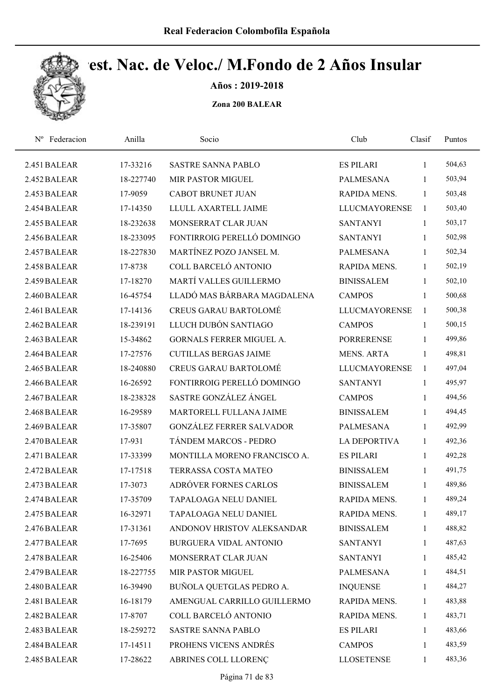

Años : 2019-2018

| Federacion<br>$N^{\rm o}$ | Anilla    | Socio                           | Club                 | Clasif       | Puntos |  |
|---------------------------|-----------|---------------------------------|----------------------|--------------|--------|--|
| 2.451 BALEAR              | 17-33216  | <b>SASTRE SANNA PABLO</b>       | <b>ES PILARI</b>     | 1            | 504,63 |  |
| 2.452 BALEAR              | 18-227740 | <b>MIR PASTOR MIGUEL</b>        | <b>PALMESANA</b>     | 1            | 503,94 |  |
| 2.453 BALEAR              | 17-9059   | <b>CABOT BRUNET JUAN</b>        | RAPIDA MENS.         | 1            | 503,48 |  |
| 2.454 BALEAR              | 17-14350  | LLULL AXARTELL JAIME            | LLUCMAYORENSE        | $\mathbf{1}$ | 503,40 |  |
| 2.455 BALEAR              | 18-232638 | MONSERRAT CLAR JUAN             | <b>SANTANYI</b>      | $\mathbf{1}$ | 503,17 |  |
| 2.456 BALEAR              | 18-233095 | FONTIRROIG PERELLÓ DOMINGO      | <b>SANTANYI</b>      | $\mathbf{1}$ | 502,98 |  |
| 2.457 BALEAR              | 18-227830 | MARTÍNEZ POZO JANSEL M.         | <b>PALMESANA</b>     | $\mathbf{1}$ | 502,34 |  |
| 2.458 BALEAR              | 17-8738   | COLL BARCELÓ ANTONIO            | RAPIDA MENS.         | $\mathbf{1}$ | 502,19 |  |
| 2.459 BALEAR              | 17-18270  | MARTÍ VALLES GUILLERMO          | <b>BINISSALEM</b>    | 1            | 502,10 |  |
| 2.460 BALEAR              | 16-45754  | LLADÓ MAS BÁRBARA MAGDALENA     | <b>CAMPOS</b>        | 1            | 500,68 |  |
| 2.461 BALEAR              | 17-14136  | <b>CREUS GARAU BARTOLOMÉ</b>    | <b>LLUCMAYORENSE</b> | $\mathbf{1}$ | 500,38 |  |
| 2.462 BALEAR              | 18-239191 | LLUCH DUBÓN SANTIAGO            | <b>CAMPOS</b>        | 1            | 500,15 |  |
| 2.463 BALEAR              | 15-34862  | <b>GORNALS FERRER MIGUEL A.</b> | <b>PORRERENSE</b>    | 1            | 499,86 |  |
| 2.464 BALEAR              | 17-27576  | <b>CUTILLAS BERGAS JAIME</b>    | <b>MENS. ARTA</b>    | 1            | 498,81 |  |
| 2.465 BALEAR              | 18-240880 | <b>CREUS GARAU BARTOLOMÉ</b>    | <b>LLUCMAYORENSE</b> | $\mathbf{1}$ | 497,04 |  |
| 2.466 BALEAR              | 16-26592  | FONTIRROIG PERELLÓ DOMINGO      | <b>SANTANYI</b>      | $\mathbf{1}$ | 495,97 |  |
| 2.467 BALEAR              | 18-238328 | SASTRE GONZÁLEZ ÁNGEL           | <b>CAMPOS</b>        | $\mathbf{1}$ | 494,56 |  |
| 2.468 BALEAR              | 16-29589  | MARTORELL FULLANA JAIME         | <b>BINISSALEM</b>    | $\mathbf{1}$ | 494,45 |  |
| 2.469 BALEAR              | 17-35807  | <b>GONZÁLEZ FERRER SALVADOR</b> | <b>PALMESANA</b>     | 1            | 492,99 |  |
| 2.470 BALEAR              | 17-931    | TÁNDEM MARCOS - PEDRO           | <b>LA DEPORTIVA</b>  | $\mathbf{1}$ | 492,36 |  |
| 2.471 BALEAR              | 17-33399  | MONTILLA MORENO FRANCISCO A.    | <b>ES PILARI</b>     | 1            | 492,28 |  |
| 2.472 BALEAR              | 17-17518  | TERRASSA COSTA MATEO            | <b>BINISSALEM</b>    | 1            | 491,75 |  |
| 2.473 BALEAR              | 17-3073   | ADRÓVER FORNES CARLOS           | <b>BINISSALEM</b>    | 1            | 489,86 |  |
| 2.474 BALEAR              | 17-35709  | <b>TAPALOAGA NELU DANIEL</b>    | RAPIDA MENS.         | 1            | 489,24 |  |
| 2.475 BALEAR              | 16-32971  | TAPALOAGA NELU DANIEL           | RAPIDA MENS.         | 1            | 489,17 |  |
| 2.476 BALEAR              | 17-31361  | ANDONOV HRISTOV ALEKSANDAR      | <b>BINISSALEM</b>    | 1            | 488,82 |  |
| 2.477 BALEAR              | 17-7695   | BURGUERA VIDAL ANTONIO          | <b>SANTANYI</b>      | $\mathbf{1}$ | 487,63 |  |
| 2.478 BALEAR              | 16-25406  | MONSERRAT CLAR JUAN             | <b>SANTANYI</b>      | $\mathbf{1}$ | 485,42 |  |
| 2.479 BALEAR              | 18-227755 | MIR PASTOR MIGUEL               | <b>PALMESANA</b>     | 1            | 484,51 |  |
| 2.480 BALEAR              | 16-39490  | BUÑOLA QUETGLAS PEDRO A.        | <b>INQUENSE</b>      | $\mathbf{1}$ | 484,27 |  |
| 2.481 BALEAR              | 16-18179  | AMENGUAL CARRILLO GUILLERMO     | RAPIDA MENS.         | $\mathbf{1}$ | 483,88 |  |
| 2.482 BALEAR              | 17-8707   | COLL BARCELÓ ANTONIO            | RAPIDA MENS.         | 1            | 483,71 |  |
| 2.483 BALEAR              | 18-259272 | SASTRE SANNA PABLO              | <b>ES PILARI</b>     | 1            | 483,66 |  |
| 2.484 BALEAR              | 17-14511  | PROHENS VICENS ANDRÉS           | <b>CAMPOS</b>        | 1            | 483,59 |  |
| 2.485 BALEAR              | 17-28622  | ABRINES COLL LLORENÇ            | <b>LLOSETENSE</b>    | 1            | 483,36 |  |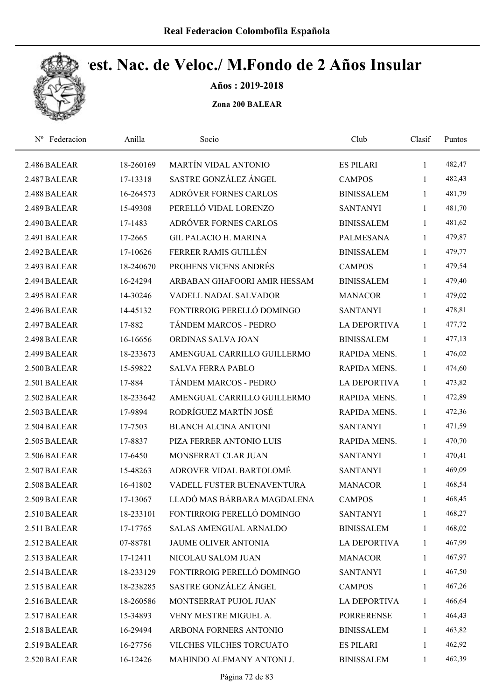

Años : 2019-2018

| Federacion<br>$N^{\rm o}$ | Anilla    | Socio                        | Club                | Clasif       | Puntos |  |
|---------------------------|-----------|------------------------------|---------------------|--------------|--------|--|
| 2.486 BALEAR              | 18-260169 | MARTÍN VIDAL ANTONIO         | <b>ES PILARI</b>    | $\mathbf{1}$ | 482,47 |  |
| 2.487 BALEAR              | 17-13318  | SASTRE GONZÁLEZ ÁNGEL        | <b>CAMPOS</b>       | 1            | 482,43 |  |
| 2.488 BALEAR              | 16-264573 | ADRÓVER FORNES CARLOS        | <b>BINISSALEM</b>   | $\mathbf{1}$ | 481,79 |  |
| 2.489 BALEAR              | 15-49308  | PERELLÓ VIDAL LORENZO        | <b>SANTANYI</b>     | $\mathbf{1}$ | 481,70 |  |
| 2.490 BALEAR              | 17-1483   | ADRÓVER FORNES CARLOS        | <b>BINISSALEM</b>   | $\mathbf{1}$ | 481,62 |  |
| 2.491 BALEAR              | 17-2665   | <b>GIL PALACIO H. MARINA</b> | <b>PALMESANA</b>    | $\mathbf{1}$ | 479,87 |  |
| 2.492 BALEAR              | 17-10626  | FERRER RAMIS GUILLÉN         | <b>BINISSALEM</b>   | $\mathbf{1}$ | 479,77 |  |
| 2.493 BALEAR              | 18-240670 | PROHENS VICENS ANDRÉS        | <b>CAMPOS</b>       | 1            | 479,54 |  |
| 2.494 BALEAR              | 16-24294  | ARBABAN GHAFOORI AMIR HESSAM | <b>BINISSALEM</b>   | 1            | 479,40 |  |
| 2.495 BALEAR              | 14-30246  | VADELL NADAL SALVADOR        | <b>MANACOR</b>      | $\mathbf{1}$ | 479,02 |  |
| 2.496 BALEAR              | 14-45132  | FONTIRROIG PERELLÓ DOMINGO   | <b>SANTANYI</b>     | $\mathbf{1}$ | 478,81 |  |
| 2.497 BALEAR              | 17-882    | TÁNDEM MARCOS - PEDRO        | <b>LA DEPORTIVA</b> | $\mathbf{1}$ | 477,72 |  |
| 2.498 BALEAR              | 16-16656  | ORDINAS SALVA JOAN           | <b>BINISSALEM</b>   | 1            | 477,13 |  |
| 2.499 BALEAR              | 18-233673 | AMENGUAL CARRILLO GUILLERMO  | <b>RAPIDA MENS.</b> | $\mathbf{1}$ | 476,02 |  |
| 2.500 BALEAR              | 15-59822  | <b>SALVA FERRA PABLO</b>     | RAPIDA MENS.        | 1            | 474,60 |  |
| 2.501 BALEAR              | 17-884    | TÁNDEM MARCOS - PEDRO        | <b>LA DEPORTIVA</b> | 1            | 473,82 |  |
| 2.502 BALEAR              | 18-233642 | AMENGUAL CARRILLO GUILLERMO  | RAPIDA MENS.        | $\mathbf{1}$ | 472,89 |  |
| 2.503 BALEAR              | 17-9894   | RODRÍGUEZ MARTÍN JOSÉ        | RAPIDA MENS.        | $\mathbf{1}$ | 472,36 |  |
| 2.504 BALEAR              | 17-7503   | <b>BLANCH ALCINA ANTONI</b>  | <b>SANTANYI</b>     | $\mathbf{1}$ | 471,59 |  |
| 2.505 BALEAR              | 17-8837   | PIZA FERRER ANTONIO LUIS     | RAPIDA MENS.        | $\mathbf{1}$ | 470,70 |  |
| 2.506 BALEAR              | 17-6450   | MONSERRAT CLAR JUAN          | <b>SANTANYI</b>     | 1            | 470,41 |  |
| 2.507 BALEAR              | 15-48263  | ADROVER VIDAL BARTOLOMÉ      | <b>SANTANYI</b>     | 1            | 469,09 |  |
| 2.508 BALEAR              | 16-41802  | VADELL FUSTER BUENAVENTURA   | <b>MANACOR</b>      | 1            | 468,54 |  |
| 2.509 BALEAR              | 17-13067  | LLADÓ MAS BÁRBARA MAGDALENA  | <b>CAMPOS</b>       | 1            | 468,45 |  |
| 2.510 BALEAR              | 18-233101 | FONTIRROIG PERELLÓ DOMINGO   | <b>SANTANYI</b>     | 1            | 468,27 |  |
| 2.511 BALEAR              | 17-17765  | SALAS AMENGUAL ARNALDO       | <b>BINISSALEM</b>   | 1            | 468,02 |  |
| 2.512 BALEAR              | 07-88781  | <b>JAUME OLIVER ANTONIA</b>  | <b>LA DEPORTIVA</b> | 1            | 467,99 |  |
| 2.513 BALEAR              | 17-12411  | NICOLAU SALOM JUAN           | <b>MANACOR</b>      | 1            | 467,97 |  |
| 2.514 BALEAR              | 18-233129 | FONTIRROIG PERELLÓ DOMINGO   | <b>SANTANYI</b>     | 1            | 467,50 |  |
| 2.515 BALEAR              | 18-238285 | SASTRE GONZÁLEZ ÁNGEL        | <b>CAMPOS</b>       | $\mathbf{1}$ | 467,26 |  |
| 2.516 BALEAR              | 18-260586 | MONTSERRAT PUJOL JUAN        | <b>LA DEPORTIVA</b> | $\mathbf{1}$ | 466,64 |  |
| 2.517 BALEAR              | 15-34893  | VENY MESTRE MIGUEL A.        | <b>PORRERENSE</b>   | $\mathbf{1}$ | 464,43 |  |
| 2.518 BALEAR              | 16-29494  | ARBONA FORNERS ANTONIO       | <b>BINISSALEM</b>   | $\mathbf{1}$ | 463,82 |  |
| 2.519 BALEAR              | 16-27756  | VILCHES VILCHES TORCUATO     | <b>ES PILARI</b>    | 1            | 462,92 |  |
| 2.520 BALEAR              | 16-12426  | MAHINDO ALEMANY ANTONI J.    | <b>BINISSALEM</b>   | 1            | 462,39 |  |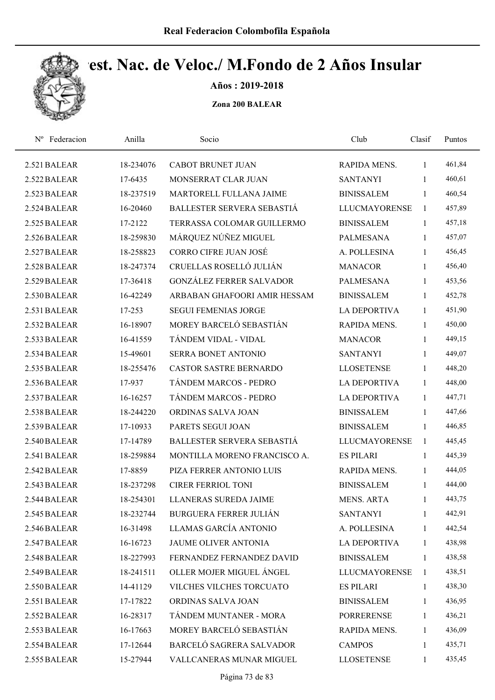

Años : 2019-2018

| Nº Federacion | Anilla    | Socio                           | Club                 | Clasif       | Puntos |  |
|---------------|-----------|---------------------------------|----------------------|--------------|--------|--|
| 2.521 BALEAR  | 18-234076 | <b>CABOT BRUNET JUAN</b>        | RAPIDA MENS.         | 1            | 461,84 |  |
| 2.522 BALEAR  | 17-6435   | MONSERRAT CLAR JUAN             | <b>SANTANYI</b>      | 1            | 460,61 |  |
| 2.523 BALEAR  | 18-237519 | MARTORELL FULLANA JAIME         | <b>BINISSALEM</b>    | $\mathbf{1}$ | 460,54 |  |
| 2.524 BALEAR  | 16-20460  | BALLESTER SERVERA SEBASTIÁ      | <b>LLUCMAYORENSE</b> | $\mathbf{1}$ | 457,89 |  |
| 2.525 BALEAR  | 17-2122   | TERRASSA COLOMAR GUILLERMO      | <b>BINISSALEM</b>    | $\mathbf{1}$ | 457,18 |  |
| 2.526 BALEAR  | 18-259830 | MÁRQUEZ NÚÑEZ MIGUEL            | <b>PALMESANA</b>     | $\mathbf{1}$ | 457,07 |  |
| 2.527 BALEAR  | 18-258823 | <b>CORRO CIFRE JUAN JOSÉ</b>    | A. POLLESINA         | $\mathbf{1}$ | 456,45 |  |
| 2.528 BALEAR  | 18-247374 | CRUELLAS ROSELLÓ JULIÁN         | <b>MANACOR</b>       | $\mathbf{1}$ | 456,40 |  |
| 2.529 BALEAR  | 17-36418  | <b>GONZÁLEZ FERRER SALVADOR</b> | <b>PALMESANA</b>     | 1            | 453,56 |  |
| 2.530 BALEAR  | 16-42249  | ARBABAN GHAFOORI AMIR HESSAM    | <b>BINISSALEM</b>    | $\mathbf{1}$ | 452,78 |  |
| 2.531 BALEAR  | 17-253    | <b>SEGUI FEMENIAS JORGE</b>     | <b>LA DEPORTIVA</b>  | $\mathbf{1}$ | 451,90 |  |
| 2.532 BALEAR  | 16-18907  | MOREY BARCELÓ SEBASTIÁN         | <b>RAPIDA MENS.</b>  | $\mathbf{1}$ | 450,00 |  |
| 2.533 BALEAR  | 16-41559  | TÁNDEM VIDAL - VIDAL            | <b>MANACOR</b>       | 1            | 449,15 |  |
| 2.534 BALEAR  | 15-49601  | SERRA BONET ANTONIO             | <b>SANTANYI</b>      | $\mathbf{1}$ | 449,07 |  |
| 2.535 BALEAR  | 18-255476 | <b>CASTOR SASTRE BERNARDO</b>   | <b>LLOSETENSE</b>    | $\mathbf{1}$ | 448,20 |  |
| 2.536 BALEAR  | 17-937    | TÁNDEM MARCOS - PEDRO           | <b>LA DEPORTIVA</b>  | $\mathbf{1}$ | 448,00 |  |
| 2.537 BALEAR  | 16-16257  | TÁNDEM MARCOS - PEDRO           | <b>LA DEPORTIVA</b>  | $\mathbf{1}$ | 447,71 |  |
| 2.538 BALEAR  | 18-244220 | ORDINAS SALVA JOAN              | <b>BINISSALEM</b>    | $\mathbf{1}$ | 447,66 |  |
| 2.539 BALEAR  | 17-10933  | PARETS SEGUI JOAN               | <b>BINISSALEM</b>    | $\mathbf{1}$ | 446,85 |  |
| 2.540 BALEAR  | 17-14789  | BALLESTER SERVERA SEBASTIÁ      | <b>LLUCMAYORENSE</b> | 1            | 445,45 |  |
| 2.541 BALEAR  | 18-259884 | MONTILLA MORENO FRANCISCO A.    | <b>ES PILARI</b>     | 1            | 445,39 |  |
| 2.542 BALEAR  | 17-8859   | PIZA FERRER ANTONIO LUIS        | RAPIDA MENS.         | 1            | 444,05 |  |
| 2.543 BALEAR  | 18-237298 | <b>CIRER FERRIOL TONI</b>       | <b>BINISSALEM</b>    | $\mathbf{1}$ | 444,00 |  |
| 2.544 BALEAR  | 18-254301 | LLANERAS SUREDA JAIME           | <b>MENS. ARTA</b>    | 1            | 443,75 |  |
| 2.545 BALEAR  | 18-232744 | <b>BURGUERA FERRER JULIÁN</b>   | <b>SANTANYI</b>      | 1            | 442,91 |  |
| 2.546 BALEAR  | 16-31498  | LLAMAS GARCÍA ANTONIO           | A. POLLESINA         | $\mathbf{1}$ | 442,54 |  |
| 2.547 BALEAR  | 16-16723  | <b>JAUME OLIVER ANTONIA</b>     | <b>LA DEPORTIVA</b>  | 1            | 438,98 |  |
| 2.548 BALEAR  | 18-227993 | FERNANDEZ FERNANDEZ DAVID       | <b>BINISSALEM</b>    | 1            | 438,58 |  |
| 2.549 BALEAR  | 18-241511 | OLLER MOJER MIGUEL ÁNGEL        | <b>LLUCMAYORENSE</b> | 1            | 438,51 |  |
| 2.550 BALEAR  | 14-41129  | VILCHES VILCHES TORCUATO        | <b>ES PILARI</b>     | $\mathbf{1}$ | 438,30 |  |
| 2.551 BALEAR  | 17-17822  | ORDINAS SALVA JOAN              | <b>BINISSALEM</b>    | $\mathbf{1}$ | 436,95 |  |
| 2.552 BALEAR  | 16-28317  | TÁNDEM MUNTANER - MORA          | <b>PORRERENSE</b>    | $\mathbf{1}$ | 436,21 |  |
| 2.553 BALEAR  | 16-17663  | MOREY BARCELÓ SEBASTIÁN         | RAPIDA MENS.         | $\mathbf{1}$ | 436,09 |  |
| 2.554 BALEAR  | 17-12644  | BARCELÓ SAGRERA SALVADOR        | <b>CAMPOS</b>        | 1            | 435,71 |  |
| 2.555 BALEAR  | 15-27944  | VALLCANERAS MUNAR MIGUEL        | <b>LLOSETENSE</b>    | 1            | 435,45 |  |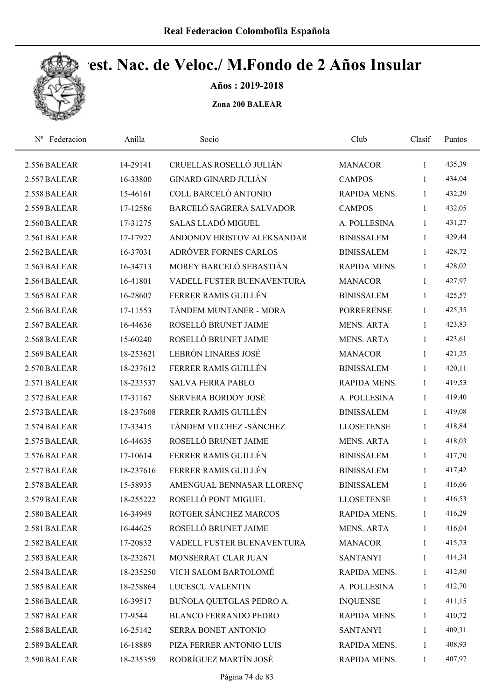

Años : 2019-2018

| Federacion<br>$N^{\rm o}$ | Anilla    | Socio                        | Club              | Clasif       | Puntos |  |
|---------------------------|-----------|------------------------------|-------------------|--------------|--------|--|
| 2.556 BALEAR              | 14-29141  | CRUELLAS ROSELLÓ JULIÁN      | <b>MANACOR</b>    | 1            | 435,39 |  |
| 2.557 BALEAR              | 16-33800  | <b>GINARD GINARD JULIÁN</b>  | <b>CAMPOS</b>     | 1            | 434,04 |  |
| 2.558 BALEAR              | 15-46161  | COLL BARCELÓ ANTONIO         | RAPIDA MENS.      | 1            | 432,29 |  |
| 2.559 BALEAR              | 17-12586  | BARCELÓ SAGRERA SALVADOR     | <b>CAMPOS</b>     | $\mathbf{1}$ | 432,05 |  |
| 2.560 BALEAR              | 17-31275  | SALAS LLADÓ MIGUEL           | A. POLLESINA      | $\mathbf{1}$ | 431,27 |  |
| 2.561 BALEAR              | 17-17927  | ANDONOV HRISTOV ALEKSANDAR   | <b>BINISSALEM</b> | $\mathbf{1}$ | 429,44 |  |
| 2.562 BALEAR              | 16-37031  | ADRÓVER FORNES CARLOS        | <b>BINISSALEM</b> | $\mathbf{1}$ | 428,72 |  |
| 2.563 BALEAR              | 16-34713  | MOREY BARCELÓ SEBASTIÁN      | RAPIDA MENS.      | $\mathbf{1}$ | 428,02 |  |
| 2.564 BALEAR              | 16-41801  | VADELL FUSTER BUENAVENTURA   | <b>MANACOR</b>    | 1            | 427,97 |  |
| 2.565 BALEAR              | 16-28607  | FERRER RAMIS GUILLÉN         | <b>BINISSALEM</b> | 1            | 425,57 |  |
| 2.566 BALEAR              | 17-11553  | TÁNDEM MUNTANER - MORA       | <b>PORRERENSE</b> | 1            | 425,35 |  |
| 2.567 BALEAR              | 16-44636  | ROSELLÓ BRUNET JAIME         | <b>MENS. ARTA</b> | $\mathbf{1}$ | 423,83 |  |
| 2.568 BALEAR              | 15-60240  | ROSELLÓ BRUNET JAIME         | <b>MENS. ARTA</b> | 1            | 423,61 |  |
| 2.569 BALEAR              | 18-253621 | LEBRÓN LINARES JOSÉ          | <b>MANACOR</b>    | $\mathbf{1}$ | 421,25 |  |
| 2.570 BALEAR              | 18-237612 | FERRER RAMIS GUILLÉN         | <b>BINISSALEM</b> | 1            | 420,11 |  |
| 2.571 BALEAR              | 18-233537 | <b>SALVA FERRA PABLO</b>     | RAPIDA MENS.      | 1            | 419,53 |  |
| 2.572 BALEAR              | 17-31167  | <b>SERVERA BORDOY JOSÉ</b>   | A. POLLESINA      | $\mathbf{1}$ | 419,40 |  |
| 2.573 BALEAR              | 18-237608 | FERRER RAMIS GUILLÉN         | <b>BINISSALEM</b> | $\mathbf{1}$ | 419,08 |  |
| 2.574 BALEAR              | 17-33415  | TÁNDEM VILCHEZ - SÁNCHEZ     | <b>LLOSETENSE</b> | 1            | 418,84 |  |
| 2.575 BALEAR              | 16-44635  | ROSELLÓ BRUNET JAIME         | <b>MENS. ARTA</b> | 1            | 418,03 |  |
| 2.576 BALEAR              | 17-10614  | FERRER RAMIS GUILLÉN         | <b>BINISSALEM</b> | 1            | 417,70 |  |
| 2.577 BALEAR              | 18-237616 | FERRER RAMIS GUILLÉN         | <b>BINISSALEM</b> | 1            | 417,42 |  |
| 2.578 BALEAR              | 15-58935  | AMENGUAL BENNASAR LLORENÇ    | <b>BINISSALEM</b> | $\mathbf{1}$ | 416,66 |  |
| 2.579 BALEAR              | 18-255222 | ROSELLÓ PONT MIGUEL          | <b>LLOSETENSE</b> | 1            | 416,53 |  |
| 2.580 BALEAR              | 16-34949  | ROTGER SÁNCHEZ MARCOS        | RAPIDA MENS.      | 1            | 416,29 |  |
| 2.581 BALEAR              | 16-44625  | ROSELLÓ BRUNET JAIME         | <b>MENS. ARTA</b> | 1            | 416,04 |  |
| 2.582 BALEAR              | 17-20832  | VADELL FUSTER BUENAVENTURA   | <b>MANACOR</b>    | 1            | 415,73 |  |
| 2.583 BALEAR              | 18-232671 | MONSERRAT CLAR JUAN          | <b>SANTANYI</b>   | 1            | 414,34 |  |
| 2.584 BALEAR              | 18-235250 | VICH SALOM BARTOLOMÉ         | RAPIDA MENS.      | 1            | 412,80 |  |
| 2.585 BALEAR              | 18-258864 | LUCESCU VALENTIN             | A. POLLESINA      | 1            | 412,70 |  |
| 2.586 BALEAR              | 16-39517  | BUÑOLA QUETGLAS PEDRO A.     | <b>INQUENSE</b>   | 1            | 411,15 |  |
| 2.587 BALEAR              | 17-9544   | <b>BLANCO FERRANDO PEDRO</b> | RAPIDA MENS.      | 1            | 410,72 |  |
| 2.588 BALEAR              | 16-25142  | SERRA BONET ANTONIO          | <b>SANTANYI</b>   | 1            | 409,31 |  |
| 2.589 BALEAR              | 16-18889  | PIZA FERRER ANTONIO LUIS     | RAPIDA MENS.      | 1            | 408,93 |  |
| 2.590 BALEAR              | 18-235359 | RODRÍGUEZ MARTÍN JOSÉ        | RAPIDA MENS.      | $\mathbf{1}$ | 407,97 |  |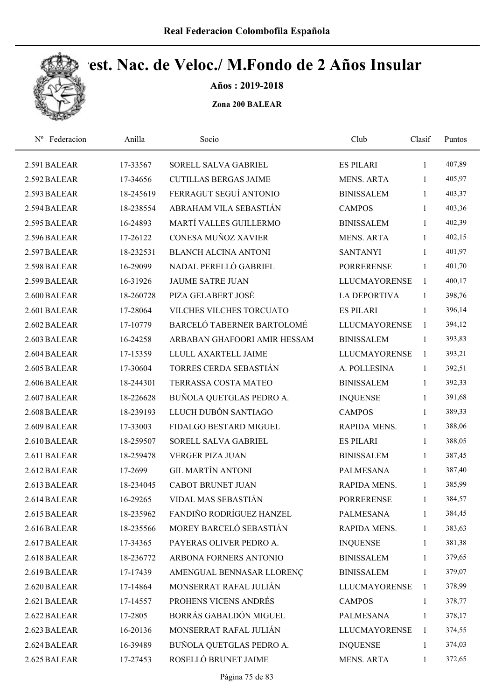

Años : 2019-2018

| Federacion<br>$N^{\rm o}$ | Anilla    | Socio                        | Club                 | Clasif       | Puntos |  |
|---------------------------|-----------|------------------------------|----------------------|--------------|--------|--|
| 2.591 BALEAR              | 17-33567  | SORELL SALVA GABRIEL         | <b>ES PILARI</b>     | 1            | 407,89 |  |
| 2.592 BALEAR              | 17-34656  | <b>CUTILLAS BERGAS JAIME</b> | <b>MENS. ARTA</b>    | 1            | 405,97 |  |
| 2.593 BALEAR              | 18-245619 | FERRAGUT SEGUÍ ANTONIO       | <b>BINISSALEM</b>    | 1            | 403,37 |  |
| 2.594 BALEAR              | 18-238554 | ABRAHAM VILA SEBASTIÁN       | <b>CAMPOS</b>        | $\mathbf{1}$ | 403,36 |  |
| 2.595 BALEAR              | 16-24893  | MARTÍ VALLES GUILLERMO       | <b>BINISSALEM</b>    | $\mathbf{1}$ | 402,39 |  |
| 2.596 BALEAR              | 17-26122  | CONESA MUÑOZ XAVIER          | <b>MENS. ARTA</b>    | $\mathbf{1}$ | 402,15 |  |
| 2.597 BALEAR              | 18-232531 | <b>BLANCH ALCINA ANTONI</b>  | <b>SANTANYI</b>      | $\mathbf{1}$ | 401,97 |  |
| 2.598 BALEAR              | 16-29099  | NADAL PERELLÓ GABRIEL        | <b>PORRERENSE</b>    | $\mathbf{1}$ | 401,70 |  |
| 2.599 BALEAR              | 16-31926  | <b>JAUME SATRE JUAN</b>      | <b>LLUCMAYORENSE</b> | 1            | 400,17 |  |
| 2.600 BALEAR              | 18-260728 | PIZA GELABERT JOSÉ           | <b>LA DEPORTIVA</b>  | $\mathbf{1}$ | 398,76 |  |
| 2.601 BALEAR              | 17-28064  | VILCHES VILCHES TORCUATO     | <b>ES PILARI</b>     | $\mathbf{1}$ | 396,14 |  |
| 2.602 BALEAR              | 17-10779  | BARCELÓ TABERNER BARTOLOMÉ   | <b>LLUCMAYORENSE</b> | $\mathbf{1}$ | 394,12 |  |
| 2.603 BALEAR              | 16-24258  | ARBABAN GHAFOORI AMIR HESSAM | <b>BINISSALEM</b>    | $\mathbf{1}$ | 393,83 |  |
| 2.604 BALEAR              | 17-15359  | LLULL AXARTELL JAIME         | <b>LLUCMAYORENSE</b> | 1            | 393,21 |  |
| 2.605 BALEAR              | 17-30604  | TORRES CERDA SEBASTIÁN       | A. POLLESINA         | $\mathbf{1}$ | 392,51 |  |
| 2.606 BALEAR              | 18-244301 | TERRASSA COSTA MATEO         | <b>BINISSALEM</b>    | $\mathbf{1}$ | 392,33 |  |
| 2.607 BALEAR              | 18-226628 | BUÑOLA QUETGLAS PEDRO A.     | <b>INQUENSE</b>      | $\mathbf{1}$ | 391,68 |  |
| 2.608 BALEAR              | 18-239193 | LLUCH DUBÓN SANTIAGO         | <b>CAMPOS</b>        | $\mathbf{1}$ | 389,33 |  |
| 2.609 BALEAR              | 17-33003  | FIDALGO BESTARD MIGUEL       | RAPIDA MENS.         | 1            | 388,06 |  |
| 2.610 BALEAR              | 18-259507 | SORELL SALVA GABRIEL         | <b>ES PILARI</b>     | 1            | 388,05 |  |
| 2.611 BALEAR              | 18-259478 | <b>VERGER PIZA JUAN</b>      | <b>BINISSALEM</b>    | $\mathbf{1}$ | 387,45 |  |
| 2.612 BALEAR              | 17-2699   | <b>GIL MARTÍN ANTONI</b>     | <b>PALMESANA</b>     | 1            | 387,40 |  |
| 2.613 BALEAR              | 18-234045 | <b>CABOT BRUNET JUAN</b>     | RAPIDA MENS.         | $\mathbf{1}$ | 385,99 |  |
| 2.614 BALEAR              | 16-29265  | VIDAL MAS SEBASTIÁN          | <b>PORRERENSE</b>    | 1            | 384,57 |  |
| 2.615 BALEAR              | 18-235962 | FANDIÑO RODRÍGUEZ HANZEL     | <b>PALMESANA</b>     | 1            | 384,45 |  |
| 2.616 BALEAR              | 18-235566 | MOREY BARCELÓ SEBASTIÁN      | RAPIDA MENS.         | 1            | 383,63 |  |
| 2.617 BALEAR              | 17-34365  | PAYERAS OLIVER PEDRO A.      | <b>INQUENSE</b>      | 1            | 381,38 |  |
| 2.618 BALEAR              | 18-236772 | ARBONA FORNERS ANTONIO       | <b>BINISSALEM</b>    | $\mathbf{1}$ | 379,65 |  |
| 2.619 BALEAR              | 17-17439  | AMENGUAL BENNASAR LLORENÇ    | <b>BINISSALEM</b>    | 1            | 379,07 |  |
| 2.620 BALEAR              | 17-14864  | MONSERRAT RAFAL JULIÁN       | LLUCMAYORENSE        | $\mathbf{1}$ | 378,99 |  |
| 2.621 BALEAR              | 17-14557  | PROHENS VICENS ANDRÉS        | <b>CAMPOS</b>        | 1            | 378,77 |  |
| 2.622 BALEAR              | 17-2805   | BORRÁS GABALDÓN MIGUEL       | <b>PALMESANA</b>     | 1            | 378,17 |  |
| 2.623 BALEAR              | 16-20136  | MONSERRAT RAFAL JULIÁN       | <b>LLUCMAYORENSE</b> | 1            | 374,55 |  |
| 2.624 BALEAR              | 16-39489  | BUÑOLA QUETGLAS PEDRO A.     | <b>INQUENSE</b>      | 1            | 374,03 |  |
| 2.625 BALEAR              | 17-27453  | ROSELLÓ BRUNET JAIME         | MENS. ARTA           | 1            | 372,65 |  |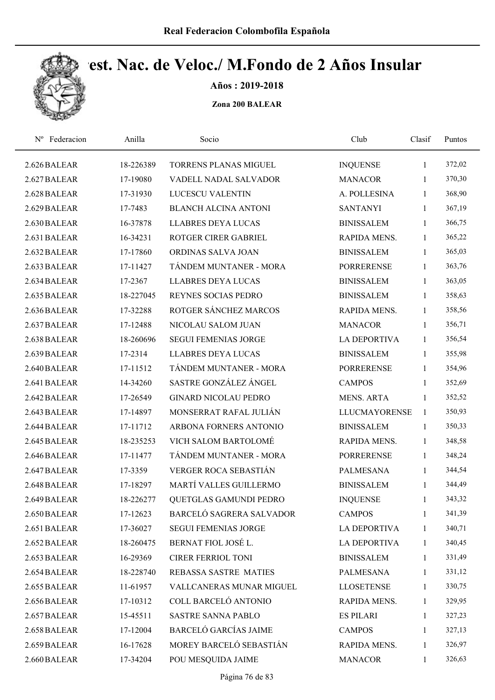

Años : 2019-2018

| Federacion<br>$N^{\rm o}$ | Anilla    | Socio                        | Club                 | Clasif       | Puntos |
|---------------------------|-----------|------------------------------|----------------------|--------------|--------|
| 2.626 BALEAR              | 18-226389 | TORRENS PLANAS MIGUEL        | <b>INQUENSE</b>      | $\mathbf{1}$ | 372,02 |
| 2.627 BALEAR              | 17-19080  | VADELL NADAL SALVADOR        | <b>MANACOR</b>       | $\mathbf{1}$ | 370,30 |
| 2.628 BALEAR              | 17-31930  | LUCESCU VALENTIN             | A. POLLESINA         | 1            | 368,90 |
| 2.629 BALEAR              | 17-7483   | <b>BLANCH ALCINA ANTONI</b>  | <b>SANTANYI</b>      | $\mathbf{1}$ | 367,19 |
| 2.630 BALEAR              | 16-37878  | <b>LLABRES DEYA LUCAS</b>    | <b>BINISSALEM</b>    | $\mathbf{1}$ | 366,75 |
| 2.631 BALEAR              | 16-34231  | ROTGER CIRER GABRIEL         | <b>RAPIDA MENS.</b>  | $\mathbf{1}$ | 365,22 |
| 2.632 BALEAR              | 17-17860  | ORDINAS SALVA JOAN           | <b>BINISSALEM</b>    | $\mathbf{1}$ | 365,03 |
| 2.633 BALEAR              | 17-11427  | TÁNDEM MUNTANER - MORA       | <b>PORRERENSE</b>    | $\mathbf{1}$ | 363,76 |
| 2.634 BALEAR              | 17-2367   | <b>LLABRES DEYA LUCAS</b>    | <b>BINISSALEM</b>    | 1            | 363,05 |
| 2.635 BALEAR              | 18-227045 | <b>REYNES SOCIAS PEDRO</b>   | <b>BINISSALEM</b>    | $\mathbf{1}$ | 358,63 |
| 2.636 BALEAR              | 17-32288  | ROTGER SÁNCHEZ MARCOS        | RAPIDA MENS.         | $\mathbf{1}$ | 358,56 |
| 2.637 BALEAR              | 17-12488  | NICOLAU SALOM JUAN           | <b>MANACOR</b>       | $\mathbf{1}$ | 356,71 |
| 2.638 BALEAR              | 18-260696 | <b>SEGUI FEMENIAS JORGE</b>  | <b>LA DEPORTIVA</b>  | 1            | 356,54 |
| 2.639 BALEAR              | 17-2314   | <b>LLABRES DEYA LUCAS</b>    | <b>BINISSALEM</b>    | $\mathbf{1}$ | 355,98 |
| 2.640 BALEAR              | 17-11512  | TÁNDEM MUNTANER - MORA       | <b>PORRERENSE</b>    | 1            | 354,96 |
| 2.641 BALEAR              | 14-34260  | SASTRE GONZÁLEZ ÁNGEL        | <b>CAMPOS</b>        | $\mathbf{1}$ | 352,69 |
| 2.642 BALEAR              | 17-26549  | <b>GINARD NICOLAU PEDRO</b>  | <b>MENS. ARTA</b>    | $\mathbf{1}$ | 352,52 |
| 2.643 BALEAR              | 17-14897  | MONSERRAT RAFAL JULIÁN       | <b>LLUCMAYORENSE</b> | $\mathbf{1}$ | 350,93 |
| 2.644 BALEAR              | 17-11712  | ARBONA FORNERS ANTONIO       | <b>BINISSALEM</b>    | $\mathbf{1}$ | 350,33 |
| 2.645 BALEAR              | 18-235253 | VICH SALOM BARTOLOMÉ         | RAPIDA MENS.         | $\mathbf{1}$ | 348,58 |
| 2.646 BALEAR              | 17-11477  | TÁNDEM MUNTANER - MORA       | <b>PORRERENSE</b>    | $\mathbf{1}$ | 348,24 |
| 2.647 BALEAR              | 17-3359   | VERGER ROCA SEBASTIÁN        | <b>PALMESANA</b>     | 1            | 344,54 |
| 2.648 BALEAR              | 17-18297  | MARTÍ VALLES GUILLERMO       | <b>BINISSALEM</b>    | 1            | 344,49 |
| 2.649 BALEAR              | 18-226277 | QUETGLAS GAMUNDI PEDRO       | <b>INQUENSE</b>      | 1            | 343,32 |
| 2.650 BALEAR              | 17-12623  | BARCELÓ SAGRERA SALVADOR     | <b>CAMPOS</b>        | 1            | 341,39 |
| 2.651 BALEAR              | 17-36027  | <b>SEGUI FEMENIAS JORGE</b>  | <b>LA DEPORTIVA</b>  | $\mathbf{1}$ | 340,71 |
| 2.652 BALEAR              | 18-260475 | BERNAT FIOL JOSÉ L.          | <b>LA DEPORTIVA</b>  | 1            | 340,45 |
| 2.653 BALEAR              | 16-29369  | <b>CIRER FERRIOL TONI</b>    | <b>BINISSALEM</b>    | $\mathbf{1}$ | 331,49 |
| 2.654 BALEAR              | 18-228740 | REBASSA SASTRE MATIES        | PALMESANA            | 1            | 331,12 |
| 2.655 BALEAR              | 11-61957  | VALLCANERAS MUNAR MIGUEL     | <b>LLOSETENSE</b>    | $\mathbf{1}$ | 330,75 |
| 2.656 BALEAR              | 17-10312  | COLL BARCELÓ ANTONIO         | RAPIDA MENS.         | 1            | 329,95 |
| 2.657 BALEAR              | 15-45511  | SASTRE SANNA PABLO           | <b>ES PILARI</b>     | $\mathbf{1}$ | 327,23 |
| 2.658 BALEAR              | 17-12004  | <b>BARCELÓ GARCÍAS JAIME</b> | <b>CAMPOS</b>        | $\mathbf{1}$ | 327,13 |
| 2.659 BALEAR              | 16-17628  | MOREY BARCELÓ SEBASTIÁN      | RAPIDA MENS.         | 1            | 326,97 |
| 2.660 BALEAR              | 17-34204  | POU MESQUIDA JAIME           | <b>MANACOR</b>       | $\mathbf{1}$ | 326,63 |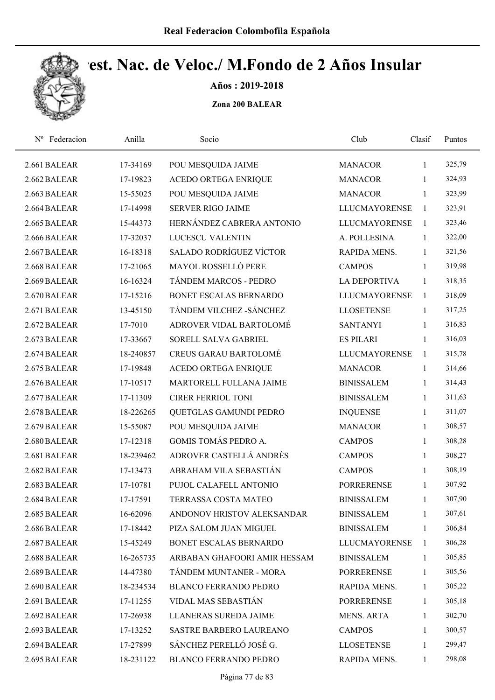

Años : 2019-2018

| Nº Federacion | Anilla    | Socio                          | Club                 | Clasif       | Puntos |  |
|---------------|-----------|--------------------------------|----------------------|--------------|--------|--|
| 2.661 BALEAR  | 17-34169  | POU MESQUIDA JAIME             | <b>MANACOR</b>       | $\mathbf{1}$ | 325,79 |  |
| 2.662 BALEAR  | 17-19823  | <b>ACEDO ORTEGA ENRIQUE</b>    | <b>MANACOR</b>       | 1            | 324,93 |  |
| 2.663 BALEAR  | 15-55025  | POU MESQUIDA JAIME             | <b>MANACOR</b>       | $\mathbf{1}$ | 323,99 |  |
| 2.664 BALEAR  | 17-14998  | <b>SERVER RIGO JAIME</b>       | <b>LLUCMAYORENSE</b> | 1            | 323,91 |  |
| 2.665 BALEAR  | 15-44373  | HERNÁNDEZ CABRERA ANTONIO      | <b>LLUCMAYORENSE</b> | $\mathbf{1}$ | 323,46 |  |
| 2.666 BALEAR  | 17-32037  | <b>LUCESCU VALENTIN</b>        | A. POLLESINA         | $\mathbf{1}$ | 322,00 |  |
| 2.667 BALEAR  | 16-18318  | <b>SALADO RODRÍGUEZ VÍCTOR</b> | RAPIDA MENS.         | $\mathbf{1}$ | 321,56 |  |
| 2.668 BALEAR  | 17-21065  | MAYOL ROSSELLÓ PERE            | <b>CAMPOS</b>        | 1            | 319,98 |  |
| 2.669 BALEAR  | 16-16324  | TÁNDEM MARCOS - PEDRO          | <b>LA DEPORTIVA</b>  | 1            | 318,35 |  |
| 2.670 BALEAR  | 17-15216  | BONET ESCALAS BERNARDO         | <b>LLUCMAYORENSE</b> | 1            | 318,09 |  |
| 2.671 BALEAR  | 13-45150  | TÁNDEM VILCHEZ - SÁNCHEZ       | <b>LLOSETENSE</b>    | 1            | 317,25 |  |
| 2.672 BALEAR  | 17-7010   | ADROVER VIDAL BARTOLOMÉ        | <b>SANTANYI</b>      | $\mathbf{1}$ | 316,83 |  |
| 2.673 BALEAR  | 17-33667  | SORELL SALVA GABRIEL           | <b>ES PILARI</b>     | 1            | 316,03 |  |
| 2.674 BALEAR  | 18-240857 | <b>CREUS GARAU BARTOLOMÉ</b>   | <b>LLUCMAYORENSE</b> | $\mathbf{1}$ | 315,78 |  |
| 2.675 BALEAR  | 17-19848  | <b>ACEDO ORTEGA ENRIQUE</b>    | <b>MANACOR</b>       | $\mathbf{1}$ | 314,66 |  |
| 2.676 BALEAR  | 17-10517  | MARTORELL FULLANA JAIME        | <b>BINISSALEM</b>    | $\mathbf{1}$ | 314,43 |  |
| 2.677 BALEAR  | 17-11309  | <b>CIRER FERRIOL TONI</b>      | <b>BINISSALEM</b>    | $\mathbf{1}$ | 311,63 |  |
| 2.678 BALEAR  | 18-226265 | QUETGLAS GAMUNDI PEDRO         | <b>INQUENSE</b>      | $\mathbf{1}$ | 311,07 |  |
| 2.679 BALEAR  | 15-55087  | POU MESQUIDA JAIME             | <b>MANACOR</b>       | $\mathbf{1}$ | 308,57 |  |
| 2.680 BALEAR  | 17-12318  | GOMIS TOMÁS PEDRO A.           | <b>CAMPOS</b>        | $\mathbf{1}$ | 308,28 |  |
| 2.681 BALEAR  | 18-239462 | ADROVER CASTELLÁ ANDRÉS        | <b>CAMPOS</b>        | $\mathbf{1}$ | 308,27 |  |
| 2.682 BALEAR  | 17-13473  | ABRAHAM VILA SEBASTIÁN         | <b>CAMPOS</b>        | 1            | 308,19 |  |
| 2.683 BALEAR  | 17-10781  | PUJOL CALAFELL ANTONIO         | <b>PORRERENSE</b>    | $\mathbf{1}$ | 307,92 |  |
| 2.684 BALEAR  | 17-17591  | TERRASSA COSTA MATEO           | <b>BINISSALEM</b>    | $\mathbf{1}$ | 307,90 |  |
| 2.685 BALEAR  | 16-62096  | ANDONOV HRISTOV ALEKSANDAR     | <b>BINISSALEM</b>    | 1            | 307,61 |  |
| 2.686 BALEAR  | 17-18442  | PIZA SALOM JUAN MIGUEL         | <b>BINISSALEM</b>    | $\mathbf{1}$ | 306,84 |  |
| 2.687 BALEAR  | 15-45249  | BONET ESCALAS BERNARDO         | <b>LLUCMAYORENSE</b> | -1           | 306,28 |  |
| 2.688 BALEAR  | 16-265735 | ARBABAN GHAFOORI AMIR HESSAM   | <b>BINISSALEM</b>    | 1            | 305,85 |  |
| 2.689 BALEAR  | 14-47380  | TÁNDEM MUNTANER - MORA         | <b>PORRERENSE</b>    | $\mathbf{1}$ | 305,56 |  |
| 2.690 BALEAR  | 18-234534 | <b>BLANCO FERRANDO PEDRO</b>   | RAPIDA MENS.         | 1            | 305,22 |  |
| 2.691 BALEAR  | 17-11255  | VIDAL MAS SEBASTIÁN            | <b>PORRERENSE</b>    | $\mathbf{1}$ | 305,18 |  |
| 2.692 BALEAR  | 17-26938  | LLANERAS SUREDA JAIME          | MENS. ARTA           | $\mathbf{1}$ | 302,70 |  |
| 2.693 BALEAR  | 17-13252  | SASTRE BARBERO LAUREANO        | <b>CAMPOS</b>        | 1            | 300,57 |  |
| 2.694 BALEAR  | 17-27899  | SÁNCHEZ PERELLÓ JOSÉ G.        | <b>LLOSETENSE</b>    | 1            | 299,47 |  |
| 2.695 BALEAR  | 18-231122 | <b>BLANCO FERRANDO PEDRO</b>   | RAPIDA MENS.         | $\mathbf{1}$ | 298,08 |  |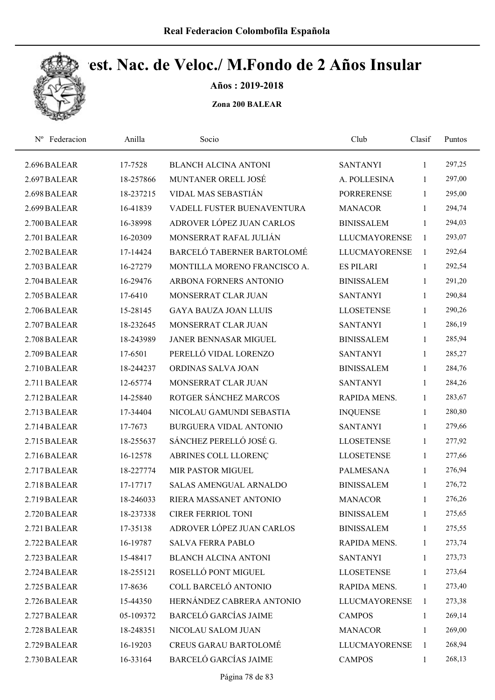

Años : 2019-2018

| Federacion<br>$N^{\rm o}$ | Anilla    | Socio                         | Club                 | Clasif       | Puntos |  |
|---------------------------|-----------|-------------------------------|----------------------|--------------|--------|--|
| 2.696 BALEAR              | 17-7528   | <b>BLANCH ALCINA ANTONI</b>   | <b>SANTANYI</b>      | $\mathbf{1}$ | 297,25 |  |
| 2.697 BALEAR              | 18-257866 | MUNTANER ORELL JOSÉ           | A. POLLESINA         | $\mathbf{1}$ | 297,00 |  |
| 2.698 BALEAR              | 18-237215 | VIDAL MAS SEBASTIÁN           | <b>PORRERENSE</b>    | 1            | 295,00 |  |
| 2.699 BALEAR              | 16-41839  | VADELL FUSTER BUENAVENTURA    | <b>MANACOR</b>       | $\mathbf{1}$ | 294,74 |  |
| 2.700 BALEAR              | 16-38998  | ADROVER LÓPEZ JUAN CARLOS     | <b>BINISSALEM</b>    | $\mathbf{1}$ | 294,03 |  |
| 2.701 BALEAR              | 16-20309  | MONSERRAT RAFAL JULIÁN        | <b>LLUCMAYORENSE</b> | $\mathbf{1}$ | 293,07 |  |
| 2.702 BALEAR              | 17-14424  | BARCELÓ TABERNER BARTOLOMÉ    | <b>LLUCMAYORENSE</b> | 1            | 292,64 |  |
| 2.703 BALEAR              | 16-27279  | MONTILLA MORENO FRANCISCO A.  | <b>ES PILARI</b>     | $\mathbf{1}$ | 292,54 |  |
| 2.704 BALEAR              | 16-29476  | ARBONA FORNERS ANTONIO        | <b>BINISSALEM</b>    | $\mathbf{1}$ | 291,20 |  |
| 2.705 BALEAR              | 17-6410   | MONSERRAT CLAR JUAN           | <b>SANTANYI</b>      | $\mathbf{1}$ | 290,84 |  |
| 2.706 BALEAR              | 15-28145  | <b>GAYA BAUZA JOAN LLUIS</b>  | <b>LLOSETENSE</b>    | $\mathbf{1}$ | 290,26 |  |
| 2.707 BALEAR              | 18-232645 | MONSERRAT CLAR JUAN           | <b>SANTANYI</b>      | 1            | 286,19 |  |
| 2.708 BALEAR              | 18-243989 | <b>JANER BENNASAR MIGUEL</b>  | <b>BINISSALEM</b>    | 1            | 285,94 |  |
| 2.709 BALEAR              | 17-6501   | PERELLÓ VIDAL LORENZO         | <b>SANTANYI</b>      | 1            | 285,27 |  |
| 2.710 BALEAR              | 18-244237 | ORDINAS SALVA JOAN            | <b>BINISSALEM</b>    | $\mathbf{1}$ | 284,76 |  |
| 2.711 BALEAR              | 12-65774  | MONSERRAT CLAR JUAN           | <b>SANTANYI</b>      | $\mathbf{1}$ | 284,26 |  |
| 2.712 BALEAR              | 14-25840  | ROTGER SÁNCHEZ MARCOS         | RAPIDA MENS.         | $\mathbf{1}$ | 283,67 |  |
| 2.713 BALEAR              | 17-34404  | NICOLAU GAMUNDI SEBASTIA      | <b>INQUENSE</b>      | $\mathbf{1}$ | 280,80 |  |
| 2.714 BALEAR              | 17-7673   | BURGUERA VIDAL ANTONIO        | <b>SANTANYI</b>      | $\mathbf{1}$ | 279,66 |  |
| 2.715 BALEAR              | 18-255637 | SÁNCHEZ PERELLÓ JOSÉ G.       | <b>LLOSETENSE</b>    | $\mathbf{1}$ | 277,92 |  |
| 2.716 BALEAR              | 16-12578  | ABRINES COLL LLORENÇ          | <b>LLOSETENSE</b>    | $\mathbf{1}$ | 277,66 |  |
| 2.717 BALEAR              | 18-227774 | MIR PASTOR MIGUEL             | PALMESANA            | $\mathbf{1}$ | 276,94 |  |
| 2.718 BALEAR              | 17-17717  | <b>SALAS AMENGUAL ARNALDO</b> | <b>BINISSALEM</b>    | 1            | 276,72 |  |
| 2.719 BALEAR              | 18-246033 | RIERA MASSANET ANTONIO        | <b>MANACOR</b>       | $\mathbf{1}$ | 276,26 |  |
| 2.720 BALEAR              | 18-237338 | <b>CIRER FERRIOL TONI</b>     | <b>BINISSALEM</b>    | 1            | 275,65 |  |
| 2.721 BALEAR              | 17-35138  | ADROVER LÓPEZ JUAN CARLOS     | <b>BINISSALEM</b>    | 1            | 275,55 |  |
| 2.722 BALEAR              | 16-19787  | <b>SALVA FERRA PABLO</b>      | RAPIDA MENS.         | 1            | 273,74 |  |
| 2.723 BALEAR              | 15-48417  | <b>BLANCH ALCINA ANTONI</b>   | <b>SANTANYI</b>      | $\mathbf{1}$ | 273,73 |  |
| 2.724 BALEAR              | 18-255121 | ROSELLÓ PONT MIGUEL           | <b>LLOSETENSE</b>    | $\mathbf{1}$ | 273,64 |  |
| 2.725 BALEAR              | 17-8636   | COLL BARCELÓ ANTONIO          | RAPIDA MENS.         | $\mathbf{1}$ | 273,40 |  |
| 2.726 BALEAR              | 15-44350  | HERNÁNDEZ CABRERA ANTONIO     | <b>LLUCMAYORENSE</b> | 1            | 273,38 |  |
| 2.727 BALEAR              | 05-109372 | <b>BARCELÓ GARCÍAS JAIME</b>  | <b>CAMPOS</b>        | $\mathbf{1}$ | 269,14 |  |
| 2.728 BALEAR              | 18-248351 | NICOLAU SALOM JUAN            | <b>MANACOR</b>       | $\mathbf{1}$ | 269,00 |  |
| 2.729 BALEAR              | 16-19203  | <b>CREUS GARAU BARTOLOMÉ</b>  | <b>LLUCMAYORENSE</b> | 1            | 268,94 |  |
| 2.730 BALEAR              | 16-33164  | BARCELÓ GARCÍAS JAIME         | <b>CAMPOS</b>        | 1            | 268,13 |  |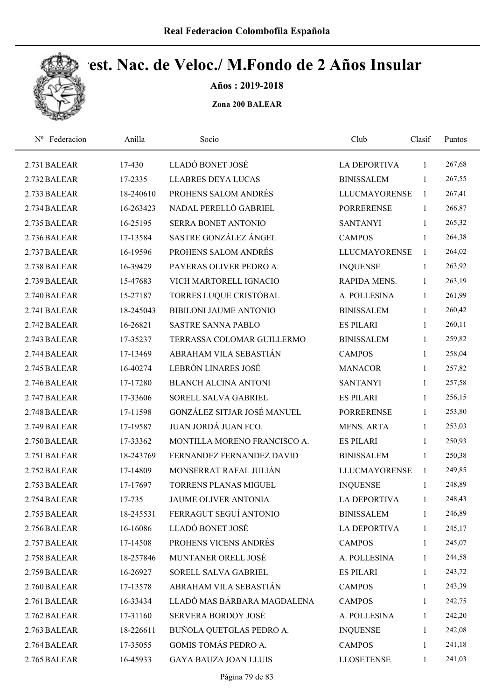

Años : 2019-2018

| Federacion<br>$N^{\rm o}$ | Anilla    | Socio                         | Club                 | Clasif       | Puntos |
|---------------------------|-----------|-------------------------------|----------------------|--------------|--------|
| 2.731 BALEAR              | 17-430    | LLADÓ BONET JOSÉ              | LA DEPORTIVA         | 1            | 267,68 |
| 2.732 BALEAR              | 17-2335   | <b>LLABRES DEYA LUCAS</b>     | <b>BINISSALEM</b>    | 1            | 267,55 |
| 2.733 BALEAR              | 18-240610 | PROHENS SALOM ANDRÉS          | <b>LLUCMAYORENSE</b> | $\mathbf{1}$ | 267,41 |
| 2.734 BALEAR              | 16-263423 | NADAL PERELLÓ GABRIEL         | <b>PORRERENSE</b>    | $\mathbf{1}$ | 266,87 |
| 2.735 BALEAR              | 16-25195  | SERRA BONET ANTONIO           | <b>SANTANYI</b>      | $\mathbf{1}$ | 265,32 |
| 2.736 BALEAR              | 17-13584  | SASTRE GONZÁLEZ ÁNGEL         | <b>CAMPOS</b>        | $\mathbf{1}$ | 264,38 |
| 2.737 BALEAR              | 16-19596  | PROHENS SALOM ANDRÉS          | <b>LLUCMAYORENSE</b> | 1            | 264,02 |
| 2.738 BALEAR              | 16-39429  | PAYERAS OLIVER PEDRO A.       | <b>INQUENSE</b>      | $\mathbf{1}$ | 263,92 |
| 2.739 BALEAR              | 15-47683  | VICH MARTORELL IGNACIO        | RAPIDA MENS.         | 1            | 263,19 |
| 2.740 BALEAR              | 15-27187  | TORRES LUQUE CRISTÓBAL        | A. POLLESINA         | 1            | 261,99 |
| 2.741 BALEAR              | 18-245043 | <b>BIBILONI JAUME ANTONIO</b> | <b>BINISSALEM</b>    | 1            | 260,42 |
| 2.742 BALEAR              | 16-26821  | <b>SASTRE SANNA PABLO</b>     | <b>ES PILARI</b>     | $\mathbf{1}$ | 260,11 |
| 2.743 BALEAR              | 17-35237  | TERRASSA COLOMAR GUILLERMO    | <b>BINISSALEM</b>    | 1            | 259,82 |
| 2.744 BALEAR              | 17-13469  | ABRAHAM VILA SEBASTIÁN        | <b>CAMPOS</b>        | 1            | 258,04 |
| 2.745 BALEAR              | 16-40274  | LEBRÓN LINARES JOSÉ           | <b>MANACOR</b>       | $\mathbf{1}$ | 257,82 |
| 2.746 BALEAR              | 17-17280  | <b>BLANCH ALCINA ANTONI</b>   | <b>SANTANYI</b>      | $\mathbf{1}$ | 257,58 |
| 2.747 BALEAR              | 17-33606  | SORELL SALVA GABRIEL          | <b>ES PILARI</b>     | $\mathbf{1}$ | 256,15 |
| 2.748 BALEAR              | 17-11598  | GONZÁLEZ SITJAR JOSÉ MANUEL   | <b>PORRERENSE</b>    | $\mathbf{1}$ | 253,80 |
| 2.749 BALEAR              | 17-19587  | JUAN JORDÁ JUAN FCO.          | MENS. ARTA           | $\mathbf{1}$ | 253,03 |
| 2.750 BALEAR              | 17-33362  | MONTILLA MORENO FRANCISCO A.  | <b>ES PILARI</b>     | $\mathbf{1}$ | 250,93 |
| 2.751 BALEAR              | 18-243769 | FERNANDEZ FERNANDEZ DAVID     | <b>BINISSALEM</b>    | 1            | 250,38 |
| 2.752 BALEAR              | 17-14809  | MONSERRAT RAFAL JULIÁN        | <b>LLUCMAYORENSE</b> | $\mathbf{1}$ | 249,85 |
| 2.753 BALEAR              | 17-17697  | <b>TORRENS PLANAS MIGUEL</b>  | <b>INQUENSE</b>      | 1            | 248,89 |
| 2.754 BALEAR              | 17-735    | <b>JAUME OLIVER ANTONIA</b>   | <b>LA DEPORTIVA</b>  | $\mathbf{1}$ | 248,43 |
| 2.755 BALEAR              | 18-245531 | FERRAGUT SEGUÍ ANTONIO        | <b>BINISSALEM</b>    | 1            | 246,89 |
| 2.756 BALEAR              | 16-16086  | LLADÓ BONET JOSÉ              | <b>LA DEPORTIVA</b>  | $\mathbf{1}$ | 245,17 |
| 2.757 BALEAR              | 17-14508  | PROHENS VICENS ANDRÉS         | <b>CAMPOS</b>        | 1            | 245,07 |
| 2.758 BALEAR              | 18-257846 | MUNTANER ORELL JOSÉ           | A. POLLESINA         | 1            | 244,58 |
| 2.759 BALEAR              | 16-26927  | SORELL SALVA GABRIEL          | <b>ES PILARI</b>     | 1            | 243,72 |
| 2.760 BALEAR              | 17-13578  | ABRAHAM VILA SEBASTIÁN        | <b>CAMPOS</b>        | $\mathbf{1}$ | 243,39 |
| 2.761 BALEAR              | 16-33434  | LLADÓ MAS BÁRBARA MAGDALENA   | <b>CAMPOS</b>        | $\mathbf{1}$ | 242,75 |
| 2.762 BALEAR              | 17-31160  | SERVERA BORDOY JOSÉ           | A. POLLESINA         | 1            | 242,20 |
| 2.763 BALEAR              | 18-226611 | BUÑOLA QUETGLAS PEDRO A.      | <b>INQUENSE</b>      | $\mathbf{1}$ | 242,08 |
| 2.764 BALEAR              | 17-35055  | GOMIS TOMÁS PEDRO A.          | <b>CAMPOS</b>        | 1            | 241,18 |
| 2.765 BALEAR              | 16-45933  | <b>GAYA BAUZA JOAN LLUIS</b>  | <b>LLOSETENSE</b>    | $\mathbf{1}$ | 241,03 |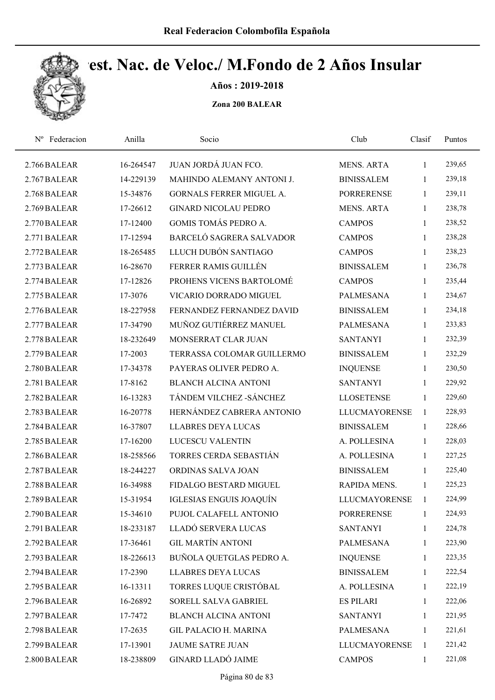

Años : 2019-2018

| Nº Federacion | Anilla    | Socio                           | Club                 | Clasif       | Puntos |
|---------------|-----------|---------------------------------|----------------------|--------------|--------|
| 2.766 BALEAR  | 16-264547 | JUAN JORDÁ JUAN FCO.            | <b>MENS. ARTA</b>    | 1            | 239,65 |
| 2.767 BALEAR  | 14-229139 | MAHINDO ALEMANY ANTONI J.       | <b>BINISSALEM</b>    | 1            | 239,18 |
| 2.768 BALEAR  | 15-34876  | <b>GORNALS FERRER MIGUEL A.</b> | <b>PORRERENSE</b>    | $\mathbf{1}$ | 239,11 |
| 2.769 BALEAR  | 17-26612  | <b>GINARD NICOLAU PEDRO</b>     | <b>MENS. ARTA</b>    | $\mathbf{1}$ | 238,78 |
| 2.770 BALEAR  | 17-12400  | <b>GOMIS TOMÁS PEDRO A.</b>     | <b>CAMPOS</b>        | $\mathbf{1}$ | 238,52 |
| 2.771 BALEAR  | 17-12594  | BARCELÓ SAGRERA SALVADOR        | <b>CAMPOS</b>        | $\mathbf{1}$ | 238,28 |
| 2.772 BALEAR  | 18-265485 | LLUCH DUBÓN SANTIAGO            | <b>CAMPOS</b>        | 1            | 238,23 |
| 2.773 BALEAR  | 16-28670  | FERRER RAMIS GUILLÉN            | <b>BINISSALEM</b>    | 1            | 236,78 |
| 2.774 BALEAR  | 17-12826  | PROHENS VICENS BARTOLOMÉ        | <b>CAMPOS</b>        | 1            | 235,44 |
| 2.775 BALEAR  | 17-3076   | VICARIO DORRADO MIGUEL          | <b>PALMESANA</b>     | 1            | 234,67 |
| 2.776 BALEAR  | 18-227958 | FERNANDEZ FERNANDEZ DAVID       | <b>BINISSALEM</b>    | 1            | 234,18 |
| 2.777 BALEAR  | 17-34790  | MUÑOZ GUTIÉRREZ MANUEL          | <b>PALMESANA</b>     | 1            | 233,83 |
| 2.778 BALEAR  | 18-232649 | MONSERRAT CLAR JUAN             | <b>SANTANYI</b>      | 1            | 232,39 |
| 2.779 BALEAR  | 17-2003   | TERRASSA COLOMAR GUILLERMO      | <b>BINISSALEM</b>    | $\mathbf{1}$ | 232,29 |
| 2.780 BALEAR  | 17-34378  | PAYERAS OLIVER PEDRO A.         | <b>INQUENSE</b>      | 1            | 230,50 |
| 2.781 BALEAR  | 17-8162   | <b>BLANCH ALCINA ANTONI</b>     | <b>SANTANYI</b>      | $\mathbf{1}$ | 229,92 |
| 2.782 BALEAR  | 16-13283  | TÁNDEM VILCHEZ - SÁNCHEZ        | <b>LLOSETENSE</b>    | $\mathbf{1}$ | 229,60 |
| 2.783 BALEAR  | 16-20778  | HERNÁNDEZ CABRERA ANTONIO       | <b>LLUCMAYORENSE</b> | $\mathbf{1}$ | 228,93 |
| 2.784 BALEAR  | 16-37807  | <b>LLABRES DEYA LUCAS</b>       | <b>BINISSALEM</b>    | 1            | 228,66 |
| 2.785 BALEAR  | 17-16200  | LUCESCU VALENTIN                | A. POLLESINA         | $\mathbf{1}$ | 228,03 |
| 2.786 BALEAR  | 18-258566 | TORRES CERDA SEBASTIÁN          | A. POLLESINA         | $\mathbf{1}$ | 227,25 |
| 2.787 BALEAR  | 18-244227 | ORDINAS SALVA JOAN              | <b>BINISSALEM</b>    | 1            | 225,40 |
| 2.788 BALEAR  | 16-34988  | FIDALGO BESTARD MIGUEL          | RAPIDA MENS.         | 1            | 225,23 |
| 2.789 BALEAR  | 15-31954  | IGLESIAS ENGUIS JOAQUÍN         | <b>LLUCMAYORENSE</b> | 1            | 224,99 |
| 2.790 BALEAR  | 15-34610  | PUJOL CALAFELL ANTONIO          | <b>PORRERENSE</b>    | 1            | 224,93 |
| 2.791 BALEAR  | 18-233187 | LLADÓ SERVERA LUCAS             | <b>SANTANYI</b>      | $\mathbf{1}$ | 224,78 |
| 2.792 BALEAR  | 17-36461  | <b>GIL MARTÍN ANTONI</b>        | <b>PALMESANA</b>     | 1            | 223,90 |
| 2.793 BALEAR  | 18-226613 | BUÑOLA QUETGLAS PEDRO A.        | <b>INQUENSE</b>      | 1            | 223,35 |
| 2.794 BALEAR  | 17-2390   | <b>LLABRES DEYA LUCAS</b>       | <b>BINISSALEM</b>    | 1            | 222,54 |
| 2.795 BALEAR  | 16-13311  | TORRES LUQUE CRISTÓBAL          | A. POLLESINA         | $\mathbf{1}$ | 222,19 |
| 2.796 BALEAR  | 16-26892  | SORELL SALVA GABRIEL            | <b>ES PILARI</b>     | 1            | 222,06 |
| 2.797 BALEAR  | 17-7472   | BLANCH ALCINA ANTONI            | <b>SANTANYI</b>      | 1            | 221,95 |
| 2.798 BALEAR  | 17-2635   | GIL PALACIO H. MARINA           | <b>PALMESANA</b>     | 1            | 221,61 |
| 2.799 BALEAR  | 17-13901  | <b>JAUME SATRE JUAN</b>         | <b>LLUCMAYORENSE</b> | 1            | 221,42 |
| 2.800 BALEAR  | 18-238809 | <b>GINARD LLADÓ JAIME</b>       | <b>CAMPOS</b>        | 1            | 221,08 |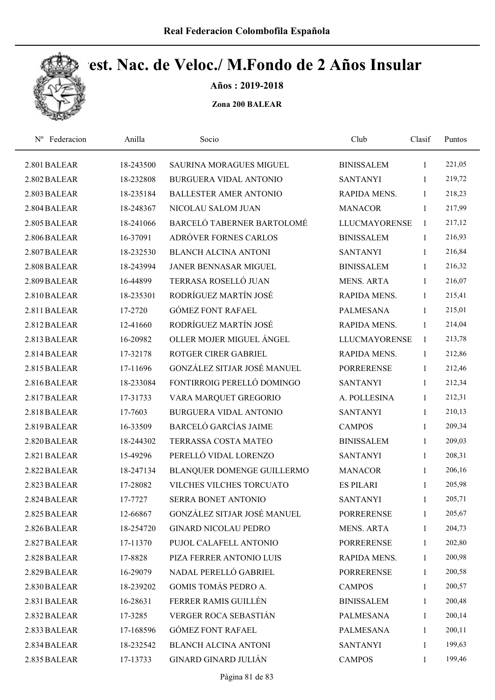

Años : 2019-2018

| Nº Federacion | Anilla    | Socio                              | Club                 | Clasif       | Puntos |
|---------------|-----------|------------------------------------|----------------------|--------------|--------|
| 2.801 BALEAR  | 18-243500 | <b>SAURINA MORAGUES MIGUEL</b>     | <b>BINISSALEM</b>    | 1            | 221,05 |
| 2.802 BALEAR  | 18-232808 | <b>BURGUERA VIDAL ANTONIO</b>      | <b>SANTANYI</b>      | 1            | 219,72 |
| 2.803 BALEAR  | 18-235184 | <b>BALLESTER AMER ANTONIO</b>      | RAPIDA MENS.         | 1            | 218,23 |
| 2.804 BALEAR  | 18-248367 | NICOLAU SALOM JUAN                 | <b>MANACOR</b>       | 1            | 217,99 |
| 2.805 BALEAR  | 18-241066 | BARCELÓ TABERNER BARTOLOMÉ         | <b>LLUCMAYORENSE</b> | $\mathbf{1}$ | 217,12 |
| 2.806 BALEAR  | 16-37091  | ADRÓVER FORNES CARLOS              | <b>BINISSALEM</b>    | $\mathbf{1}$ | 216,93 |
| 2.807 BALEAR  | 18-232530 | <b>BLANCH ALCINA ANTONI</b>        | <b>SANTANYI</b>      | $\mathbf{1}$ | 216,84 |
| 2.808 BALEAR  | 18-243994 | JANER BENNASAR MIGUEL              | <b>BINISSALEM</b>    | $\mathbf{1}$ | 216,32 |
| 2.809 BALEAR  | 16-44899  | TERRASA ROSELLÓ JUAN               | <b>MENS. ARTA</b>    | 1            | 216,07 |
| 2.810 BALEAR  | 18-235301 | RODRÍGUEZ MARTÍN JOSÉ              | RAPIDA MENS.         | $\mathbf{1}$ | 215,41 |
| 2.811 BALEAR  | 17-2720   | <b>GÓMEZ FONT RAFAEL</b>           | PALMESANA            | $\mathbf{1}$ | 215,01 |
| 2.812 BALEAR  | 12-41660  | RODRÍGUEZ MARTÍN JOSÉ              | RAPIDA MENS.         | $\mathbf{1}$ | 214,04 |
| 2.813 BALEAR  | 16-20982  | OLLER MOJER MIGUEL ÁNGEL           | <b>LLUCMAYORENSE</b> | $\mathbf{1}$ | 213,78 |
| 2.814 BALEAR  | 17-32178  | <b>ROTGER CIRER GABRIEL</b>        | RAPIDA MENS.         | 1            | 212,86 |
| 2.815 BALEAR  | 17-11696  | <b>GONZÁLEZ SITJAR JOSÉ MANUEL</b> | <b>PORRERENSE</b>    | $\mathbf{1}$ | 212,46 |
| 2.816 BALEAR  | 18-233084 | FONTIRROIG PERELLÓ DOMINGO         | <b>SANTANYI</b>      | $\mathbf{1}$ | 212,34 |
| 2.817 BALEAR  | 17-31733  | VARA MARQUET GREGORIO              | A. POLLESINA         | $\mathbf{1}$ | 212,31 |
| 2.818 BALEAR  | 17-7603   | <b>BURGUERA VIDAL ANTONIO</b>      | <b>SANTANYI</b>      | $\mathbf{1}$ | 210,13 |
| 2.819 BALEAR  | 16-33509  | <b>BARCELÓ GARCÍAS JAIME</b>       | <b>CAMPOS</b>        | $\mathbf{1}$ | 209,34 |
| 2.820 BALEAR  | 18-244302 | TERRASSA COSTA MATEO               | <b>BINISSALEM</b>    | $\mathbf{1}$ | 209,03 |
| 2.821 BALEAR  | 15-49296  | PERELLÓ VIDAL LORENZO              | <b>SANTANYI</b>      | $\mathbf{1}$ | 208,31 |
| 2.822 BALEAR  | 18-247134 | BLANQUER DOMENGE GUILLERMO         | <b>MANACOR</b>       | 1            | 206,16 |
| 2.823 BALEAR  | 17-28082  | VILCHES VILCHES TORCUATO           | <b>ES PILARI</b>     | $\mathbf{1}$ | 205,98 |
| 2.824 BALEAR  | 17-7727   | <b>SERRA BONET ANTONIO</b>         | <b>SANTANYI</b>      | 1            | 205,71 |
| 2.825 BALEAR  | 12-66867  | GONZÁLEZ SITJAR JOSÉ MANUEL        | <b>PORRERENSE</b>    | $\mathbf{1}$ | 205,67 |
| 2.826 BALEAR  | 18-254720 | <b>GINARD NICOLAU PEDRO</b>        | <b>MENS. ARTA</b>    | 1            | 204,73 |
| 2.827 BALEAR  | 17-11370  | PUJOL CALAFELL ANTONIO             | <b>PORRERENSE</b>    | 1            | 202,80 |
| 2.828 BALEAR  | 17-8828   | PIZA FERRER ANTONIO LUIS           | RAPIDA MENS.         | $\mathbf{1}$ | 200,98 |
| 2.829 BALEAR  | 16-29079  | NADAL PERELLÓ GABRIEL              | <b>PORRERENSE</b>    | 1            | 200,58 |
| 2.830 BALEAR  | 18-239202 | GOMIS TOMÁS PEDRO A.               | <b>CAMPOS</b>        | 1            | 200,57 |
| 2.831 BALEAR  | 16-28631  | FERRER RAMIS GUILLÉN               | <b>BINISSALEM</b>    | $\mathbf{1}$ | 200,48 |
| 2.832 BALEAR  | 17-3285   | VERGER ROCA SEBASTIÁN              | PALMESANA            | 1            | 200,14 |
| 2.833 BALEAR  | 17-168596 | <b>GÓMEZ FONT RAFAEL</b>           | <b>PALMESANA</b>     | $\mathbf{1}$ | 200,11 |
| 2.834 BALEAR  | 18-232542 | <b>BLANCH ALCINA ANTONI</b>        | <b>SANTANYI</b>      | 1            | 199,63 |
| 2.835 BALEAR  | 17-13733  | GINARD GINARD JULIÁN               | <b>CAMPOS</b>        | 1            | 199,46 |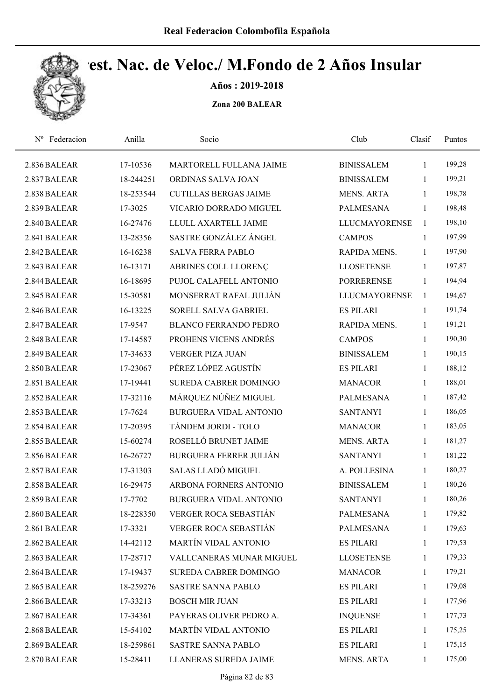

Años : 2019-2018

| Federacion<br>$N^{\rm o}$ | Anilla    | Socio                         | Club                 | Clasif       | Puntos |
|---------------------------|-----------|-------------------------------|----------------------|--------------|--------|
| 2.836 BALEAR              | 17-10536  | MARTORELL FULLANA JAIME       | <b>BINISSALEM</b>    | $\mathbf{1}$ | 199,28 |
| 2.837 BALEAR              | 18-244251 | ORDINAS SALVA JOAN            | <b>BINISSALEM</b>    | 1            | 199,21 |
| 2.838 BALEAR              | 18-253544 | <b>CUTILLAS BERGAS JAIME</b>  | <b>MENS. ARTA</b>    | 1            | 198,78 |
| 2.839 BALEAR              | 17-3025   | VICARIO DORRADO MIGUEL        | <b>PALMESANA</b>     | $\mathbf{1}$ | 198,48 |
| 2.840 BALEAR              | 16-27476  | LLULL AXARTELL JAIME          | <b>LLUCMAYORENSE</b> | $\mathbf{1}$ | 198,10 |
| 2.841 BALEAR              | 13-28356  | SASTRE GONZÁLEZ ÁNGEL         | <b>CAMPOS</b>        | 1            | 197,99 |
| 2.842 BALEAR              | 16-16238  | <b>SALVA FERRA PABLO</b>      | RAPIDA MENS.         | $\mathbf{1}$ | 197,90 |
| 2.843 BALEAR              | 16-13171  | ABRINES COLL LLORENÇ          | <b>LLOSETENSE</b>    | $\mathbf{1}$ | 197,87 |
| 2.844 BALEAR              | 16-18695  | PUJOL CALAFELL ANTONIO        | <b>PORRERENSE</b>    | 1            | 194,94 |
| 2.845 BALEAR              | 15-30581  | MONSERRAT RAFAL JULIÁN        | <b>LLUCMAYORENSE</b> | $\mathbf{1}$ | 194,67 |
| 2.846 BALEAR              | 16-13225  | SORELL SALVA GABRIEL          | <b>ES PILARI</b>     | $\mathbf{1}$ | 191,74 |
| 2.847 BALEAR              | 17-9547   | <b>BLANCO FERRANDO PEDRO</b>  | RAPIDA MENS.         | $\mathbf{1}$ | 191,21 |
| 2.848 BALEAR              | 17-14587  | PROHENS VICENS ANDRÉS         | <b>CAMPOS</b>        | 1            | 190,30 |
| 2.849 BALEAR              | 17-34633  | <b>VERGER PIZA JUAN</b>       | <b>BINISSALEM</b>    | $\mathbf{1}$ | 190,15 |
| 2.850 BALEAR              | 17-23067  | PÉREZ LÓPEZ AGUSTÍN           | <b>ES PILARI</b>     | 1            | 188,12 |
| 2.851 BALEAR              | 17-19441  | SUREDA CABRER DOMINGO         | <b>MANACOR</b>       | 1            | 188,01 |
| 2.852 BALEAR              | 17-32116  | MÁRQUEZ NÚÑEZ MIGUEL          | <b>PALMESANA</b>     | $\mathbf{1}$ | 187,42 |
| 2.853 BALEAR              | 17-7624   | <b>BURGUERA VIDAL ANTONIO</b> | <b>SANTANYI</b>      | 1            | 186,05 |
| 2.854 BALEAR              | 17-20395  | TÁNDEM JORDI - TOLO           | <b>MANACOR</b>       | 1            | 183,05 |
| 2.855 BALEAR              | 15-60274  | ROSELLÓ BRUNET JAIME          | <b>MENS. ARTA</b>    | 1            | 181,27 |
| 2.856 BALEAR              | 16-26727  | <b>BURGUERA FERRER JULIÁN</b> | <b>SANTANYI</b>      | 1            | 181,22 |
| 2.857 BALEAR              | 17-31303  | SALAS LLADÓ MIGUEL            | A. POLLESINA         | 1            | 180,27 |
| 2.858 BALEAR              | 16-29475  | ARBONA FORNERS ANTONIO        | <b>BINISSALEM</b>    | $\mathbf{1}$ | 180,26 |
| 2.859 BALEAR              | 17-7702   | <b>BURGUERA VIDAL ANTONIO</b> | <b>SANTANYI</b>      | 1            | 180,26 |
| 2.860 BALEAR              | 18-228350 | VERGER ROCA SEBASTIÁN         | PALMESANA            | $\mathbf{1}$ | 179,82 |
| 2.861 BALEAR              | 17-3321   | VERGER ROCA SEBASTIÁN         | <b>PALMESANA</b>     | $\mathbf{1}$ | 179,63 |
| 2.862 BALEAR              | 14-42112  | MARTÍN VIDAL ANTONIO          | <b>ES PILARI</b>     | 1            | 179,53 |
| 2.863 BALEAR              | 17-28717  | VALLCANERAS MUNAR MIGUEL      | <b>LLOSETENSE</b>    | $\mathbf{1}$ | 179,33 |
| 2.864 BALEAR              | 17-19437  | SUREDA CABRER DOMINGO         | <b>MANACOR</b>       | 1            | 179,21 |
| 2.865 BALEAR              | 18-259276 | SASTRE SANNA PABLO            | <b>ES PILARI</b>     | $\mathbf{1}$ | 179,08 |
| 2.866 BALEAR              | 17-33213  | <b>BOSCH MIR JUAN</b>         | <b>ES PILARI</b>     | $\mathbf{1}$ | 177,96 |
| 2.867 BALEAR              | 17-34361  | PAYERAS OLIVER PEDRO A.       | <b>INQUENSE</b>      | 1            | 177,73 |
| 2.868 BALEAR              | 15-54102  | MARTÍN VIDAL ANTONIO          | <b>ES PILARI</b>     | 1            | 175,25 |
| 2.869 BALEAR              | 18-259861 | SASTRE SANNA PABLO            | <b>ES PILARI</b>     | 1            | 175,15 |
| 2.870 BALEAR              | 15-28411  | LLANERAS SUREDA JAIME         | MENS. ARTA           | $\mathbf{1}$ | 175,00 |